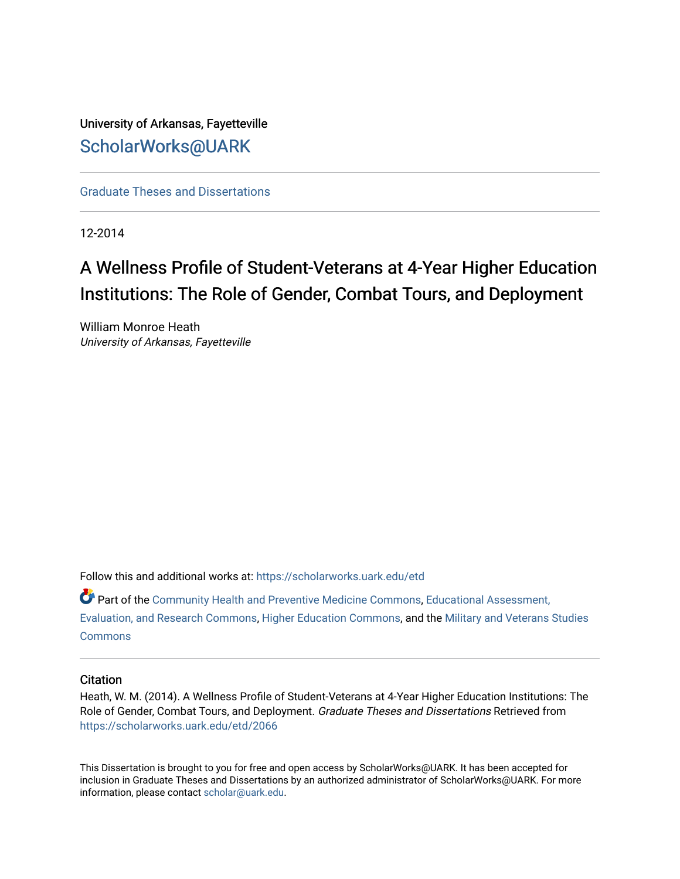University of Arkansas, Fayetteville [ScholarWorks@UARK](https://scholarworks.uark.edu/) 

[Graduate Theses and Dissertations](https://scholarworks.uark.edu/etd) 

12-2014

# A Wellness Profile of Student-Veterans at 4-Year Higher Education Institutions: The Role of Gender, Combat Tours, and Deployment

William Monroe Heath University of Arkansas, Fayetteville

Follow this and additional works at: [https://scholarworks.uark.edu/etd](https://scholarworks.uark.edu/etd?utm_source=scholarworks.uark.edu%2Fetd%2F2066&utm_medium=PDF&utm_campaign=PDFCoverPages)

Part of the [Community Health and Preventive Medicine Commons](http://network.bepress.com/hgg/discipline/744?utm_source=scholarworks.uark.edu%2Fetd%2F2066&utm_medium=PDF&utm_campaign=PDFCoverPages), [Educational Assessment,](http://network.bepress.com/hgg/discipline/796?utm_source=scholarworks.uark.edu%2Fetd%2F2066&utm_medium=PDF&utm_campaign=PDFCoverPages)  [Evaluation, and Research Commons,](http://network.bepress.com/hgg/discipline/796?utm_source=scholarworks.uark.edu%2Fetd%2F2066&utm_medium=PDF&utm_campaign=PDFCoverPages) [Higher Education Commons,](http://network.bepress.com/hgg/discipline/1245?utm_source=scholarworks.uark.edu%2Fetd%2F2066&utm_medium=PDF&utm_campaign=PDFCoverPages) and the [Military and Veterans Studies](http://network.bepress.com/hgg/discipline/396?utm_source=scholarworks.uark.edu%2Fetd%2F2066&utm_medium=PDF&utm_campaign=PDFCoverPages) **[Commons](http://network.bepress.com/hgg/discipline/396?utm_source=scholarworks.uark.edu%2Fetd%2F2066&utm_medium=PDF&utm_campaign=PDFCoverPages)** 

#### **Citation**

Heath, W. M. (2014). A Wellness Profile of Student-Veterans at 4-Year Higher Education Institutions: The Role of Gender, Combat Tours, and Deployment. Graduate Theses and Dissertations Retrieved from [https://scholarworks.uark.edu/etd/2066](https://scholarworks.uark.edu/etd/2066?utm_source=scholarworks.uark.edu%2Fetd%2F2066&utm_medium=PDF&utm_campaign=PDFCoverPages)

This Dissertation is brought to you for free and open access by ScholarWorks@UARK. It has been accepted for inclusion in Graduate Theses and Dissertations by an authorized administrator of ScholarWorks@UARK. For more information, please contact [scholar@uark.edu.](mailto:scholar@uark.edu)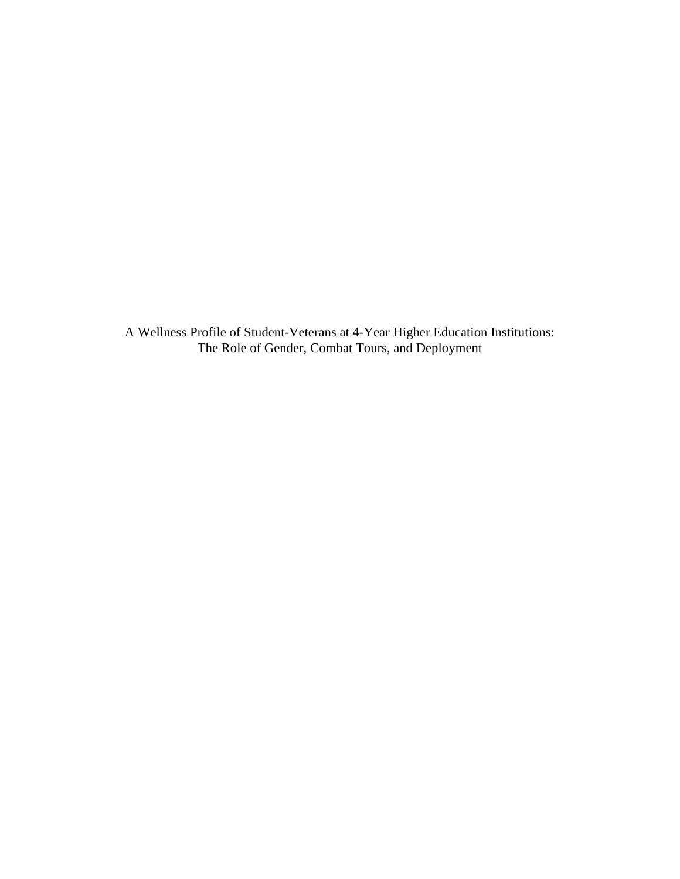A Wellness Profile of Student-Veterans at 4-Year Higher Education Institutions: The Role of Gender, Combat Tours, and Deployment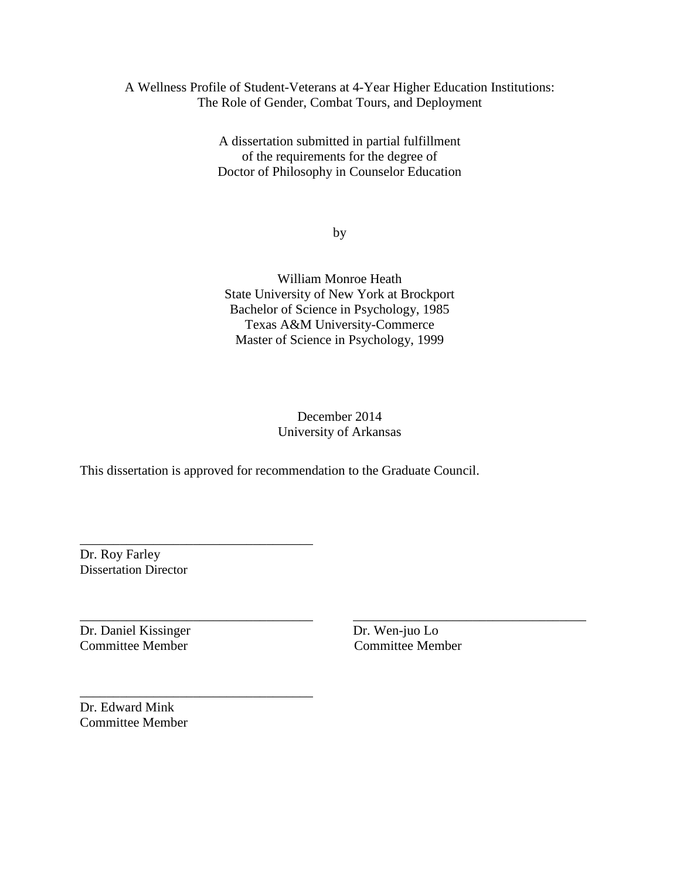### A Wellness Profile of Student-Veterans at 4-Year Higher Education Institutions: The Role of Gender, Combat Tours, and Deployment

A dissertation submitted in partial fulfillment of the requirements for the degree of Doctor of Philosophy in Counselor Education

by

William Monroe Heath State University of New York at Brockport Bachelor of Science in Psychology, 1985 Texas A&M University-Commerce Master of Science in Psychology, 1999

## December 2014 University of Arkansas

\_\_\_\_\_\_\_\_\_\_\_\_\_\_\_\_\_\_\_\_\_\_\_\_\_\_\_\_\_\_\_\_\_\_\_ \_\_\_\_\_\_\_\_\_\_\_\_\_\_\_\_\_\_\_\_\_\_\_\_\_\_\_\_\_\_\_\_\_\_\_

This dissertation is approved for recommendation to the Graduate Council.

Dr. Roy Farley Dissertation Director

\_\_\_\_\_\_\_\_\_\_\_\_\_\_\_\_\_\_\_\_\_\_\_\_\_\_\_\_\_\_\_\_\_\_\_

\_\_\_\_\_\_\_\_\_\_\_\_\_\_\_\_\_\_\_\_\_\_\_\_\_\_\_\_\_\_\_\_\_\_\_

Dr. Daniel Kissinger Dr. Wen-juo Lo Committee Member Committee Member

Dr. Edward Mink Committee Member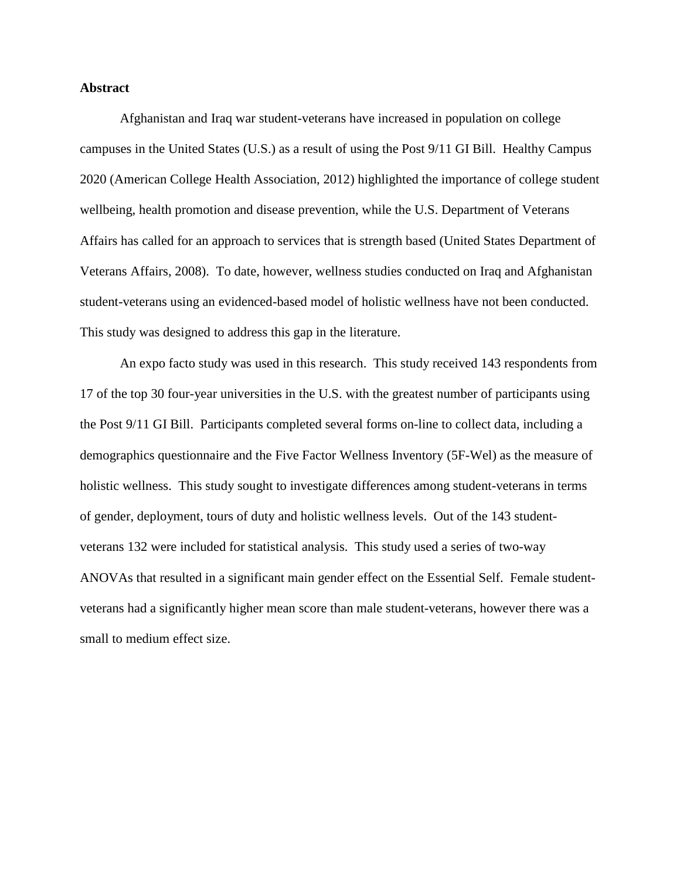#### **Abstract**

Afghanistan and Iraq war student-veterans have increased in population on college campuses in the United States (U.S.) as a result of using the Post 9/11 GI Bill. Healthy Campus 2020 (American College Health Association, 2012) highlighted the importance of college student wellbeing, health promotion and disease prevention, while the U.S. Department of Veterans Affairs has called for an approach to services that is strength based (United States Department of Veterans Affairs, 2008). To date, however, wellness studies conducted on Iraq and Afghanistan student-veterans using an evidenced-based model of holistic wellness have not been conducted. This study was designed to address this gap in the literature.

 An expo facto study was used in this research. This study received 143 respondents from 17 of the top 30 four-year universities in the U.S. with the greatest number of participants using the Post 9/11 GI Bill. Participants completed several forms on-line to collect data, including a demographics questionnaire and the Five Factor Wellness Inventory (5F-Wel) as the measure of holistic wellness. This study sought to investigate differences among student-veterans in terms of gender, deployment, tours of duty and holistic wellness levels. Out of the 143 studentveterans 132 were included for statistical analysis. This study used a series of two-way ANOVAs that resulted in a significant main gender effect on the Essential Self. Female studentveterans had a significantly higher mean score than male student-veterans, however there was a small to medium effect size.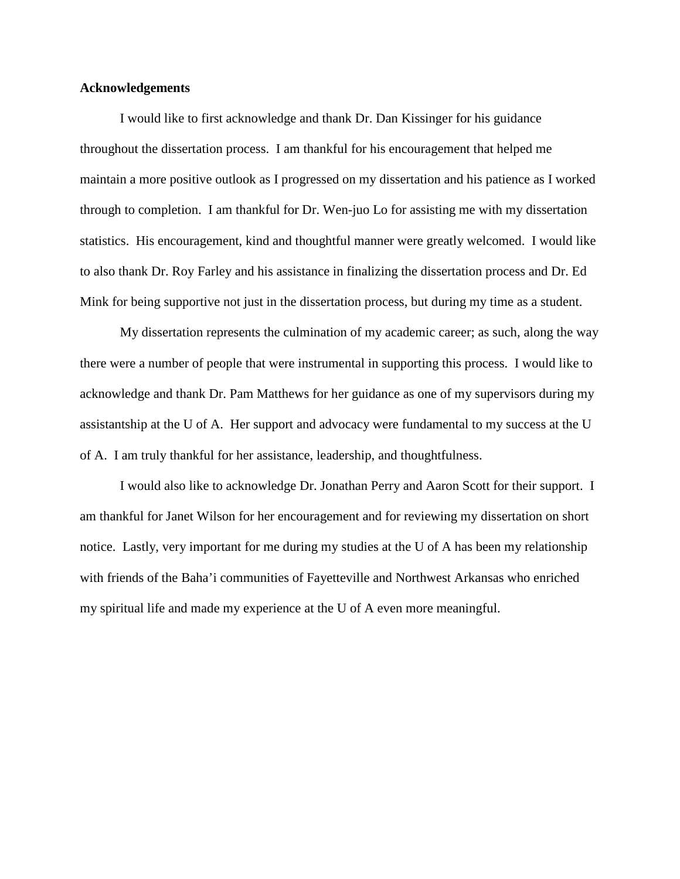#### **Acknowledgements**

 I would like to first acknowledge and thank Dr. Dan Kissinger for his guidance throughout the dissertation process. I am thankful for his encouragement that helped me maintain a more positive outlook as I progressed on my dissertation and his patience as I worked through to completion. I am thankful for Dr. Wen-juo Lo for assisting me with my dissertation statistics. His encouragement, kind and thoughtful manner were greatly welcomed. I would like to also thank Dr. Roy Farley and his assistance in finalizing the dissertation process and Dr. Ed Mink for being supportive not just in the dissertation process, but during my time as a student.

 My dissertation represents the culmination of my academic career; as such, along the way there were a number of people that were instrumental in supporting this process. I would like to acknowledge and thank Dr. Pam Matthews for her guidance as one of my supervisors during my assistantship at the U of A. Her support and advocacy were fundamental to my success at the U of A. I am truly thankful for her assistance, leadership, and thoughtfulness.

 I would also like to acknowledge Dr. Jonathan Perry and Aaron Scott for their support. I am thankful for Janet Wilson for her encouragement and for reviewing my dissertation on short notice. Lastly, very important for me during my studies at the U of A has been my relationship with friends of the Baha'i communities of Fayetteville and Northwest Arkansas who enriched my spiritual life and made my experience at the U of A even more meaningful.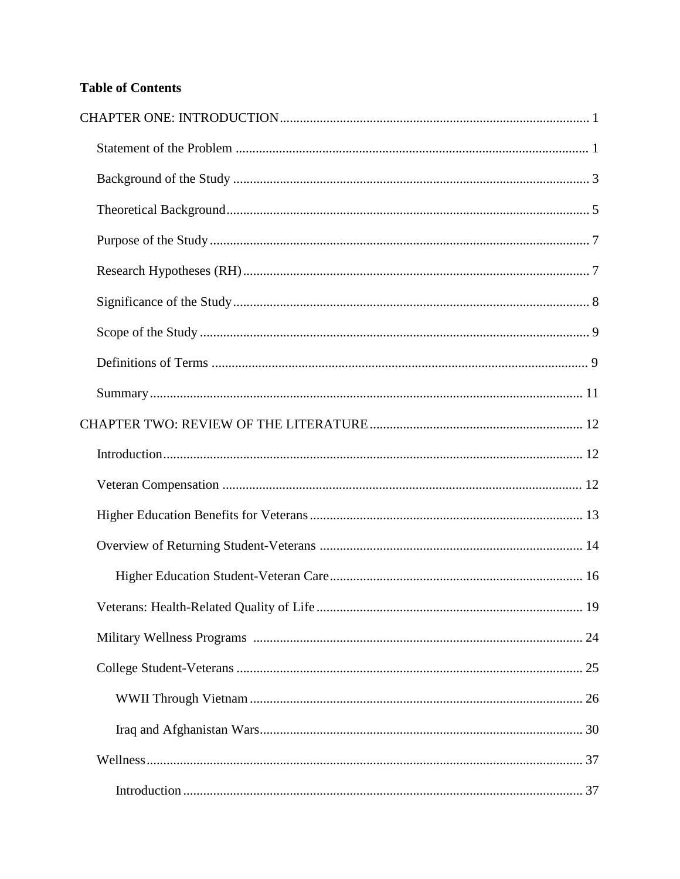# **Table of Contents**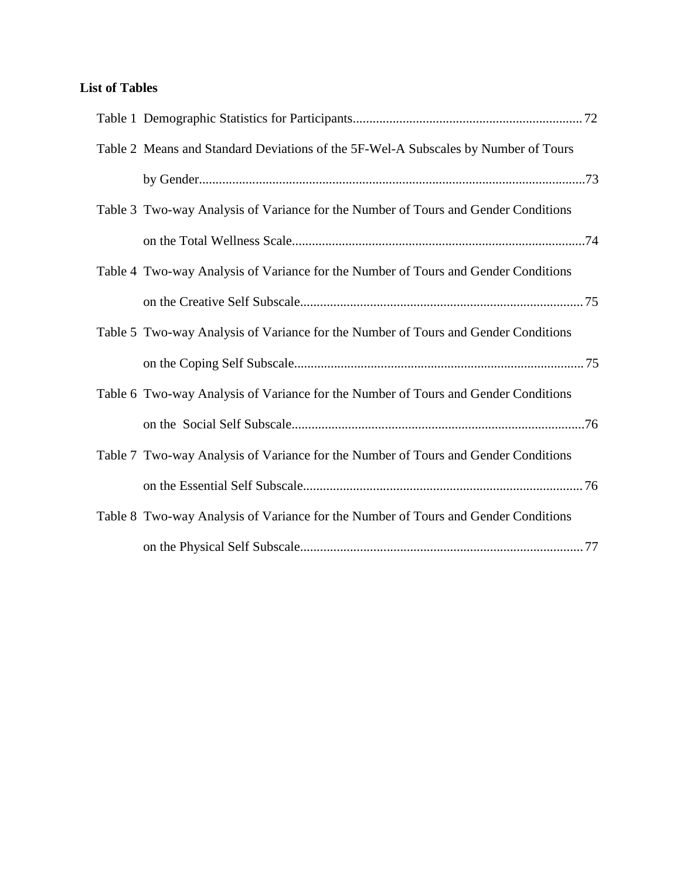# **List of Tables**

| Table 2 Means and Standard Deviations of the 5F-Wel-A Subscales by Number of Tours |  |
|------------------------------------------------------------------------------------|--|
|                                                                                    |  |
| Table 3 Two-way Analysis of Variance for the Number of Tours and Gender Conditions |  |
|                                                                                    |  |
| Table 4 Two-way Analysis of Variance for the Number of Tours and Gender Conditions |  |
|                                                                                    |  |
| Table 5 Two-way Analysis of Variance for the Number of Tours and Gender Conditions |  |
|                                                                                    |  |
| Table 6 Two-way Analysis of Variance for the Number of Tours and Gender Conditions |  |
|                                                                                    |  |
| Table 7 Two-way Analysis of Variance for the Number of Tours and Gender Conditions |  |
|                                                                                    |  |
| Table 8 Two-way Analysis of Variance for the Number of Tours and Gender Conditions |  |
|                                                                                    |  |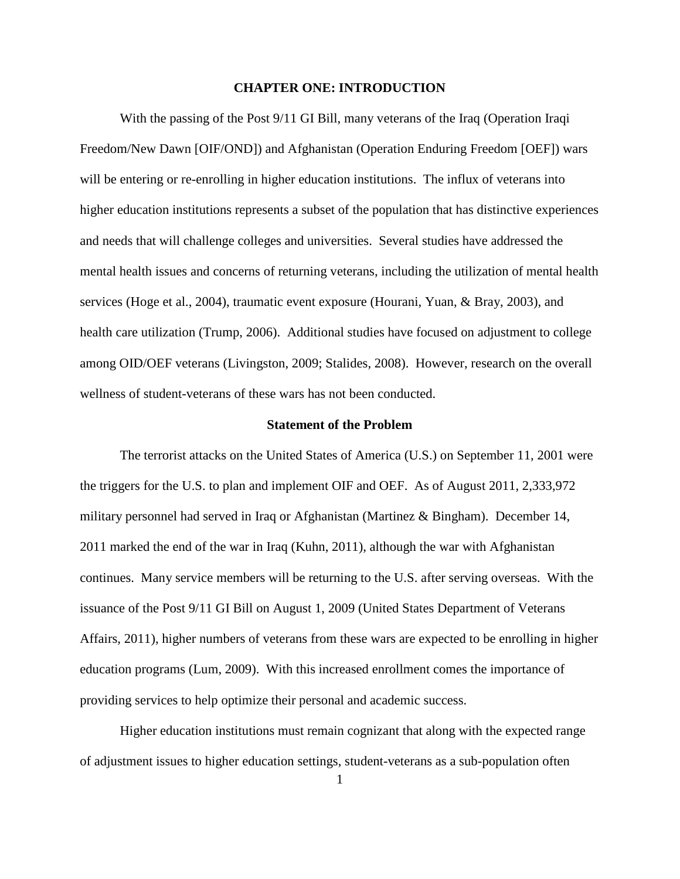#### **CHAPTER ONE: INTRODUCTION**

With the passing of the Post 9/11 GI Bill, many veterans of the Iraq (Operation Iraqi Freedom/New Dawn [OIF/OND]) and Afghanistan (Operation Enduring Freedom [OEF]) wars will be entering or re-enrolling in higher education institutions. The influx of veterans into higher education institutions represents a subset of the population that has distinctive experiences and needs that will challenge colleges and universities. Several studies have addressed the mental health issues and concerns of returning veterans, including the utilization of mental health services (Hoge et al., 2004), traumatic event exposure (Hourani, Yuan, & Bray, 2003), and health care utilization (Trump, 2006). Additional studies have focused on adjustment to college among OID/OEF veterans (Livingston, 2009; Stalides, 2008). However, research on the overall wellness of student-veterans of these wars has not been conducted.

#### **Statement of the Problem**

The terrorist attacks on the United States of America (U.S.) on September 11, 2001 were the triggers for the U.S. to plan and implement OIF and OEF. As of August 2011, 2,333,972 military personnel had served in Iraq or Afghanistan (Martinez & Bingham). December 14, 2011 marked the end of the war in Iraq (Kuhn, 2011), although the war with Afghanistan continues. Many service members will be returning to the U.S. after serving overseas. With the issuance of the Post 9/11 GI Bill on August 1, 2009 (United States Department of Veterans Affairs, 2011), higher numbers of veterans from these wars are expected to be enrolling in higher education programs (Lum, 2009). With this increased enrollment comes the importance of providing services to help optimize their personal and academic success.

Higher education institutions must remain cognizant that along with the expected range of adjustment issues to higher education settings, student-veterans as a sub-population often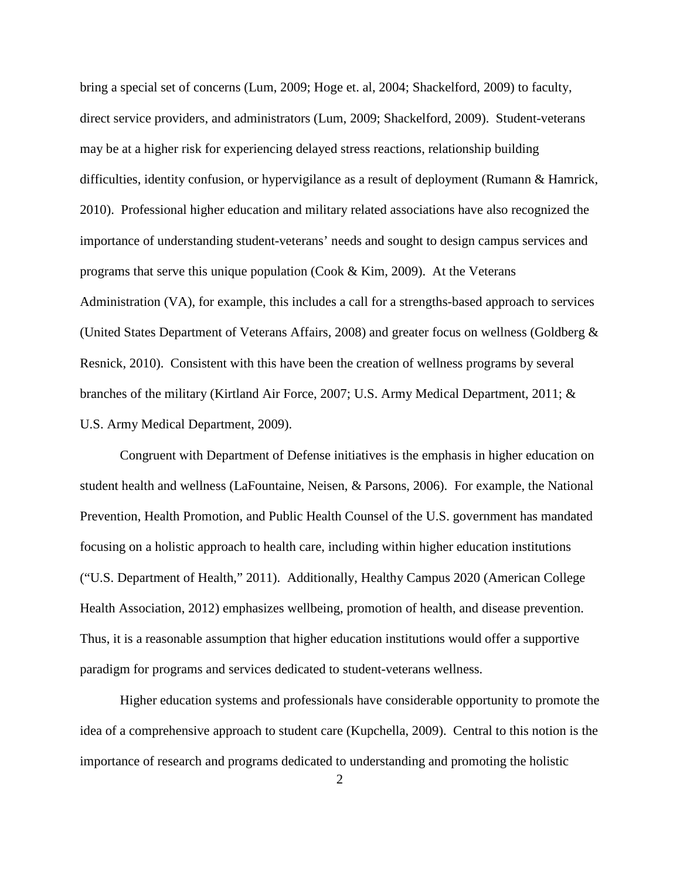bring a special set of concerns (Lum, 2009; Hoge et. al, 2004; Shackelford, 2009) to faculty, direct service providers, and administrators (Lum, 2009; Shackelford, 2009). Student-veterans may be at a higher risk for experiencing delayed stress reactions, relationship building difficulties, identity confusion, or hypervigilance as a result of deployment (Rumann & Hamrick, 2010). Professional higher education and military related associations have also recognized the importance of understanding student-veterans' needs and sought to design campus services and programs that serve this unique population (Cook & Kim, 2009). At the Veterans Administration (VA), for example, this includes a call for a strengths-based approach to services (United States Department of Veterans Affairs, 2008) and greater focus on wellness (Goldberg & Resnick, 2010). Consistent with this have been the creation of wellness programs by several branches of the military (Kirtland Air Force, 2007; U.S. Army Medical Department, 2011; & U.S. Army Medical Department, 2009).

Congruent with Department of Defense initiatives is the emphasis in higher education on student health and wellness (LaFountaine, Neisen, & Parsons, 2006). For example, the National Prevention, Health Promotion, and Public Health Counsel of the U.S. government has mandated focusing on a holistic approach to health care, including within higher education institutions ("U.S. Department of Health," 2011). Additionally, Healthy Campus 2020 (American College Health Association, 2012) emphasizes wellbeing, promotion of health, and disease prevention. Thus, it is a reasonable assumption that higher education institutions would offer a supportive paradigm for programs and services dedicated to student-veterans wellness.

Higher education systems and professionals have considerable opportunity to promote the idea of a comprehensive approach to student care (Kupchella, 2009). Central to this notion is the importance of research and programs dedicated to understanding and promoting the holistic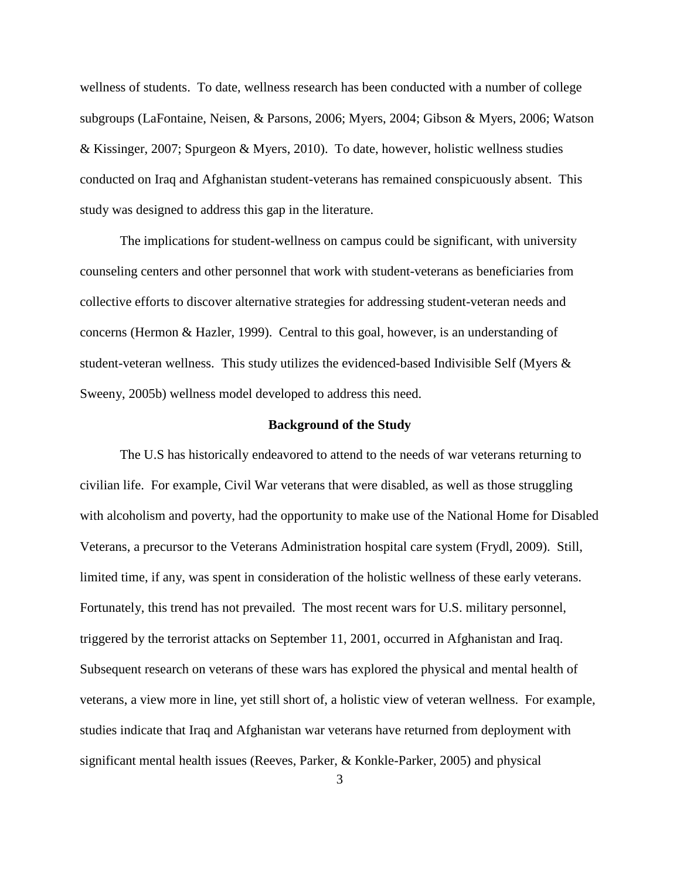wellness of students. To date, wellness research has been conducted with a number of college subgroups (LaFontaine, Neisen, & Parsons, 2006; Myers, 2004; Gibson & Myers, 2006; Watson & Kissinger, 2007; Spurgeon & Myers, 2010). To date, however, holistic wellness studies conducted on Iraq and Afghanistan student-veterans has remained conspicuously absent. This study was designed to address this gap in the literature.

The implications for student-wellness on campus could be significant, with university counseling centers and other personnel that work with student-veterans as beneficiaries from collective efforts to discover alternative strategies for addressing student-veteran needs and concerns (Hermon & Hazler, 1999). Central to this goal, however, is an understanding of student-veteran wellness. This study utilizes the evidenced-based Indivisible Self (Myers & Sweeny, 2005b) wellness model developed to address this need.

#### **Background of the Study**

 The U.S has historically endeavored to attend to the needs of war veterans returning to civilian life. For example, Civil War veterans that were disabled, as well as those struggling with alcoholism and poverty, had the opportunity to make use of the National Home for Disabled Veterans, a precursor to the Veterans Administration hospital care system (Frydl, 2009). Still, limited time, if any, was spent in consideration of the holistic wellness of these early veterans. Fortunately, this trend has not prevailed. The most recent wars for U.S. military personnel, triggered by the terrorist attacks on September 11, 2001, occurred in Afghanistan and Iraq. Subsequent research on veterans of these wars has explored the physical and mental health of veterans, a view more in line, yet still short of, a holistic view of veteran wellness. For example, studies indicate that Iraq and Afghanistan war veterans have returned from deployment with significant mental health issues (Reeves, Parker, & Konkle-Parker, 2005) and physical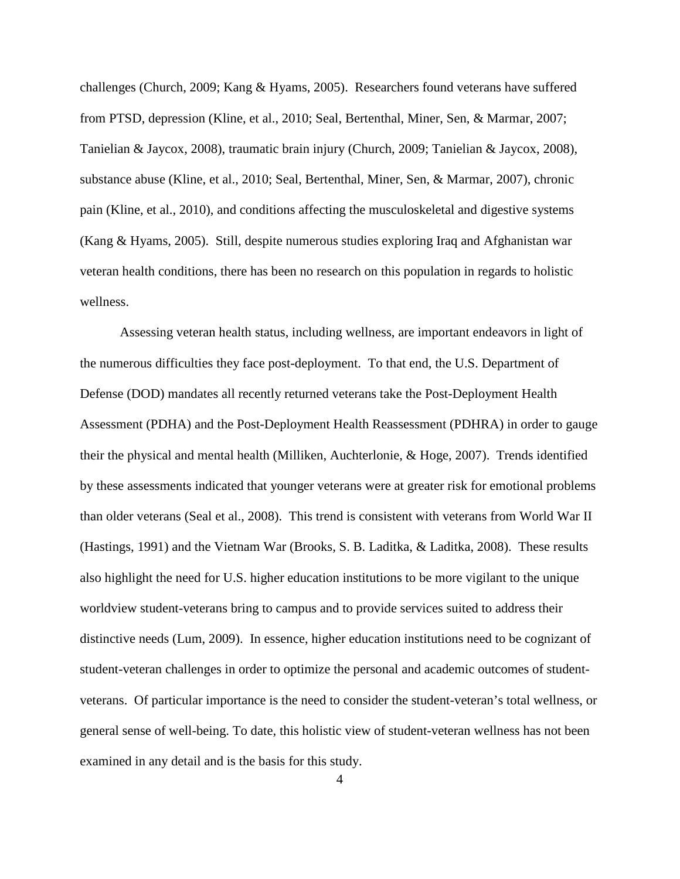challenges (Church, 2009; Kang & Hyams, 2005). Researchers found veterans have suffered from PTSD, depression (Kline, et al., 2010; Seal, Bertenthal, Miner, Sen, & Marmar, 2007; Tanielian & Jaycox, 2008), traumatic brain injury (Church, 2009; Tanielian & Jaycox, 2008), substance abuse (Kline, et al., 2010; Seal, Bertenthal, Miner, Sen, & Marmar, 2007), chronic pain (Kline, et al., 2010), and conditions affecting the musculoskeletal and digestive systems (Kang & Hyams, 2005). Still, despite numerous studies exploring Iraq and Afghanistan war veteran health conditions, there has been no research on this population in regards to holistic wellness.

Assessing veteran health status, including wellness, are important endeavors in light of the numerous difficulties they face post-deployment. To that end, the U.S. Department of Defense (DOD) mandates all recently returned veterans take the Post-Deployment Health Assessment (PDHA) and the Post-Deployment Health Reassessment (PDHRA) in order to gauge their the physical and mental health (Milliken, Auchterlonie, & Hoge, 2007). Trends identified by these assessments indicated that younger veterans were at greater risk for emotional problems than older veterans (Seal et al., 2008). This trend is consistent with veterans from World War II (Hastings, 1991) and the Vietnam War (Brooks, S. B. Laditka, & Laditka, 2008). These results also highlight the need for U.S. higher education institutions to be more vigilant to the unique worldview student-veterans bring to campus and to provide services suited to address their distinctive needs (Lum, 2009). In essence, higher education institutions need to be cognizant of student-veteran challenges in order to optimize the personal and academic outcomes of studentveterans. Of particular importance is the need to consider the student-veteran's total wellness, or general sense of well-being. To date, this holistic view of student-veteran wellness has not been examined in any detail and is the basis for this study.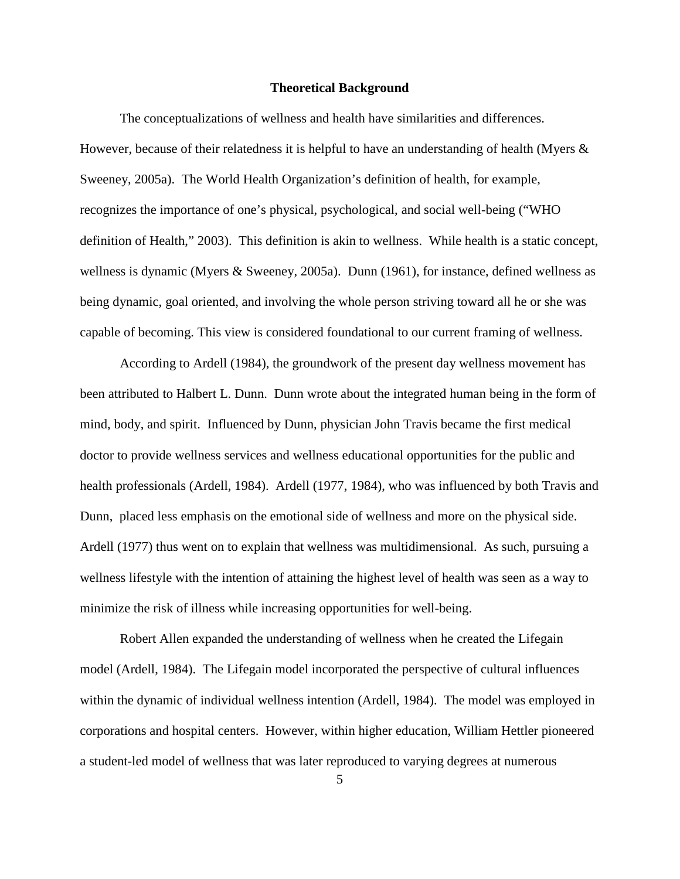#### **Theoretical Background**

The conceptualizations of wellness and health have similarities and differences. However, because of their relatedness it is helpful to have an understanding of health (Myers  $\&$ Sweeney, 2005a). The World Health Organization's definition of health, for example, recognizes the importance of one's physical, psychological, and social well-being ("WHO definition of Health," 2003). This definition is akin to wellness. While health is a static concept, wellness is dynamic (Myers & Sweeney, 2005a). Dunn (1961), for instance, defined wellness as being dynamic, goal oriented, and involving the whole person striving toward all he or she was capable of becoming. This view is considered foundational to our current framing of wellness.

According to Ardell (1984), the groundwork of the present day wellness movement has been attributed to Halbert L. Dunn. Dunn wrote about the integrated human being in the form of mind, body, and spirit. Influenced by Dunn, physician John Travis became the first medical doctor to provide wellness services and wellness educational opportunities for the public and health professionals (Ardell, 1984). Ardell (1977, 1984), who was influenced by both Travis and Dunn, placed less emphasis on the emotional side of wellness and more on the physical side. Ardell (1977) thus went on to explain that wellness was multidimensional. As such, pursuing a wellness lifestyle with the intention of attaining the highest level of health was seen as a way to minimize the risk of illness while increasing opportunities for well-being.

Robert Allen expanded the understanding of wellness when he created the Lifegain model (Ardell, 1984). The Lifegain model incorporated the perspective of cultural influences within the dynamic of individual wellness intention (Ardell, 1984). The model was employed in corporations and hospital centers. However, within higher education, William Hettler pioneered a student-led model of wellness that was later reproduced to varying degrees at numerous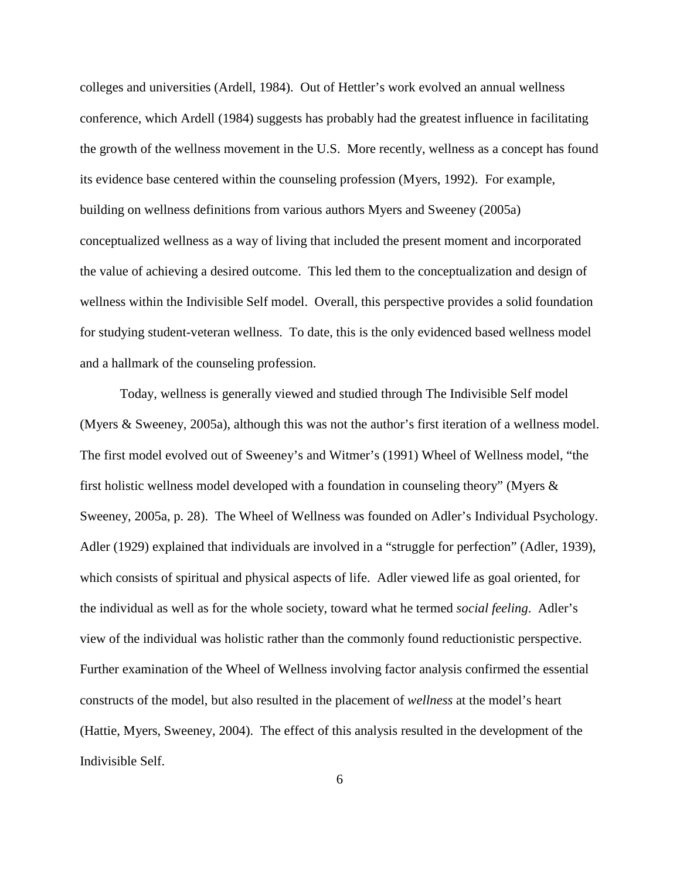colleges and universities (Ardell, 1984). Out of Hettler's work evolved an annual wellness conference, which Ardell (1984) suggests has probably had the greatest influence in facilitating the growth of the wellness movement in the U.S. More recently, wellness as a concept has found its evidence base centered within the counseling profession (Myers, 1992). For example, building on wellness definitions from various authors Myers and Sweeney (2005a) conceptualized wellness as a way of living that included the present moment and incorporated the value of achieving a desired outcome. This led them to the conceptualization and design of wellness within the Indivisible Self model. Overall, this perspective provides a solid foundation for studying student-veteran wellness. To date, this is the only evidenced based wellness model and a hallmark of the counseling profession.

Today, wellness is generally viewed and studied through The Indivisible Self model (Myers & Sweeney, 2005a), although this was not the author's first iteration of a wellness model. The first model evolved out of Sweeney's and Witmer's (1991) Wheel of Wellness model, "the first holistic wellness model developed with a foundation in counseling theory" (Myers & Sweeney, 2005a, p. 28). The Wheel of Wellness was founded on Adler's Individual Psychology. Adler (1929) explained that individuals are involved in a "struggle for perfection" (Adler, 1939), which consists of spiritual and physical aspects of life. Adler viewed life as goal oriented, for the individual as well as for the whole society, toward what he termed *social feeling*. Adler's view of the individual was holistic rather than the commonly found reductionistic perspective. Further examination of the Wheel of Wellness involving factor analysis confirmed the essential constructs of the model, but also resulted in the placement of *wellness* at the model's heart (Hattie, Myers, Sweeney, 2004). The effect of this analysis resulted in the development of the Indivisible Self.

6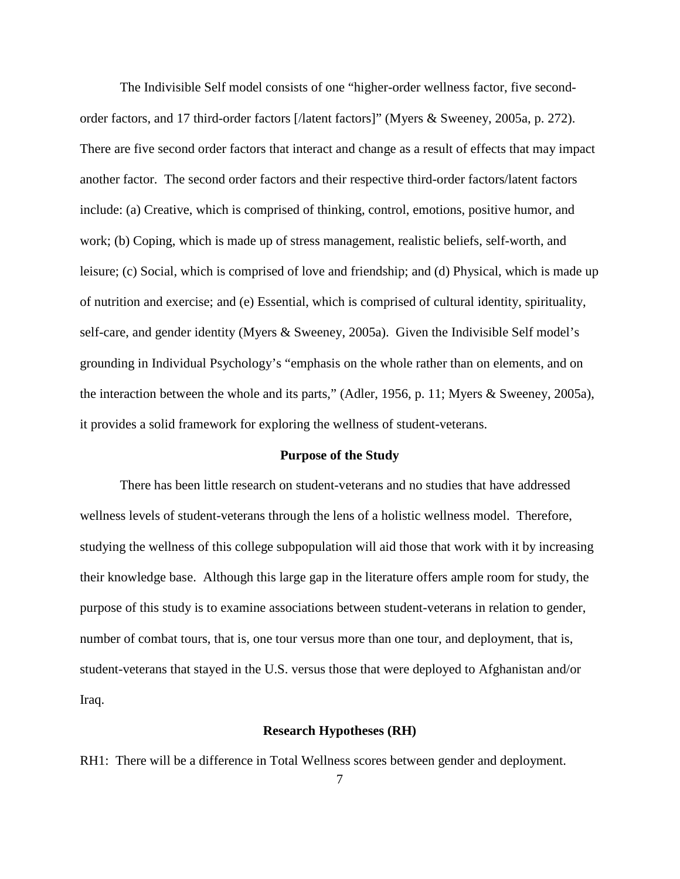The Indivisible Self model consists of one "higher-order wellness factor, five secondorder factors, and 17 third-order factors [/latent factors]" (Myers & Sweeney, 2005a, p. 272). There are five second order factors that interact and change as a result of effects that may impact another factor. The second order factors and their respective third-order factors/latent factors include: (a) Creative, which is comprised of thinking, control, emotions, positive humor, and work; (b) Coping, which is made up of stress management, realistic beliefs, self-worth, and leisure; (c) Social, which is comprised of love and friendship; and (d) Physical, which is made up of nutrition and exercise; and (e) Essential, which is comprised of cultural identity, spirituality, self-care, and gender identity (Myers & Sweeney, 2005a). Given the Indivisible Self model's grounding in Individual Psychology's "emphasis on the whole rather than on elements, and on the interaction between the whole and its parts," (Adler, 1956, p. 11; Myers & Sweeney, 2005a), it provides a solid framework for exploring the wellness of student-veterans.

#### **Purpose of the Study**

There has been little research on student-veterans and no studies that have addressed wellness levels of student-veterans through the lens of a holistic wellness model. Therefore, studying the wellness of this college subpopulation will aid those that work with it by increasing their knowledge base. Although this large gap in the literature offers ample room for study, the purpose of this study is to examine associations between student-veterans in relation to gender, number of combat tours, that is, one tour versus more than one tour, and deployment, that is, student-veterans that stayed in the U.S. versus those that were deployed to Afghanistan and/or Iraq.

#### **Research Hypotheses (RH)**

RH1: There will be a difference in Total Wellness scores between gender and deployment.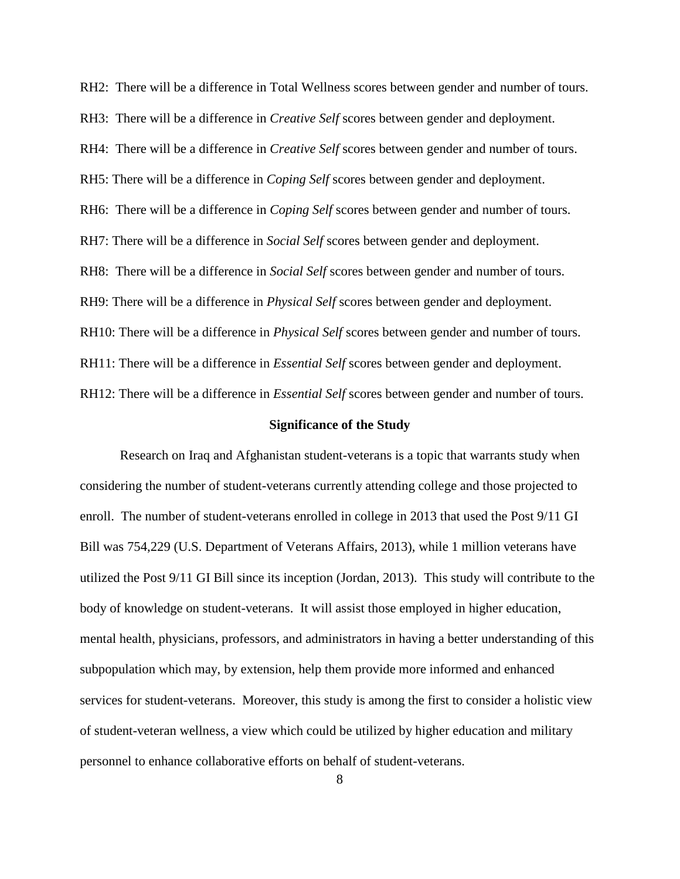RH2: There will be a difference in Total Wellness scores between gender and number of tours. RH3: There will be a difference in *Creative Self* scores between gender and deployment. RH4: There will be a difference in *Creative Self* scores between gender and number of tours. RH5: There will be a difference in *Coping Self* scores between gender and deployment. RH6: There will be a difference in *Coping Self* scores between gender and number of tours. RH7: There will be a difference in *Social Self* scores between gender and deployment. RH8: There will be a difference in *Social Self* scores between gender and number of tours. RH9: There will be a difference in *Physical Self* scores between gender and deployment. RH10: There will be a difference in *Physical Self* scores between gender and number of tours. RH11: There will be a difference in *Essential Self* scores between gender and deployment. RH12: There will be a difference in *Essential Self* scores between gender and number of tours.

#### **Significance of the Study**

Research on Iraq and Afghanistan student-veterans is a topic that warrants study when considering the number of student-veterans currently attending college and those projected to enroll. The number of student-veterans enrolled in college in 2013 that used the Post 9/11 GI Bill was 754,229 (U.S. Department of Veterans Affairs, 2013), while 1 million veterans have utilized the Post 9/11 GI Bill since its inception (Jordan, 2013). This study will contribute to the body of knowledge on student-veterans. It will assist those employed in higher education, mental health, physicians, professors, and administrators in having a better understanding of this subpopulation which may, by extension, help them provide more informed and enhanced services for student-veterans. Moreover, this study is among the first to consider a holistic view of student-veteran wellness, a view which could be utilized by higher education and military personnel to enhance collaborative efforts on behalf of student-veterans.

8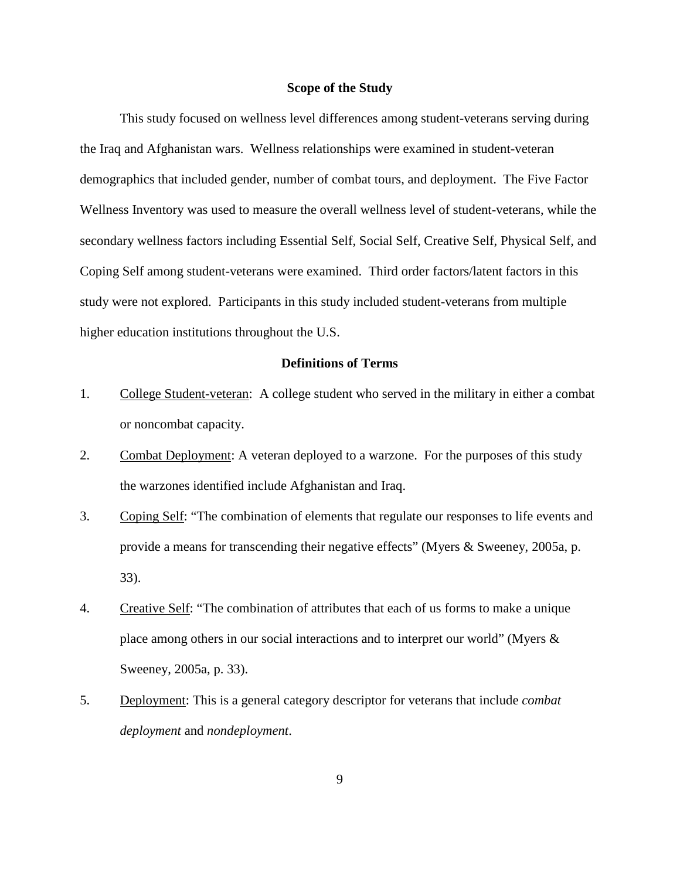#### **Scope of the Study**

This study focused on wellness level differences among student-veterans serving during the Iraq and Afghanistan wars. Wellness relationships were examined in student-veteran demographics that included gender, number of combat tours, and deployment. The Five Factor Wellness Inventory was used to measure the overall wellness level of student-veterans, while the secondary wellness factors including Essential Self, Social Self, Creative Self, Physical Self, and Coping Self among student-veterans were examined. Third order factors/latent factors in this study were not explored. Participants in this study included student-veterans from multiple higher education institutions throughout the U.S.

### **Definitions of Terms**

- 1. College Student-veteran: A college student who served in the military in either a combat or noncombat capacity.
- 2. Combat Deployment: A veteran deployed to a warzone. For the purposes of this study the warzones identified include Afghanistan and Iraq.
- 3. Coping Self: "The combination of elements that regulate our responses to life events and provide a means for transcending their negative effects" (Myers & Sweeney, 2005a, p. 33).
- 4. Creative Self: "The combination of attributes that each of us forms to make a unique place among others in our social interactions and to interpret our world" (Myers & Sweeney, 2005a, p. 33).
- 5. Deployment: This is a general category descriptor for veterans that include *combat deployment* and *nondeployment*.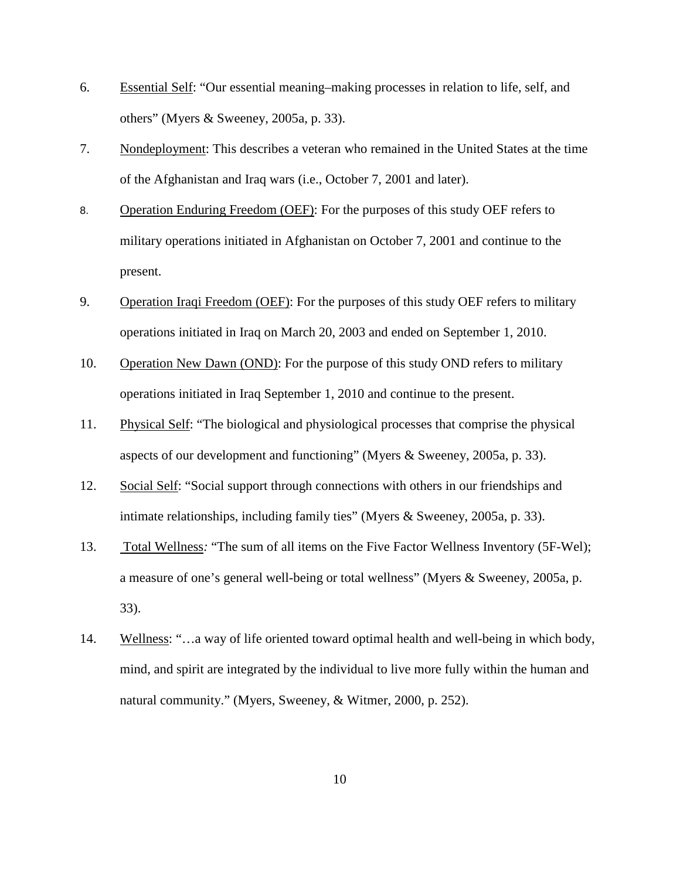- 6. Essential Self: "Our essential meaning–making processes in relation to life, self, and others" (Myers & Sweeney, 2005a, p. 33).
- 7. Nondeployment: This describes a veteran who remained in the United States at the time of the Afghanistan and Iraq wars (i.e., October 7, 2001 and later).
- 8. Operation Enduring Freedom (OEF): For the purposes of this study OEF refers to military operations initiated in Afghanistan on October 7, 2001 and continue to the present.
- 9. Operation Iraqi Freedom (OEF): For the purposes of this study OEF refers to military operations initiated in Iraq on March 20, 2003 and ended on September 1, 2010.
- 10. Operation New Dawn (OND): For the purpose of this study OND refers to military operations initiated in Iraq September 1, 2010 and continue to the present.
- 11. Physical Self: "The biological and physiological processes that comprise the physical aspects of our development and functioning" (Myers & Sweeney, 2005a, p. 33).
- 12. Social Self: "Social support through connections with others in our friendships and intimate relationships, including family ties" (Myers & Sweeney, 2005a, p. 33).
- 13. Total Wellness*:* "The sum of all items on the Five Factor Wellness Inventory (5F-Wel); a measure of one's general well-being or total wellness" (Myers & Sweeney, 2005a, p. 33).
- 14. Wellness: "…a way of life oriented toward optimal health and well-being in which body, mind, and spirit are integrated by the individual to live more fully within the human and natural community." (Myers, Sweeney, & Witmer, 2000, p. 252).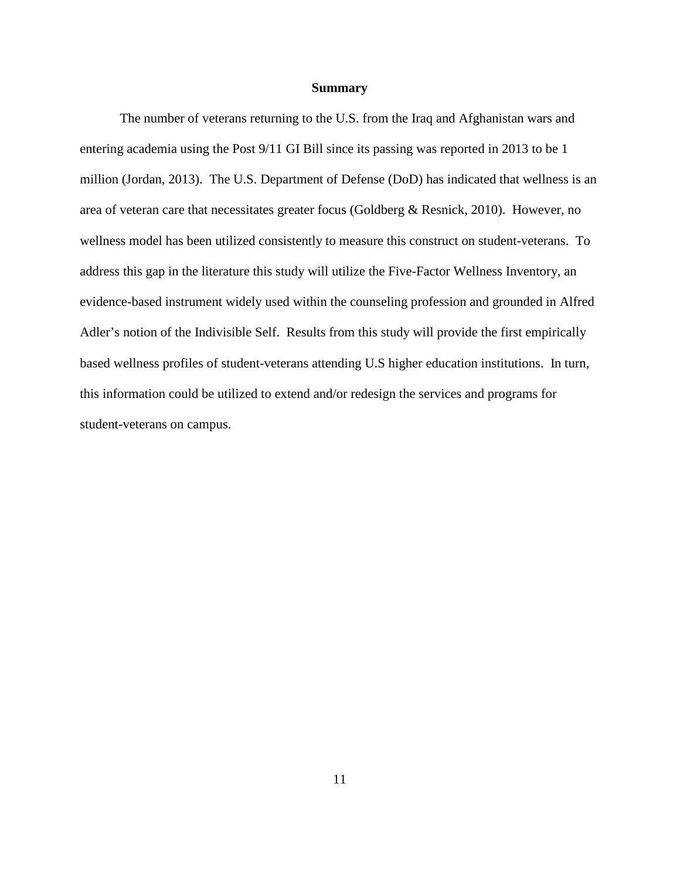#### **Summary**

The number of veterans returning to the U.S. from the Iraq and Afghanistan wars and entering academia using the Post 9/11 GI Bill since its passing was reported in 2013 to be 1 million (Jordan, 2013). The U.S. Department of Defense (DoD) has indicated that wellness is an area of veteran care that necessitates greater focus (Goldberg & Resnick, 2010). However, no wellness model has been utilized consistently to measure this construct on student-veterans. To address this gap in the literature this study will utilize the Five-Factor Wellness Inventory, an evidence-based instrument widely used within the counseling profession and grounded in Alfred Adler's notion of the Indivisible Self. Results from this study will provide the first empirically based wellness profiles of student-veterans attending U.S higher education institutions. In turn, this information could be utilized to extend and/or redesign the services and programs for student-veterans on campus.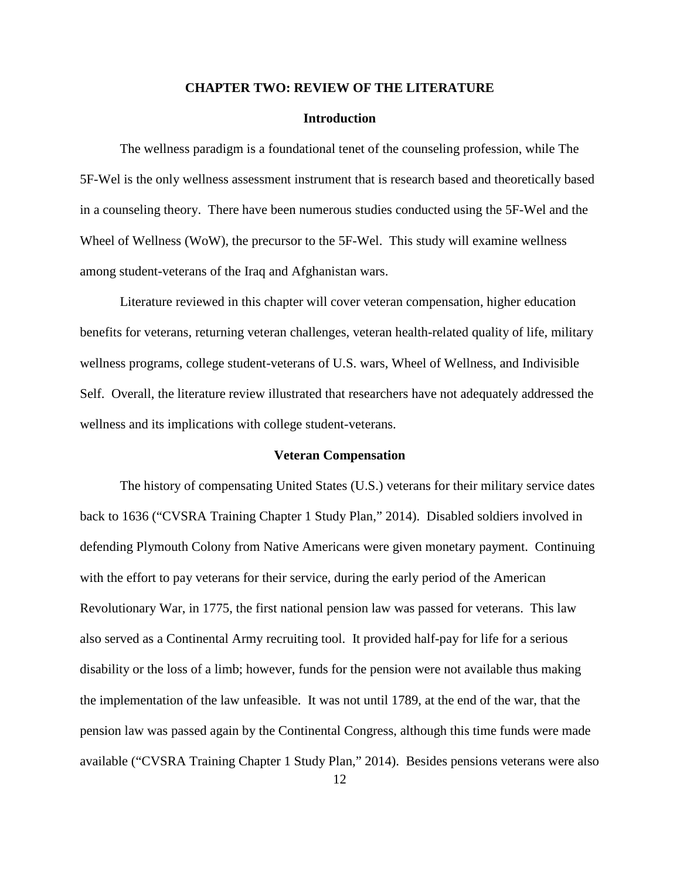#### **CHAPTER TWO: REVIEW OF THE LITERATURE**

#### **Introduction**

 The wellness paradigm is a foundational tenet of the counseling profession, while The 5F-Wel is the only wellness assessment instrument that is research based and theoretically based in a counseling theory. There have been numerous studies conducted using the 5F-Wel and the Wheel of Wellness (WoW), the precursor to the 5F-Wel. This study will examine wellness among student-veterans of the Iraq and Afghanistan wars.

Literature reviewed in this chapter will cover veteran compensation, higher education benefits for veterans, returning veteran challenges, veteran health-related quality of life, military wellness programs, college student-veterans of U.S. wars, Wheel of Wellness, and Indivisible Self. Overall, the literature review illustrated that researchers have not adequately addressed the wellness and its implications with college student-veterans.

#### **Veteran Compensation**

The history of compensating United States (U.S.) veterans for their military service dates back to 1636 ("CVSRA Training Chapter 1 Study Plan," 2014). Disabled soldiers involved in defending Plymouth Colony from Native Americans were given monetary payment. Continuing with the effort to pay veterans for their service, during the early period of the American Revolutionary War, in 1775, the first national pension law was passed for veterans. This law also served as a Continental Army recruiting tool. It provided half-pay for life for a serious disability or the loss of a limb; however, funds for the pension were not available thus making the implementation of the law unfeasible. It was not until 1789, at the end of the war, that the pension law was passed again by the Continental Congress, although this time funds were made available ("CVSRA Training Chapter 1 Study Plan," 2014). Besides pensions veterans were also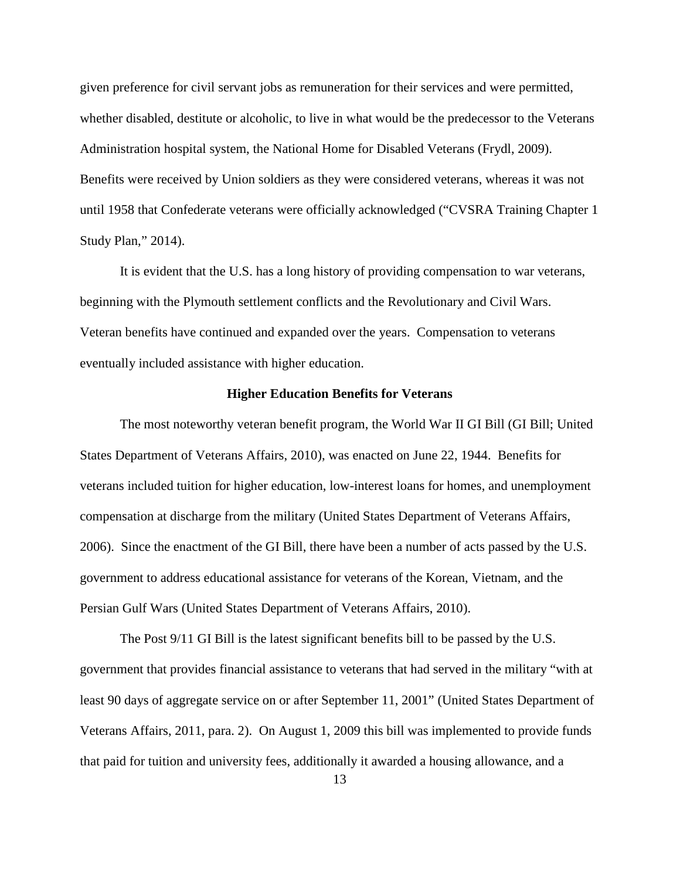given preference for civil servant jobs as remuneration for their services and were permitted, whether disabled, destitute or alcoholic, to live in what would be the predecessor to the Veterans Administration hospital system, the National Home for Disabled Veterans (Frydl, 2009). Benefits were received by Union soldiers as they were considered veterans, whereas it was not until 1958 that Confederate veterans were officially acknowledged ("CVSRA Training Chapter 1 Study Plan," 2014).

It is evident that the U.S. has a long history of providing compensation to war veterans, beginning with the Plymouth settlement conflicts and the Revolutionary and Civil Wars. Veteran benefits have continued and expanded over the years. Compensation to veterans eventually included assistance with higher education.

#### **Higher Education Benefits for Veterans**

The most noteworthy veteran benefit program, the World War II GI Bill (GI Bill; United States Department of Veterans Affairs, 2010), was enacted on June 22, 1944. Benefits for veterans included tuition for higher education, low-interest loans for homes, and unemployment compensation at discharge from the military (United States Department of Veterans Affairs, 2006). Since the enactment of the GI Bill, there have been a number of acts passed by the U.S. government to address educational assistance for veterans of the Korean, Vietnam, and the Persian Gulf Wars (United States Department of Veterans Affairs, 2010).

The Post 9/11 GI Bill is the latest significant benefits bill to be passed by the U.S. government that provides financial assistance to veterans that had served in the military "with at least 90 days of aggregate service on or after September 11, 2001" (United States Department of Veterans Affairs, 2011, para. 2). On August 1, 2009 this bill was implemented to provide funds that paid for tuition and university fees, additionally it awarded a housing allowance, and a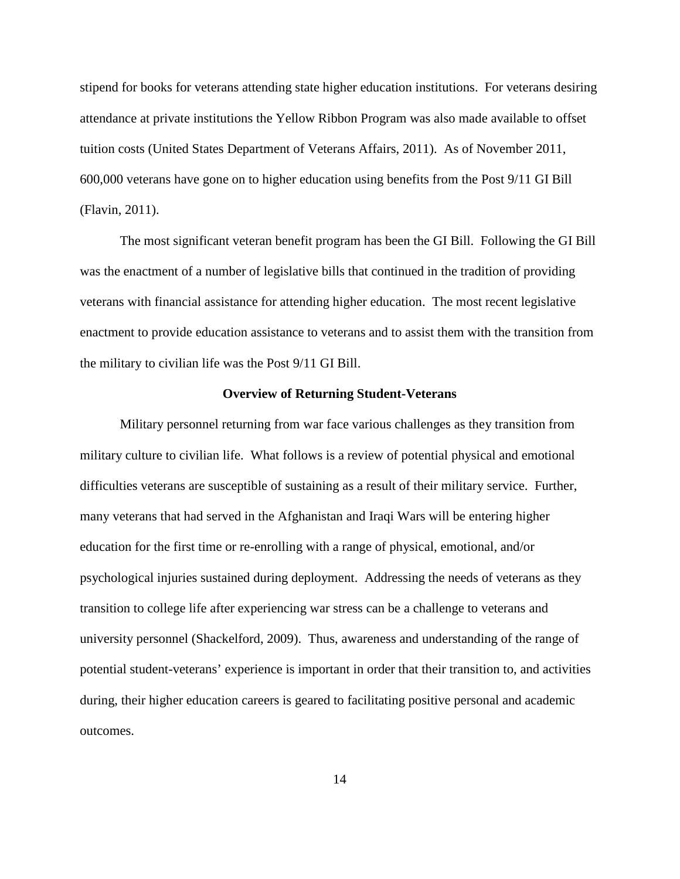stipend for books for veterans attending state higher education institutions. For veterans desiring attendance at private institutions the Yellow Ribbon Program was also made available to offset tuition costs (United States Department of Veterans Affairs, 2011). As of November 2011, 600,000 veterans have gone on to higher education using benefits from the Post 9/11 GI Bill (Flavin, 2011).

The most significant veteran benefit program has been the GI Bill. Following the GI Bill was the enactment of a number of legislative bills that continued in the tradition of providing veterans with financial assistance for attending higher education. The most recent legislative enactment to provide education assistance to veterans and to assist them with the transition from the military to civilian life was the Post 9/11 GI Bill.

#### **Overview of Returning Student-Veterans**

Military personnel returning from war face various challenges as they transition from military culture to civilian life. What follows is a review of potential physical and emotional difficulties veterans are susceptible of sustaining as a result of their military service. Further, many veterans that had served in the Afghanistan and Iraqi Wars will be entering higher education for the first time or re-enrolling with a range of physical, emotional, and/or psychological injuries sustained during deployment. Addressing the needs of veterans as they transition to college life after experiencing war stress can be a challenge to veterans and university personnel (Shackelford, 2009). Thus, awareness and understanding of the range of potential student-veterans' experience is important in order that their transition to, and activities during, their higher education careers is geared to facilitating positive personal and academic outcomes.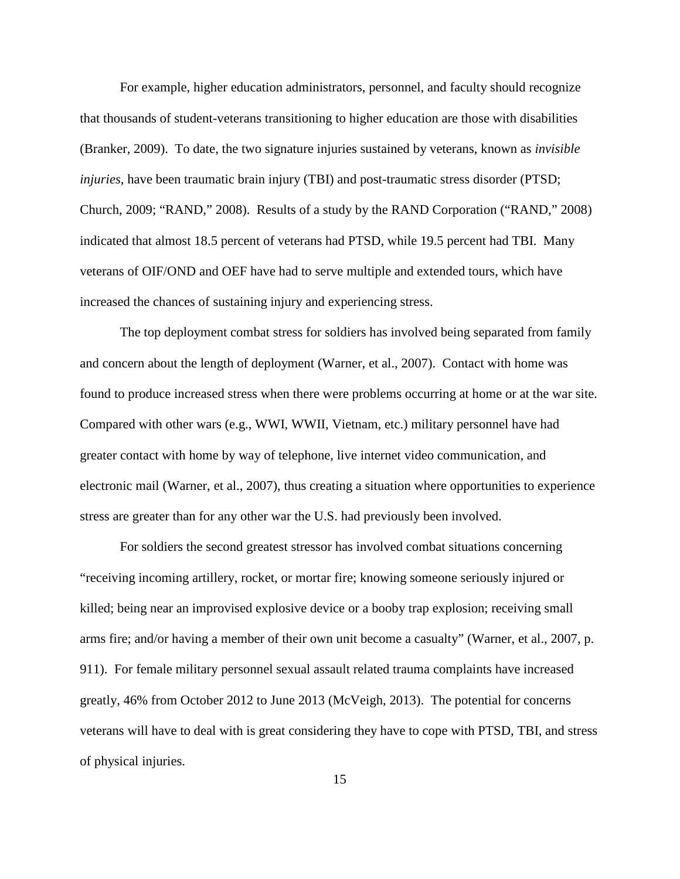For example, higher education administrators, personnel, and faculty should recognize that thousands of student-veterans transitioning to higher education are those with disabilities (Branker, 2009). To date, the two signature injuries sustained by veterans, known as *invisible injuries*, have been traumatic brain injury (TBI) and post-traumatic stress disorder (PTSD; Church, 2009; "RAND," 2008). Results of a study by the RAND Corporation ("RAND," 2008) indicated that almost 18.5 percent of veterans had PTSD, while 19.5 percent had TBI. Many veterans of OIF/OND and OEF have had to serve multiple and extended tours, which have increased the chances of sustaining injury and experiencing stress.

The top deployment combat stress for soldiers has involved being separated from family and concern about the length of deployment (Warner, et al., 2007). Contact with home was found to produce increased stress when there were problems occurring at home or at the war site. Compared with other wars (e.g., WWI, WWII, Vietnam, etc.) military personnel have had greater contact with home by way of telephone, live internet video communication, and electronic mail (Warner, et al., 2007), thus creating a situation where opportunities to experience stress are greater than for any other war the U.S. had previously been involved.

For soldiers the second greatest stressor has involved combat situations concerning "receiving incoming artillery, rocket, or mortar fire; knowing someone seriously injured or killed; being near an improvised explosive device or a booby trap explosion; receiving small arms fire; and/or having a member of their own unit become a casualty" (Warner, et al., 2007, p. 911). For female military personnel sexual assault related trauma complaints have increased greatly, 46% from October 2012 to June 2013 (McVeigh, 2013). The potential for concerns veterans will have to deal with is great considering they have to cope with PTSD, TBI, and stress of physical injuries.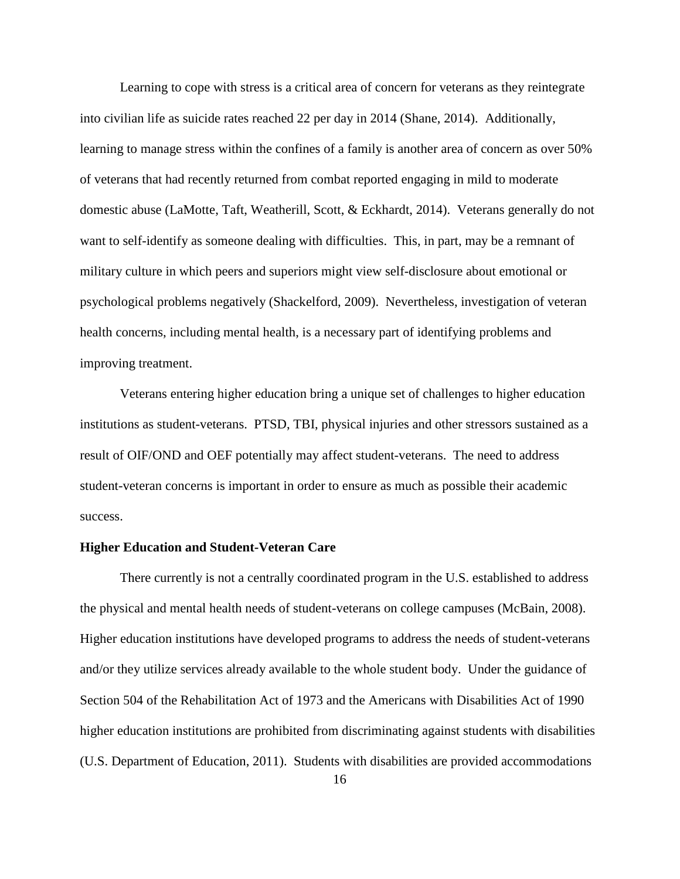Learning to cope with stress is a critical area of concern for veterans as they reintegrate into civilian life as suicide rates reached 22 per day in 2014 (Shane, 2014). Additionally, learning to manage stress within the confines of a family is another area of concern as over 50% of veterans that had recently returned from combat reported engaging in mild to moderate domestic abuse (LaMotte, Taft, Weatherill, Scott, & Eckhardt, 2014). Veterans generally do not want to self-identify as someone dealing with difficulties. This, in part, may be a remnant of military culture in which peers and superiors might view self-disclosure about emotional or psychological problems negatively (Shackelford, 2009). Nevertheless, investigation of veteran health concerns, including mental health, is a necessary part of identifying problems and improving treatment.

Veterans entering higher education bring a unique set of challenges to higher education institutions as student-veterans. PTSD, TBI, physical injuries and other stressors sustained as a result of OIF/OND and OEF potentially may affect student-veterans. The need to address student-veteran concerns is important in order to ensure as much as possible their academic success.

#### **Higher Education and Student-Veteran Care**

 There currently is not a centrally coordinated program in the U.S. established to address the physical and mental health needs of student-veterans on college campuses (McBain, 2008). Higher education institutions have developed programs to address the needs of student-veterans and/or they utilize services already available to the whole student body. Under the guidance of Section 504 of the Rehabilitation Act of 1973 and the Americans with Disabilities Act of 1990 higher education institutions are prohibited from discriminating against students with disabilities (U.S. Department of Education, 2011). Students with disabilities are provided accommodations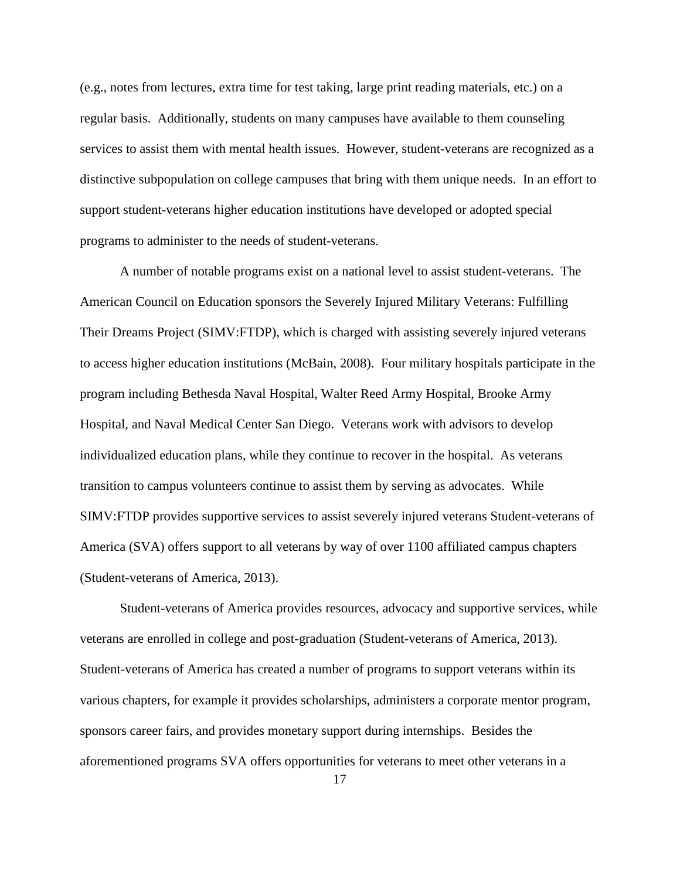(e.g., notes from lectures, extra time for test taking, large print reading materials, etc.) on a regular basis. Additionally, students on many campuses have available to them counseling services to assist them with mental health issues. However, student-veterans are recognized as a distinctive subpopulation on college campuses that bring with them unique needs. In an effort to support student-veterans higher education institutions have developed or adopted special programs to administer to the needs of student-veterans.

 A number of notable programs exist on a national level to assist student-veterans. The American Council on Education sponsors the Severely Injured Military Veterans: Fulfilling Their Dreams Project (SIMV:FTDP), which is charged with assisting severely injured veterans to access higher education institutions (McBain, 2008). Four military hospitals participate in the program including Bethesda Naval Hospital, Walter Reed Army Hospital, Brooke Army Hospital, and Naval Medical Center San Diego. Veterans work with advisors to develop individualized education plans, while they continue to recover in the hospital. As veterans transition to campus volunteers continue to assist them by serving as advocates. While SIMV:FTDP provides supportive services to assist severely injured veterans Student-veterans of America (SVA) offers support to all veterans by way of over 1100 affiliated campus chapters (Student-veterans of America, 2013).

Student-veterans of America provides resources, advocacy and supportive services, while veterans are enrolled in college and post-graduation (Student-veterans of America, 2013). Student-veterans of America has created a number of programs to support veterans within its various chapters, for example it provides scholarships, administers a corporate mentor program, sponsors career fairs, and provides monetary support during internships. Besides the aforementioned programs SVA offers opportunities for veterans to meet other veterans in a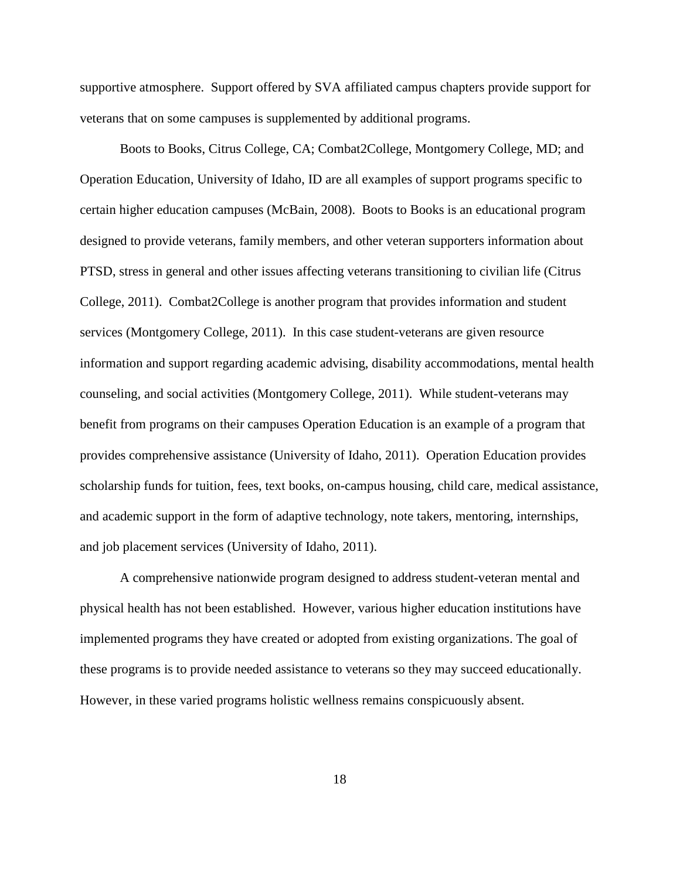supportive atmosphere. Support offered by SVA affiliated campus chapters provide support for veterans that on some campuses is supplemented by additional programs.

Boots to Books, Citrus College, CA; Combat2College, Montgomery College, MD; and Operation Education, University of Idaho, ID are all examples of support programs specific to certain higher education campuses (McBain, 2008). Boots to Books is an educational program designed to provide veterans, family members, and other veteran supporters information about PTSD, stress in general and other issues affecting veterans transitioning to civilian life (Citrus College, 2011). Combat2College is another program that provides information and student services (Montgomery College, 2011). In this case student-veterans are given resource information and support regarding academic advising, disability accommodations, mental health counseling, and social activities (Montgomery College, 2011). While student-veterans may benefit from programs on their campuses Operation Education is an example of a program that provides comprehensive assistance (University of Idaho, 2011). Operation Education provides scholarship funds for tuition, fees, text books, on-campus housing, child care, medical assistance, and academic support in the form of adaptive technology, note takers, mentoring, internships, and job placement services (University of Idaho, 2011).

 A comprehensive nationwide program designed to address student-veteran mental and physical health has not been established. However, various higher education institutions have implemented programs they have created or adopted from existing organizations. The goal of these programs is to provide needed assistance to veterans so they may succeed educationally. However, in these varied programs holistic wellness remains conspicuously absent.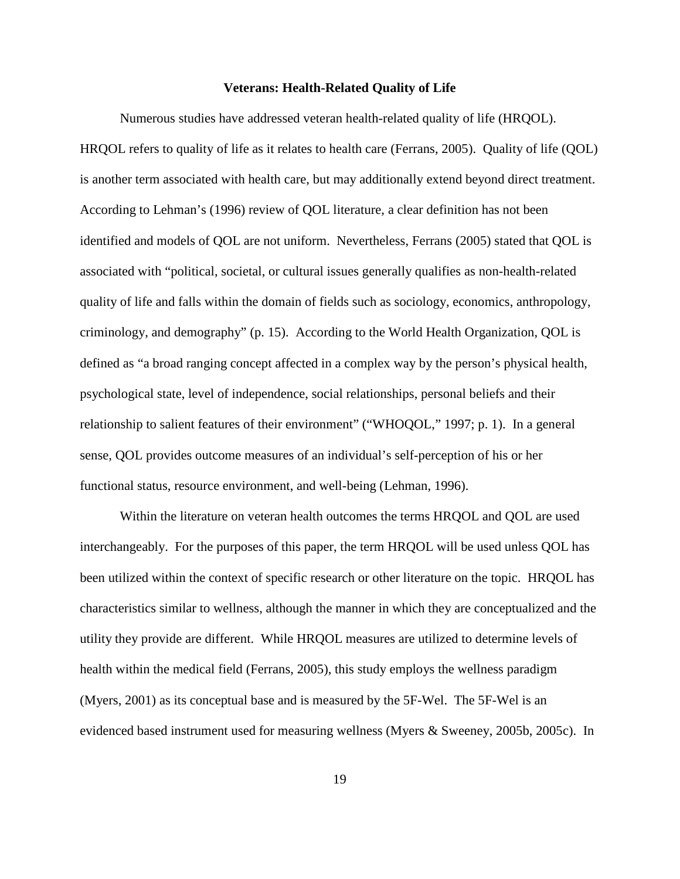#### **Veterans: Health-Related Quality of Life**

 Numerous studies have addressed veteran health-related quality of life (HRQOL). HRQOL refers to quality of life as it relates to health care (Ferrans, 2005). Quality of life (QOL) is another term associated with health care, but may additionally extend beyond direct treatment. According to Lehman's (1996) review of QOL literature, a clear definition has not been identified and models of QOL are not uniform. Nevertheless, Ferrans (2005) stated that QOL is associated with "political, societal, or cultural issues generally qualifies as non-health-related quality of life and falls within the domain of fields such as sociology, economics, anthropology, criminology, and demography" (p. 15). According to the World Health Organization, QOL is defined as "a broad ranging concept affected in a complex way by the person's physical health, psychological state, level of independence, social relationships, personal beliefs and their relationship to salient features of their environment" ("WHOQOL," 1997; p. 1). In a general sense, QOL provides outcome measures of an individual's self-perception of his or her functional status, resource environment, and well-being (Lehman, 1996).

Within the literature on veteran health outcomes the terms HRQOL and QOL are used interchangeably. For the purposes of this paper, the term HRQOL will be used unless QOL has been utilized within the context of specific research or other literature on the topic. HRQOL has characteristics similar to wellness, although the manner in which they are conceptualized and the utility they provide are different. While HRQOL measures are utilized to determine levels of health within the medical field (Ferrans, 2005), this study employs the wellness paradigm (Myers, 2001) as its conceptual base and is measured by the 5F-Wel. The 5F-Wel is an evidenced based instrument used for measuring wellness (Myers & Sweeney, 2005b, 2005c). In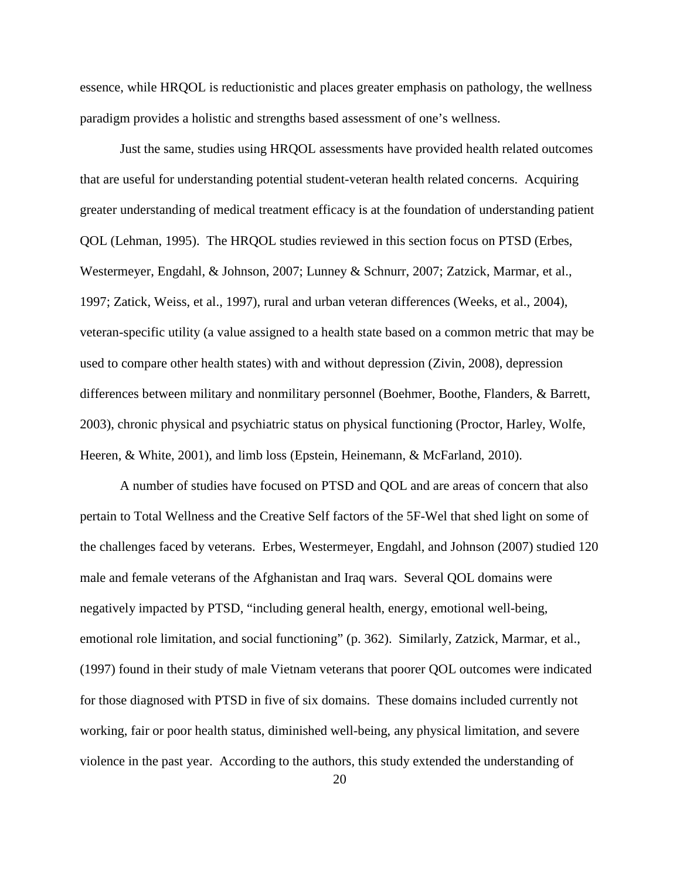essence, while HRQOL is reductionistic and places greater emphasis on pathology, the wellness paradigm provides a holistic and strengths based assessment of one's wellness.

Just the same, studies using HRQOL assessments have provided health related outcomes that are useful for understanding potential student-veteran health related concerns. Acquiring greater understanding of medical treatment efficacy is at the foundation of understanding patient QOL (Lehman, 1995). The HRQOL studies reviewed in this section focus on PTSD (Erbes, Westermeyer, Engdahl, & Johnson, 2007; Lunney & Schnurr, 2007; Zatzick, Marmar, et al., 1997; Zatick, Weiss, et al., 1997), rural and urban veteran differences (Weeks, et al., 2004), veteran-specific utility (a value assigned to a health state based on a common metric that may be used to compare other health states) with and without depression (Zivin, 2008), depression differences between military and nonmilitary personnel (Boehmer, Boothe, Flanders, & Barrett, 2003), chronic physical and psychiatric status on physical functioning (Proctor, Harley, Wolfe, Heeren, & White, 2001), and limb loss (Epstein, Heinemann, & McFarland, 2010).

A number of studies have focused on PTSD and QOL and are areas of concern that also pertain to Total Wellness and the Creative Self factors of the 5F-Wel that shed light on some of the challenges faced by veterans. Erbes, Westermeyer, Engdahl, and Johnson (2007) studied 120 male and female veterans of the Afghanistan and Iraq wars. Several QOL domains were negatively impacted by PTSD, "including general health, energy, emotional well-being, emotional role limitation, and social functioning" (p. 362). Similarly, Zatzick, Marmar, et al., (1997) found in their study of male Vietnam veterans that poorer QOL outcomes were indicated for those diagnosed with PTSD in five of six domains. These domains included currently not working, fair or poor health status, diminished well-being, any physical limitation, and severe violence in the past year. According to the authors, this study extended the understanding of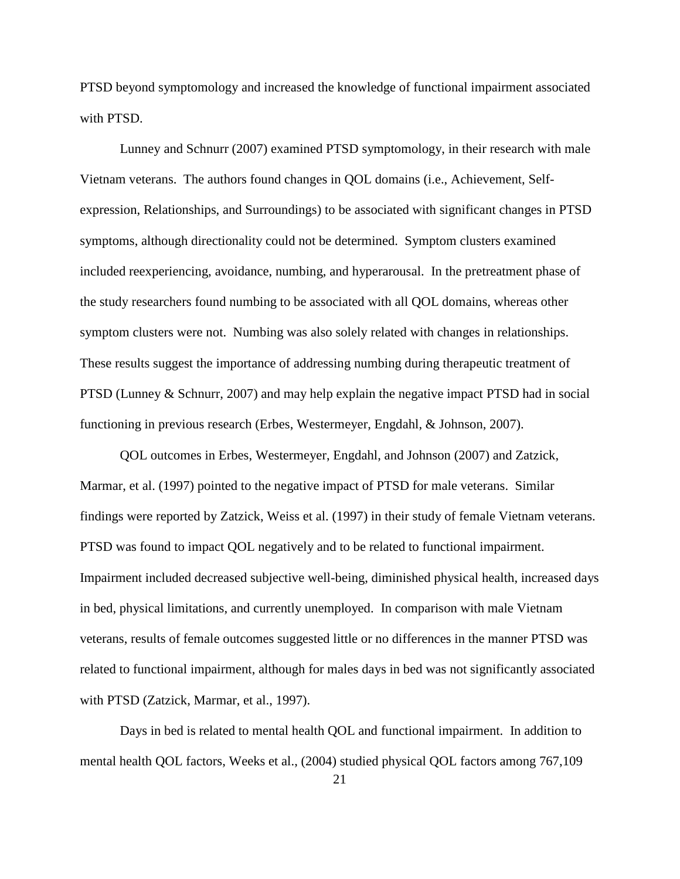PTSD beyond symptomology and increased the knowledge of functional impairment associated with PTSD.

Lunney and Schnurr (2007) examined PTSD symptomology, in their research with male Vietnam veterans. The authors found changes in QOL domains (i.e., Achievement, Selfexpression, Relationships, and Surroundings) to be associated with significant changes in PTSD symptoms, although directionality could not be determined. Symptom clusters examined included reexperiencing, avoidance, numbing, and hyperarousal. In the pretreatment phase of the study researchers found numbing to be associated with all QOL domains, whereas other symptom clusters were not. Numbing was also solely related with changes in relationships. These results suggest the importance of addressing numbing during therapeutic treatment of PTSD (Lunney & Schnurr, 2007) and may help explain the negative impact PTSD had in social functioning in previous research (Erbes, Westermeyer, Engdahl, & Johnson, 2007).

QOL outcomes in Erbes, Westermeyer, Engdahl, and Johnson (2007) and Zatzick, Marmar, et al. (1997) pointed to the negative impact of PTSD for male veterans. Similar findings were reported by Zatzick, Weiss et al. (1997) in their study of female Vietnam veterans. PTSD was found to impact QOL negatively and to be related to functional impairment. Impairment included decreased subjective well-being, diminished physical health, increased days in bed, physical limitations, and currently unemployed. In comparison with male Vietnam veterans, results of female outcomes suggested little or no differences in the manner PTSD was related to functional impairment, although for males days in bed was not significantly associated with PTSD (Zatzick, Marmar, et al., 1997).

Days in bed is related to mental health QOL and functional impairment. In addition to mental health QOL factors, Weeks et al., (2004) studied physical QOL factors among 767,109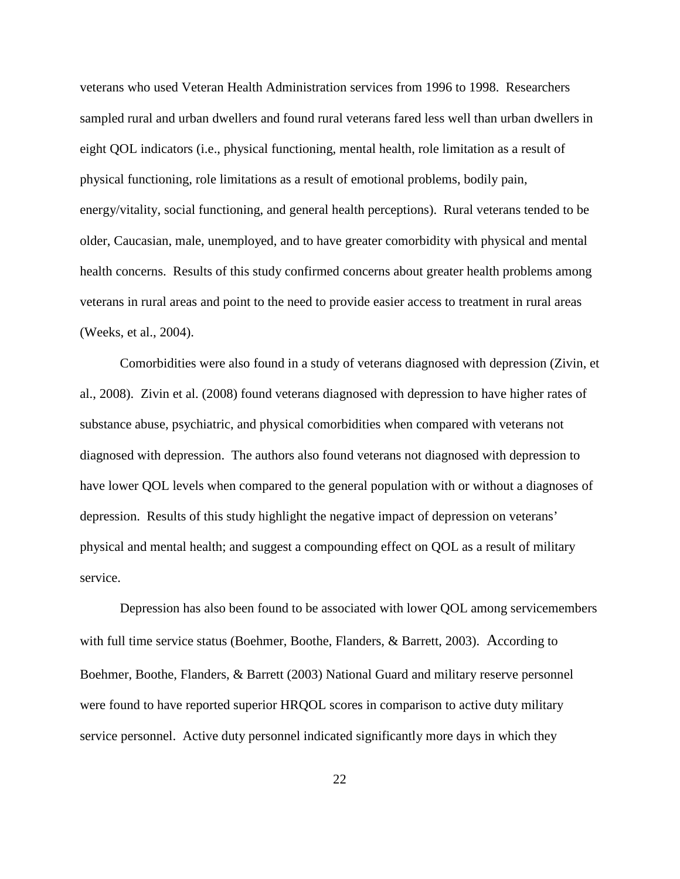veterans who used Veteran Health Administration services from 1996 to 1998. Researchers sampled rural and urban dwellers and found rural veterans fared less well than urban dwellers in eight QOL indicators (i.e., physical functioning, mental health, role limitation as a result of physical functioning, role limitations as a result of emotional problems, bodily pain, energy/vitality, social functioning, and general health perceptions). Rural veterans tended to be older, Caucasian, male, unemployed, and to have greater comorbidity with physical and mental health concerns. Results of this study confirmed concerns about greater health problems among veterans in rural areas and point to the need to provide easier access to treatment in rural areas (Weeks, et al., 2004).

Comorbidities were also found in a study of veterans diagnosed with depression (Zivin, et al., 2008). Zivin et al. (2008) found veterans diagnosed with depression to have higher rates of substance abuse, psychiatric, and physical comorbidities when compared with veterans not diagnosed with depression. The authors also found veterans not diagnosed with depression to have lower QOL levels when compared to the general population with or without a diagnoses of depression. Results of this study highlight the negative impact of depression on veterans' physical and mental health; and suggest a compounding effect on QOL as a result of military service.

Depression has also been found to be associated with lower QOL among servicemembers with full time service status (Boehmer, Boothe, Flanders, & Barrett, 2003). According to Boehmer, Boothe, Flanders, & Barrett (2003) National Guard and military reserve personnel were found to have reported superior HRQOL scores in comparison to active duty military service personnel. Active duty personnel indicated significantly more days in which they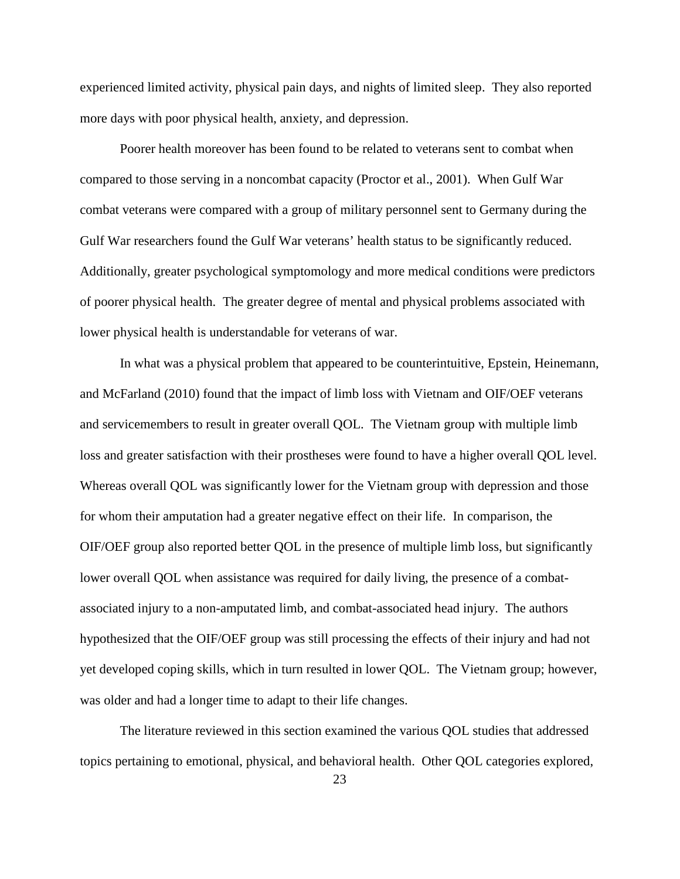experienced limited activity, physical pain days, and nights of limited sleep. They also reported more days with poor physical health, anxiety, and depression.

 Poorer health moreover has been found to be related to veterans sent to combat when compared to those serving in a noncombat capacity (Proctor et al., 2001). When Gulf War combat veterans were compared with a group of military personnel sent to Germany during the Gulf War researchers found the Gulf War veterans' health status to be significantly reduced. Additionally, greater psychological symptomology and more medical conditions were predictors of poorer physical health. The greater degree of mental and physical problems associated with lower physical health is understandable for veterans of war.

 In what was a physical problem that appeared to be counterintuitive, Epstein, Heinemann, and McFarland (2010) found that the impact of limb loss with Vietnam and OIF/OEF veterans and servicemembers to result in greater overall QOL. The Vietnam group with multiple limb loss and greater satisfaction with their prostheses were found to have a higher overall QOL level. Whereas overall QOL was significantly lower for the Vietnam group with depression and those for whom their amputation had a greater negative effect on their life. In comparison, the OIF/OEF group also reported better QOL in the presence of multiple limb loss, but significantly lower overall QOL when assistance was required for daily living, the presence of a combatassociated injury to a non-amputated limb, and combat-associated head injury. The authors hypothesized that the OIF/OEF group was still processing the effects of their injury and had not yet developed coping skills, which in turn resulted in lower QOL. The Vietnam group; however, was older and had a longer time to adapt to their life changes.

 The literature reviewed in this section examined the various QOL studies that addressed topics pertaining to emotional, physical, and behavioral health. Other QOL categories explored,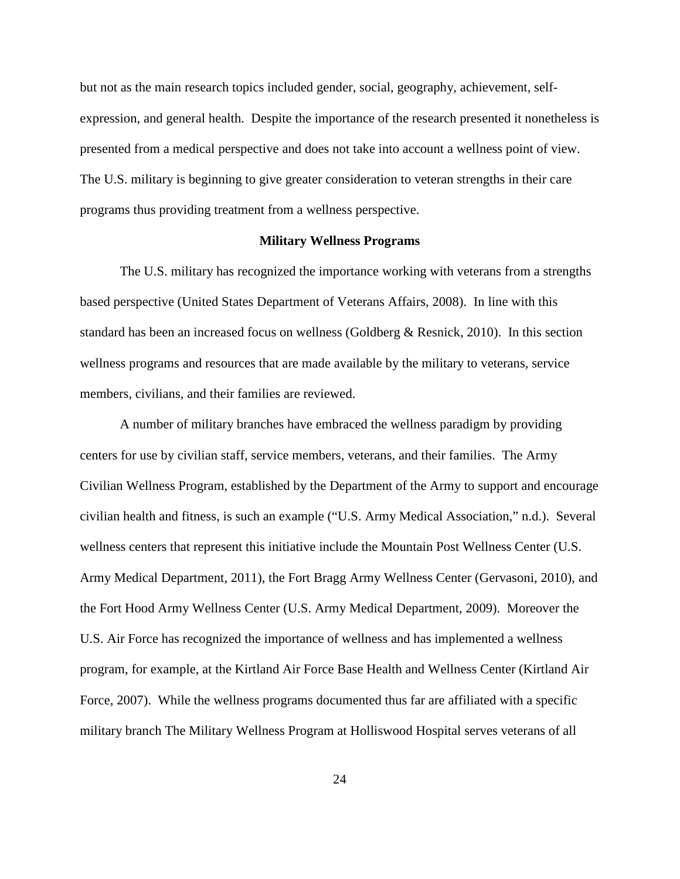but not as the main research topics included gender, social, geography, achievement, selfexpression, and general health. Despite the importance of the research presented it nonetheless is presented from a medical perspective and does not take into account a wellness point of view. The U.S. military is beginning to give greater consideration to veteran strengths in their care programs thus providing treatment from a wellness perspective.

#### **Military Wellness Programs**

The U.S. military has recognized the importance working with veterans from a strengths based perspective (United States Department of Veterans Affairs, 2008). In line with this standard has been an increased focus on wellness (Goldberg & Resnick, 2010). In this section wellness programs and resources that are made available by the military to veterans, service members, civilians, and their families are reviewed.

A number of military branches have embraced the wellness paradigm by providing centers for use by civilian staff, service members, veterans, and their families. The Army Civilian Wellness Program, established by the Department of the Army to support and encourage civilian health and fitness, is such an example ("U.S. Army Medical Association," n.d.). Several wellness centers that represent this initiative include the Mountain Post Wellness Center (U.S. Army Medical Department, 2011), the Fort Bragg Army Wellness Center (Gervasoni, 2010), and the Fort Hood Army Wellness Center (U.S. Army Medical Department, 2009). Moreover the U.S. Air Force has recognized the importance of wellness and has implemented a wellness program, for example, at the Kirtland Air Force Base Health and Wellness Center (Kirtland Air Force, 2007). While the wellness programs documented thus far are affiliated with a specific military branch The Military Wellness Program at Holliswood Hospital serves veterans of all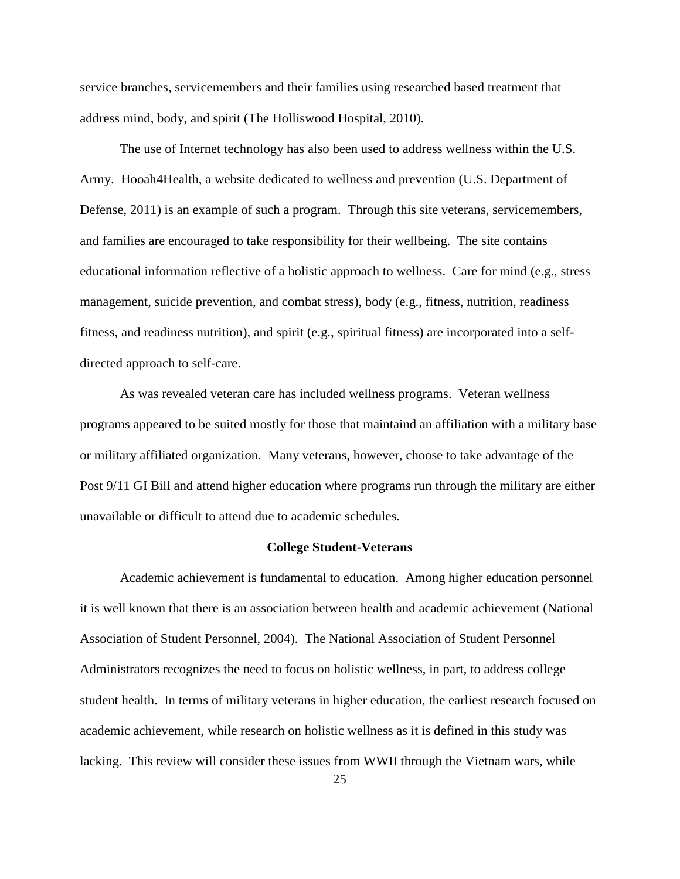service branches, servicemembers and their families using researched based treatment that address mind, body, and spirit (The Holliswood Hospital, 2010).

The use of Internet technology has also been used to address wellness within the U.S. Army. Hooah4Health, a website dedicated to wellness and prevention (U.S. Department of Defense, 2011) is an example of such a program. Through this site veterans, servicemembers, and families are encouraged to take responsibility for their wellbeing. The site contains educational information reflective of a holistic approach to wellness. Care for mind (e.g., stress management, suicide prevention, and combat stress), body (e.g., fitness, nutrition, readiness fitness, and readiness nutrition), and spirit (e.g., spiritual fitness) are incorporated into a selfdirected approach to self-care.

As was revealed veteran care has included wellness programs. Veteran wellness programs appeared to be suited mostly for those that maintaind an affiliation with a military base or military affiliated organization. Many veterans, however, choose to take advantage of the Post 9/11 GI Bill and attend higher education where programs run through the military are either unavailable or difficult to attend due to academic schedules.

#### **College Student-Veterans**

Academic achievement is fundamental to education. Among higher education personnel it is well known that there is an association between health and academic achievement (National Association of Student Personnel, 2004). The National Association of Student Personnel Administrators recognizes the need to focus on holistic wellness, in part, to address college student health. In terms of military veterans in higher education, the earliest research focused on academic achievement, while research on holistic wellness as it is defined in this study was lacking. This review will consider these issues from WWII through the Vietnam wars, while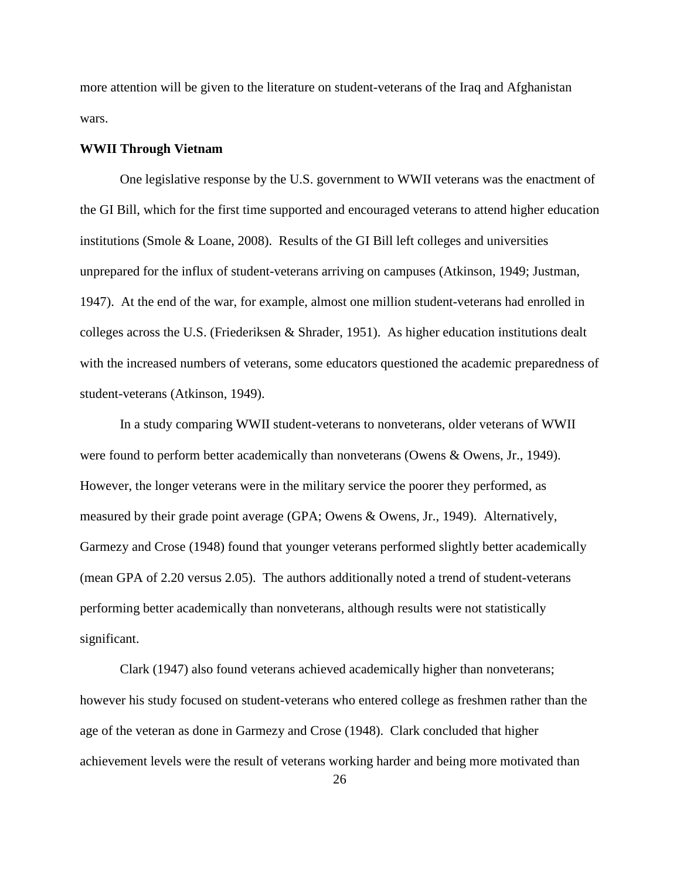more attention will be given to the literature on student-veterans of the Iraq and Afghanistan wars.

#### **WWII Through Vietnam**

One legislative response by the U.S. government to WWII veterans was the enactment of the GI Bill, which for the first time supported and encouraged veterans to attend higher education institutions (Smole & Loane, 2008). Results of the GI Bill left colleges and universities unprepared for the influx of student-veterans arriving on campuses (Atkinson, 1949; Justman, 1947). At the end of the war, for example, almost one million student-veterans had enrolled in colleges across the U.S. (Friederiksen & Shrader, 1951). As higher education institutions dealt with the increased numbers of veterans, some educators questioned the academic preparedness of student-veterans (Atkinson, 1949).

In a study comparing WWII student-veterans to nonveterans, older veterans of WWII were found to perform better academically than nonveterans (Owens & Owens, Jr., 1949). However, the longer veterans were in the military service the poorer they performed, as measured by their grade point average (GPA; Owens & Owens, Jr., 1949). Alternatively, Garmezy and Crose (1948) found that younger veterans performed slightly better academically (mean GPA of 2.20 versus 2.05). The authors additionally noted a trend of student-veterans performing better academically than nonveterans, although results were not statistically significant.

Clark (1947) also found veterans achieved academically higher than nonveterans; however his study focused on student-veterans who entered college as freshmen rather than the age of the veteran as done in Garmezy and Crose (1948). Clark concluded that higher achievement levels were the result of veterans working harder and being more motivated than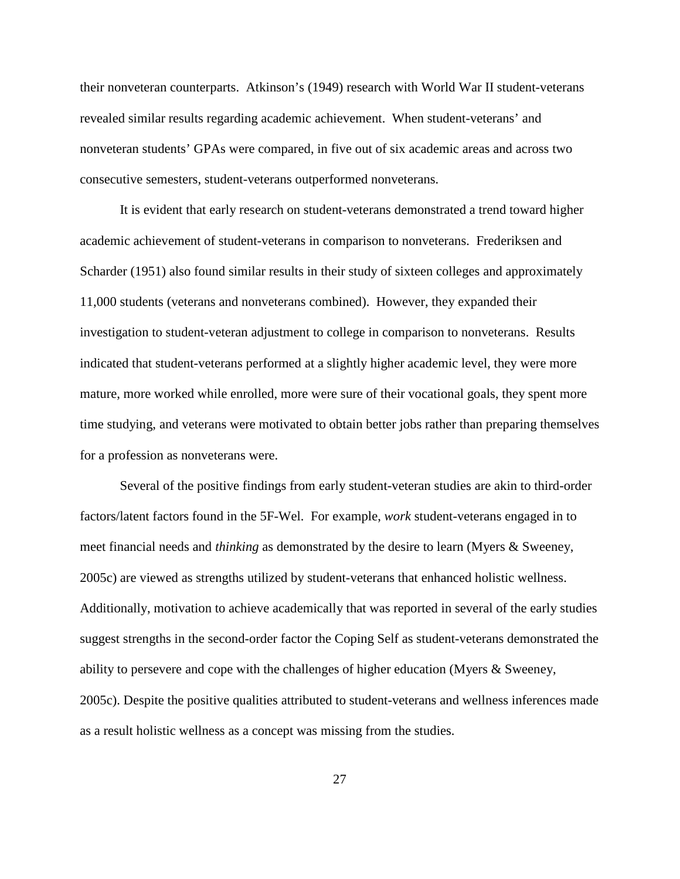their nonveteran counterparts. Atkinson's (1949) research with World War II student-veterans revealed similar results regarding academic achievement. When student-veterans' and nonveteran students' GPAs were compared, in five out of six academic areas and across two consecutive semesters, student-veterans outperformed nonveterans.

It is evident that early research on student-veterans demonstrated a trend toward higher academic achievement of student-veterans in comparison to nonveterans. Frederiksen and Scharder (1951) also found similar results in their study of sixteen colleges and approximately 11,000 students (veterans and nonveterans combined). However, they expanded their investigation to student-veteran adjustment to college in comparison to nonveterans. Results indicated that student-veterans performed at a slightly higher academic level, they were more mature, more worked while enrolled, more were sure of their vocational goals, they spent more time studying, and veterans were motivated to obtain better jobs rather than preparing themselves for a profession as nonveterans were.

Several of the positive findings from early student-veteran studies are akin to third-order factors/latent factors found in the 5F-Wel. For example, *work* student-veterans engaged in to meet financial needs and *thinking* as demonstrated by the desire to learn (Myers & Sweeney, 2005c) are viewed as strengths utilized by student-veterans that enhanced holistic wellness. Additionally, motivation to achieve academically that was reported in several of the early studies suggest strengths in the second-order factor the Coping Self as student-veterans demonstrated the ability to persevere and cope with the challenges of higher education (Myers & Sweeney, 2005c). Despite the positive qualities attributed to student-veterans and wellness inferences made as a result holistic wellness as a concept was missing from the studies.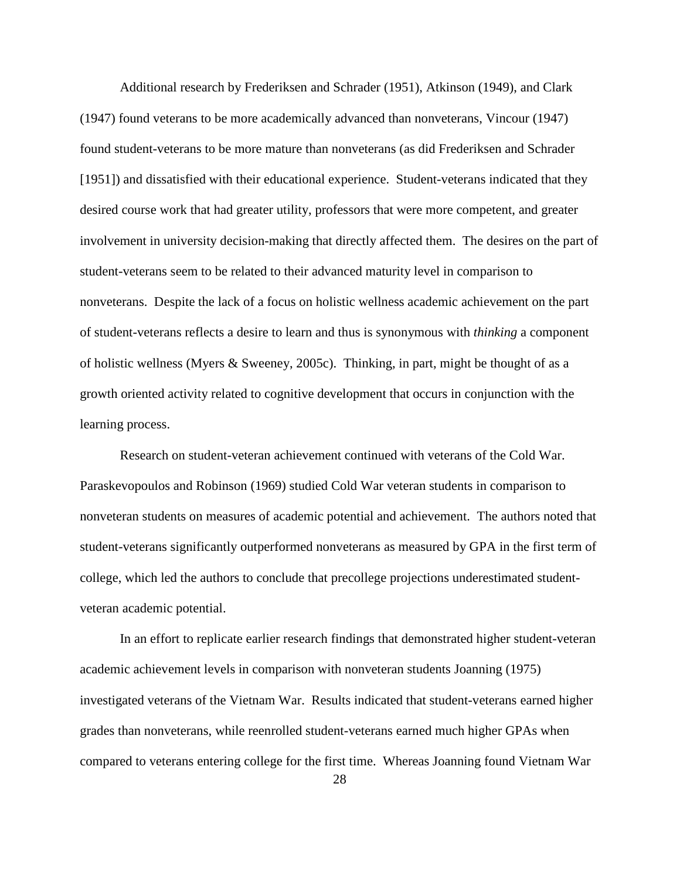Additional research by Frederiksen and Schrader (1951), Atkinson (1949), and Clark (1947) found veterans to be more academically advanced than nonveterans, Vincour (1947) found student-veterans to be more mature than nonveterans (as did Frederiksen and Schrader [1951]) and dissatisfied with their educational experience. Student-veterans indicated that they desired course work that had greater utility, professors that were more competent, and greater involvement in university decision-making that directly affected them. The desires on the part of student-veterans seem to be related to their advanced maturity level in comparison to nonveterans. Despite the lack of a focus on holistic wellness academic achievement on the part of student-veterans reflects a desire to learn and thus is synonymous with *thinking* a component of holistic wellness (Myers & Sweeney, 2005c). Thinking, in part, might be thought of as a growth oriented activity related to cognitive development that occurs in conjunction with the learning process.

Research on student-veteran achievement continued with veterans of the Cold War. Paraskevopoulos and Robinson (1969) studied Cold War veteran students in comparison to nonveteran students on measures of academic potential and achievement. The authors noted that student-veterans significantly outperformed nonveterans as measured by GPA in the first term of college, which led the authors to conclude that precollege projections underestimated studentveteran academic potential.

In an effort to replicate earlier research findings that demonstrated higher student-veteran academic achievement levels in comparison with nonveteran students Joanning (1975) investigated veterans of the Vietnam War. Results indicated that student-veterans earned higher grades than nonveterans, while reenrolled student-veterans earned much higher GPAs when compared to veterans entering college for the first time. Whereas Joanning found Vietnam War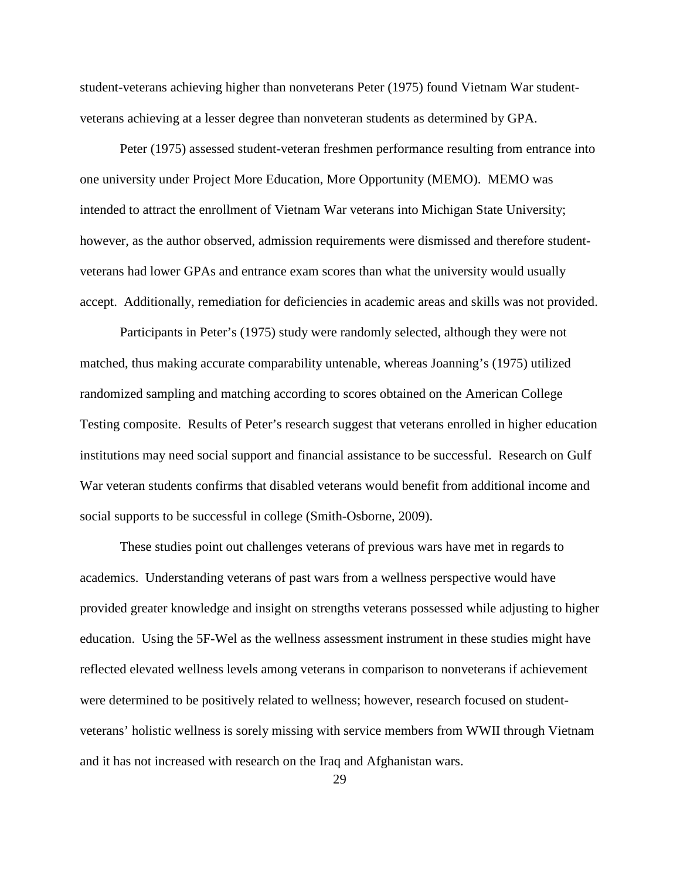student-veterans achieving higher than nonveterans Peter (1975) found Vietnam War studentveterans achieving at a lesser degree than nonveteran students as determined by GPA.

Peter (1975) assessed student-veteran freshmen performance resulting from entrance into one university under Project More Education, More Opportunity (MEMO). MEMO was intended to attract the enrollment of Vietnam War veterans into Michigan State University; however, as the author observed, admission requirements were dismissed and therefore studentveterans had lower GPAs and entrance exam scores than what the university would usually accept. Additionally, remediation for deficiencies in academic areas and skills was not provided.

Participants in Peter's (1975) study were randomly selected, although they were not matched, thus making accurate comparability untenable, whereas Joanning's (1975) utilized randomized sampling and matching according to scores obtained on the American College Testing composite. Results of Peter's research suggest that veterans enrolled in higher education institutions may need social support and financial assistance to be successful. Research on Gulf War veteran students confirms that disabled veterans would benefit from additional income and social supports to be successful in college (Smith-Osborne, 2009).

These studies point out challenges veterans of previous wars have met in regards to academics. Understanding veterans of past wars from a wellness perspective would have provided greater knowledge and insight on strengths veterans possessed while adjusting to higher education. Using the 5F-Wel as the wellness assessment instrument in these studies might have reflected elevated wellness levels among veterans in comparison to nonveterans if achievement were determined to be positively related to wellness; however, research focused on studentveterans' holistic wellness is sorely missing with service members from WWII through Vietnam and it has not increased with research on the Iraq and Afghanistan wars.

29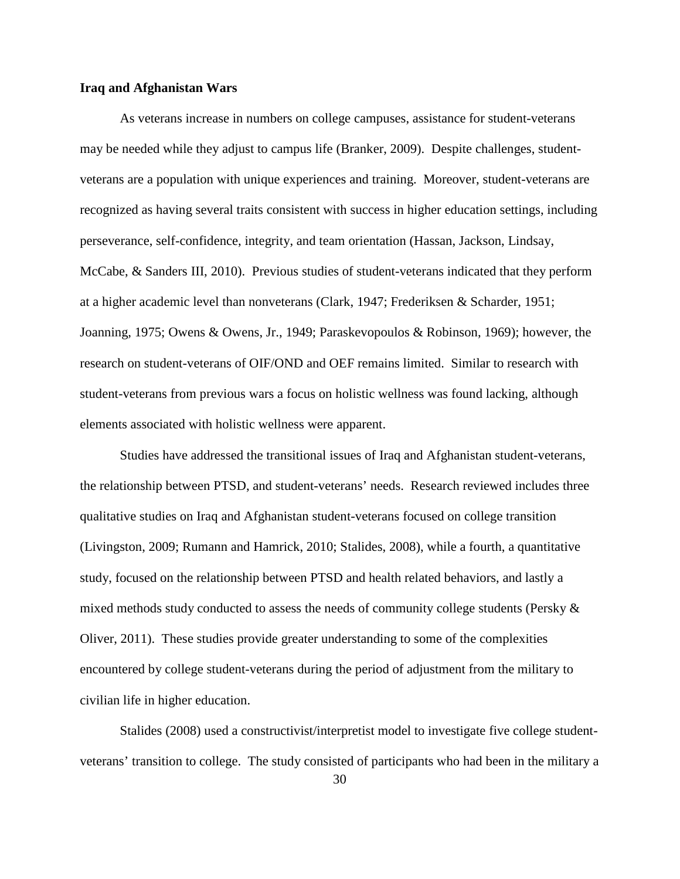#### **Iraq and Afghanistan Wars**

As veterans increase in numbers on college campuses, assistance for student-veterans may be needed while they adjust to campus life (Branker, 2009). Despite challenges, studentveterans are a population with unique experiences and training. Moreover, student-veterans are recognized as having several traits consistent with success in higher education settings, including perseverance, self-confidence, integrity, and team orientation (Hassan, Jackson, Lindsay, McCabe, & Sanders III, 2010). Previous studies of student-veterans indicated that they perform at a higher academic level than nonveterans (Clark, 1947; Frederiksen & Scharder, 1951; Joanning, 1975; Owens & Owens, Jr., 1949; Paraskevopoulos & Robinson, 1969); however, the research on student-veterans of OIF/OND and OEF remains limited. Similar to research with student-veterans from previous wars a focus on holistic wellness was found lacking, although elements associated with holistic wellness were apparent.

Studies have addressed the transitional issues of Iraq and Afghanistan student-veterans, the relationship between PTSD, and student-veterans' needs. Research reviewed includes three qualitative studies on Iraq and Afghanistan student-veterans focused on college transition (Livingston, 2009; Rumann and Hamrick, 2010; Stalides, 2008), while a fourth, a quantitative study, focused on the relationship between PTSD and health related behaviors, and lastly a mixed methods study conducted to assess the needs of community college students (Persky  $\&$ Oliver, 2011). These studies provide greater understanding to some of the complexities encountered by college student-veterans during the period of adjustment from the military to civilian life in higher education.

Stalides (2008) used a constructivist/interpretist model to investigate five college studentveterans' transition to college. The study consisted of participants who had been in the military a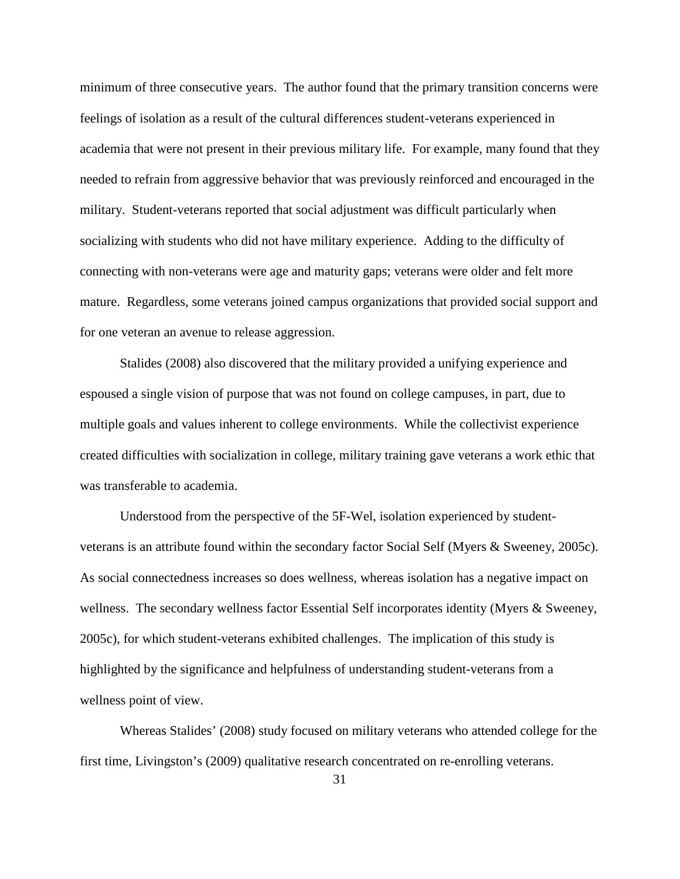minimum of three consecutive years. The author found that the primary transition concerns were feelings of isolation as a result of the cultural differences student-veterans experienced in academia that were not present in their previous military life. For example, many found that they needed to refrain from aggressive behavior that was previously reinforced and encouraged in the military. Student-veterans reported that social adjustment was difficult particularly when socializing with students who did not have military experience. Adding to the difficulty of connecting with non-veterans were age and maturity gaps; veterans were older and felt more mature. Regardless, some veterans joined campus organizations that provided social support and for one veteran an avenue to release aggression.

Stalides (2008) also discovered that the military provided a unifying experience and espoused a single vision of purpose that was not found on college campuses, in part, due to multiple goals and values inherent to college environments. While the collectivist experience created difficulties with socialization in college, military training gave veterans a work ethic that was transferable to academia.

Understood from the perspective of the 5F-Wel, isolation experienced by studentveterans is an attribute found within the secondary factor Social Self (Myers & Sweeney, 2005c). As social connectedness increases so does wellness, whereas isolation has a negative impact on wellness. The secondary wellness factor Essential Self incorporates identity (Myers & Sweeney, 2005c), for which student-veterans exhibited challenges. The implication of this study is highlighted by the significance and helpfulness of understanding student-veterans from a wellness point of view.

Whereas Stalides' (2008) study focused on military veterans who attended college for the first time, Livingston's (2009) qualitative research concentrated on re-enrolling veterans.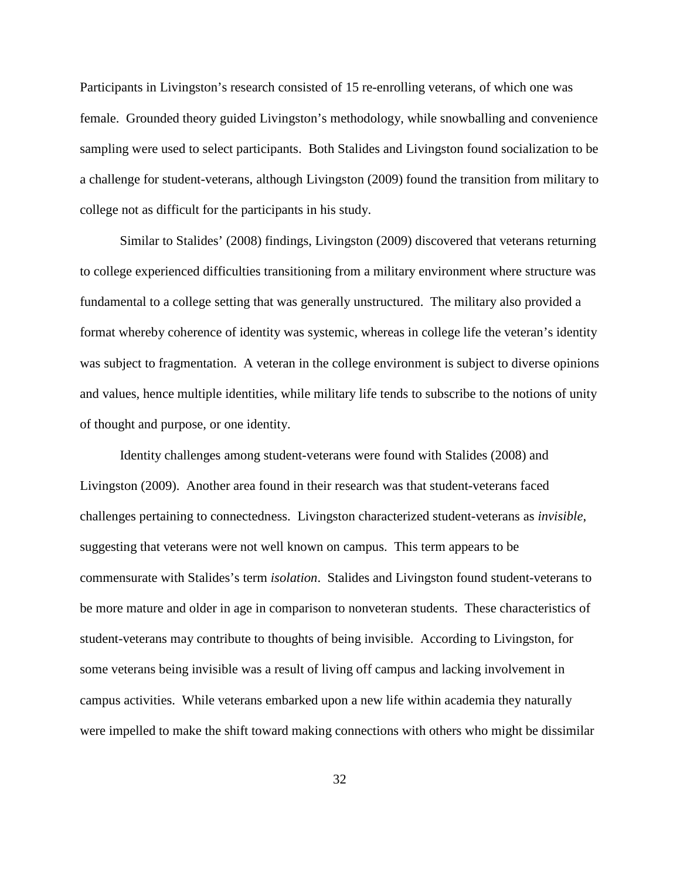Participants in Livingston's research consisted of 15 re-enrolling veterans, of which one was female. Grounded theory guided Livingston's methodology, while snowballing and convenience sampling were used to select participants. Both Stalides and Livingston found socialization to be a challenge for student-veterans, although Livingston (2009) found the transition from military to college not as difficult for the participants in his study.

Similar to Stalides' (2008) findings, Livingston (2009) discovered that veterans returning to college experienced difficulties transitioning from a military environment where structure was fundamental to a college setting that was generally unstructured. The military also provided a format whereby coherence of identity was systemic, whereas in college life the veteran's identity was subject to fragmentation. A veteran in the college environment is subject to diverse opinions and values, hence multiple identities, while military life tends to subscribe to the notions of unity of thought and purpose, or one identity.

Identity challenges among student-veterans were found with Stalides (2008) and Livingston (2009). Another area found in their research was that student-veterans faced challenges pertaining to connectedness. Livingston characterized student-veterans as *invisible*, suggesting that veterans were not well known on campus. This term appears to be commensurate with Stalides's term *isolation*. Stalides and Livingston found student-veterans to be more mature and older in age in comparison to nonveteran students. These characteristics of student-veterans may contribute to thoughts of being invisible. According to Livingston, for some veterans being invisible was a result of living off campus and lacking involvement in campus activities. While veterans embarked upon a new life within academia they naturally were impelled to make the shift toward making connections with others who might be dissimilar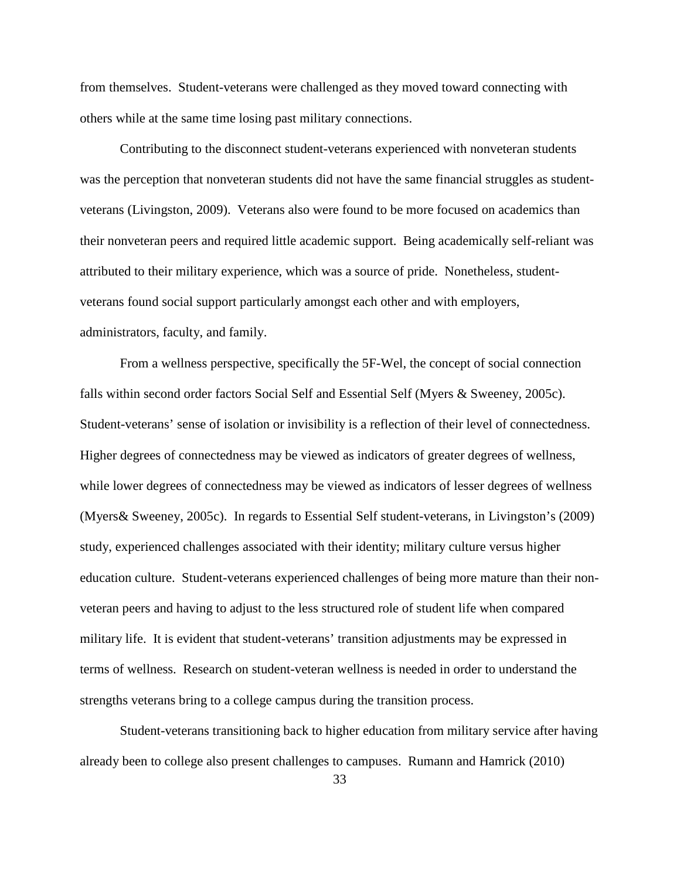from themselves. Student-veterans were challenged as they moved toward connecting with others while at the same time losing past military connections.

Contributing to the disconnect student-veterans experienced with nonveteran students was the perception that nonveteran students did not have the same financial struggles as studentveterans (Livingston, 2009). Veterans also were found to be more focused on academics than their nonveteran peers and required little academic support. Being academically self-reliant was attributed to their military experience, which was a source of pride. Nonetheless, studentveterans found social support particularly amongst each other and with employers, administrators, faculty, and family.

From a wellness perspective, specifically the 5F-Wel, the concept of social connection falls within second order factors Social Self and Essential Self (Myers & Sweeney, 2005c). Student-veterans' sense of isolation or invisibility is a reflection of their level of connectedness. Higher degrees of connectedness may be viewed as indicators of greater degrees of wellness, while lower degrees of connectedness may be viewed as indicators of lesser degrees of wellness (Myers& Sweeney, 2005c). In regards to Essential Self student-veterans, in Livingston's (2009) study, experienced challenges associated with their identity; military culture versus higher education culture. Student-veterans experienced challenges of being more mature than their nonveteran peers and having to adjust to the less structured role of student life when compared military life. It is evident that student-veterans' transition adjustments may be expressed in terms of wellness. Research on student-veteran wellness is needed in order to understand the strengths veterans bring to a college campus during the transition process.

Student-veterans transitioning back to higher education from military service after having already been to college also present challenges to campuses. Rumann and Hamrick (2010)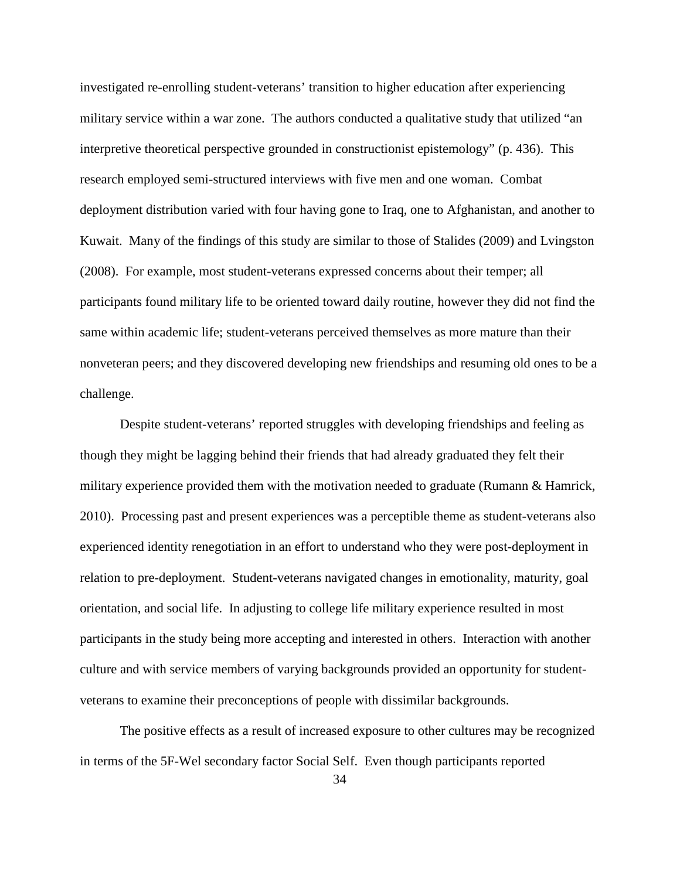investigated re-enrolling student-veterans' transition to higher education after experiencing military service within a war zone. The authors conducted a qualitative study that utilized "an interpretive theoretical perspective grounded in constructionist epistemology" (p. 436). This research employed semi-structured interviews with five men and one woman. Combat deployment distribution varied with four having gone to Iraq, one to Afghanistan, and another to Kuwait. Many of the findings of this study are similar to those of Stalides (2009) and Lvingston (2008). For example, most student-veterans expressed concerns about their temper; all participants found military life to be oriented toward daily routine, however they did not find the same within academic life; student-veterans perceived themselves as more mature than their nonveteran peers; and they discovered developing new friendships and resuming old ones to be a challenge.

Despite student-veterans' reported struggles with developing friendships and feeling as though they might be lagging behind their friends that had already graduated they felt their military experience provided them with the motivation needed to graduate (Rumann & Hamrick, 2010). Processing past and present experiences was a perceptible theme as student-veterans also experienced identity renegotiation in an effort to understand who they were post-deployment in relation to pre-deployment. Student-veterans navigated changes in emotionality, maturity, goal orientation, and social life. In adjusting to college life military experience resulted in most participants in the study being more accepting and interested in others. Interaction with another culture and with service members of varying backgrounds provided an opportunity for studentveterans to examine their preconceptions of people with dissimilar backgrounds.

The positive effects as a result of increased exposure to other cultures may be recognized in terms of the 5F-Wel secondary factor Social Self. Even though participants reported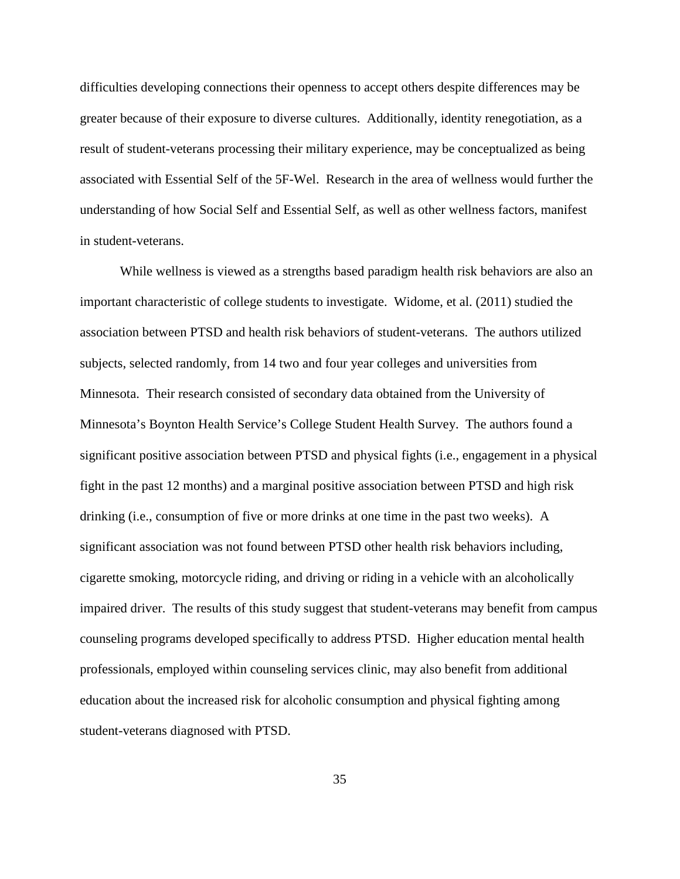difficulties developing connections their openness to accept others despite differences may be greater because of their exposure to diverse cultures. Additionally, identity renegotiation, as a result of student-veterans processing their military experience, may be conceptualized as being associated with Essential Self of the 5F-Wel. Research in the area of wellness would further the understanding of how Social Self and Essential Self, as well as other wellness factors, manifest in student-veterans.

While wellness is viewed as a strengths based paradigm health risk behaviors are also an important characteristic of college students to investigate. Widome, et al. (2011) studied the association between PTSD and health risk behaviors of student-veterans. The authors utilized subjects, selected randomly, from 14 two and four year colleges and universities from Minnesota. Their research consisted of secondary data obtained from the University of Minnesota's Boynton Health Service's College Student Health Survey. The authors found a significant positive association between PTSD and physical fights (i.e., engagement in a physical fight in the past 12 months) and a marginal positive association between PTSD and high risk drinking (i.e., consumption of five or more drinks at one time in the past two weeks). A significant association was not found between PTSD other health risk behaviors including, cigarette smoking, motorcycle riding, and driving or riding in a vehicle with an alcoholically impaired driver. The results of this study suggest that student-veterans may benefit from campus counseling programs developed specifically to address PTSD. Higher education mental health professionals, employed within counseling services clinic, may also benefit from additional education about the increased risk for alcoholic consumption and physical fighting among student-veterans diagnosed with PTSD.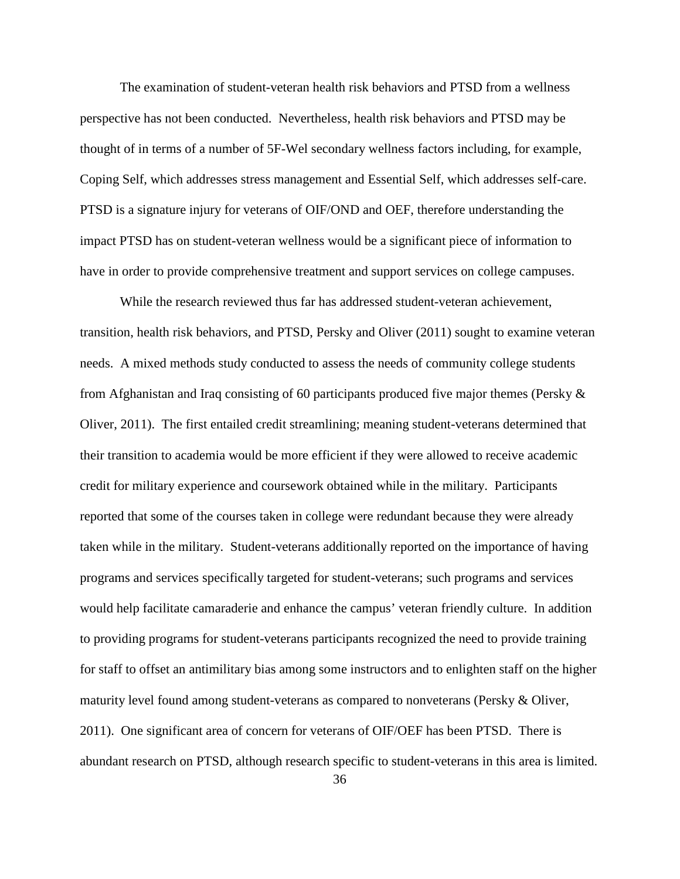The examination of student-veteran health risk behaviors and PTSD from a wellness perspective has not been conducted. Nevertheless, health risk behaviors and PTSD may be thought of in terms of a number of 5F-Wel secondary wellness factors including, for example, Coping Self, which addresses stress management and Essential Self, which addresses self-care. PTSD is a signature injury for veterans of OIF/OND and OEF, therefore understanding the impact PTSD has on student-veteran wellness would be a significant piece of information to have in order to provide comprehensive treatment and support services on college campuses.

While the research reviewed thus far has addressed student-veteran achievement, transition, health risk behaviors, and PTSD, Persky and Oliver (2011) sought to examine veteran needs. A mixed methods study conducted to assess the needs of community college students from Afghanistan and Iraq consisting of 60 participants produced five major themes (Persky & Oliver, 2011). The first entailed credit streamlining; meaning student-veterans determined that their transition to academia would be more efficient if they were allowed to receive academic credit for military experience and coursework obtained while in the military. Participants reported that some of the courses taken in college were redundant because they were already taken while in the military. Student-veterans additionally reported on the importance of having programs and services specifically targeted for student-veterans; such programs and services would help facilitate camaraderie and enhance the campus' veteran friendly culture. In addition to providing programs for student-veterans participants recognized the need to provide training for staff to offset an antimilitary bias among some instructors and to enlighten staff on the higher maturity level found among student-veterans as compared to nonveterans (Persky & Oliver, 2011). One significant area of concern for veterans of OIF/OEF has been PTSD. There is abundant research on PTSD, although research specific to student-veterans in this area is limited.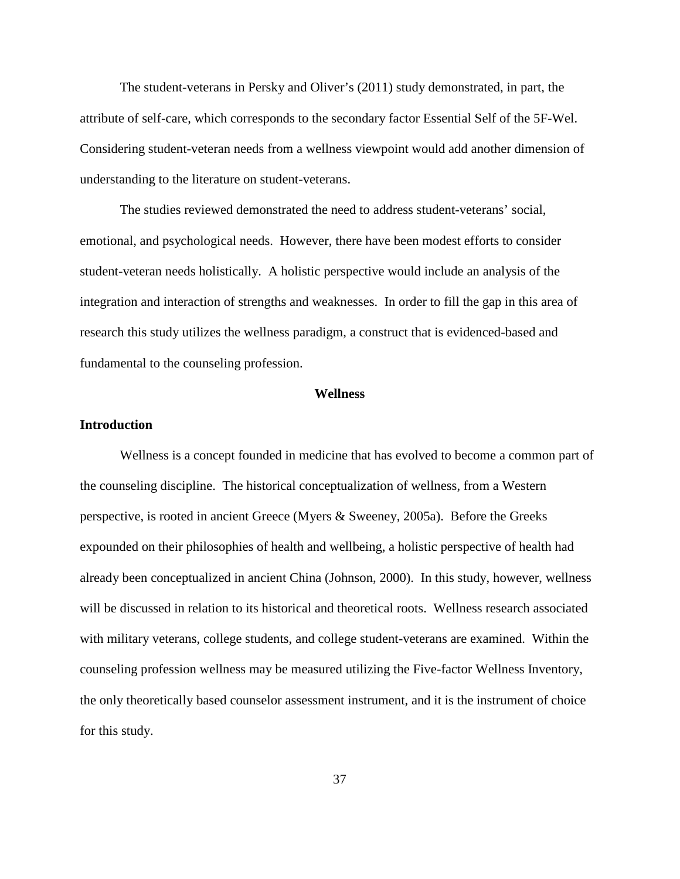The student-veterans in Persky and Oliver's (2011) study demonstrated, in part, the attribute of self-care, which corresponds to the secondary factor Essential Self of the 5F-Wel. Considering student-veteran needs from a wellness viewpoint would add another dimension of understanding to the literature on student-veterans.

The studies reviewed demonstrated the need to address student-veterans' social, emotional, and psychological needs. However, there have been modest efforts to consider student-veteran needs holistically. A holistic perspective would include an analysis of the integration and interaction of strengths and weaknesses. In order to fill the gap in this area of research this study utilizes the wellness paradigm, a construct that is evidenced-based and fundamental to the counseling profession.

#### **Wellness**

# **Introduction**

Wellness is a concept founded in medicine that has evolved to become a common part of the counseling discipline. The historical conceptualization of wellness, from a Western perspective, is rooted in ancient Greece (Myers & Sweeney, 2005a). Before the Greeks expounded on their philosophies of health and wellbeing, a holistic perspective of health had already been conceptualized in ancient China (Johnson, 2000). In this study, however, wellness will be discussed in relation to its historical and theoretical roots. Wellness research associated with military veterans, college students, and college student-veterans are examined. Within the counseling profession wellness may be measured utilizing the Five-factor Wellness Inventory, the only theoretically based counselor assessment instrument, and it is the instrument of choice for this study.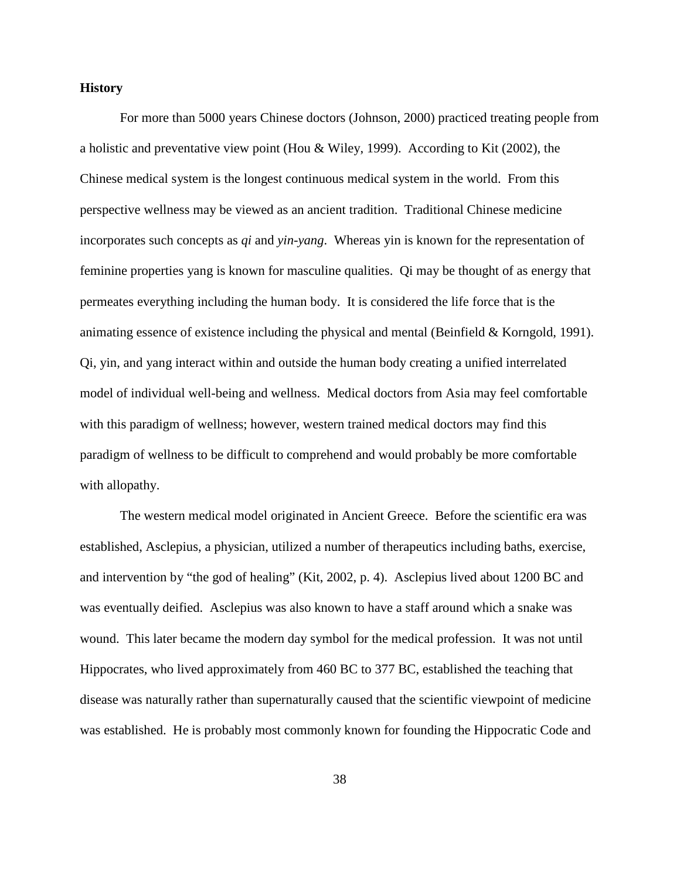# **History**

For more than 5000 years Chinese doctors (Johnson, 2000) practiced treating people from a holistic and preventative view point (Hou & Wiley, 1999). According to Kit (2002), the Chinese medical system is the longest continuous medical system in the world. From this perspective wellness may be viewed as an ancient tradition. Traditional Chinese medicine incorporates such concepts as *qi* and *yin-yang*. Whereas yin is known for the representation of feminine properties yang is known for masculine qualities. Qi may be thought of as energy that permeates everything including the human body. It is considered the life force that is the animating essence of existence including the physical and mental (Beinfield & Korngold, 1991). Qi, yin, and yang interact within and outside the human body creating a unified interrelated model of individual well-being and wellness. Medical doctors from Asia may feel comfortable with this paradigm of wellness; however, western trained medical doctors may find this paradigm of wellness to be difficult to comprehend and would probably be more comfortable with allopathy.

The western medical model originated in Ancient Greece. Before the scientific era was established, Asclepius, a physician, utilized a number of therapeutics including baths, exercise, and intervention by "the god of healing" (Kit, 2002, p. 4). Asclepius lived about 1200 BC and was eventually deified. Asclepius was also known to have a staff around which a snake was wound. This later became the modern day symbol for the medical profession. It was not until Hippocrates, who lived approximately from 460 BC to 377 BC, established the teaching that disease was naturally rather than supernaturally caused that the scientific viewpoint of medicine was established. He is probably most commonly known for founding the Hippocratic Code and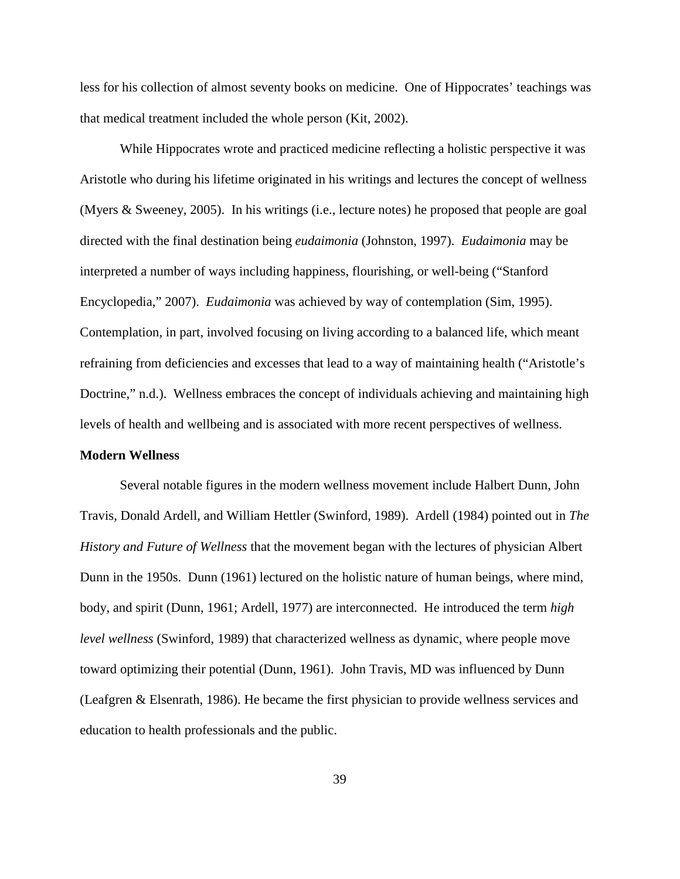less for his collection of almost seventy books on medicine. One of Hippocrates' teachings was that medical treatment included the whole person (Kit, 2002).

While Hippocrates wrote and practiced medicine reflecting a holistic perspective it was Aristotle who during his lifetime originated in his writings and lectures the concept of wellness (Myers & Sweeney, 2005). In his writings (i.e., lecture notes) he proposed that people are goal directed with the final destination being *eudaimonia* (Johnston, 1997). *Eudaimonia* may be interpreted a number of ways including happiness, flourishing, or well-being ("Stanford Encyclopedia," 2007). *Eudaimonia* was achieved by way of contemplation (Sim, 1995). Contemplation, in part, involved focusing on living according to a balanced life, which meant refraining from deficiencies and excesses that lead to a way of maintaining health ("Aristotle's Doctrine," n.d.). Wellness embraces the concept of individuals achieving and maintaining high levels of health and wellbeing and is associated with more recent perspectives of wellness.

## **Modern Wellness**

Several notable figures in the modern wellness movement include Halbert Dunn, John Travis, Donald Ardell, and William Hettler (Swinford, 1989). Ardell (1984) pointed out in *The History and Future of Wellness* that the movement began with the lectures of physician Albert Dunn in the 1950s. Dunn (1961) lectured on the holistic nature of human beings, where mind, body, and spirit (Dunn, 1961; Ardell, 1977) are interconnected. He introduced the term *high level wellness* (Swinford, 1989) that characterized wellness as dynamic, where people move toward optimizing their potential (Dunn, 1961). John Travis, MD was influenced by Dunn (Leafgren & Elsenrath, 1986). He became the first physician to provide wellness services and education to health professionals and the public.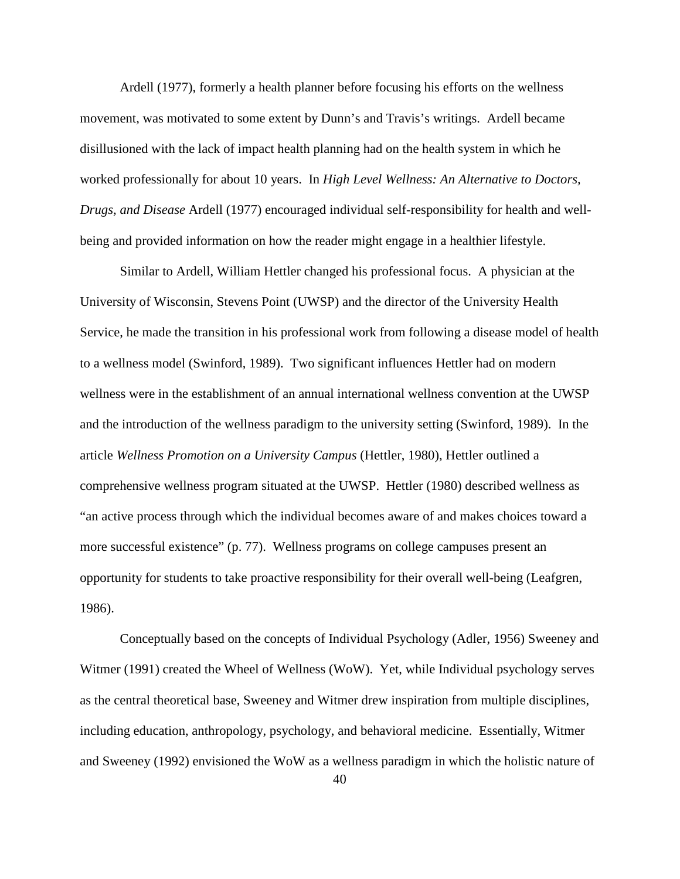Ardell (1977), formerly a health planner before focusing his efforts on the wellness movement, was motivated to some extent by Dunn's and Travis's writings. Ardell became disillusioned with the lack of impact health planning had on the health system in which he worked professionally for about 10 years. In *High Level Wellness: An Alternative to Doctors, Drugs, and Disease* Ardell (1977) encouraged individual self-responsibility for health and wellbeing and provided information on how the reader might engage in a healthier lifestyle.

Similar to Ardell, William Hettler changed his professional focus. A physician at the University of Wisconsin, Stevens Point (UWSP) and the director of the University Health Service, he made the transition in his professional work from following a disease model of health to a wellness model (Swinford, 1989). Two significant influences Hettler had on modern wellness were in the establishment of an annual international wellness convention at the UWSP and the introduction of the wellness paradigm to the university setting (Swinford, 1989). In the article *Wellness Promotion on a University Campus* (Hettler, 1980), Hettler outlined a comprehensive wellness program situated at the UWSP. Hettler (1980) described wellness as "an active process through which the individual becomes aware of and makes choices toward a more successful existence" (p. 77). Wellness programs on college campuses present an opportunity for students to take proactive responsibility for their overall well-being (Leafgren, 1986).

Conceptually based on the concepts of Individual Psychology (Adler, 1956) Sweeney and Witmer (1991) created the Wheel of Wellness (WoW). Yet, while Individual psychology serves as the central theoretical base, Sweeney and Witmer drew inspiration from multiple disciplines, including education, anthropology, psychology, and behavioral medicine. Essentially, Witmer and Sweeney (1992) envisioned the WoW as a wellness paradigm in which the holistic nature of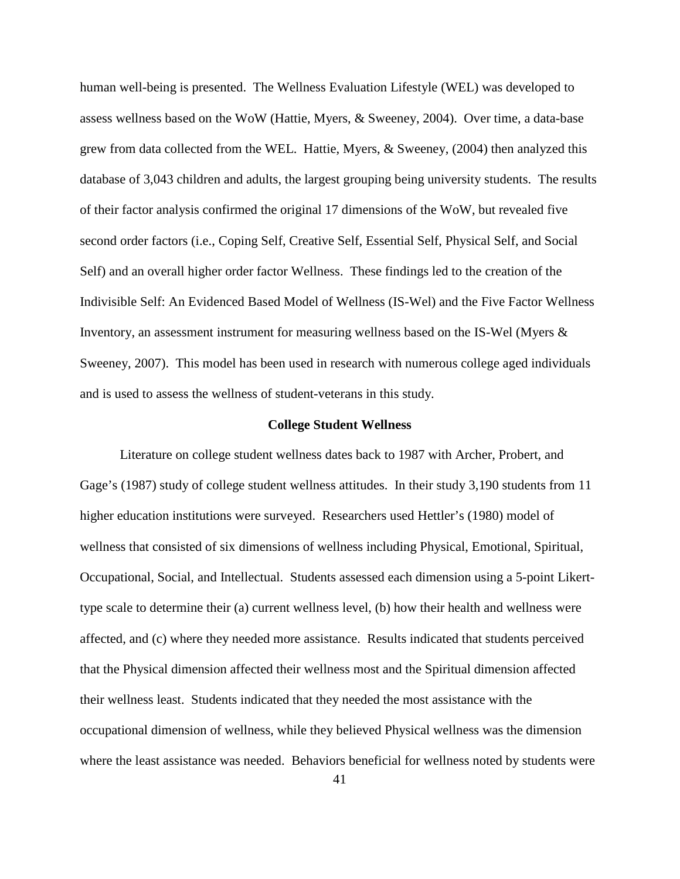human well-being is presented. The Wellness Evaluation Lifestyle (WEL) was developed to assess wellness based on the WoW (Hattie, Myers, & Sweeney, 2004). Over time, a data-base grew from data collected from the WEL. Hattie, Myers, & Sweeney, (2004) then analyzed this database of 3,043 children and adults, the largest grouping being university students. The results of their factor analysis confirmed the original 17 dimensions of the WoW, but revealed five second order factors (i.e., Coping Self, Creative Self, Essential Self, Physical Self, and Social Self) and an overall higher order factor Wellness. These findings led to the creation of the Indivisible Self: An Evidenced Based Model of Wellness (IS-Wel) and the Five Factor Wellness Inventory, an assessment instrument for measuring wellness based on the IS-Wel (Myers & Sweeney, 2007). This model has been used in research with numerous college aged individuals and is used to assess the wellness of student-veterans in this study.

#### **College Student Wellness**

Literature on college student wellness dates back to 1987 with Archer, Probert, and Gage's (1987) study of college student wellness attitudes. In their study 3,190 students from 11 higher education institutions were surveyed. Researchers used Hettler's (1980) model of wellness that consisted of six dimensions of wellness including Physical, Emotional, Spiritual, Occupational, Social, and Intellectual. Students assessed each dimension using a 5-point Likerttype scale to determine their (a) current wellness level, (b) how their health and wellness were affected, and (c) where they needed more assistance. Results indicated that students perceived that the Physical dimension affected their wellness most and the Spiritual dimension affected their wellness least. Students indicated that they needed the most assistance with the occupational dimension of wellness, while they believed Physical wellness was the dimension where the least assistance was needed. Behaviors beneficial for wellness noted by students were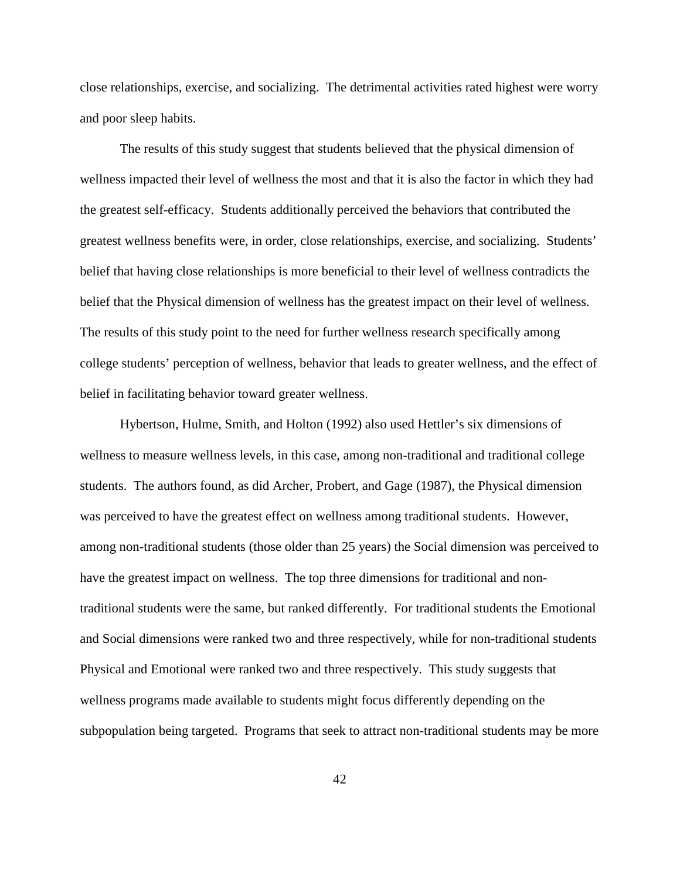close relationships, exercise, and socializing. The detrimental activities rated highest were worry and poor sleep habits.

The results of this study suggest that students believed that the physical dimension of wellness impacted their level of wellness the most and that it is also the factor in which they had the greatest self-efficacy. Students additionally perceived the behaviors that contributed the greatest wellness benefits were, in order, close relationships, exercise, and socializing. Students' belief that having close relationships is more beneficial to their level of wellness contradicts the belief that the Physical dimension of wellness has the greatest impact on their level of wellness. The results of this study point to the need for further wellness research specifically among college students' perception of wellness, behavior that leads to greater wellness, and the effect of belief in facilitating behavior toward greater wellness.

 Hybertson, Hulme, Smith, and Holton (1992) also used Hettler's six dimensions of wellness to measure wellness levels, in this case, among non-traditional and traditional college students. The authors found, as did Archer, Probert, and Gage (1987), the Physical dimension was perceived to have the greatest effect on wellness among traditional students. However, among non-traditional students (those older than 25 years) the Social dimension was perceived to have the greatest impact on wellness. The top three dimensions for traditional and nontraditional students were the same, but ranked differently. For traditional students the Emotional and Social dimensions were ranked two and three respectively, while for non-traditional students Physical and Emotional were ranked two and three respectively. This study suggests that wellness programs made available to students might focus differently depending on the subpopulation being targeted. Programs that seek to attract non-traditional students may be more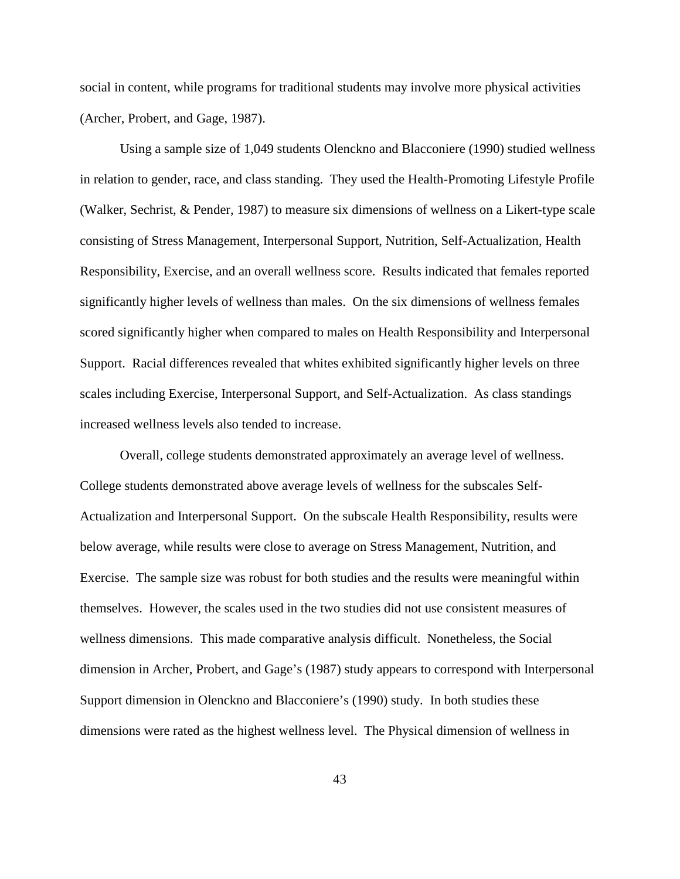social in content, while programs for traditional students may involve more physical activities (Archer, Probert, and Gage, 1987).

Using a sample size of 1,049 students Olenckno and Blacconiere (1990) studied wellness in relation to gender, race, and class standing. They used the Health-Promoting Lifestyle Profile (Walker, Sechrist, & Pender, 1987) to measure six dimensions of wellness on a Likert-type scale consisting of Stress Management, Interpersonal Support, Nutrition, Self-Actualization, Health Responsibility, Exercise, and an overall wellness score. Results indicated that females reported significantly higher levels of wellness than males. On the six dimensions of wellness females scored significantly higher when compared to males on Health Responsibility and Interpersonal Support. Racial differences revealed that whites exhibited significantly higher levels on three scales including Exercise, Interpersonal Support, and Self-Actualization. As class standings increased wellness levels also tended to increase.

Overall, college students demonstrated approximately an average level of wellness. College students demonstrated above average levels of wellness for the subscales Self-Actualization and Interpersonal Support. On the subscale Health Responsibility, results were below average, while results were close to average on Stress Management, Nutrition, and Exercise. The sample size was robust for both studies and the results were meaningful within themselves. However, the scales used in the two studies did not use consistent measures of wellness dimensions. This made comparative analysis difficult. Nonetheless, the Social dimension in Archer, Probert, and Gage's (1987) study appears to correspond with Interpersonal Support dimension in Olenckno and Blacconiere's (1990) study. In both studies these dimensions were rated as the highest wellness level. The Physical dimension of wellness in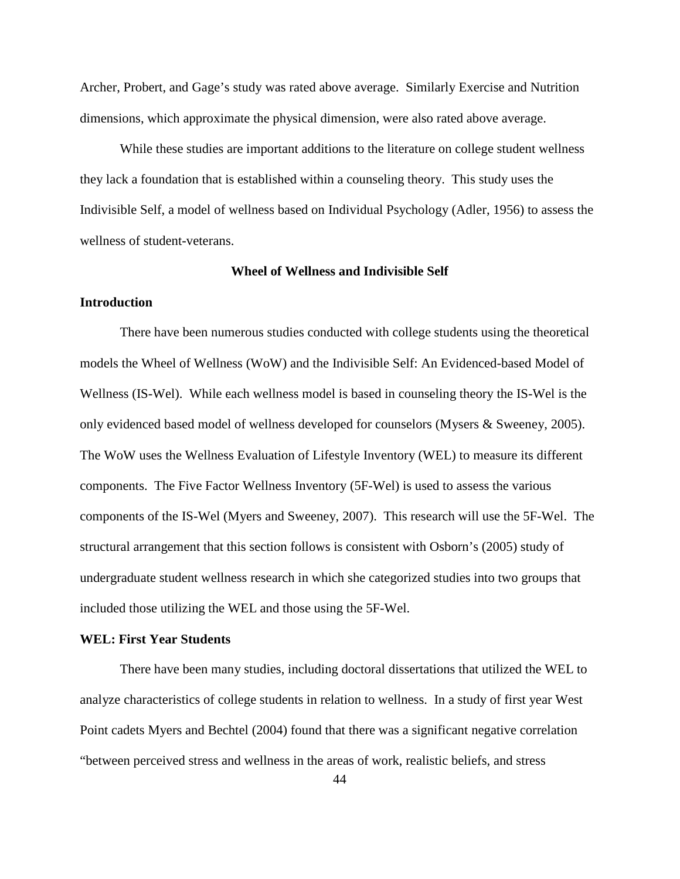Archer, Probert, and Gage's study was rated above average. Similarly Exercise and Nutrition dimensions, which approximate the physical dimension, were also rated above average.

While these studies are important additions to the literature on college student wellness they lack a foundation that is established within a counseling theory. This study uses the Indivisible Self, a model of wellness based on Individual Psychology (Adler, 1956) to assess the wellness of student-veterans.

#### **Wheel of Wellness and Indivisible Self**

## **Introduction**

There have been numerous studies conducted with college students using the theoretical models the Wheel of Wellness (WoW) and the Indivisible Self: An Evidenced-based Model of Wellness (IS-Wel). While each wellness model is based in counseling theory the IS-Wel is the only evidenced based model of wellness developed for counselors (Mysers & Sweeney, 2005). The WoW uses the Wellness Evaluation of Lifestyle Inventory (WEL) to measure its different components. The Five Factor Wellness Inventory (5F-Wel) is used to assess the various components of the IS-Wel (Myers and Sweeney, 2007). This research will use the 5F-Wel. The structural arrangement that this section follows is consistent with Osborn's (2005) study of undergraduate student wellness research in which she categorized studies into two groups that included those utilizing the WEL and those using the 5F-Wel.

# **WEL: First Year Students**

 There have been many studies, including doctoral dissertations that utilized the WEL to analyze characteristics of college students in relation to wellness. In a study of first year West Point cadets Myers and Bechtel (2004) found that there was a significant negative correlation "between perceived stress and wellness in the areas of work, realistic beliefs, and stress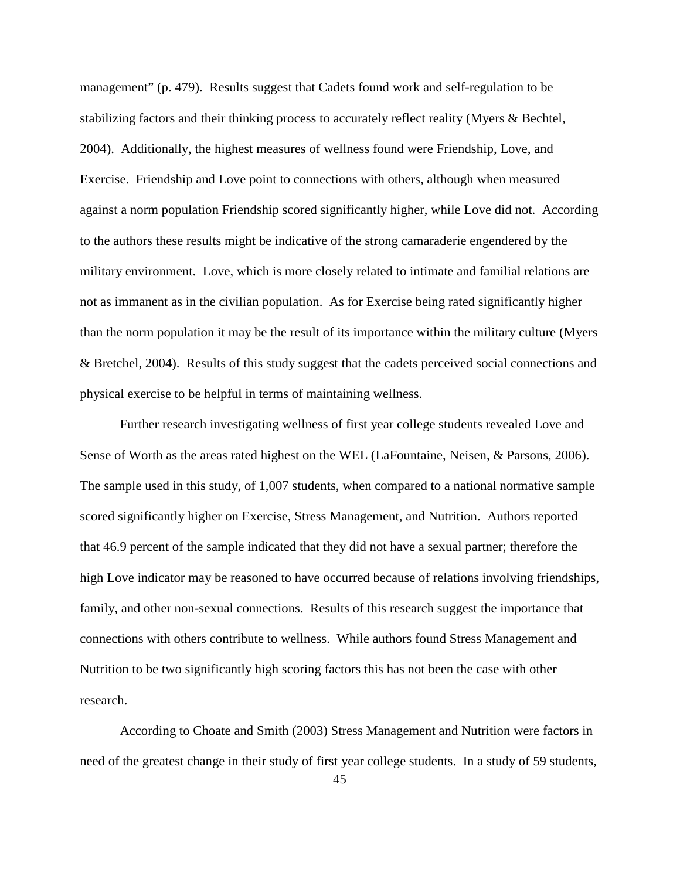management" (p. 479). Results suggest that Cadets found work and self-regulation to be stabilizing factors and their thinking process to accurately reflect reality (Myers & Bechtel, 2004). Additionally, the highest measures of wellness found were Friendship, Love, and Exercise. Friendship and Love point to connections with others, although when measured against a norm population Friendship scored significantly higher, while Love did not. According to the authors these results might be indicative of the strong camaraderie engendered by the military environment. Love, which is more closely related to intimate and familial relations are not as immanent as in the civilian population. As for Exercise being rated significantly higher than the norm population it may be the result of its importance within the military culture (Myers & Bretchel, 2004). Results of this study suggest that the cadets perceived social connections and physical exercise to be helpful in terms of maintaining wellness.

Further research investigating wellness of first year college students revealed Love and Sense of Worth as the areas rated highest on the WEL (LaFountaine, Neisen, & Parsons, 2006). The sample used in this study, of 1,007 students, when compared to a national normative sample scored significantly higher on Exercise, Stress Management, and Nutrition. Authors reported that 46.9 percent of the sample indicated that they did not have a sexual partner; therefore the high Love indicator may be reasoned to have occurred because of relations involving friendships, family, and other non-sexual connections. Results of this research suggest the importance that connections with others contribute to wellness. While authors found Stress Management and Nutrition to be two significantly high scoring factors this has not been the case with other research.

According to Choate and Smith (2003) Stress Management and Nutrition were factors in need of the greatest change in their study of first year college students. In a study of 59 students,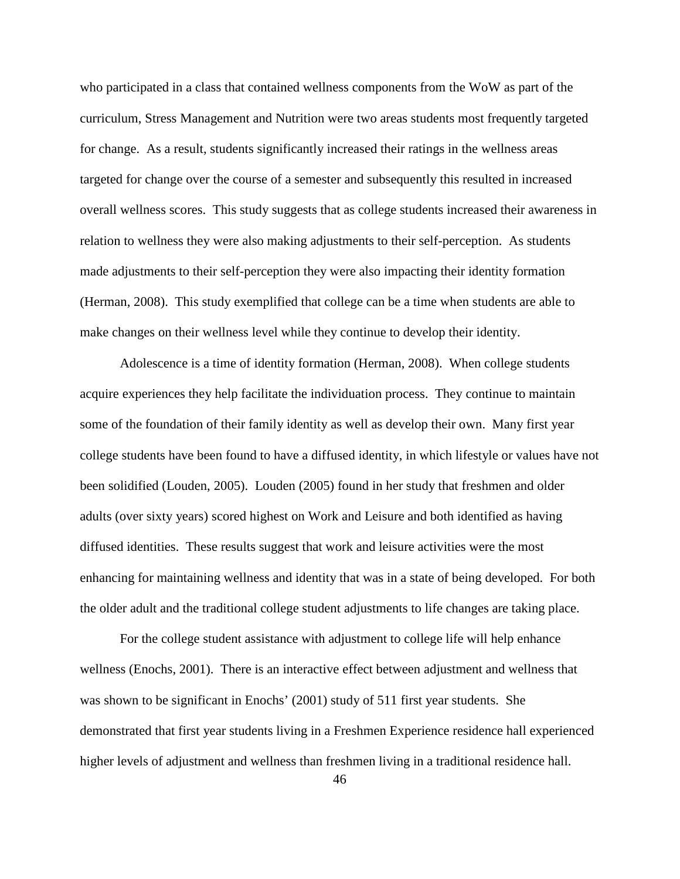who participated in a class that contained wellness components from the WoW as part of the curriculum, Stress Management and Nutrition were two areas students most frequently targeted for change. As a result, students significantly increased their ratings in the wellness areas targeted for change over the course of a semester and subsequently this resulted in increased overall wellness scores. This study suggests that as college students increased their awareness in relation to wellness they were also making adjustments to their self-perception. As students made adjustments to their self-perception they were also impacting their identity formation (Herman, 2008). This study exemplified that college can be a time when students are able to make changes on their wellness level while they continue to develop their identity.

Adolescence is a time of identity formation (Herman, 2008). When college students acquire experiences they help facilitate the individuation process. They continue to maintain some of the foundation of their family identity as well as develop their own. Many first year college students have been found to have a diffused identity, in which lifestyle or values have not been solidified (Louden, 2005). Louden (2005) found in her study that freshmen and older adults (over sixty years) scored highest on Work and Leisure and both identified as having diffused identities. These results suggest that work and leisure activities were the most enhancing for maintaining wellness and identity that was in a state of being developed. For both the older adult and the traditional college student adjustments to life changes are taking place.

For the college student assistance with adjustment to college life will help enhance wellness (Enochs, 2001). There is an interactive effect between adjustment and wellness that was shown to be significant in Enochs' (2001) study of 511 first year students. She demonstrated that first year students living in a Freshmen Experience residence hall experienced higher levels of adjustment and wellness than freshmen living in a traditional residence hall.

46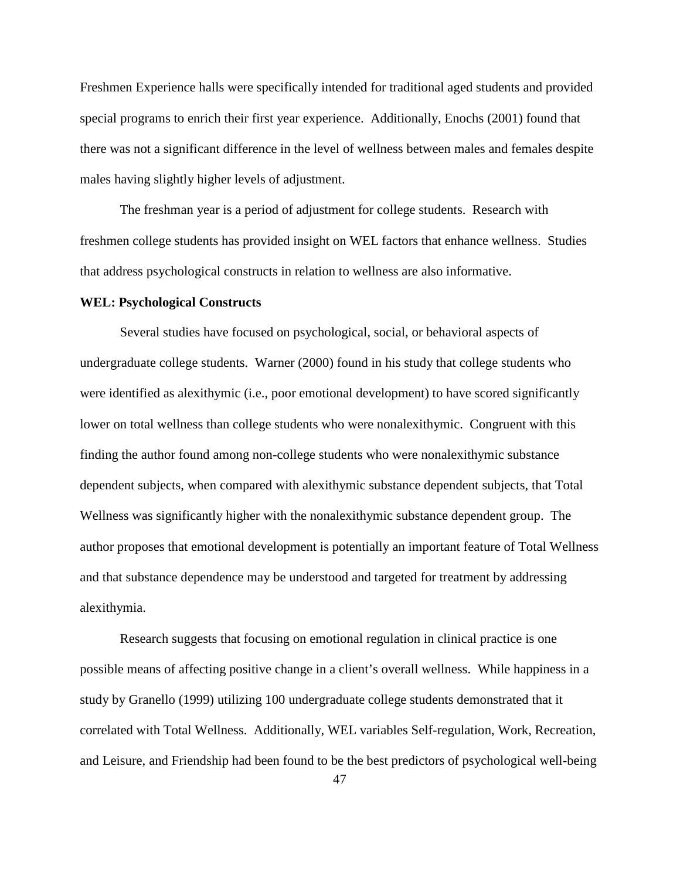Freshmen Experience halls were specifically intended for traditional aged students and provided special programs to enrich their first year experience. Additionally, Enochs (2001) found that there was not a significant difference in the level of wellness between males and females despite males having slightly higher levels of adjustment.

The freshman year is a period of adjustment for college students. Research with freshmen college students has provided insight on WEL factors that enhance wellness. Studies that address psychological constructs in relation to wellness are also informative.

## **WEL: Psychological Constructs**

Several studies have focused on psychological, social, or behavioral aspects of undergraduate college students. Warner (2000) found in his study that college students who were identified as alexithymic (i.e., poor emotional development) to have scored significantly lower on total wellness than college students who were nonalexithymic. Congruent with this finding the author found among non-college students who were nonalexithymic substance dependent subjects, when compared with alexithymic substance dependent subjects, that Total Wellness was significantly higher with the nonalexithymic substance dependent group. The author proposes that emotional development is potentially an important feature of Total Wellness and that substance dependence may be understood and targeted for treatment by addressing alexithymia.

Research suggests that focusing on emotional regulation in clinical practice is one possible means of affecting positive change in a client's overall wellness. While happiness in a study by Granello (1999) utilizing 100 undergraduate college students demonstrated that it correlated with Total Wellness. Additionally, WEL variables Self-regulation, Work, Recreation, and Leisure, and Friendship had been found to be the best predictors of psychological well-being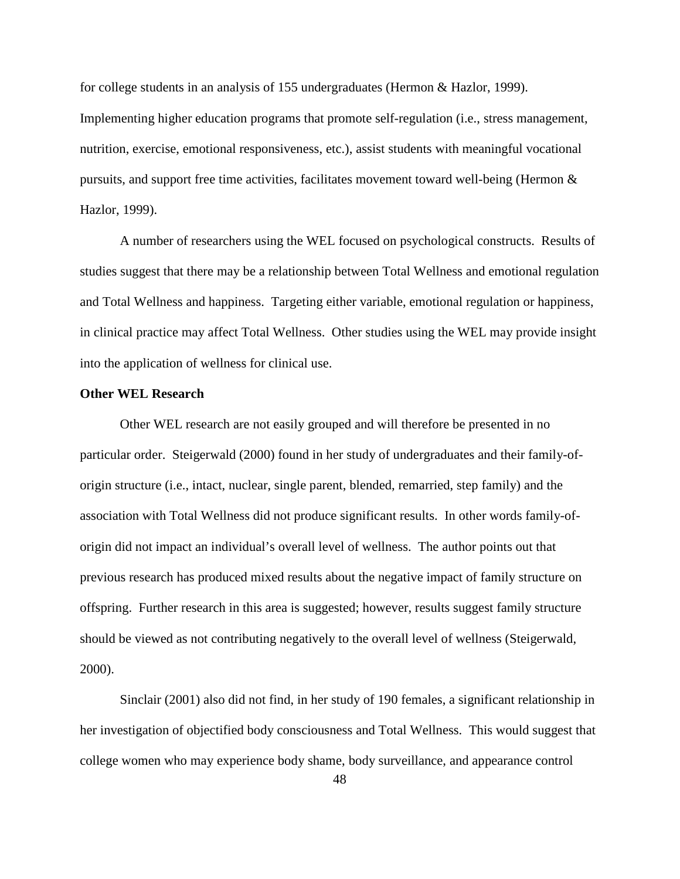for college students in an analysis of 155 undergraduates (Hermon & Hazlor, 1999). Implementing higher education programs that promote self-regulation (i.e., stress management, nutrition, exercise, emotional responsiveness, etc.), assist students with meaningful vocational pursuits, and support free time activities, facilitates movement toward well-being (Hermon & Hazlor, 1999).

A number of researchers using the WEL focused on psychological constructs. Results of studies suggest that there may be a relationship between Total Wellness and emotional regulation and Total Wellness and happiness. Targeting either variable, emotional regulation or happiness, in clinical practice may affect Total Wellness. Other studies using the WEL may provide insight into the application of wellness for clinical use.

## **Other WEL Research**

 Other WEL research are not easily grouped and will therefore be presented in no particular order. Steigerwald (2000) found in her study of undergraduates and their family-oforigin structure (i.e., intact, nuclear, single parent, blended, remarried, step family) and the association with Total Wellness did not produce significant results. In other words family-oforigin did not impact an individual's overall level of wellness. The author points out that previous research has produced mixed results about the negative impact of family structure on offspring. Further research in this area is suggested; however, results suggest family structure should be viewed as not contributing negatively to the overall level of wellness (Steigerwald, 2000).

Sinclair (2001) also did not find, in her study of 190 females, a significant relationship in her investigation of objectified body consciousness and Total Wellness. This would suggest that college women who may experience body shame, body surveillance, and appearance control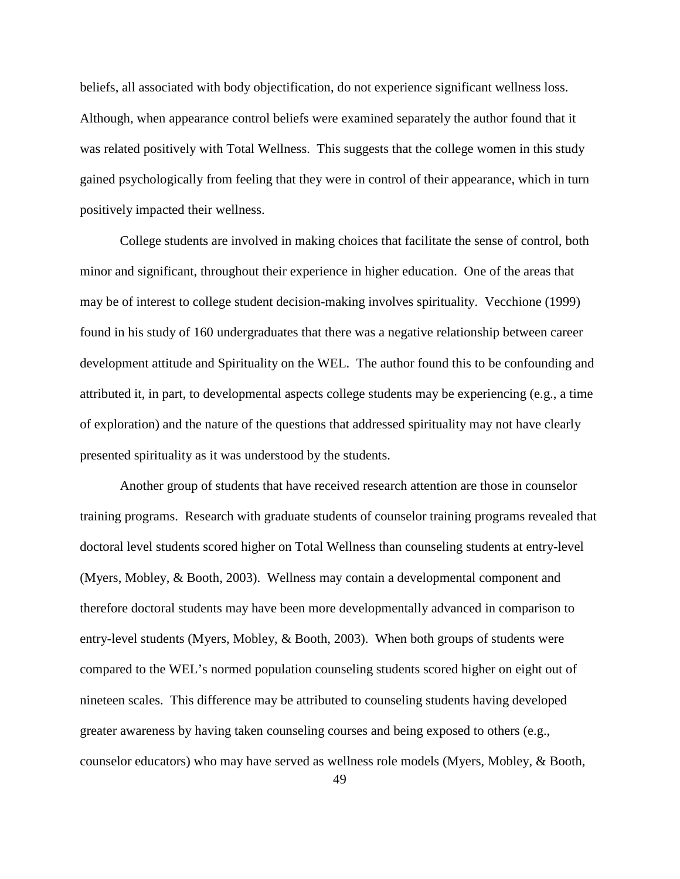beliefs, all associated with body objectification, do not experience significant wellness loss. Although, when appearance control beliefs were examined separately the author found that it was related positively with Total Wellness. This suggests that the college women in this study gained psychologically from feeling that they were in control of their appearance, which in turn positively impacted their wellness.

College students are involved in making choices that facilitate the sense of control, both minor and significant, throughout their experience in higher education. One of the areas that may be of interest to college student decision-making involves spirituality. Vecchione (1999) found in his study of 160 undergraduates that there was a negative relationship between career development attitude and Spirituality on the WEL. The author found this to be confounding and attributed it, in part, to developmental aspects college students may be experiencing (e.g., a time of exploration) and the nature of the questions that addressed spirituality may not have clearly presented spirituality as it was understood by the students.

Another group of students that have received research attention are those in counselor training programs. Research with graduate students of counselor training programs revealed that doctoral level students scored higher on Total Wellness than counseling students at entry-level (Myers, Mobley, & Booth, 2003). Wellness may contain a developmental component and therefore doctoral students may have been more developmentally advanced in comparison to entry-level students (Myers, Mobley, & Booth, 2003). When both groups of students were compared to the WEL's normed population counseling students scored higher on eight out of nineteen scales. This difference may be attributed to counseling students having developed greater awareness by having taken counseling courses and being exposed to others (e.g., counselor educators) who may have served as wellness role models (Myers, Mobley, & Booth,

49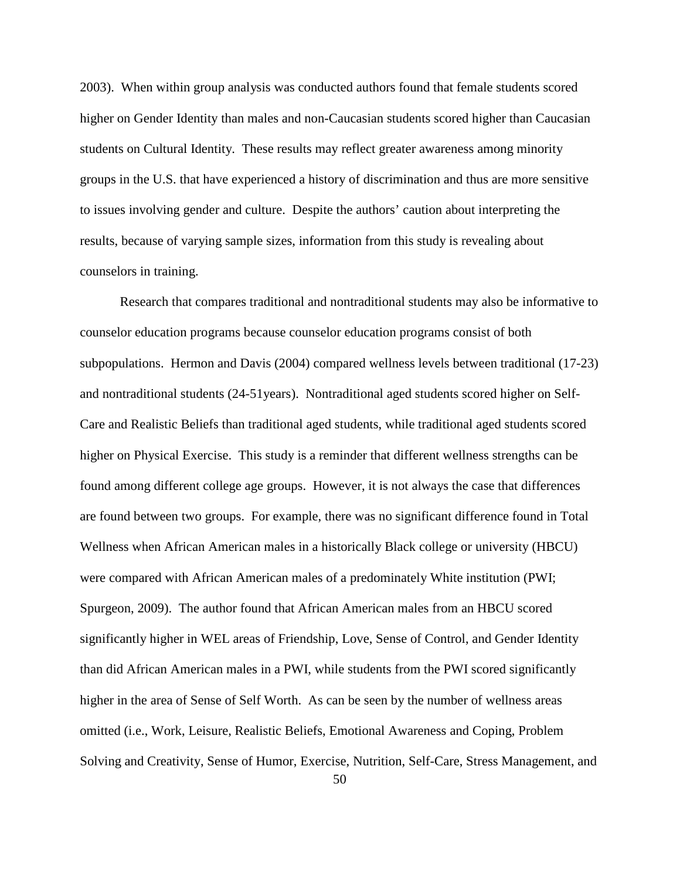2003). When within group analysis was conducted authors found that female students scored higher on Gender Identity than males and non-Caucasian students scored higher than Caucasian students on Cultural Identity. These results may reflect greater awareness among minority groups in the U.S. that have experienced a history of discrimination and thus are more sensitive to issues involving gender and culture. Despite the authors' caution about interpreting the results, because of varying sample sizes, information from this study is revealing about counselors in training.

Research that compares traditional and nontraditional students may also be informative to counselor education programs because counselor education programs consist of both subpopulations. Hermon and Davis (2004) compared wellness levels between traditional (17-23) and nontraditional students (24-51years). Nontraditional aged students scored higher on Self-Care and Realistic Beliefs than traditional aged students, while traditional aged students scored higher on Physical Exercise. This study is a reminder that different wellness strengths can be found among different college age groups. However, it is not always the case that differences are found between two groups. For example, there was no significant difference found in Total Wellness when African American males in a historically Black college or university (HBCU) were compared with African American males of a predominately White institution (PWI; Spurgeon, 2009). The author found that African American males from an HBCU scored significantly higher in WEL areas of Friendship, Love, Sense of Control, and Gender Identity than did African American males in a PWI, while students from the PWI scored significantly higher in the area of Sense of Self Worth. As can be seen by the number of wellness areas omitted (i.e., Work, Leisure, Realistic Beliefs, Emotional Awareness and Coping, Problem Solving and Creativity, Sense of Humor, Exercise, Nutrition, Self-Care, Stress Management, and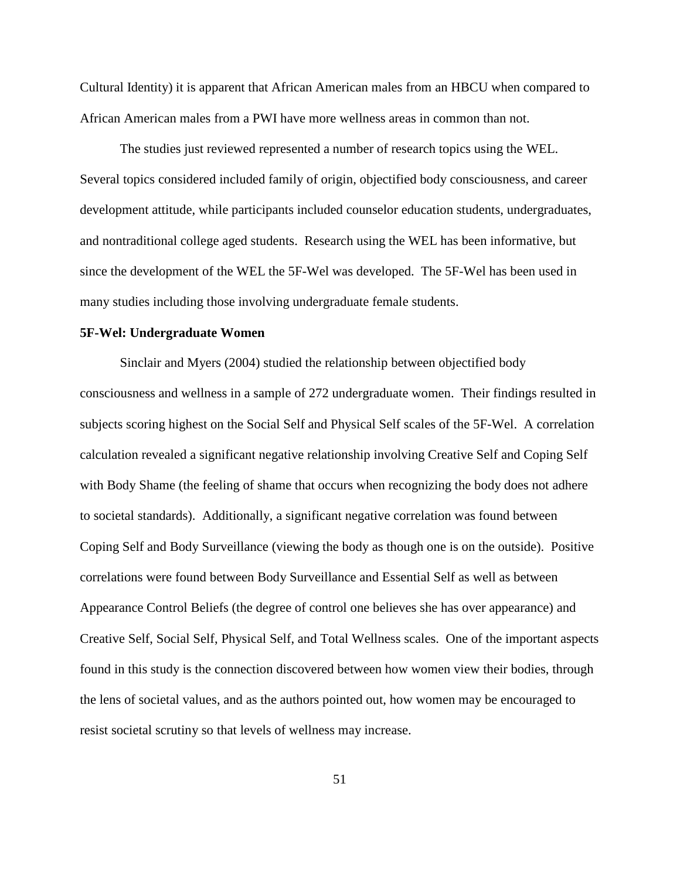Cultural Identity) it is apparent that African American males from an HBCU when compared to African American males from a PWI have more wellness areas in common than not.

The studies just reviewed represented a number of research topics using the WEL. Several topics considered included family of origin, objectified body consciousness, and career development attitude, while participants included counselor education students, undergraduates, and nontraditional college aged students. Research using the WEL has been informative, but since the development of the WEL the 5F-Wel was developed. The 5F-Wel has been used in many studies including those involving undergraduate female students.

# **5F-Wel: Undergraduate Women**

Sinclair and Myers (2004) studied the relationship between objectified body consciousness and wellness in a sample of 272 undergraduate women. Their findings resulted in subjects scoring highest on the Social Self and Physical Self scales of the 5F-Wel. A correlation calculation revealed a significant negative relationship involving Creative Self and Coping Self with Body Shame (the feeling of shame that occurs when recognizing the body does not adhere to societal standards). Additionally, a significant negative correlation was found between Coping Self and Body Surveillance (viewing the body as though one is on the outside). Positive correlations were found between Body Surveillance and Essential Self as well as between Appearance Control Beliefs (the degree of control one believes she has over appearance) and Creative Self, Social Self, Physical Self, and Total Wellness scales. One of the important aspects found in this study is the connection discovered between how women view their bodies, through the lens of societal values, and as the authors pointed out, how women may be encouraged to resist societal scrutiny so that levels of wellness may increase.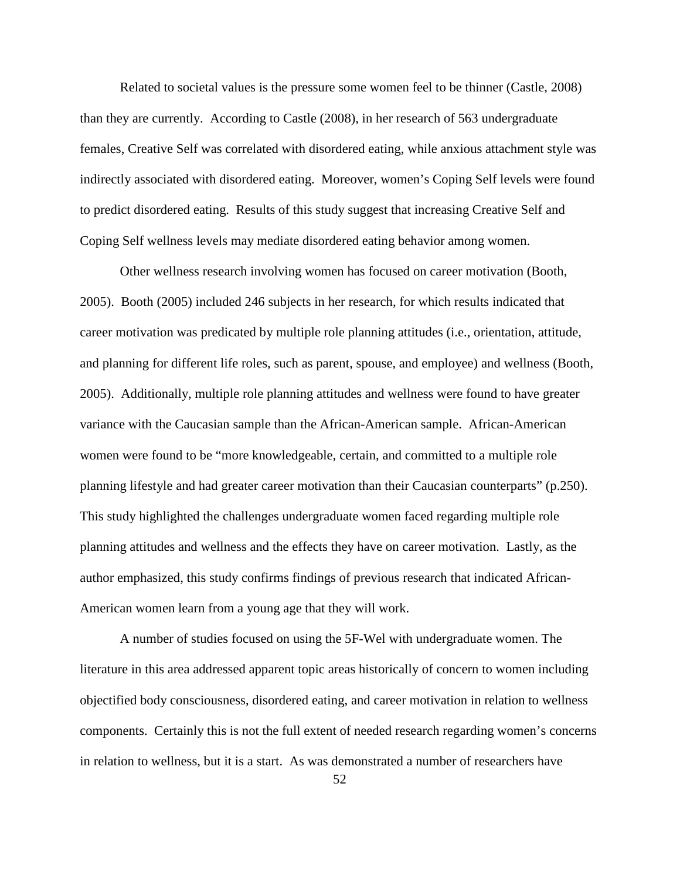Related to societal values is the pressure some women feel to be thinner (Castle, 2008) than they are currently. According to Castle (2008), in her research of 563 undergraduate females, Creative Self was correlated with disordered eating, while anxious attachment style was indirectly associated with disordered eating. Moreover, women's Coping Self levels were found to predict disordered eating. Results of this study suggest that increasing Creative Self and Coping Self wellness levels may mediate disordered eating behavior among women.

Other wellness research involving women has focused on career motivation (Booth, 2005). Booth (2005) included 246 subjects in her research, for which results indicated that career motivation was predicated by multiple role planning attitudes (i.e., orientation, attitude, and planning for different life roles, such as parent, spouse, and employee) and wellness (Booth, 2005). Additionally, multiple role planning attitudes and wellness were found to have greater variance with the Caucasian sample than the African-American sample. African-American women were found to be "more knowledgeable, certain, and committed to a multiple role planning lifestyle and had greater career motivation than their Caucasian counterparts" (p.250). This study highlighted the challenges undergraduate women faced regarding multiple role planning attitudes and wellness and the effects they have on career motivation. Lastly, as the author emphasized, this study confirms findings of previous research that indicated African-American women learn from a young age that they will work.

A number of studies focused on using the 5F-Wel with undergraduate women. The literature in this area addressed apparent topic areas historically of concern to women including objectified body consciousness, disordered eating, and career motivation in relation to wellness components. Certainly this is not the full extent of needed research regarding women's concerns in relation to wellness, but it is a start. As was demonstrated a number of researchers have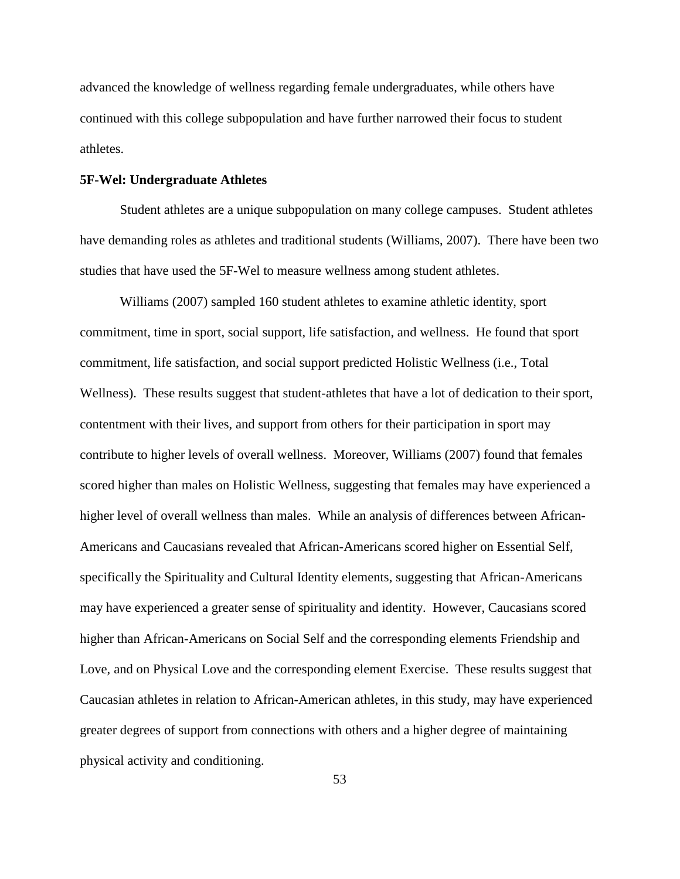advanced the knowledge of wellness regarding female undergraduates, while others have continued with this college subpopulation and have further narrowed their focus to student athletes.

# **5F-Wel: Undergraduate Athletes**

Student athletes are a unique subpopulation on many college campuses. Student athletes have demanding roles as athletes and traditional students (Williams, 2007). There have been two studies that have used the 5F-Wel to measure wellness among student athletes.

Williams (2007) sampled 160 student athletes to examine athletic identity, sport commitment, time in sport, social support, life satisfaction, and wellness. He found that sport commitment, life satisfaction, and social support predicted Holistic Wellness (i.e., Total Wellness). These results suggest that student-athletes that have a lot of dedication to their sport, contentment with their lives, and support from others for their participation in sport may contribute to higher levels of overall wellness. Moreover, Williams (2007) found that females scored higher than males on Holistic Wellness, suggesting that females may have experienced a higher level of overall wellness than males. While an analysis of differences between African-Americans and Caucasians revealed that African-Americans scored higher on Essential Self, specifically the Spirituality and Cultural Identity elements, suggesting that African-Americans may have experienced a greater sense of spirituality and identity. However, Caucasians scored higher than African-Americans on Social Self and the corresponding elements Friendship and Love, and on Physical Love and the corresponding element Exercise. These results suggest that Caucasian athletes in relation to African-American athletes, in this study, may have experienced greater degrees of support from connections with others and a higher degree of maintaining physical activity and conditioning.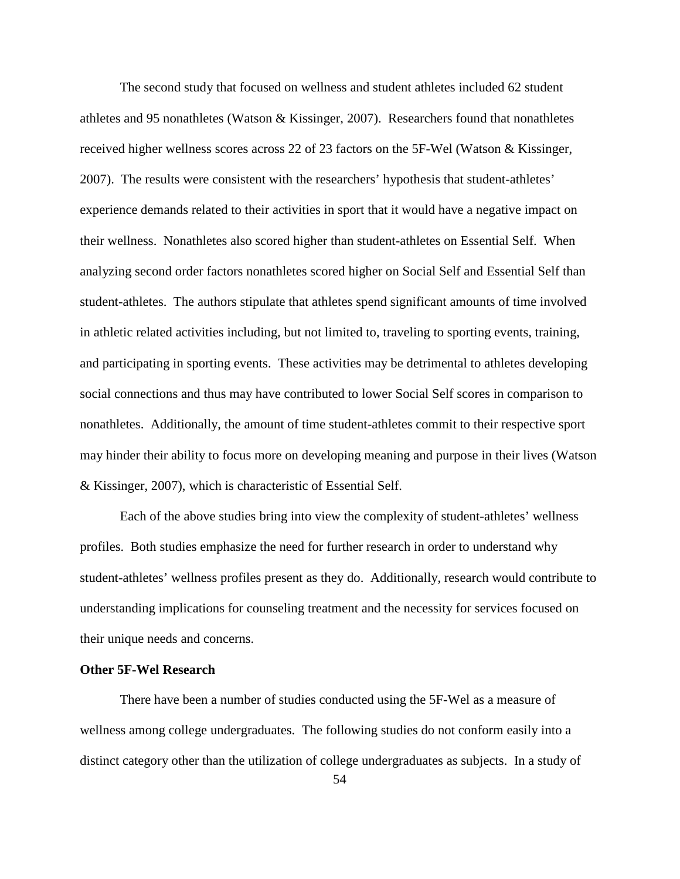The second study that focused on wellness and student athletes included 62 student athletes and 95 nonathletes (Watson & Kissinger, 2007). Researchers found that nonathletes received higher wellness scores across 22 of 23 factors on the 5F-Wel (Watson & Kissinger, 2007). The results were consistent with the researchers' hypothesis that student-athletes' experience demands related to their activities in sport that it would have a negative impact on their wellness. Nonathletes also scored higher than student-athletes on Essential Self. When analyzing second order factors nonathletes scored higher on Social Self and Essential Self than student-athletes. The authors stipulate that athletes spend significant amounts of time involved in athletic related activities including, but not limited to, traveling to sporting events, training, and participating in sporting events. These activities may be detrimental to athletes developing social connections and thus may have contributed to lower Social Self scores in comparison to nonathletes. Additionally, the amount of time student-athletes commit to their respective sport may hinder their ability to focus more on developing meaning and purpose in their lives (Watson & Kissinger, 2007), which is characteristic of Essential Self.

Each of the above studies bring into view the complexity of student-athletes' wellness profiles. Both studies emphasize the need for further research in order to understand why student-athletes' wellness profiles present as they do. Additionally, research would contribute to understanding implications for counseling treatment and the necessity for services focused on their unique needs and concerns.

## **Other 5F-Wel Research**

There have been a number of studies conducted using the 5F-Wel as a measure of wellness among college undergraduates. The following studies do not conform easily into a distinct category other than the utilization of college undergraduates as subjects. In a study of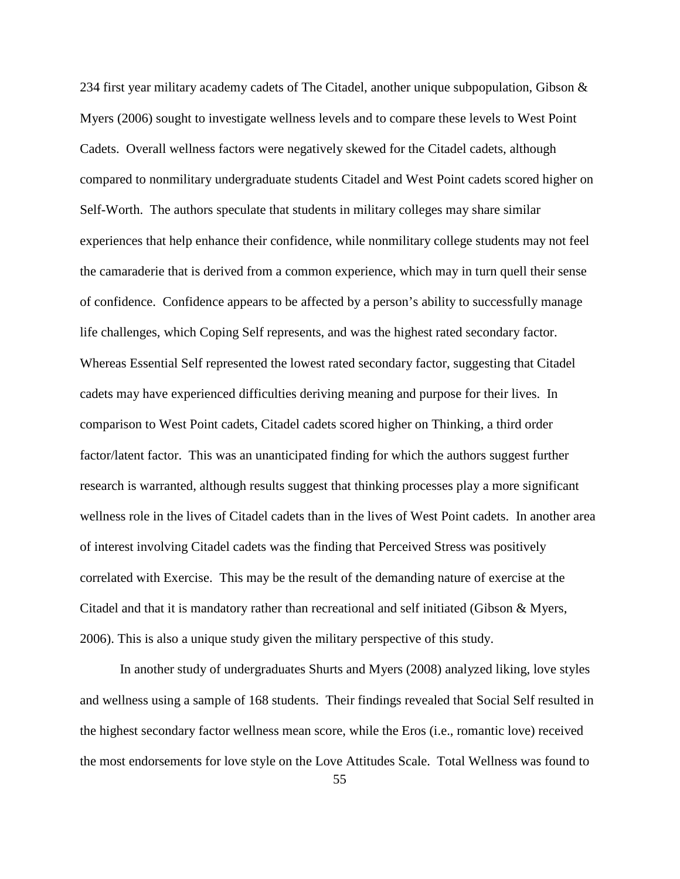234 first year military academy cadets of The Citadel, another unique subpopulation, Gibson  $\&$ Myers (2006) sought to investigate wellness levels and to compare these levels to West Point Cadets. Overall wellness factors were negatively skewed for the Citadel cadets, although compared to nonmilitary undergraduate students Citadel and West Point cadets scored higher on Self-Worth. The authors speculate that students in military colleges may share similar experiences that help enhance their confidence, while nonmilitary college students may not feel the camaraderie that is derived from a common experience, which may in turn quell their sense of confidence. Confidence appears to be affected by a person's ability to successfully manage life challenges, which Coping Self represents, and was the highest rated secondary factor. Whereas Essential Self represented the lowest rated secondary factor, suggesting that Citadel cadets may have experienced difficulties deriving meaning and purpose for their lives. In comparison to West Point cadets, Citadel cadets scored higher on Thinking, a third order factor/latent factor. This was an unanticipated finding for which the authors suggest further research is warranted, although results suggest that thinking processes play a more significant wellness role in the lives of Citadel cadets than in the lives of West Point cadets. In another area of interest involving Citadel cadets was the finding that Perceived Stress was positively correlated with Exercise. This may be the result of the demanding nature of exercise at the Citadel and that it is mandatory rather than recreational and self initiated (Gibson & Myers, 2006). This is also a unique study given the military perspective of this study.

In another study of undergraduates Shurts and Myers (2008) analyzed liking, love styles and wellness using a sample of 168 students. Their findings revealed that Social Self resulted in the highest secondary factor wellness mean score, while the Eros (i.e., romantic love) received the most endorsements for love style on the Love Attitudes Scale. Total Wellness was found to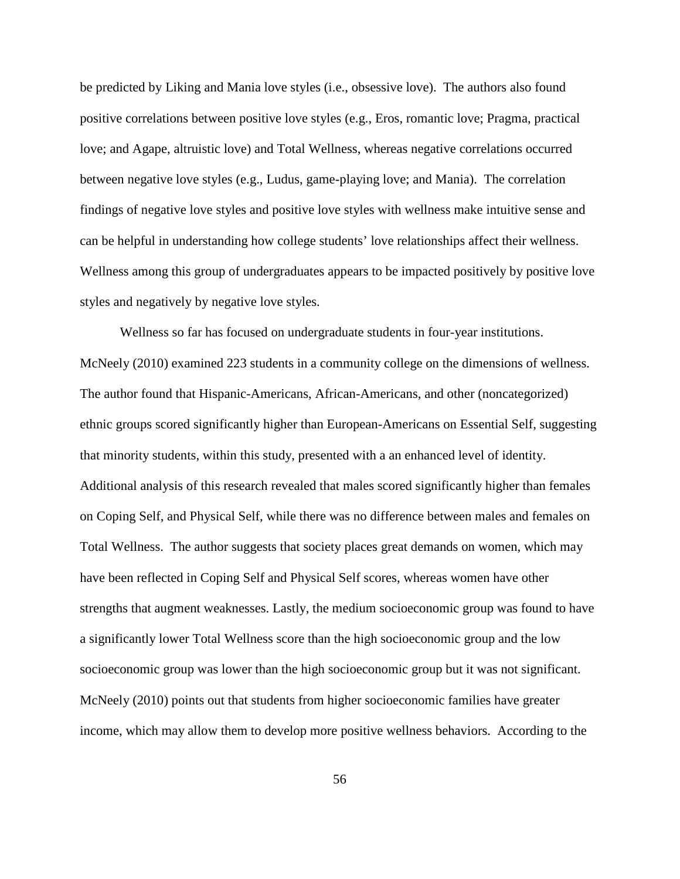be predicted by Liking and Mania love styles (i.e., obsessive love). The authors also found positive correlations between positive love styles (e.g., Eros, romantic love; Pragma, practical love; and Agape, altruistic love) and Total Wellness, whereas negative correlations occurred between negative love styles (e.g., Ludus, game-playing love; and Mania). The correlation findings of negative love styles and positive love styles with wellness make intuitive sense and can be helpful in understanding how college students' love relationships affect their wellness. Wellness among this group of undergraduates appears to be impacted positively by positive love styles and negatively by negative love styles.

Wellness so far has focused on undergraduate students in four-year institutions. McNeely (2010) examined 223 students in a community college on the dimensions of wellness. The author found that Hispanic-Americans, African-Americans, and other (noncategorized) ethnic groups scored significantly higher than European-Americans on Essential Self, suggesting that minority students, within this study, presented with a an enhanced level of identity. Additional analysis of this research revealed that males scored significantly higher than females on Coping Self, and Physical Self, while there was no difference between males and females on Total Wellness. The author suggests that society places great demands on women, which may have been reflected in Coping Self and Physical Self scores, whereas women have other strengths that augment weaknesses. Lastly, the medium socioeconomic group was found to have a significantly lower Total Wellness score than the high socioeconomic group and the low socioeconomic group was lower than the high socioeconomic group but it was not significant. McNeely (2010) points out that students from higher socioeconomic families have greater income, which may allow them to develop more positive wellness behaviors. According to the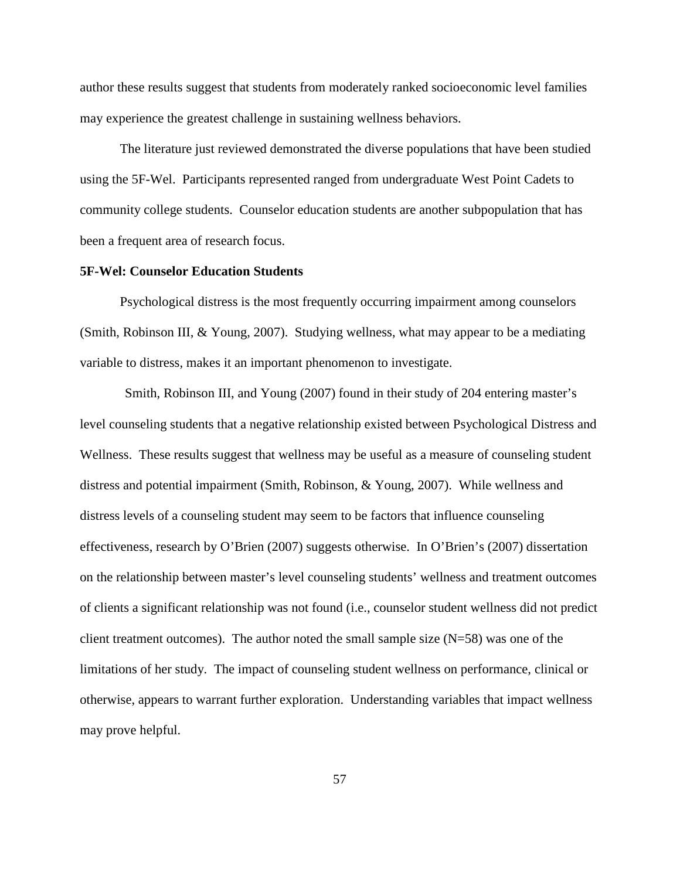author these results suggest that students from moderately ranked socioeconomic level families may experience the greatest challenge in sustaining wellness behaviors.

The literature just reviewed demonstrated the diverse populations that have been studied using the 5F-Wel. Participants represented ranged from undergraduate West Point Cadets to community college students. Counselor education students are another subpopulation that has been a frequent area of research focus.

# **5F-Wel: Counselor Education Students**

Psychological distress is the most frequently occurring impairment among counselors (Smith, Robinson III, & Young, 2007). Studying wellness, what may appear to be a mediating variable to distress, makes it an important phenomenon to investigate.

 Smith, Robinson III, and Young (2007) found in their study of 204 entering master's level counseling students that a negative relationship existed between Psychological Distress and Wellness. These results suggest that wellness may be useful as a measure of counseling student distress and potential impairment (Smith, Robinson, & Young, 2007). While wellness and distress levels of a counseling student may seem to be factors that influence counseling effectiveness, research by O'Brien (2007) suggests otherwise. In O'Brien's (2007) dissertation on the relationship between master's level counseling students' wellness and treatment outcomes of clients a significant relationship was not found (i.e., counselor student wellness did not predict client treatment outcomes). The author noted the small sample size  $(N=58)$  was one of the limitations of her study. The impact of counseling student wellness on performance, clinical or otherwise, appears to warrant further exploration. Understanding variables that impact wellness may prove helpful.

57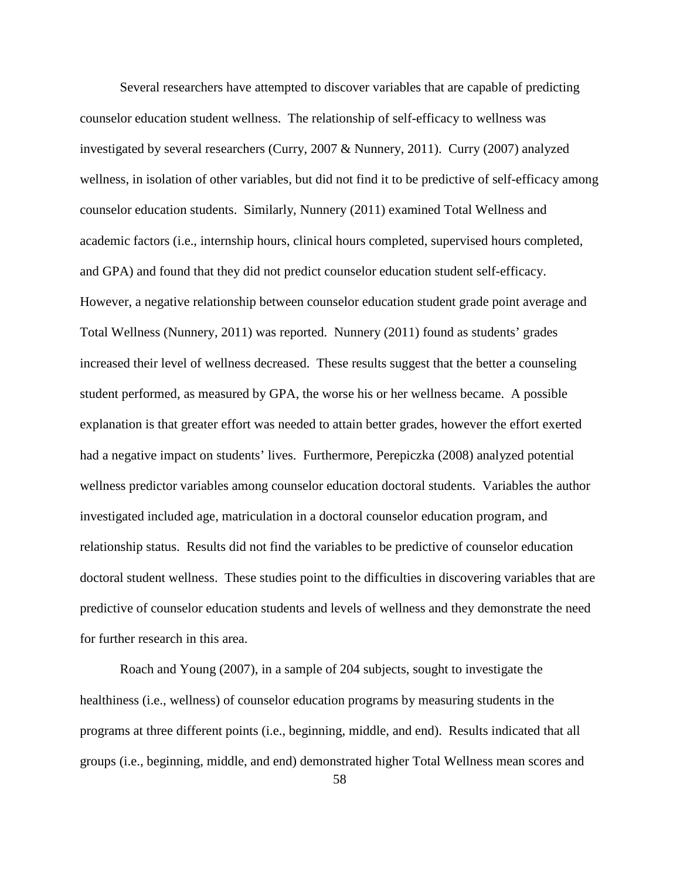Several researchers have attempted to discover variables that are capable of predicting counselor education student wellness. The relationship of self-efficacy to wellness was investigated by several researchers (Curry, 2007 & Nunnery, 2011). Curry (2007) analyzed wellness, in isolation of other variables, but did not find it to be predictive of self-efficacy among counselor education students. Similarly, Nunnery (2011) examined Total Wellness and academic factors (i.e., internship hours, clinical hours completed, supervised hours completed, and GPA) and found that they did not predict counselor education student self-efficacy. However, a negative relationship between counselor education student grade point average and Total Wellness (Nunnery, 2011) was reported. Nunnery (2011) found as students' grades increased their level of wellness decreased. These results suggest that the better a counseling student performed, as measured by GPA, the worse his or her wellness became. A possible explanation is that greater effort was needed to attain better grades, however the effort exerted had a negative impact on students' lives. Furthermore, Perepiczka (2008) analyzed potential wellness predictor variables among counselor education doctoral students. Variables the author investigated included age, matriculation in a doctoral counselor education program, and relationship status. Results did not find the variables to be predictive of counselor education doctoral student wellness. These studies point to the difficulties in discovering variables that are predictive of counselor education students and levels of wellness and they demonstrate the need for further research in this area.

Roach and Young (2007), in a sample of 204 subjects, sought to investigate the healthiness (i.e., wellness) of counselor education programs by measuring students in the programs at three different points (i.e., beginning, middle, and end). Results indicated that all groups (i.e., beginning, middle, and end) demonstrated higher Total Wellness mean scores and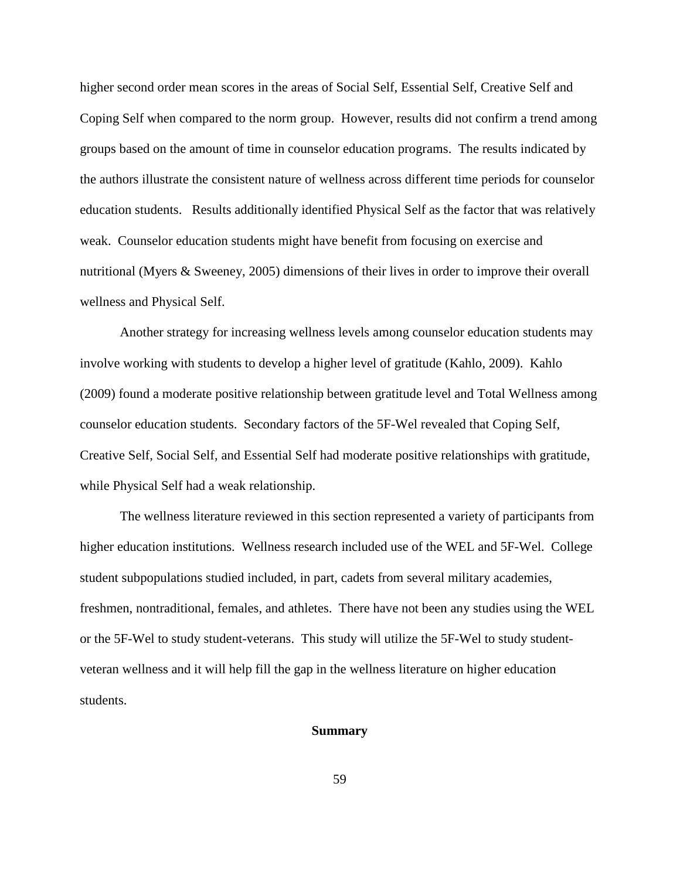higher second order mean scores in the areas of Social Self, Essential Self, Creative Self and Coping Self when compared to the norm group. However, results did not confirm a trend among groups based on the amount of time in counselor education programs. The results indicated by the authors illustrate the consistent nature of wellness across different time periods for counselor education students. Results additionally identified Physical Self as the factor that was relatively weak. Counselor education students might have benefit from focusing on exercise and nutritional (Myers & Sweeney, 2005) dimensions of their lives in order to improve their overall wellness and Physical Self.

Another strategy for increasing wellness levels among counselor education students may involve working with students to develop a higher level of gratitude (Kahlo, 2009). Kahlo (2009) found a moderate positive relationship between gratitude level and Total Wellness among counselor education students. Secondary factors of the 5F-Wel revealed that Coping Self, Creative Self, Social Self, and Essential Self had moderate positive relationships with gratitude, while Physical Self had a weak relationship.

The wellness literature reviewed in this section represented a variety of participants from higher education institutions. Wellness research included use of the WEL and 5F-Wel. College student subpopulations studied included, in part, cadets from several military academies, freshmen, nontraditional, females, and athletes. There have not been any studies using the WEL or the 5F-Wel to study student-veterans. This study will utilize the 5F-Wel to study studentveteran wellness and it will help fill the gap in the wellness literature on higher education students.

# **Summary**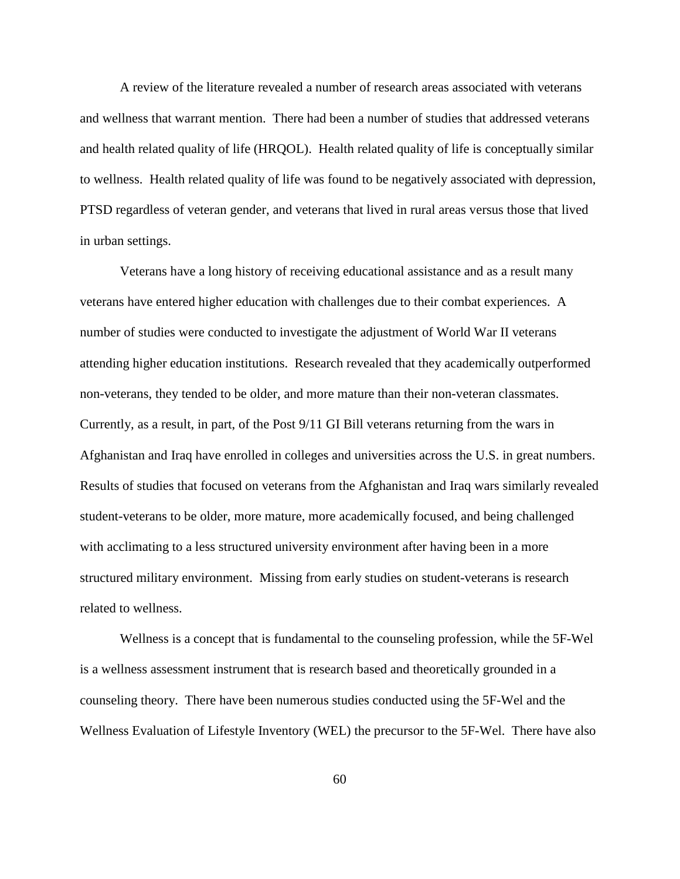A review of the literature revealed a number of research areas associated with veterans and wellness that warrant mention. There had been a number of studies that addressed veterans and health related quality of life (HRQOL). Health related quality of life is conceptually similar to wellness. Health related quality of life was found to be negatively associated with depression, PTSD regardless of veteran gender, and veterans that lived in rural areas versus those that lived in urban settings.

 Veterans have a long history of receiving educational assistance and as a result many veterans have entered higher education with challenges due to their combat experiences. A number of studies were conducted to investigate the adjustment of World War II veterans attending higher education institutions. Research revealed that they academically outperformed non-veterans, they tended to be older, and more mature than their non-veteran classmates. Currently, as a result, in part, of the Post 9/11 GI Bill veterans returning from the wars in Afghanistan and Iraq have enrolled in colleges and universities across the U.S. in great numbers. Results of studies that focused on veterans from the Afghanistan and Iraq wars similarly revealed student-veterans to be older, more mature, more academically focused, and being challenged with acclimating to a less structured university environment after having been in a more structured military environment. Missing from early studies on student-veterans is research related to wellness.

 Wellness is a concept that is fundamental to the counseling profession, while the 5F-Wel is a wellness assessment instrument that is research based and theoretically grounded in a counseling theory. There have been numerous studies conducted using the 5F-Wel and the Wellness Evaluation of Lifestyle Inventory (WEL) the precursor to the 5F-Wel. There have also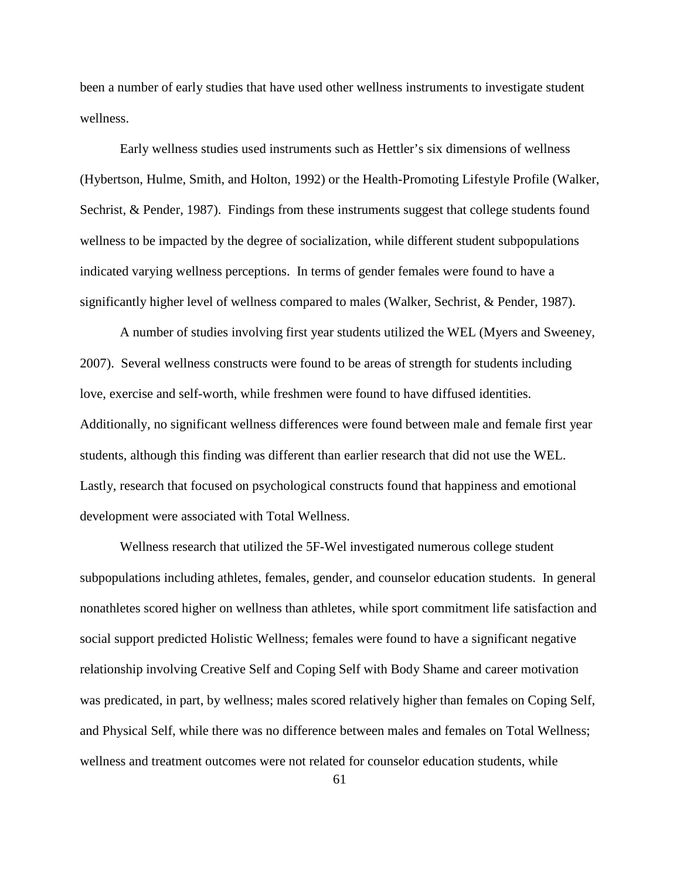been a number of early studies that have used other wellness instruments to investigate student wellness.

Early wellness studies used instruments such as Hettler's six dimensions of wellness (Hybertson, Hulme, Smith, and Holton, 1992) or the Health-Promoting Lifestyle Profile (Walker, Sechrist, & Pender, 1987). Findings from these instruments suggest that college students found wellness to be impacted by the degree of socialization, while different student subpopulations indicated varying wellness perceptions. In terms of gender females were found to have a significantly higher level of wellness compared to males (Walker, Sechrist, & Pender, 1987).

 A number of studies involving first year students utilized the WEL (Myers and Sweeney, 2007). Several wellness constructs were found to be areas of strength for students including love, exercise and self-worth, while freshmen were found to have diffused identities. Additionally, no significant wellness differences were found between male and female first year students, although this finding was different than earlier research that did not use the WEL. Lastly, research that focused on psychological constructs found that happiness and emotional development were associated with Total Wellness.

Wellness research that utilized the 5F-Wel investigated numerous college student subpopulations including athletes, females, gender, and counselor education students. In general nonathletes scored higher on wellness than athletes, while sport commitment life satisfaction and social support predicted Holistic Wellness; females were found to have a significant negative relationship involving Creative Self and Coping Self with Body Shame and career motivation was predicated, in part, by wellness; males scored relatively higher than females on Coping Self, and Physical Self, while there was no difference between males and females on Total Wellness; wellness and treatment outcomes were not related for counselor education students, while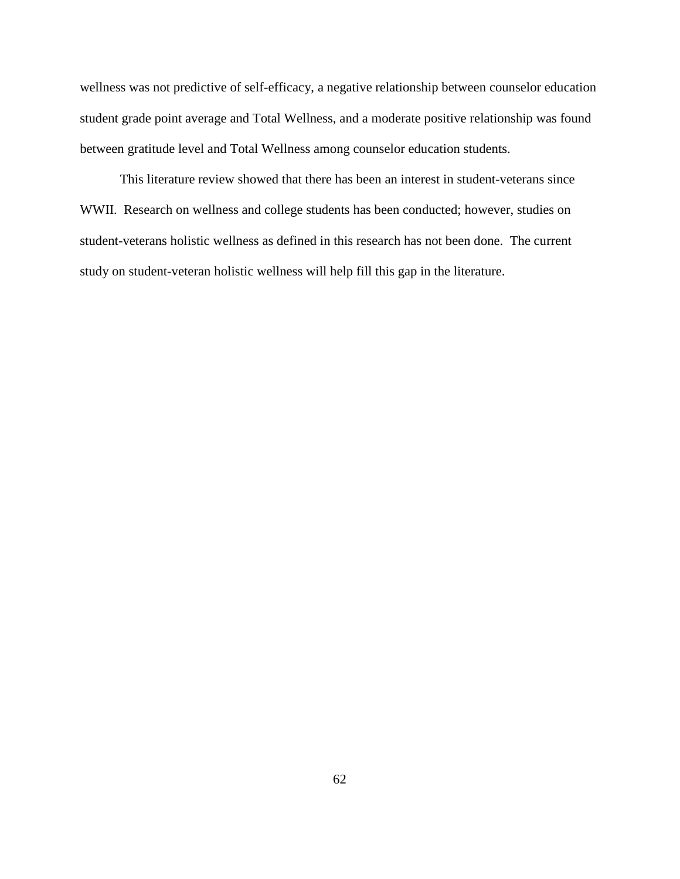wellness was not predictive of self-efficacy, a negative relationship between counselor education student grade point average and Total Wellness, and a moderate positive relationship was found between gratitude level and Total Wellness among counselor education students.

 This literature review showed that there has been an interest in student-veterans since WWII. Research on wellness and college students has been conducted; however, studies on student-veterans holistic wellness as defined in this research has not been done. The current study on student-veteran holistic wellness will help fill this gap in the literature.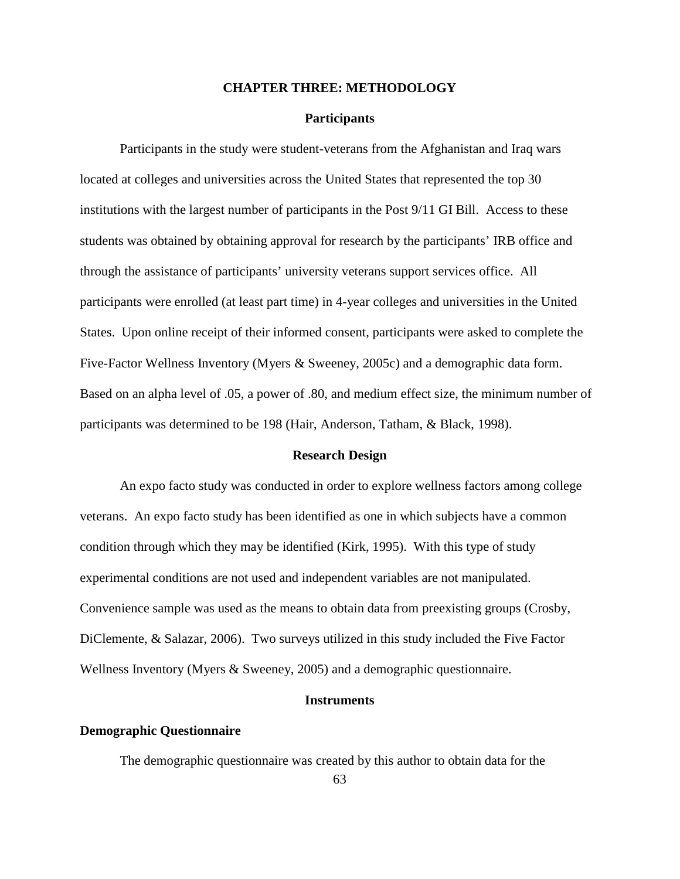## **CHAPTER THREE: METHODOLOGY**

# **Participants**

 Participants in the study were student-veterans from the Afghanistan and Iraq wars located at colleges and universities across the United States that represented the top 30 institutions with the largest number of participants in the Post 9/11 GI Bill. Access to these students was obtained by obtaining approval for research by the participants' IRB office and through the assistance of participants' university veterans support services office. All participants were enrolled (at least part time) in 4-year colleges and universities in the United States. Upon online receipt of their informed consent, participants were asked to complete the Five-Factor Wellness Inventory (Myers & Sweeney, 2005c) and a demographic data form. Based on an alpha level of .05, a power of .80, and medium effect size, the minimum number of participants was determined to be 198 (Hair, Anderson, Tatham, & Black, 1998).

#### **Research Design**

 An expo facto study was conducted in order to explore wellness factors among college veterans. An expo facto study has been identified as one in which subjects have a common condition through which they may be identified (Kirk, 1995). With this type of study experimental conditions are not used and independent variables are not manipulated. Convenience sample was used as the means to obtain data from preexisting groups (Crosby, DiClemente, & Salazar, 2006). Two surveys utilized in this study included the Five Factor Wellness Inventory (Myers & Sweeney, 2005) and a demographic questionnaire.

#### **Instruments**

## **Demographic Questionnaire**

The demographic questionnaire was created by this author to obtain data for the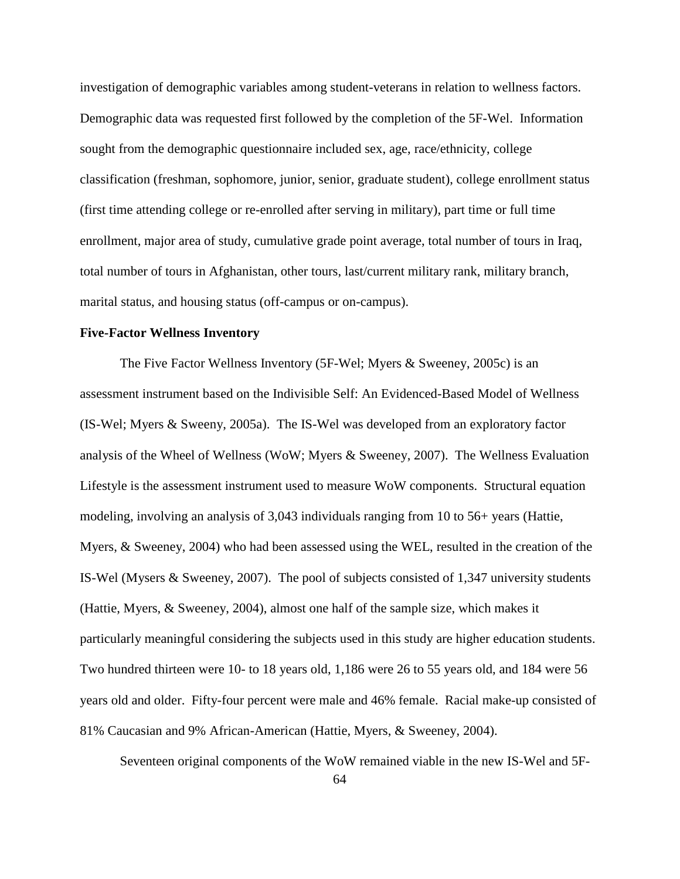investigation of demographic variables among student-veterans in relation to wellness factors. Demographic data was requested first followed by the completion of the 5F-Wel. Information sought from the demographic questionnaire included sex, age, race/ethnicity, college classification (freshman, sophomore, junior, senior, graduate student), college enrollment status (first time attending college or re-enrolled after serving in military), part time or full time enrollment, major area of study, cumulative grade point average, total number of tours in Iraq, total number of tours in Afghanistan, other tours, last/current military rank, military branch, marital status, and housing status (off-campus or on-campus).

## **Five-Factor Wellness Inventory**

 The Five Factor Wellness Inventory (5F-Wel; Myers & Sweeney, 2005c) is an assessment instrument based on the Indivisible Self: An Evidenced-Based Model of Wellness (IS-Wel; Myers & Sweeny, 2005a). The IS-Wel was developed from an exploratory factor analysis of the Wheel of Wellness (WoW; Myers & Sweeney, 2007). The Wellness Evaluation Lifestyle is the assessment instrument used to measure WoW components. Structural equation modeling, involving an analysis of 3,043 individuals ranging from 10 to 56+ years (Hattie, Myers, & Sweeney, 2004) who had been assessed using the WEL, resulted in the creation of the IS-Wel (Mysers & Sweeney, 2007). The pool of subjects consisted of 1,347 university students (Hattie, Myers, & Sweeney, 2004), almost one half of the sample size, which makes it particularly meaningful considering the subjects used in this study are higher education students. Two hundred thirteen were 10- to 18 years old, 1,186 were 26 to 55 years old, and 184 were 56 years old and older. Fifty-four percent were male and 46% female. Racial make-up consisted of 81% Caucasian and 9% African-American (Hattie, Myers, & Sweeney, 2004).

Seventeen original components of the WoW remained viable in the new IS-Wel and 5F-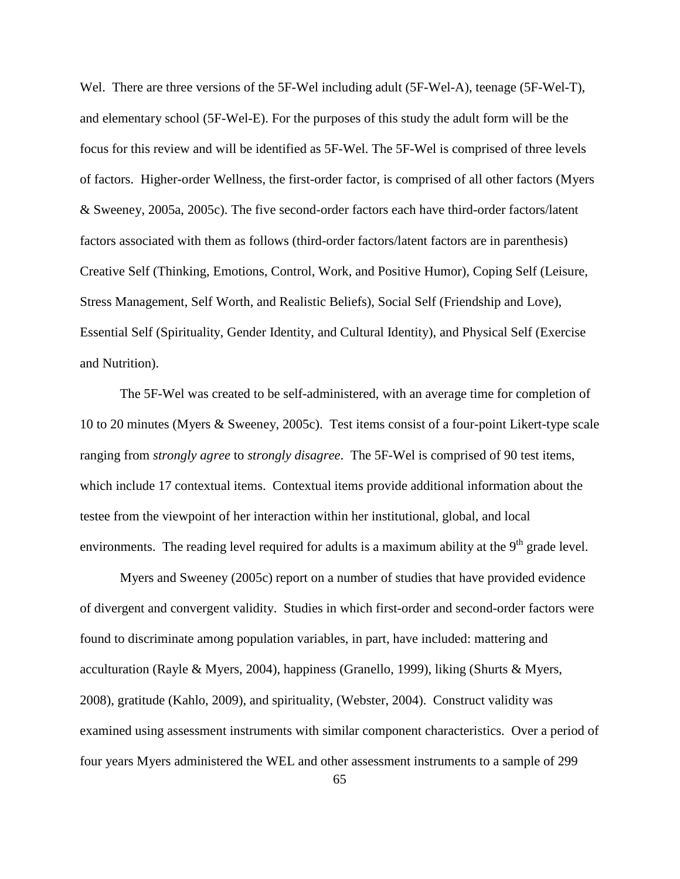Wel. There are three versions of the 5F-Wel including adult (5F-Wel-A), teenage (5F-Wel-T), and elementary school (5F-Wel-E). For the purposes of this study the adult form will be the focus for this review and will be identified as 5F-Wel. The 5F-Wel is comprised of three levels of factors. Higher-order Wellness, the first-order factor, is comprised of all other factors (Myers & Sweeney, 2005a, 2005c). The five second-order factors each have third-order factors/latent factors associated with them as follows (third-order factors/latent factors are in parenthesis) Creative Self (Thinking, Emotions, Control, Work, and Positive Humor), Coping Self (Leisure, Stress Management, Self Worth, and Realistic Beliefs), Social Self (Friendship and Love), Essential Self (Spirituality, Gender Identity, and Cultural Identity), and Physical Self (Exercise and Nutrition).

The 5F-Wel was created to be self-administered, with an average time for completion of 10 to 20 minutes (Myers & Sweeney, 2005c). Test items consist of a four-point Likert-type scale ranging from *strongly agree* to *strongly disagree*. The 5F-Wel is comprised of 90 test items, which include 17 contextual items. Contextual items provide additional information about the testee from the viewpoint of her interaction within her institutional, global, and local environments. The reading level required for adults is a maximum ability at the  $9<sup>th</sup>$  grade level.

Myers and Sweeney (2005c) report on a number of studies that have provided evidence of divergent and convergent validity. Studies in which first-order and second-order factors were found to discriminate among population variables, in part, have included: mattering and acculturation (Rayle & Myers, 2004), happiness (Granello, 1999), liking (Shurts & Myers, 2008), gratitude (Kahlo, 2009), and spirituality, (Webster, 2004). Construct validity was examined using assessment instruments with similar component characteristics. Over a period of four years Myers administered the WEL and other assessment instruments to a sample of 299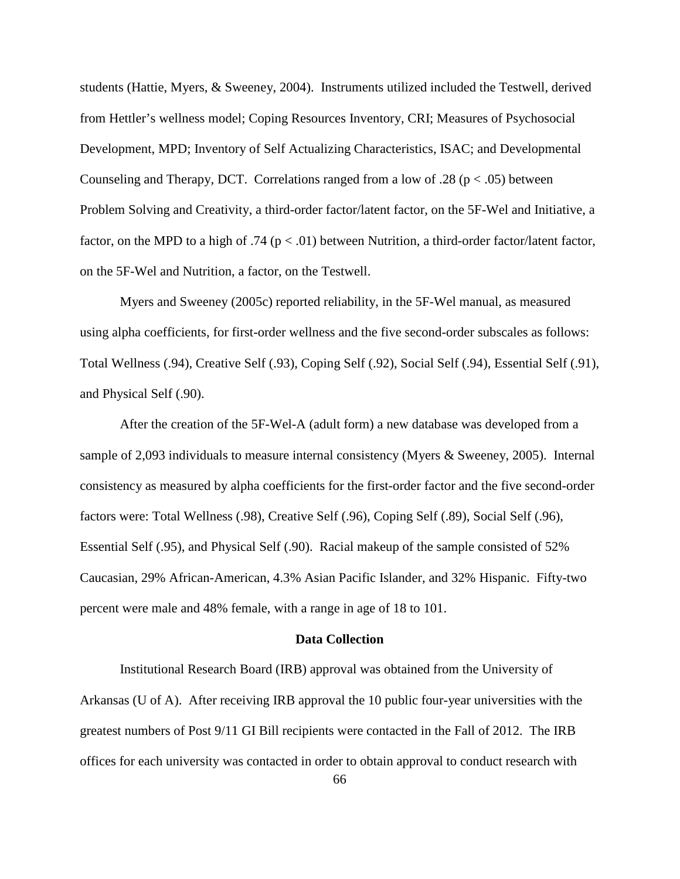students (Hattie, Myers, & Sweeney, 2004). Instruments utilized included the Testwell, derived from Hettler's wellness model; Coping Resources Inventory, CRI; Measures of Psychosocial Development, MPD; Inventory of Self Actualizing Characteristics, ISAC; and Developmental Counseling and Therapy, DCT. Correlations ranged from a low of .28 ( $p < .05$ ) between Problem Solving and Creativity, a third-order factor/latent factor, on the 5F-Wel and Initiative, a factor, on the MPD to a high of .74 ( $p < .01$ ) between Nutrition, a third-order factor/latent factor, on the 5F-Wel and Nutrition, a factor, on the Testwell.

Myers and Sweeney (2005c) reported reliability, in the 5F-Wel manual, as measured using alpha coefficients, for first-order wellness and the five second-order subscales as follows: Total Wellness (.94), Creative Self (.93), Coping Self (.92), Social Self (.94), Essential Self (.91), and Physical Self (.90).

After the creation of the 5F-Wel-A (adult form) a new database was developed from a sample of 2,093 individuals to measure internal consistency (Myers & Sweeney, 2005). Internal consistency as measured by alpha coefficients for the first-order factor and the five second-order factors were: Total Wellness (.98), Creative Self (.96), Coping Self (.89), Social Self (.96), Essential Self (.95), and Physical Self (.90). Racial makeup of the sample consisted of 52% Caucasian, 29% African-American, 4.3% Asian Pacific Islander, and 32% Hispanic. Fifty-two percent were male and 48% female, with a range in age of 18 to 101.

#### **Data Collection**

 Institutional Research Board (IRB) approval was obtained from the University of Arkansas (U of A). After receiving IRB approval the 10 public four-year universities with the greatest numbers of Post 9/11 GI Bill recipients were contacted in the Fall of 2012. The IRB offices for each university was contacted in order to obtain approval to conduct research with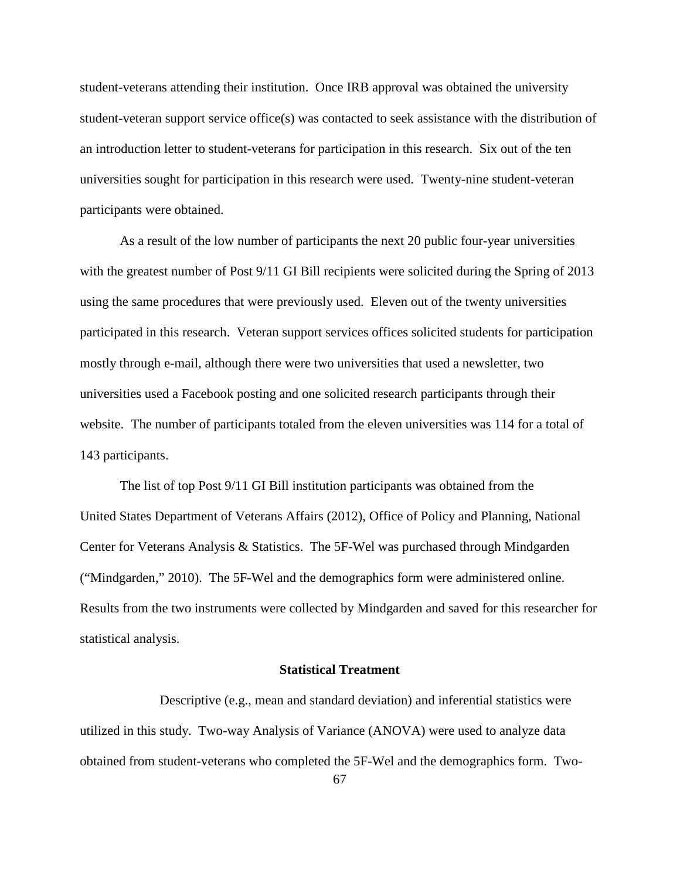student-veterans attending their institution. Once IRB approval was obtained the university student-veteran support service office(s) was contacted to seek assistance with the distribution of an introduction letter to student-veterans for participation in this research. Six out of the ten universities sought for participation in this research were used. Twenty-nine student-veteran participants were obtained.

As a result of the low number of participants the next 20 public four-year universities with the greatest number of Post 9/11 GI Bill recipients were solicited during the Spring of 2013 using the same procedures that were previously used. Eleven out of the twenty universities participated in this research. Veteran support services offices solicited students for participation mostly through e-mail, although there were two universities that used a newsletter, two universities used a Facebook posting and one solicited research participants through their website. The number of participants totaled from the eleven universities was 114 for a total of 143 participants.

The list of top Post 9/11 GI Bill institution participants was obtained from the United States Department of Veterans Affairs (2012), Office of Policy and Planning, National Center for Veterans Analysis & Statistics. The 5F-Wel was purchased through Mindgarden ("Mindgarden," 2010). The 5F-Wel and the demographics form were administered online. Results from the two instruments were collected by Mindgarden and saved for this researcher for statistical analysis.

## **Statistical Treatment**

 Descriptive (e.g., mean and standard deviation) and inferential statistics were utilized in this study. Two-way Analysis of Variance (ANOVA) were used to analyze data obtained from student-veterans who completed the 5F-Wel and the demographics form. Two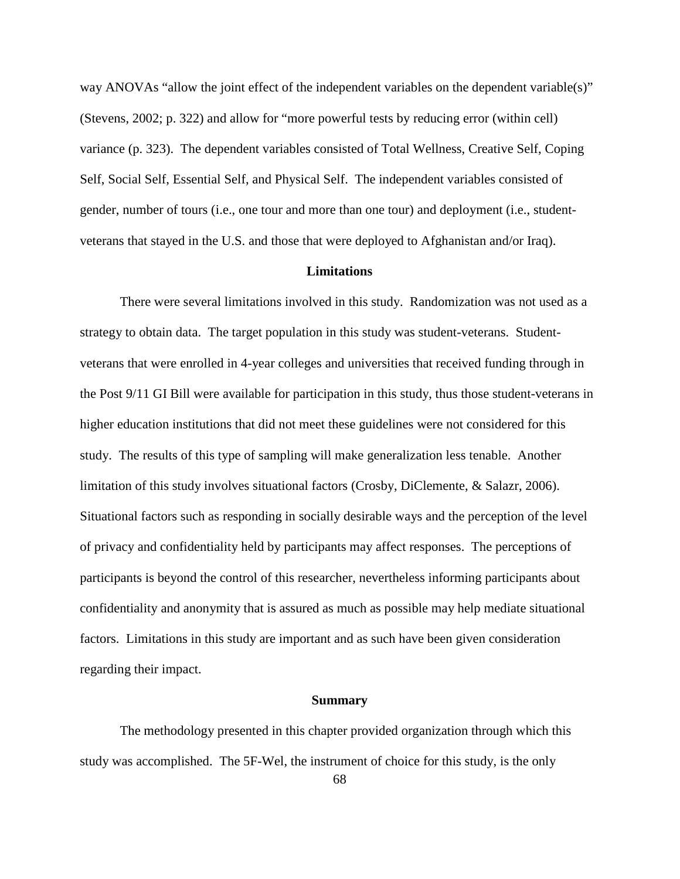way ANOVAs "allow the joint effect of the independent variables on the dependent variable(s)" (Stevens, 2002; p. 322) and allow for "more powerful tests by reducing error (within cell) variance (p. 323). The dependent variables consisted of Total Wellness, Creative Self, Coping Self, Social Self, Essential Self, and Physical Self. The independent variables consisted of gender, number of tours (i.e., one tour and more than one tour) and deployment (i.e., studentveterans that stayed in the U.S. and those that were deployed to Afghanistan and/or Iraq).

#### **Limitations**

 There were several limitations involved in this study. Randomization was not used as a strategy to obtain data. The target population in this study was student-veterans. Studentveterans that were enrolled in 4-year colleges and universities that received funding through in the Post 9/11 GI Bill were available for participation in this study, thus those student-veterans in higher education institutions that did not meet these guidelines were not considered for this study. The results of this type of sampling will make generalization less tenable. Another limitation of this study involves situational factors (Crosby, DiClemente, & Salazr, 2006). Situational factors such as responding in socially desirable ways and the perception of the level of privacy and confidentiality held by participants may affect responses. The perceptions of participants is beyond the control of this researcher, nevertheless informing participants about confidentiality and anonymity that is assured as much as possible may help mediate situational factors. Limitations in this study are important and as such have been given consideration regarding their impact.

#### **Summary**

 The methodology presented in this chapter provided organization through which this study was accomplished. The 5F-Wel, the instrument of choice for this study, is the only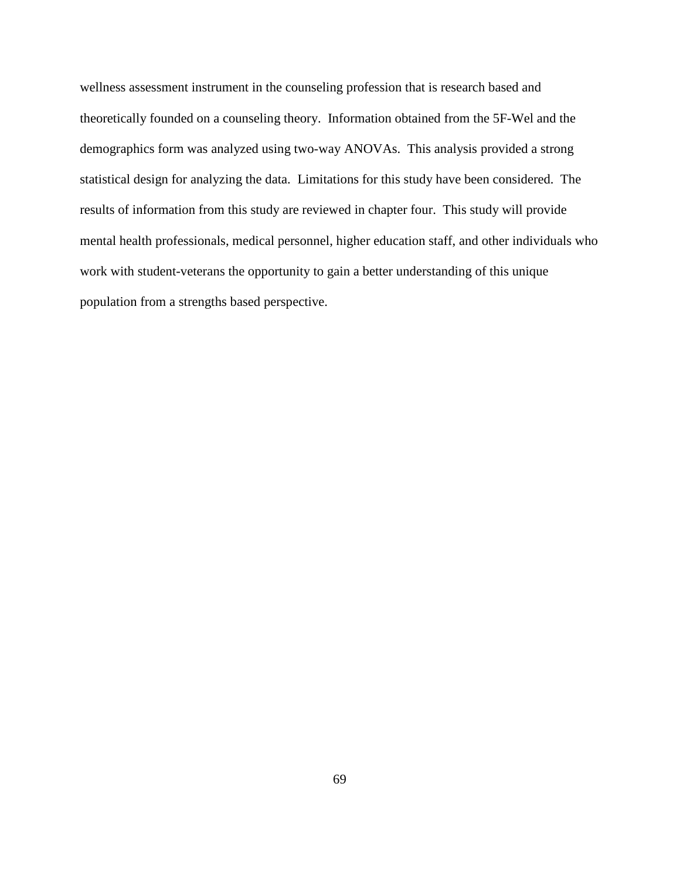wellness assessment instrument in the counseling profession that is research based and theoretically founded on a counseling theory. Information obtained from the 5F-Wel and the demographics form was analyzed using two-way ANOVAs. This analysis provided a strong statistical design for analyzing the data. Limitations for this study have been considered. The results of information from this study are reviewed in chapter four. This study will provide mental health professionals, medical personnel, higher education staff, and other individuals who work with student-veterans the opportunity to gain a better understanding of this unique population from a strengths based perspective.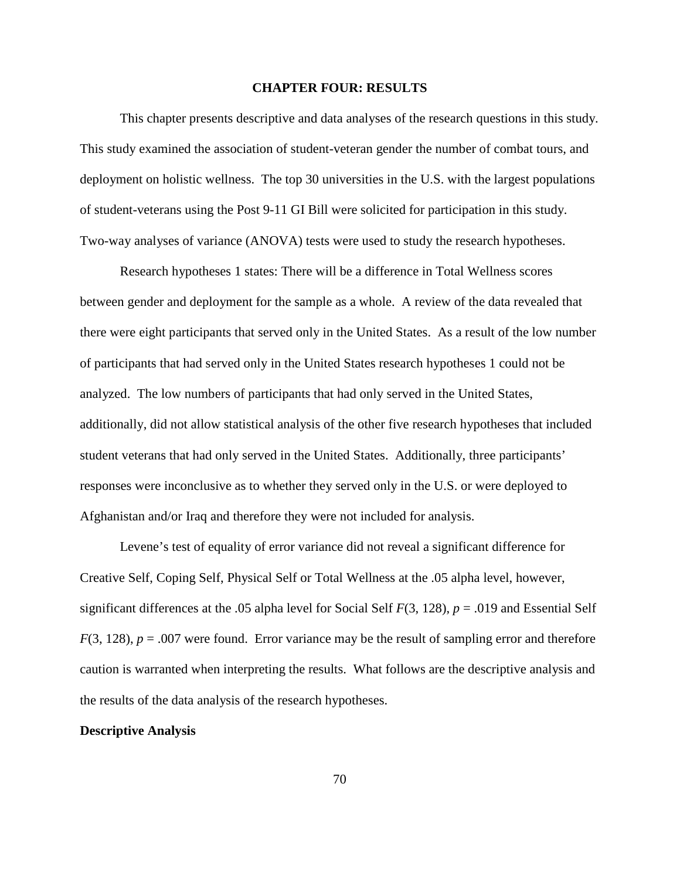#### **CHAPTER FOUR: RESULTS**

 This chapter presents descriptive and data analyses of the research questions in this study. This study examined the association of student-veteran gender the number of combat tours, and deployment on holistic wellness. The top 30 universities in the U.S. with the largest populations of student-veterans using the Post 9-11 GI Bill were solicited for participation in this study. Two-way analyses of variance (ANOVA) tests were used to study the research hypotheses.

Research hypotheses 1 states: There will be a difference in Total Wellness scores between gender and deployment for the sample as a whole. A review of the data revealed that there were eight participants that served only in the United States. As a result of the low number of participants that had served only in the United States research hypotheses 1 could not be analyzed. The low numbers of participants that had only served in the United States, additionally, did not allow statistical analysis of the other five research hypotheses that included student veterans that had only served in the United States. Additionally, three participants' responses were inconclusive as to whether they served only in the U.S. or were deployed to Afghanistan and/or Iraq and therefore they were not included for analysis.

Levene's test of equality of error variance did not reveal a significant difference for Creative Self, Coping Self, Physical Self or Total Wellness at the .05 alpha level, however, significant differences at the .05 alpha level for Social Self *F*(3, 128), *p* = .019 and Essential Self  $F(3, 128)$ ,  $p = .007$  were found. Error variance may be the result of sampling error and therefore caution is warranted when interpreting the results. What follows are the descriptive analysis and the results of the data analysis of the research hypotheses.

### **Descriptive Analysis**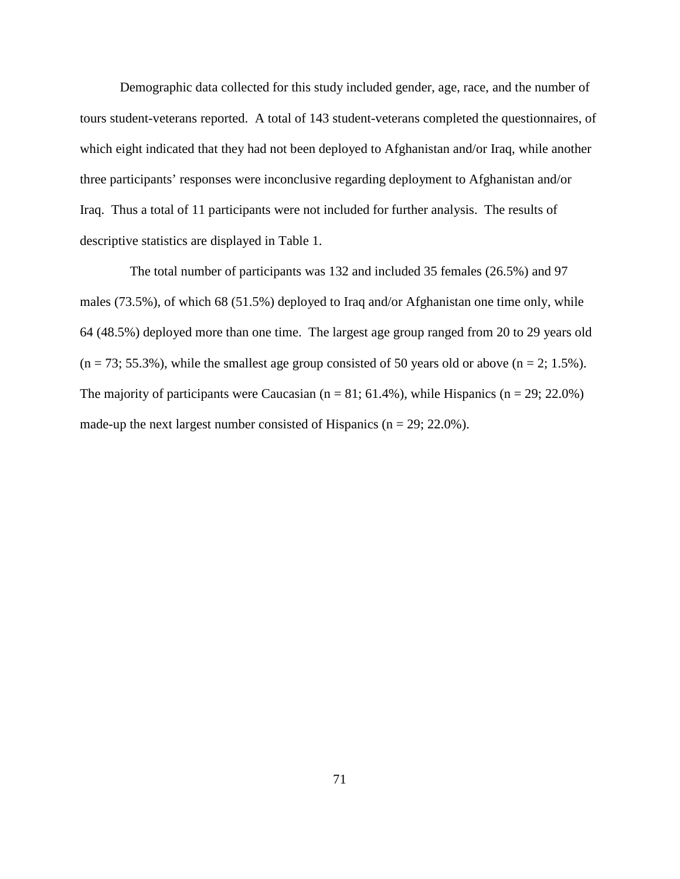Demographic data collected for this study included gender, age, race, and the number of tours student-veterans reported. A total of 143 student-veterans completed the questionnaires, of which eight indicated that they had not been deployed to Afghanistan and/or Iraq, while another three participants' responses were inconclusive regarding deployment to Afghanistan and/or Iraq. Thus a total of 11 participants were not included for further analysis. The results of descriptive statistics are displayed in Table 1.

 The total number of participants was 132 and included 35 females (26.5%) and 97 males (73.5%), of which 68 (51.5%) deployed to Iraq and/or Afghanistan one time only, while 64 (48.5%) deployed more than one time. The largest age group ranged from 20 to 29 years old  $(n = 73; 55.3\%)$ , while the smallest age group consisted of 50 years old or above  $(n = 2; 1.5\%)$ . The majority of participants were Caucasian ( $n = 81$ ; 61.4%), while Hispanics ( $n = 29$ ; 22.0%) made-up the next largest number consisted of Hispanics ( $n = 29$ ; 22.0%).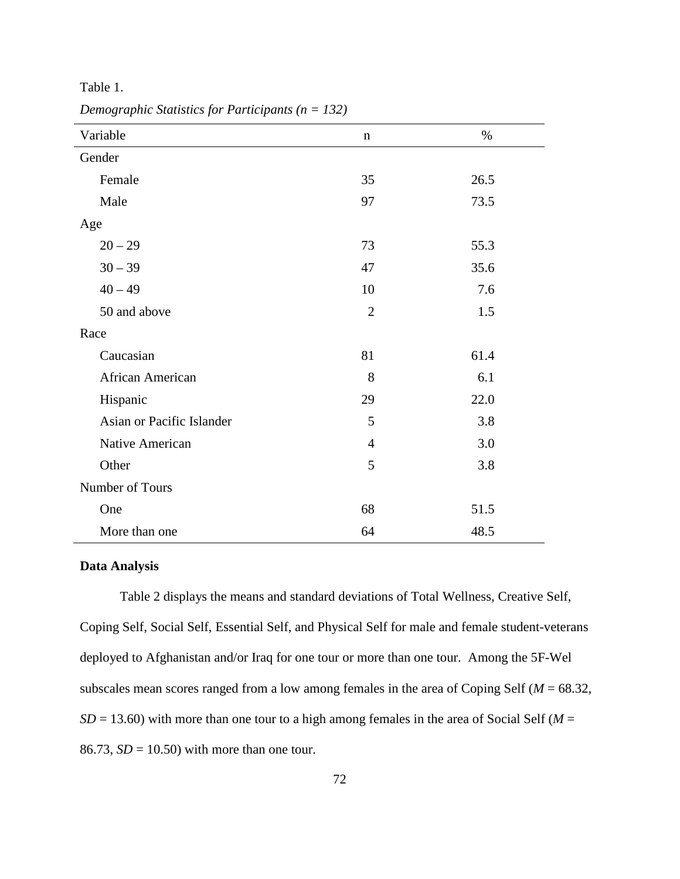Table 1.

| Variable                  | n              | $\%$ |
|---------------------------|----------------|------|
| Gender                    |                |      |
| Female                    | 35             | 26.5 |
| Male                      | 97             | 73.5 |
| Age                       |                |      |
| $20 - 29$                 | 73             | 55.3 |
| $30 - 39$                 | 47             | 35.6 |
| $40 - 49$                 | 10             | 7.6  |
| 50 and above              | $\overline{2}$ | 1.5  |
| Race                      |                |      |
| Caucasian                 | 81             | 61.4 |
| African American          | 8              | 6.1  |
| Hispanic                  | 29             | 22.0 |
| Asian or Pacific Islander | 5              | 3.8  |
| Native American           | $\overline{4}$ | 3.0  |
| Other                     | 5              | 3.8  |
| Number of Tours           |                |      |
| One                       | 68             | 51.5 |
| More than one             | 64             | 48.5 |

*Demographic Statistics for Participants (n = 132)*

## **Data Analysis**

 Table 2 displays the means and standard deviations of Total Wellness, Creative Self, Coping Self, Social Self, Essential Self, and Physical Self for male and female student-veterans deployed to Afghanistan and/or Iraq for one tour or more than one tour. Among the 5F-Wel subscales mean scores ranged from a low among females in the area of Coping Self (*M* = 68.32,  $SD = 13.60$ ) with more than one tour to a high among females in the area of Social Self ( $M = 13.60$ ) 86.73,  $SD = 10.50$ ) with more than one tour.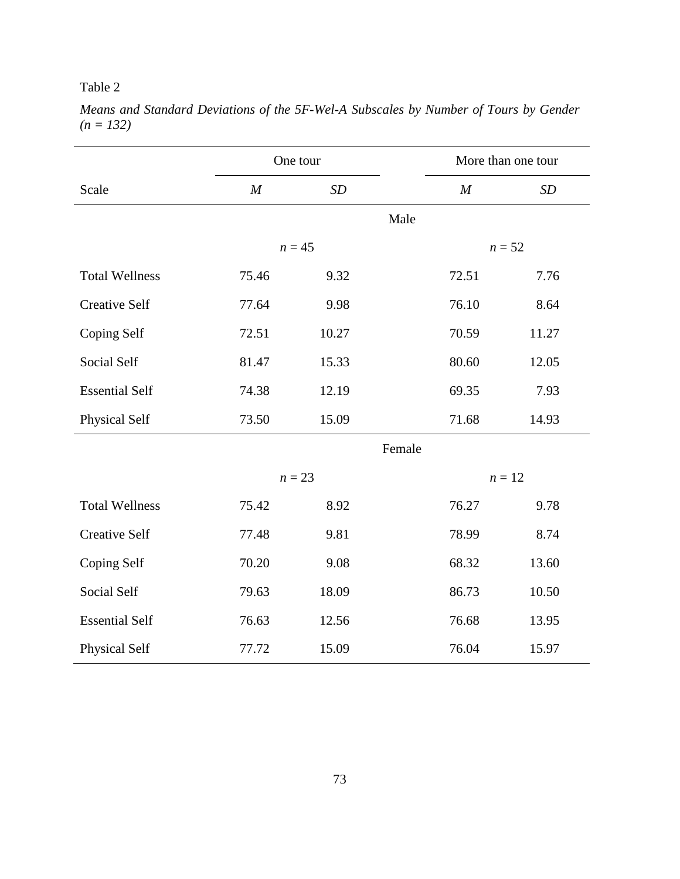# Table 2

|                       |                  | One tour |        |                  | More than one tour |
|-----------------------|------------------|----------|--------|------------------|--------------------|
| Scale                 | $\boldsymbol{M}$ | SD       |        | $\boldsymbol{M}$ | SD                 |
|                       |                  |          | Male   |                  |                    |
|                       |                  | $n = 45$ |        |                  | $n = 52$           |
| <b>Total Wellness</b> | 75.46            | 9.32     |        | 72.51            | 7.76               |
| <b>Creative Self</b>  | 77.64            | 9.98     |        | 76.10            | 8.64               |
| Coping Self           | 72.51            | 10.27    |        | 70.59            | 11.27              |
| Social Self           | 81.47            | 15.33    |        | 80.60            | 12.05              |
| <b>Essential Self</b> | 74.38            | 12.19    |        | 69.35            | 7.93               |
| Physical Self         | 73.50            | 15.09    |        | 71.68            | 14.93              |
|                       |                  |          | Female |                  |                    |
|                       |                  | $n = 23$ |        |                  | $n=12$             |
| <b>Total Wellness</b> | 75.42            | 8.92     |        | 76.27            | 9.78               |
| <b>Creative Self</b>  | 77.48            | 9.81     |        | 78.99            | 8.74               |
| Coping Self           | 70.20            | 9.08     |        | 68.32            | 13.60              |
| Social Self           | 79.63            | 18.09    |        | 86.73            | 10.50              |
| <b>Essential Self</b> | 76.63            | 12.56    |        | 76.68            | 13.95              |
| Physical Self         | 77.72            | 15.09    |        | 76.04            | 15.97              |

*Means and Standard Deviations of the 5F-Wel-A Subscales by Number of Tours by Gender (n = 132)*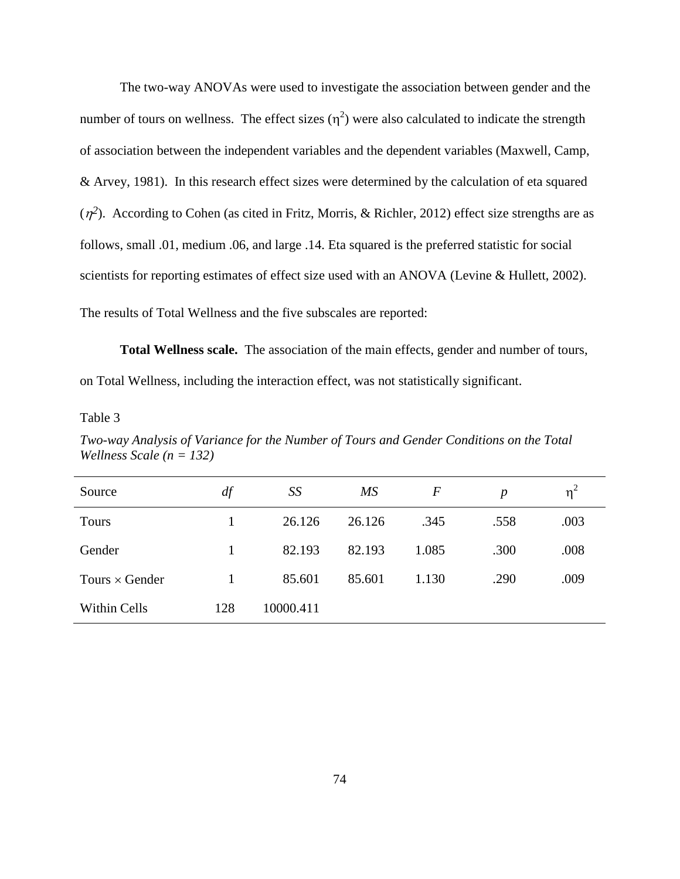The two-way ANOVAs were used to investigate the association between gender and the number of tours on wellness. The effect sizes  $(\eta^2)$  were also calculated to indicate the strength of association between the independent variables and the dependent variables (Maxwell, Camp, & Arvey, 1981). In this research effect sizes were determined by the calculation of eta squared  $(\eta^2)$ . According to Cohen (as cited in Fritz, Morris, & Richler, 2012) effect size strengths are as follows, small .01, medium .06, and large .14. Eta squared is the preferred statistic for social scientists for reporting estimates of effect size used with an ANOVA (Levine & Hullett, 2002). The results of Total Wellness and the five subscales are reported:

 **Total Wellness scale.** The association of the main effects, gender and number of tours, on Total Wellness, including the interaction effect, was not statistically significant.

Table 3

*Two-way Analysis of Variance for the Number of Tours and Gender Conditions on the Total Wellness Scale (n = 132)* 

| Source                | df  | SS        | MS     | $\boldsymbol{F}$ | $\boldsymbol{p}$ | $\eta^2$ |
|-----------------------|-----|-----------|--------|------------------|------------------|----------|
| <b>Tours</b>          |     | 26.126    | 26.126 | .345             | .558             | .003     |
| Gender                |     | 82.193    | 82.193 | 1.085            | .300             | .008     |
| Tours $\times$ Gender |     | 85.601    | 85.601 | 1.130            | .290             | .009     |
| Within Cells          | 128 | 10000.411 |        |                  |                  |          |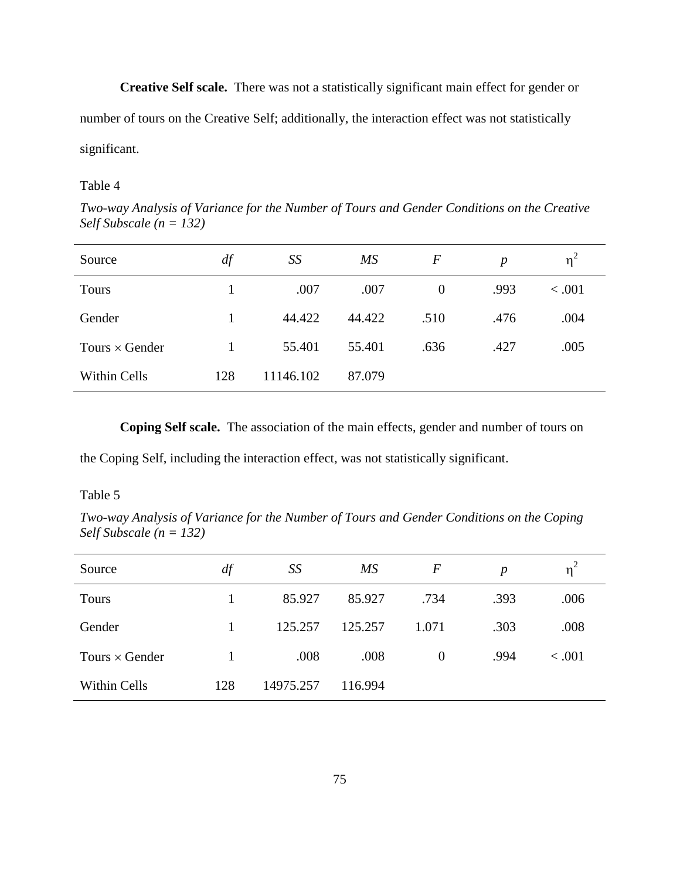**Creative Self scale.** There was not a statistically significant main effect for gender or number of tours on the Creative Self; additionally, the interaction effect was not statistically significant.

Table 4

*Two-way Analysis of Variance for the Number of Tours and Gender Conditions on the Creative Self Subscale (n = 132)* 

| Source                | df  | SS        | $\overline{MS}$ | $\bm{F}$       | $\boldsymbol{p}$ | $\eta^2$ |
|-----------------------|-----|-----------|-----------------|----------------|------------------|----------|
| <b>Tours</b>          |     | .007      | .007            | $\overline{0}$ | .993             | < 0.001  |
| Gender                | 1   | 44.422    | 44.422          | .510           | .476             | .004     |
| Tours $\times$ Gender |     | 55.401    | 55.401          | .636           | .427             | .005     |
| Within Cells          | 128 | 11146.102 | 87.079          |                |                  |          |

 **Coping Self scale.** The association of the main effects, gender and number of tours on

the Coping Self, including the interaction effect, was not statistically significant.

## Table 5

*Two-way Analysis of Variance for the Number of Tours and Gender Conditions on the Coping Self Subscale (n = 132)* 

| Source                | df  | SS        | <b>MS</b> | $\bm{F}$ | $\boldsymbol{p}$ | $\eta^2$ |
|-----------------------|-----|-----------|-----------|----------|------------------|----------|
| <b>Tours</b>          |     | 85.927    | 85.927    | .734     | .393             | .006     |
| Gender                |     | 125.257   | 125.257   | 1.071    | .303             | .008     |
| Tours $\times$ Gender |     | .008      | .008      | $\theta$ | .994             | < .001   |
| Within Cells          | 128 | 14975.257 | 116.994   |          |                  |          |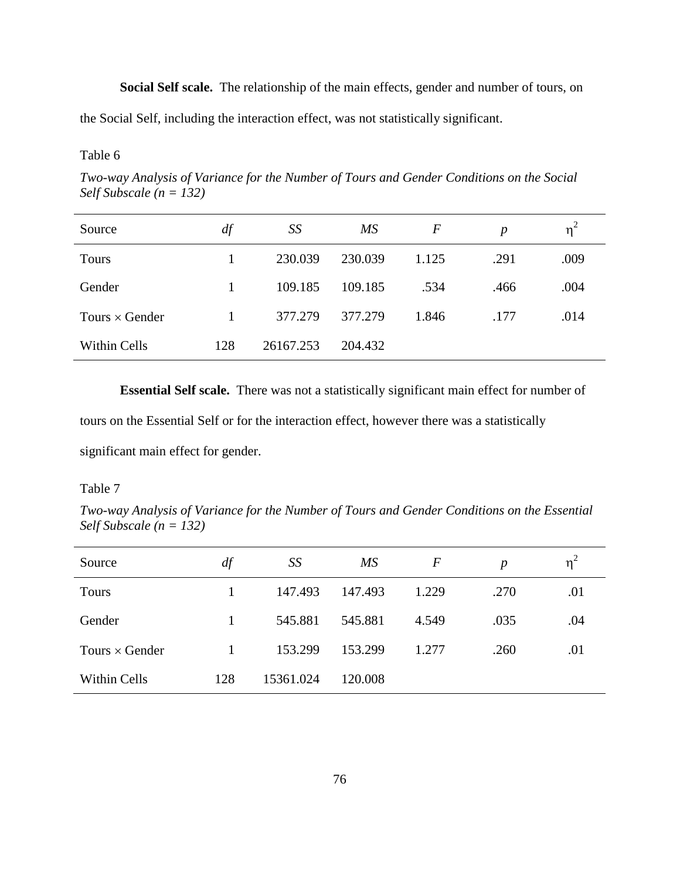**Social Self scale.** The relationship of the main effects, gender and number of tours, on

the Social Self, including the interaction effect, was not statistically significant.

## Table 6

*Two-way Analysis of Variance for the Number of Tours and Gender Conditions on the Social Self Subscale (n = 132)* 

| Source                | df  | SS        | MS      | F     | $\boldsymbol{p}$ | $\eta^2$ |
|-----------------------|-----|-----------|---------|-------|------------------|----------|
| <b>Tours</b>          |     | 230.039   | 230.039 | 1.125 | .291             | .009     |
| Gender                |     | 109.185   | 109.185 | .534  | .466             | .004     |
| Tours $\times$ Gender |     | 377.279   | 377.279 | 1.846 | .177             | .014     |
| <b>Within Cells</b>   | 128 | 26167.253 | 204.432 |       |                  |          |

 **Essential Self scale.** There was not a statistically significant main effect for number of

tours on the Essential Self or for the interaction effect, however there was a statistically

significant main effect for gender.

## Table 7

*Two-way Analysis of Variance for the Number of Tours and Gender Conditions on the Essential Self Subscale (n = 132)* 

| Source                | df  | SS        | МS      | $\boldsymbol{F}$ | $\boldsymbol{p}$ | $\eta^2$ |
|-----------------------|-----|-----------|---------|------------------|------------------|----------|
| Tours                 |     | 147.493   | 147.493 | 1.229            | .270             | .01      |
| Gender                | 1   | 545.881   | 545.881 | 4.549            | .035             | .04      |
| Tours $\times$ Gender | 1   | 153.299   | 153.299 | 1.277            | .260             | .01      |
| Within Cells          | 128 | 15361.024 | 120.008 |                  |                  |          |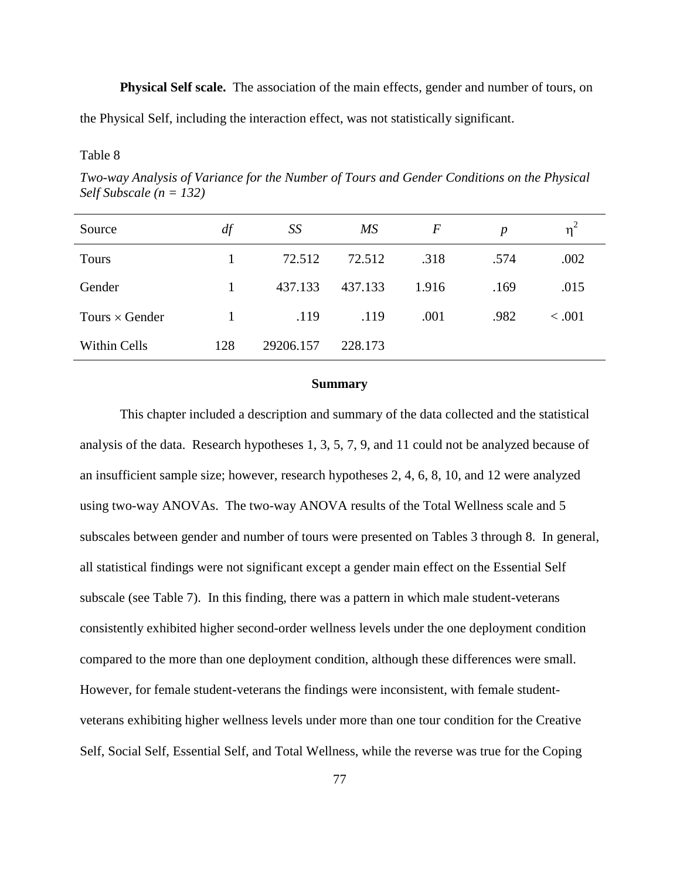**Physical Self scale.** The association of the main effects, gender and number of tours, on the Physical Self, including the interaction effect, was not statistically significant.

## Table 8

*Two-way Analysis of Variance for the Number of Tours and Gender Conditions on the Physical Self Subscale (n = 132)* 

| Source                | df           | SS        | МS      | $\bm{F}$ | $\boldsymbol{p}$ | $\eta^2$ |
|-----------------------|--------------|-----------|---------|----------|------------------|----------|
| <b>Tours</b>          | 1            | 72.512    | 72.512  | .318     | .574             | .002     |
| Gender                | 1            | 437.133   | 437.133 | 1.916    | .169             | .015     |
| Tours $\times$ Gender | $\mathbf{1}$ | .119      | .119    | .001     | .982             | < 0.001  |
| Within Cells          | 128          | 29206.157 | 228.173 |          |                  |          |

### **Summary**

 This chapter included a description and summary of the data collected and the statistical analysis of the data. Research hypotheses 1, 3, 5, 7, 9, and 11 could not be analyzed because of an insufficient sample size; however, research hypotheses 2, 4, 6, 8, 10, and 12 were analyzed using two-way ANOVAs. The two-way ANOVA results of the Total Wellness scale and 5 subscales between gender and number of tours were presented on Tables 3 through 8. In general, all statistical findings were not significant except a gender main effect on the Essential Self subscale (see Table 7). In this finding, there was a pattern in which male student-veterans consistently exhibited higher second-order wellness levels under the one deployment condition compared to the more than one deployment condition, although these differences were small. However, for female student-veterans the findings were inconsistent, with female studentveterans exhibiting higher wellness levels under more than one tour condition for the Creative Self, Social Self, Essential Self, and Total Wellness, while the reverse was true for the Coping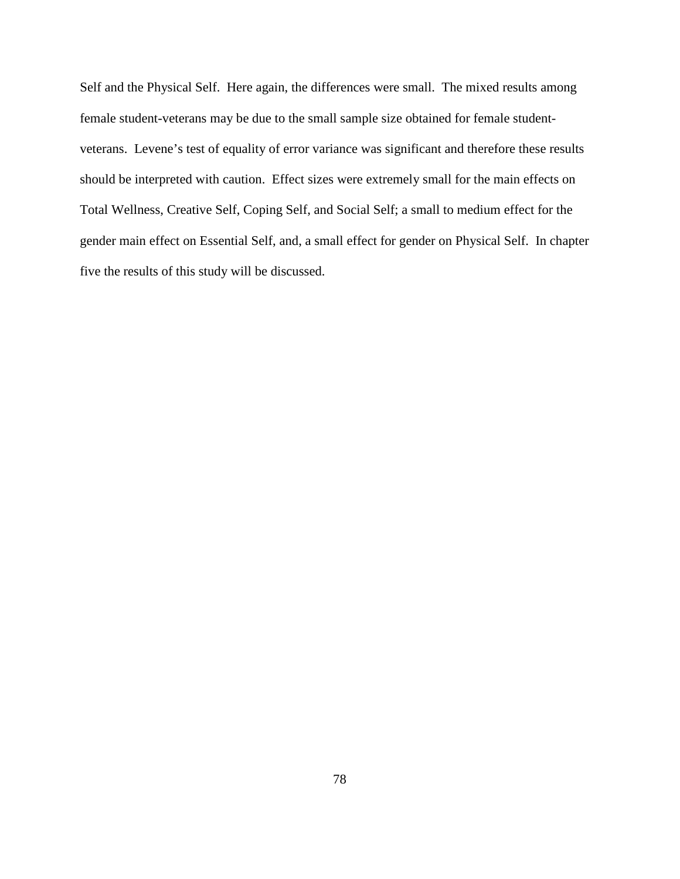Self and the Physical Self. Here again, the differences were small. The mixed results among female student-veterans may be due to the small sample size obtained for female studentveterans. Levene's test of equality of error variance was significant and therefore these results should be interpreted with caution. Effect sizes were extremely small for the main effects on Total Wellness, Creative Self, Coping Self, and Social Self; a small to medium effect for the gender main effect on Essential Self, and, a small effect for gender on Physical Self. In chapter five the results of this study will be discussed.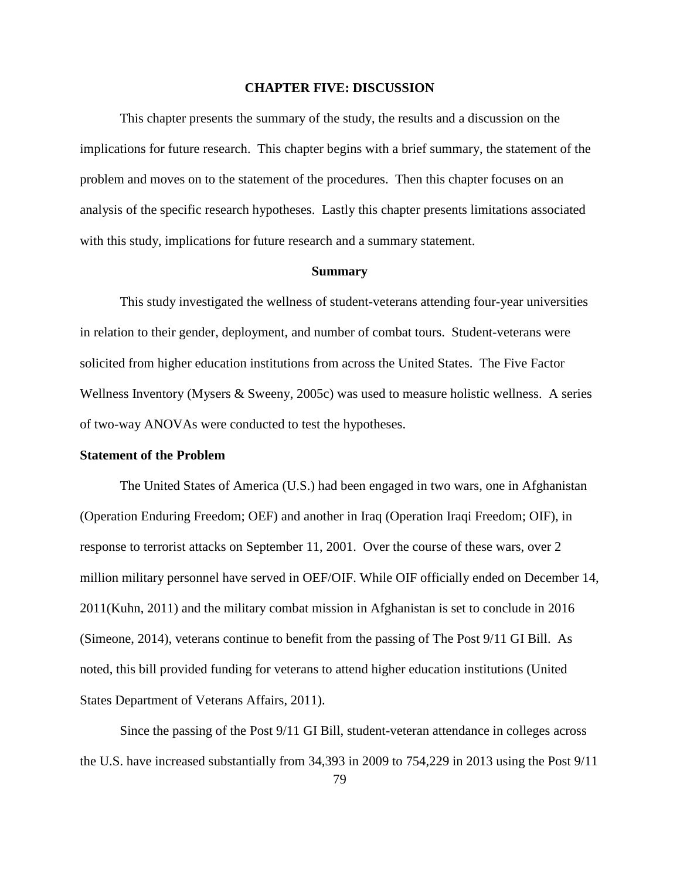#### **CHAPTER FIVE: DISCUSSION**

This chapter presents the summary of the study, the results and a discussion on the implications for future research. This chapter begins with a brief summary, the statement of the problem and moves on to the statement of the procedures. Then this chapter focuses on an analysis of the specific research hypotheses. Lastly this chapter presents limitations associated with this study, implications for future research and a summary statement.

#### **Summary**

This study investigated the wellness of student-veterans attending four-year universities in relation to their gender, deployment, and number of combat tours. Student-veterans were solicited from higher education institutions from across the United States. The Five Factor Wellness Inventory (Mysers & Sweeny, 2005c) was used to measure holistic wellness. A series of two-way ANOVAs were conducted to test the hypotheses.

#### **Statement of the Problem**

The United States of America (U.S.) had been engaged in two wars, one in Afghanistan (Operation Enduring Freedom; OEF) and another in Iraq (Operation Iraqi Freedom; OIF), in response to terrorist attacks on September 11, 2001. Over the course of these wars, over 2 million military personnel have served in OEF/OIF. While OIF officially ended on December 14, 2011(Kuhn, 2011) and the military combat mission in Afghanistan is set to conclude in 2016 (Simeone, 2014), veterans continue to benefit from the passing of The Post 9/11 GI Bill. As noted, this bill provided funding for veterans to attend higher education institutions (United States Department of Veterans Affairs, 2011).

Since the passing of the Post 9/11 GI Bill, student-veteran attendance in colleges across the U.S. have increased substantially from 34,393 in 2009 to 754,229 in 2013 using the Post 9/11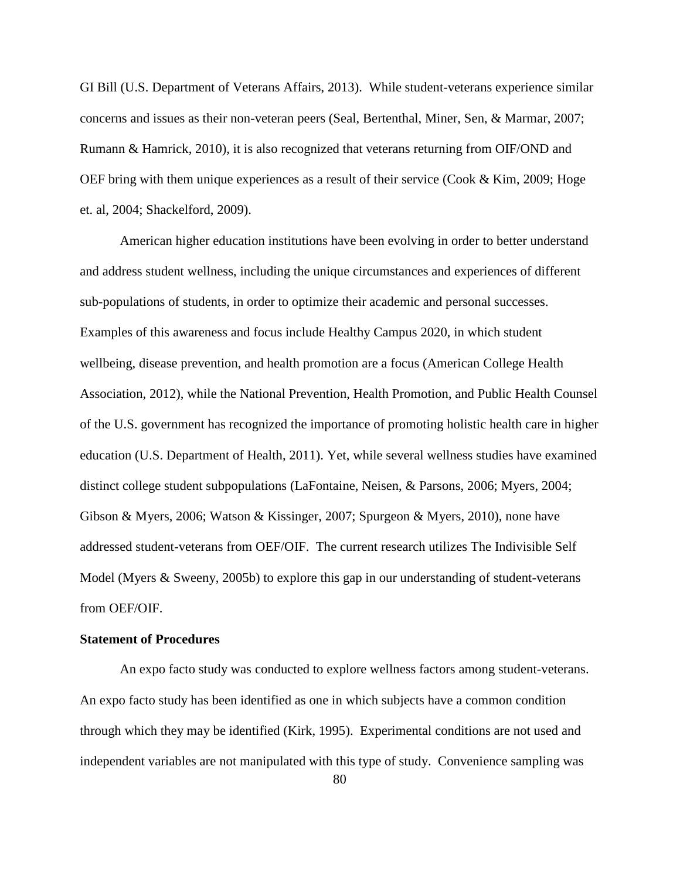GI Bill (U.S. Department of Veterans Affairs, 2013). While student-veterans experience similar concerns and issues as their non-veteran peers (Seal, Bertenthal, Miner, Sen, & Marmar, 2007; Rumann & Hamrick, 2010), it is also recognized that veterans returning from OIF/OND and OEF bring with them unique experiences as a result of their service (Cook & Kim, 2009; Hoge et. al, 2004; Shackelford, 2009).

American higher education institutions have been evolving in order to better understand and address student wellness, including the unique circumstances and experiences of different sub-populations of students, in order to optimize their academic and personal successes. Examples of this awareness and focus include Healthy Campus 2020, in which student wellbeing, disease prevention, and health promotion are a focus (American College Health Association, 2012), while the National Prevention, Health Promotion, and Public Health Counsel of the U.S. government has recognized the importance of promoting holistic health care in higher education (U.S. Department of Health, 2011). Yet, while several wellness studies have examined distinct college student subpopulations (LaFontaine, Neisen, & Parsons, 2006; Myers, 2004; Gibson & Myers, 2006; Watson & Kissinger, 2007; Spurgeon & Myers, 2010), none have addressed student-veterans from OEF/OIF. The current research utilizes The Indivisible Self Model (Myers & Sweeny, 2005b) to explore this gap in our understanding of student-veterans from OEF/OIF.

## **Statement of Procedures**

An expo facto study was conducted to explore wellness factors among student-veterans. An expo facto study has been identified as one in which subjects have a common condition through which they may be identified (Kirk, 1995). Experimental conditions are not used and independent variables are not manipulated with this type of study. Convenience sampling was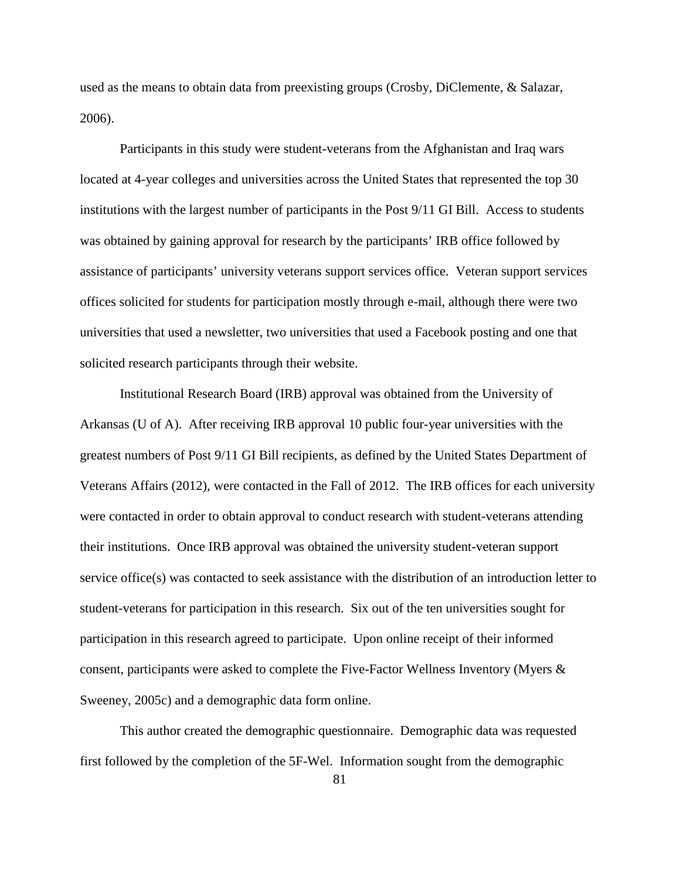used as the means to obtain data from preexisting groups (Crosby, DiClemente, & Salazar, 2006).

Participants in this study were student-veterans from the Afghanistan and Iraq wars located at 4-year colleges and universities across the United States that represented the top 30 institutions with the largest number of participants in the Post 9/11 GI Bill. Access to students was obtained by gaining approval for research by the participants' IRB office followed by assistance of participants' university veterans support services office. Veteran support services offices solicited for students for participation mostly through e-mail, although there were two universities that used a newsletter, two universities that used a Facebook posting and one that solicited research participants through their website.

 Institutional Research Board (IRB) approval was obtained from the University of Arkansas (U of A). After receiving IRB approval 10 public four-year universities with the greatest numbers of Post 9/11 GI Bill recipients, as defined by the United States Department of Veterans Affairs (2012), were contacted in the Fall of 2012. The IRB offices for each university were contacted in order to obtain approval to conduct research with student-veterans attending their institutions. Once IRB approval was obtained the university student-veteran support service office(s) was contacted to seek assistance with the distribution of an introduction letter to student-veterans for participation in this research. Six out of the ten universities sought for participation in this research agreed to participate. Upon online receipt of their informed consent, participants were asked to complete the Five-Factor Wellness Inventory (Myers & Sweeney, 2005c) and a demographic data form online.

This author created the demographic questionnaire. Demographic data was requested first followed by the completion of the 5F-Wel. Information sought from the demographic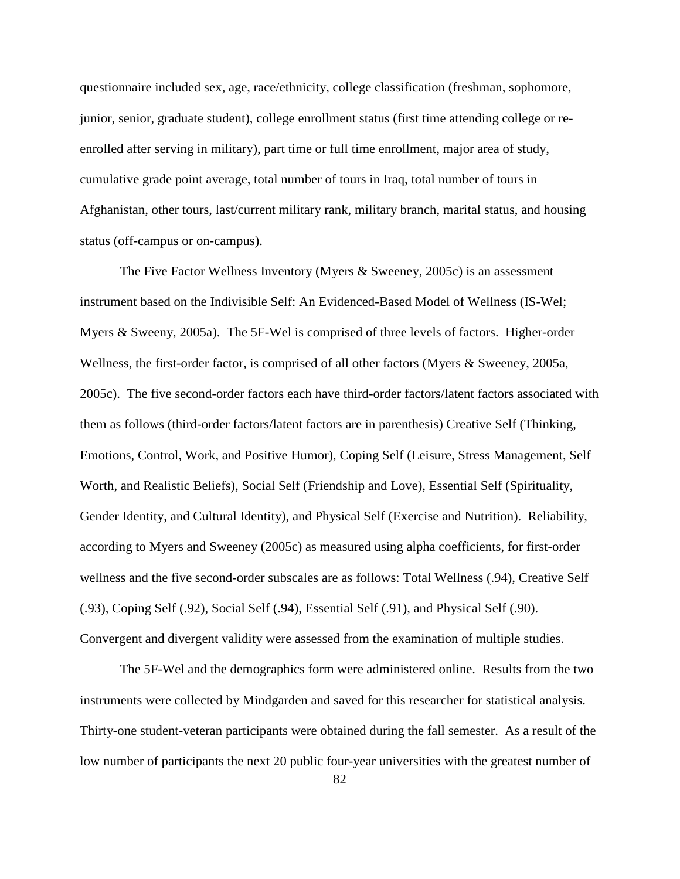questionnaire included sex, age, race/ethnicity, college classification (freshman, sophomore, junior, senior, graduate student), college enrollment status (first time attending college or reenrolled after serving in military), part time or full time enrollment, major area of study, cumulative grade point average, total number of tours in Iraq, total number of tours in Afghanistan, other tours, last/current military rank, military branch, marital status, and housing status (off-campus or on-campus).

The Five Factor Wellness Inventory (Myers & Sweeney, 2005c) is an assessment instrument based on the Indivisible Self: An Evidenced-Based Model of Wellness (IS-Wel; Myers & Sweeny, 2005a). The 5F-Wel is comprised of three levels of factors. Higher-order Wellness, the first-order factor, is comprised of all other factors (Myers & Sweeney, 2005a, 2005c). The five second-order factors each have third-order factors/latent factors associated with them as follows (third-order factors/latent factors are in parenthesis) Creative Self (Thinking, Emotions, Control, Work, and Positive Humor), Coping Self (Leisure, Stress Management, Self Worth, and Realistic Beliefs), Social Self (Friendship and Love), Essential Self (Spirituality, Gender Identity, and Cultural Identity), and Physical Self (Exercise and Nutrition). Reliability, according to Myers and Sweeney (2005c) as measured using alpha coefficients, for first-order wellness and the five second-order subscales are as follows: Total Wellness (.94), Creative Self (.93), Coping Self (.92), Social Self (.94), Essential Self (.91), and Physical Self (.90). Convergent and divergent validity were assessed from the examination of multiple studies.

The 5F-Wel and the demographics form were administered online. Results from the two instruments were collected by Mindgarden and saved for this researcher for statistical analysis. Thirty-one student-veteran participants were obtained during the fall semester. As a result of the low number of participants the next 20 public four-year universities with the greatest number of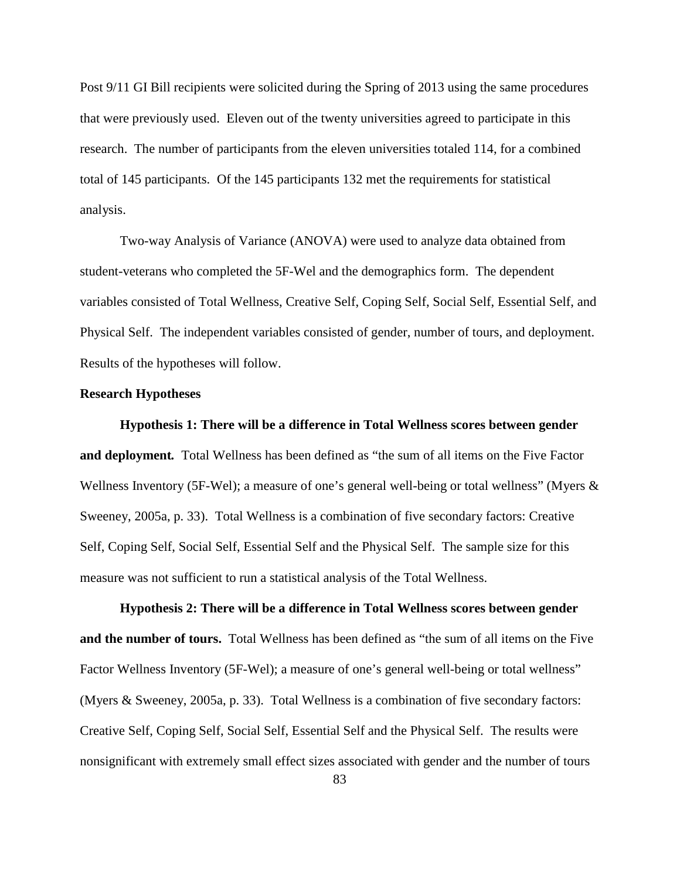Post 9/11 GI Bill recipients were solicited during the Spring of 2013 using the same procedures that were previously used. Eleven out of the twenty universities agreed to participate in this research. The number of participants from the eleven universities totaled 114, for a combined total of 145 participants. Of the 145 participants 132 met the requirements for statistical analysis.

Two-way Analysis of Variance (ANOVA) were used to analyze data obtained from student-veterans who completed the 5F-Wel and the demographics form. The dependent variables consisted of Total Wellness, Creative Self, Coping Self, Social Self, Essential Self, and Physical Self. The independent variables consisted of gender, number of tours, and deployment. Results of the hypotheses will follow.

#### **Research Hypotheses**

**Hypothesis 1: There will be a difference in Total Wellness scores between gender and deployment***.* Total Wellness has been defined as "the sum of all items on the Five Factor Wellness Inventory (5F-Wel); a measure of one's general well-being or total wellness" (Myers  $\&$ Sweeney, 2005a, p. 33). Total Wellness is a combination of five secondary factors: Creative Self, Coping Self, Social Self, Essential Self and the Physical Self. The sample size for this measure was not sufficient to run a statistical analysis of the Total Wellness.

**Hypothesis 2: There will be a difference in Total Wellness scores between gender and the number of tours.** Total Wellness has been defined as "the sum of all items on the Five Factor Wellness Inventory (5F-Wel); a measure of one's general well-being or total wellness" (Myers & Sweeney, 2005a, p. 33). Total Wellness is a combination of five secondary factors: Creative Self, Coping Self, Social Self, Essential Self and the Physical Self. The results were nonsignificant with extremely small effect sizes associated with gender and the number of tours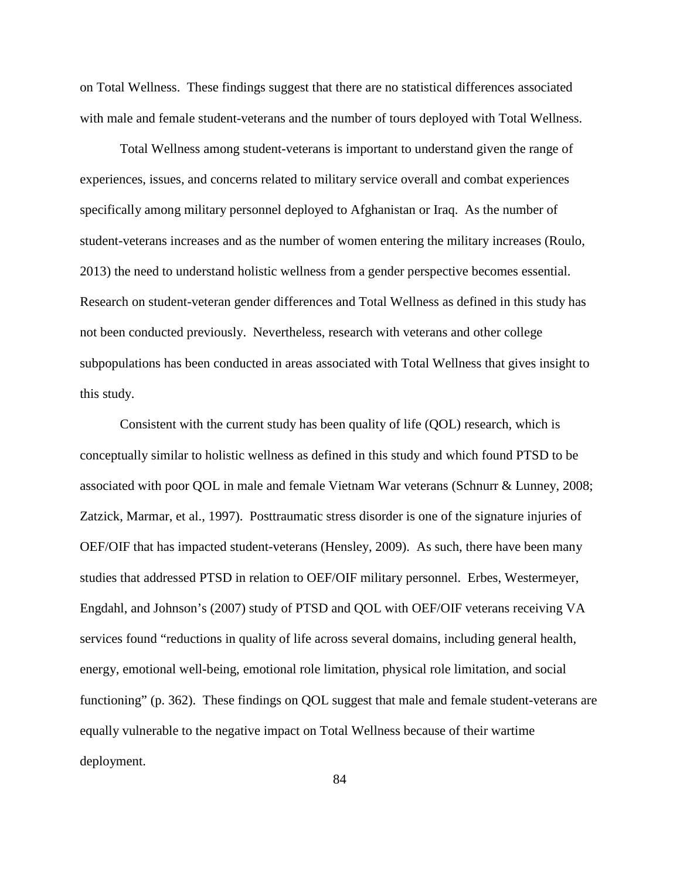on Total Wellness. These findings suggest that there are no statistical differences associated with male and female student-veterans and the number of tours deployed with Total Wellness.

Total Wellness among student-veterans is important to understand given the range of experiences, issues, and concerns related to military service overall and combat experiences specifically among military personnel deployed to Afghanistan or Iraq. As the number of student-veterans increases and as the number of women entering the military increases (Roulo, 2013) the need to understand holistic wellness from a gender perspective becomes essential. Research on student-veteran gender differences and Total Wellness as defined in this study has not been conducted previously. Nevertheless, research with veterans and other college subpopulations has been conducted in areas associated with Total Wellness that gives insight to this study.

Consistent with the current study has been quality of life (QOL) research, which is conceptually similar to holistic wellness as defined in this study and which found PTSD to be associated with poor QOL in male and female Vietnam War veterans (Schnurr & Lunney, 2008; Zatzick, Marmar, et al., 1997). Posttraumatic stress disorder is one of the signature injuries of OEF/OIF that has impacted student-veterans (Hensley, 2009). As such, there have been many studies that addressed PTSD in relation to OEF/OIF military personnel. Erbes, Westermeyer, Engdahl, and Johnson's (2007) study of PTSD and QOL with OEF/OIF veterans receiving VA services found "reductions in quality of life across several domains, including general health, energy, emotional well-being, emotional role limitation, physical role limitation, and social functioning" (p. 362). These findings on QOL suggest that male and female student-veterans are equally vulnerable to the negative impact on Total Wellness because of their wartime deployment.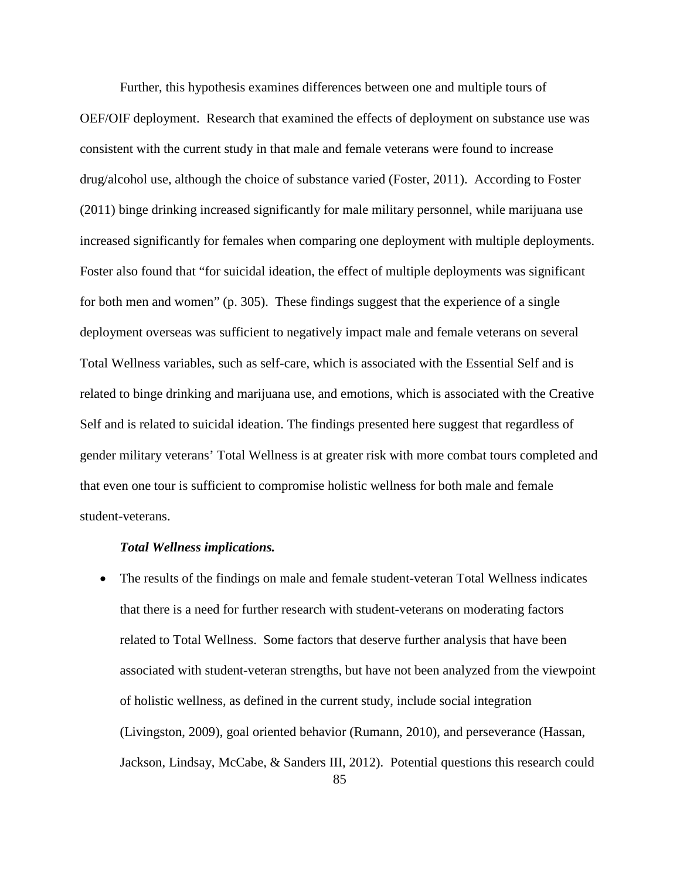Further, this hypothesis examines differences between one and multiple tours of OEF/OIF deployment. Research that examined the effects of deployment on substance use was consistent with the current study in that male and female veterans were found to increase drug/alcohol use, although the choice of substance varied (Foster, 2011). According to Foster (2011) binge drinking increased significantly for male military personnel, while marijuana use increased significantly for females when comparing one deployment with multiple deployments. Foster also found that "for suicidal ideation, the effect of multiple deployments was significant for both men and women" (p. 305). These findings suggest that the experience of a single deployment overseas was sufficient to negatively impact male and female veterans on several Total Wellness variables, such as self-care, which is associated with the Essential Self and is related to binge drinking and marijuana use, and emotions, which is associated with the Creative Self and is related to suicidal ideation. The findings presented here suggest that regardless of gender military veterans' Total Wellness is at greater risk with more combat tours completed and that even one tour is sufficient to compromise holistic wellness for both male and female student-veterans.

#### *Total Wellness implications.*

• The results of the findings on male and female student-veteran Total Wellness indicates that there is a need for further research with student-veterans on moderating factors related to Total Wellness. Some factors that deserve further analysis that have been associated with student-veteran strengths, but have not been analyzed from the viewpoint of holistic wellness, as defined in the current study, include social integration (Livingston, 2009), goal oriented behavior (Rumann, 2010), and perseverance (Hassan, Jackson, Lindsay, McCabe, & Sanders III, 2012). Potential questions this research could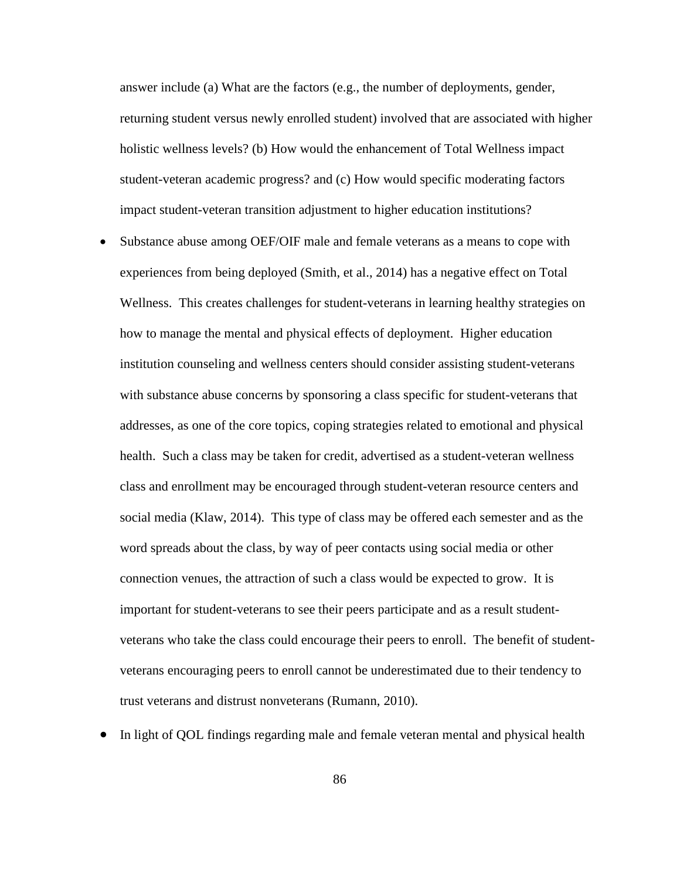answer include (a) What are the factors (e.g., the number of deployments, gender, returning student versus newly enrolled student) involved that are associated with higher holistic wellness levels? (b) How would the enhancement of Total Wellness impact student-veteran academic progress? and (c) How would specific moderating factors impact student-veteran transition adjustment to higher education institutions?

- Substance abuse among OEF/OIF male and female veterans as a means to cope with experiences from being deployed (Smith, et al., 2014) has a negative effect on Total Wellness. This creates challenges for student-veterans in learning healthy strategies on how to manage the mental and physical effects of deployment. Higher education institution counseling and wellness centers should consider assisting student-veterans with substance abuse concerns by sponsoring a class specific for student-veterans that addresses, as one of the core topics, coping strategies related to emotional and physical health. Such a class may be taken for credit, advertised as a student-veteran wellness class and enrollment may be encouraged through student-veteran resource centers and social media (Klaw, 2014). This type of class may be offered each semester and as the word spreads about the class, by way of peer contacts using social media or other connection venues, the attraction of such a class would be expected to grow. It is important for student-veterans to see their peers participate and as a result studentveterans who take the class could encourage their peers to enroll. The benefit of studentveterans encouraging peers to enroll cannot be underestimated due to their tendency to trust veterans and distrust nonveterans (Rumann, 2010).
- In light of QOL findings regarding male and female veteran mental and physical health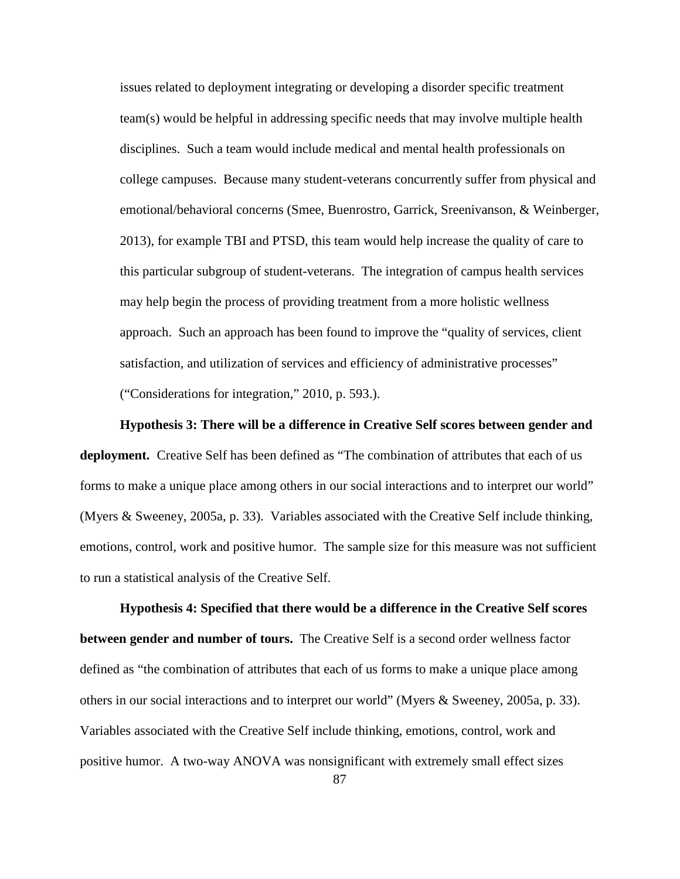issues related to deployment integrating or developing a disorder specific treatment team(s) would be helpful in addressing specific needs that may involve multiple health disciplines. Such a team would include medical and mental health professionals on college campuses. Because many student-veterans concurrently suffer from physical and emotional/behavioral concerns (Smee, Buenrostro, Garrick, Sreenivanson, & Weinberger, 2013), for example TBI and PTSD, this team would help increase the quality of care to this particular subgroup of student-veterans. The integration of campus health services may help begin the process of providing treatment from a more holistic wellness approach. Such an approach has been found to improve the "quality of services, client satisfaction, and utilization of services and efficiency of administrative processes" ("Considerations for integration," 2010, p. 593.).

 **Hypothesis 3: There will be a difference in Creative Self scores between gender and deployment.** Creative Self has been defined as "The combination of attributes that each of us forms to make a unique place among others in our social interactions and to interpret our world" (Myers & Sweeney, 2005a, p. 33). Variables associated with the Creative Self include thinking, emotions, control, work and positive humor. The sample size for this measure was not sufficient to run a statistical analysis of the Creative Self.

**Hypothesis 4: Specified that there would be a difference in the Creative Self scores between gender and number of tours.** The Creative Self is a second order wellness factor defined as "the combination of attributes that each of us forms to make a unique place among others in our social interactions and to interpret our world" (Myers & Sweeney, 2005a, p. 33). Variables associated with the Creative Self include thinking, emotions, control, work and positive humor. A two-way ANOVA was nonsignificant with extremely small effect sizes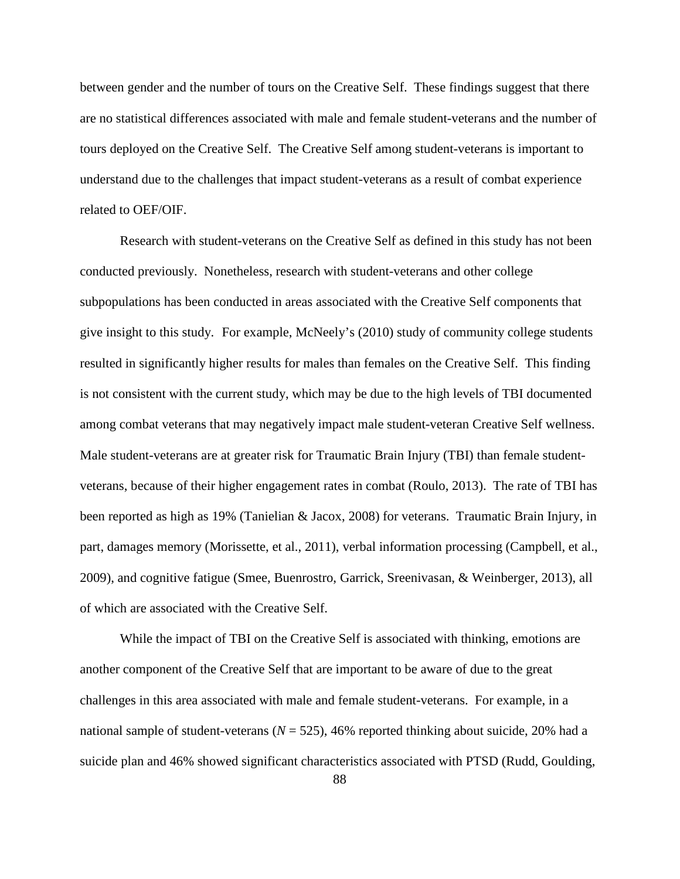between gender and the number of tours on the Creative Self. These findings suggest that there are no statistical differences associated with male and female student-veterans and the number of tours deployed on the Creative Self. The Creative Self among student-veterans is important to understand due to the challenges that impact student-veterans as a result of combat experience related to OEF/OIF.

Research with student-veterans on the Creative Self as defined in this study has not been conducted previously. Nonetheless, research with student-veterans and other college subpopulations has been conducted in areas associated with the Creative Self components that give insight to this study. For example, McNeely's (2010) study of community college students resulted in significantly higher results for males than females on the Creative Self. This finding is not consistent with the current study, which may be due to the high levels of TBI documented among combat veterans that may negatively impact male student-veteran Creative Self wellness. Male student-veterans are at greater risk for Traumatic Brain Injury (TBI) than female studentveterans, because of their higher engagement rates in combat (Roulo, 2013). The rate of TBI has been reported as high as 19% (Tanielian & Jacox, 2008) for veterans. Traumatic Brain Injury, in part, damages memory (Morissette, et al., 2011), verbal information processing (Campbell, et al., 2009), and cognitive fatigue (Smee, Buenrostro, Garrick, Sreenivasan, & Weinberger, 2013), all of which are associated with the Creative Self.

While the impact of TBI on the Creative Self is associated with thinking, emotions are another component of the Creative Self that are important to be aware of due to the great challenges in this area associated with male and female student-veterans. For example, in a national sample of student-veterans ( $N = 525$ ), 46% reported thinking about suicide, 20% had a suicide plan and 46% showed significant characteristics associated with PTSD (Rudd, Goulding,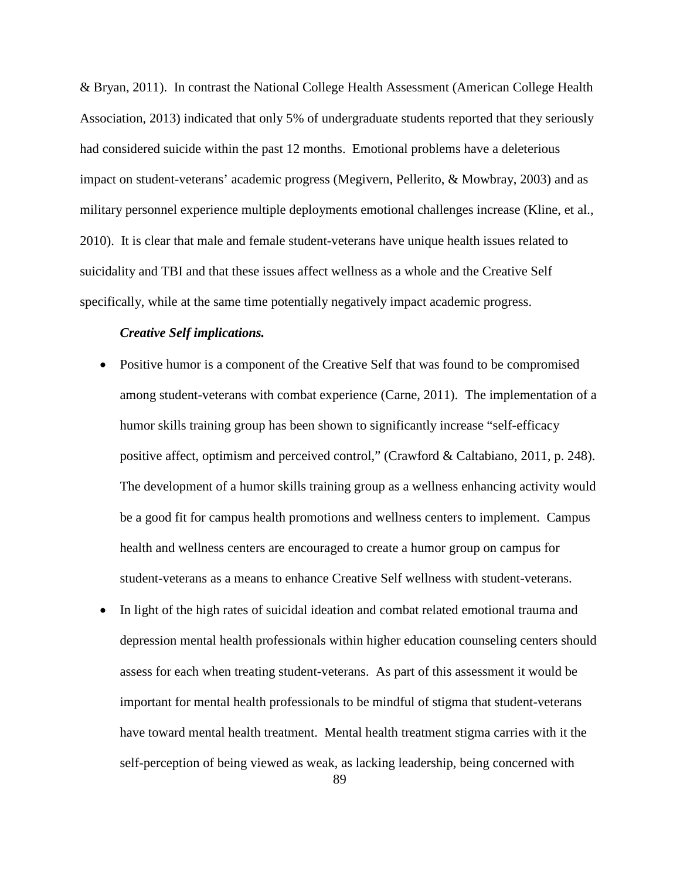& Bryan, 2011). In contrast the National College Health Assessment (American College Health Association, 2013) indicated that only 5% of undergraduate students reported that they seriously had considered suicide within the past 12 months. Emotional problems have a deleterious impact on student-veterans' academic progress (Megivern, Pellerito, & Mowbray, 2003) and as military personnel experience multiple deployments emotional challenges increase (Kline, et al., 2010). It is clear that male and female student-veterans have unique health issues related to suicidality and TBI and that these issues affect wellness as a whole and the Creative Self specifically, while at the same time potentially negatively impact academic progress.

## *Creative Self implications.*

- Positive humor is a component of the Creative Self that was found to be compromised among student-veterans with combat experience (Carne, 2011). The implementation of a humor skills training group has been shown to significantly increase "self-efficacy positive affect, optimism and perceived control," (Crawford & Caltabiano, 2011, p. 248). The development of a humor skills training group as a wellness enhancing activity would be a good fit for campus health promotions and wellness centers to implement. Campus health and wellness centers are encouraged to create a humor group on campus for student-veterans as a means to enhance Creative Self wellness with student-veterans.
- In light of the high rates of suicidal ideation and combat related emotional trauma and depression mental health professionals within higher education counseling centers should assess for each when treating student-veterans. As part of this assessment it would be important for mental health professionals to be mindful of stigma that student-veterans have toward mental health treatment. Mental health treatment stigma carries with it the self-perception of being viewed as weak, as lacking leadership, being concerned with

89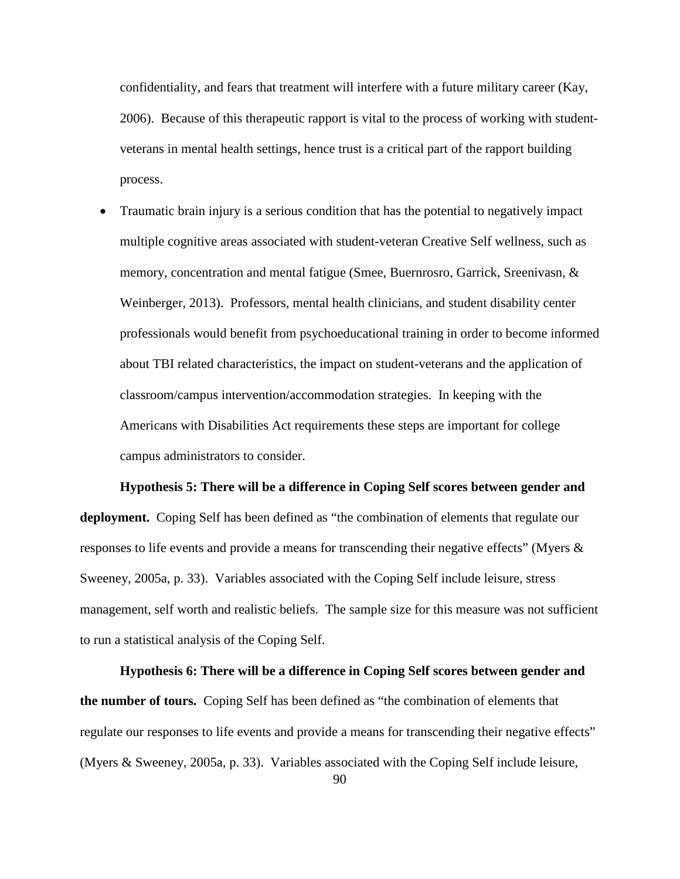confidentiality, and fears that treatment will interfere with a future military career (Kay, 2006). Because of this therapeutic rapport is vital to the process of working with studentveterans in mental health settings, hence trust is a critical part of the rapport building process.

• Traumatic brain injury is a serious condition that has the potential to negatively impact multiple cognitive areas associated with student-veteran Creative Self wellness, such as memory, concentration and mental fatigue (Smee, Buernrosro, Garrick, Sreenivasn, & Weinberger, 2013). Professors, mental health clinicians, and student disability center professionals would benefit from psychoeducational training in order to become informed about TBI related characteristics, the impact on student-veterans and the application of classroom/campus intervention/accommodation strategies. In keeping with the Americans with Disabilities Act requirements these steps are important for college campus administrators to consider.

 **Hypothesis 5: There will be a difference in Coping Self scores between gender and deployment.** Coping Self has been defined as "the combination of elements that regulate our responses to life events and provide a means for transcending their negative effects" (Myers & Sweeney, 2005a, p. 33). Variables associated with the Coping Self include leisure, stress management, self worth and realistic beliefs. The sample size for this measure was not sufficient to run a statistical analysis of the Coping Self.

**Hypothesis 6: There will be a difference in Coping Self scores between gender and the number of tours.** Coping Self has been defined as "the combination of elements that regulate our responses to life events and provide a means for transcending their negative effects" (Myers & Sweeney, 2005a, p. 33). Variables associated with the Coping Self include leisure,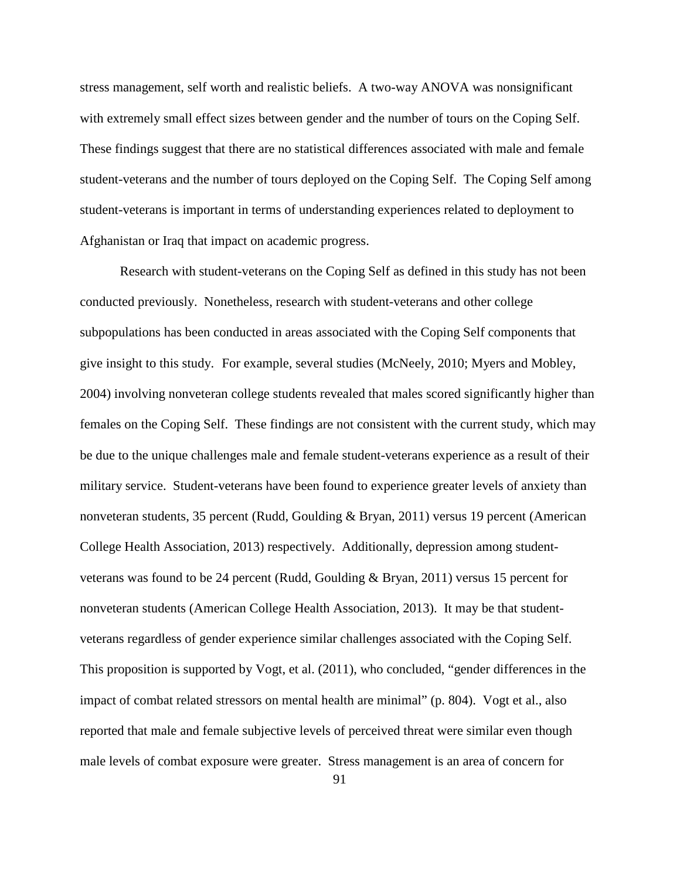stress management, self worth and realistic beliefs. A two-way ANOVA was nonsignificant with extremely small effect sizes between gender and the number of tours on the Coping Self. These findings suggest that there are no statistical differences associated with male and female student-veterans and the number of tours deployed on the Coping Self. The Coping Self among student-veterans is important in terms of understanding experiences related to deployment to Afghanistan or Iraq that impact on academic progress.

Research with student-veterans on the Coping Self as defined in this study has not been conducted previously. Nonetheless, research with student-veterans and other college subpopulations has been conducted in areas associated with the Coping Self components that give insight to this study. For example, several studies (McNeely, 2010; Myers and Mobley, 2004) involving nonveteran college students revealed that males scored significantly higher than females on the Coping Self. These findings are not consistent with the current study, which may be due to the unique challenges male and female student-veterans experience as a result of their military service. Student-veterans have been found to experience greater levels of anxiety than nonveteran students, 35 percent (Rudd, Goulding & Bryan, 2011) versus 19 percent (American College Health Association, 2013) respectively. Additionally, depression among studentveterans was found to be 24 percent (Rudd, Goulding & Bryan, 2011) versus 15 percent for nonveteran students (American College Health Association, 2013). It may be that studentveterans regardless of gender experience similar challenges associated with the Coping Self. This proposition is supported by Vogt, et al. (2011), who concluded, "gender differences in the impact of combat related stressors on mental health are minimal" (p. 804). Vogt et al., also reported that male and female subjective levels of perceived threat were similar even though male levels of combat exposure were greater. Stress management is an area of concern for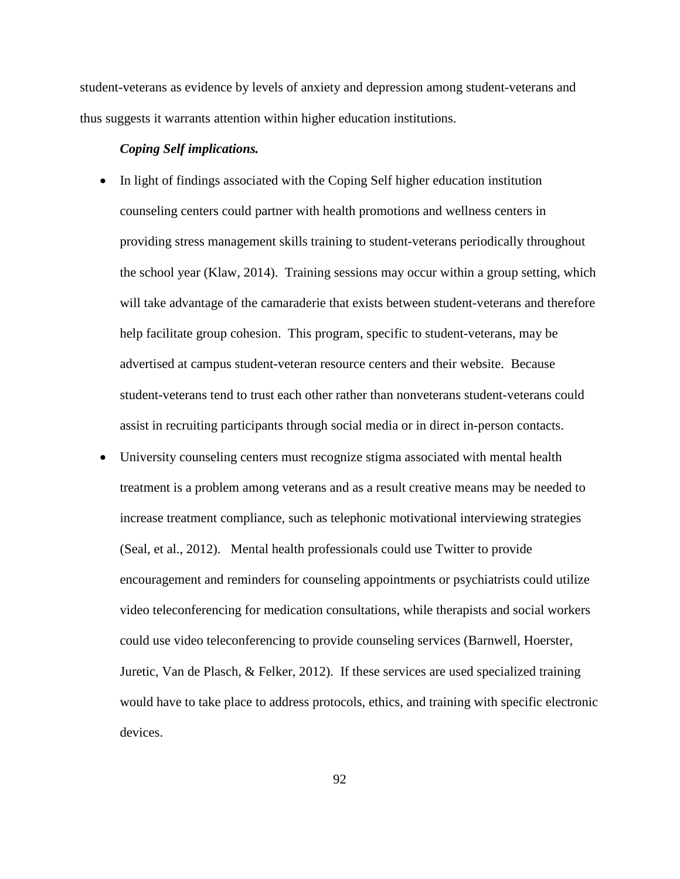student-veterans as evidence by levels of anxiety and depression among student-veterans and thus suggests it warrants attention within higher education institutions.

## *Coping Self implications.*

- In light of findings associated with the Coping Self higher education institution counseling centers could partner with health promotions and wellness centers in providing stress management skills training to student-veterans periodically throughout the school year (Klaw, 2014). Training sessions may occur within a group setting, which will take advantage of the camaraderie that exists between student-veterans and therefore help facilitate group cohesion. This program, specific to student-veterans, may be advertised at campus student-veteran resource centers and their website. Because student-veterans tend to trust each other rather than nonveterans student-veterans could assist in recruiting participants through social media or in direct in-person contacts.
- University counseling centers must recognize stigma associated with mental health treatment is a problem among veterans and as a result creative means may be needed to increase treatment compliance, such as telephonic motivational interviewing strategies (Seal, et al., 2012). Mental health professionals could use Twitter to provide encouragement and reminders for counseling appointments or psychiatrists could utilize video teleconferencing for medication consultations, while therapists and social workers could use video teleconferencing to provide counseling services (Barnwell, Hoerster, Juretic, Van de Plasch, & Felker, 2012). If these services are used specialized training would have to take place to address protocols, ethics, and training with specific electronic devices.

92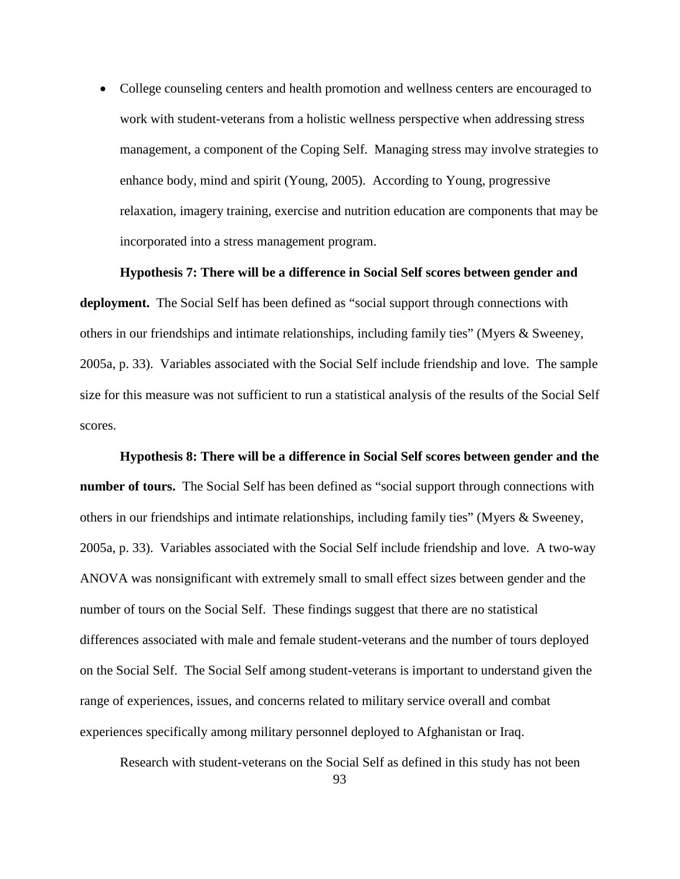• College counseling centers and health promotion and wellness centers are encouraged to work with student-veterans from a holistic wellness perspective when addressing stress management, a component of the Coping Self. Managing stress may involve strategies to enhance body, mind and spirit (Young, 2005). According to Young, progressive relaxation, imagery training, exercise and nutrition education are components that may be incorporated into a stress management program.

#### **Hypothesis 7: There will be a difference in Social Self scores between gender and**

**deployment.** The Social Self has been defined as "social support through connections with others in our friendships and intimate relationships, including family ties" (Myers & Sweeney, 2005a, p. 33). Variables associated with the Social Self include friendship and love. The sample size for this measure was not sufficient to run a statistical analysis of the results of the Social Self scores.

**Hypothesis 8: There will be a difference in Social Self scores between gender and the number of tours.** The Social Self has been defined as "social support through connections with others in our friendships and intimate relationships, including family ties" (Myers & Sweeney, 2005a, p. 33). Variables associated with the Social Self include friendship and love. A two-way ANOVA was nonsignificant with extremely small to small effect sizes between gender and the number of tours on the Social Self. These findings suggest that there are no statistical differences associated with male and female student-veterans and the number of tours deployed on the Social Self. The Social Self among student-veterans is important to understand given the range of experiences, issues, and concerns related to military service overall and combat experiences specifically among military personnel deployed to Afghanistan or Iraq.

Research with student-veterans on the Social Self as defined in this study has not been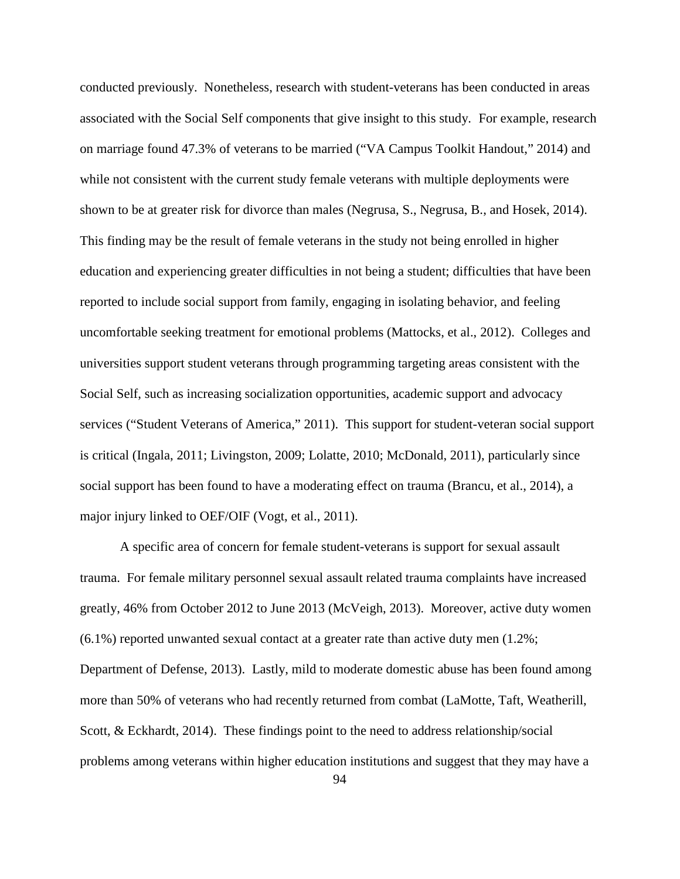conducted previously. Nonetheless, research with student-veterans has been conducted in areas associated with the Social Self components that give insight to this study. For example, research on marriage found 47.3% of veterans to be married ("VA Campus Toolkit Handout," 2014) and while not consistent with the current study female veterans with multiple deployments were shown to be at greater risk for divorce than males (Negrusa, S., Negrusa, B., and Hosek, 2014). This finding may be the result of female veterans in the study not being enrolled in higher education and experiencing greater difficulties in not being a student; difficulties that have been reported to include social support from family, engaging in isolating behavior, and feeling uncomfortable seeking treatment for emotional problems (Mattocks, et al., 2012). Colleges and universities support student veterans through programming targeting areas consistent with the Social Self, such as increasing socialization opportunities, academic support and advocacy services ("Student Veterans of America," 2011). This support for student-veteran social support is critical (Ingala, 2011; Livingston, 2009; Lolatte, 2010; McDonald, 2011), particularly since social support has been found to have a moderating effect on trauma (Brancu, et al., 2014), a major injury linked to OEF/OIF (Vogt, et al., 2011).

A specific area of concern for female student-veterans is support for sexual assault trauma. For female military personnel sexual assault related trauma complaints have increased greatly, 46% from October 2012 to June 2013 (McVeigh, 2013). Moreover, active duty women  $(6.1\%)$  reported unwanted sexual contact at a greater rate than active duty men  $(1.2\%)$ ; Department of Defense, 2013). Lastly, mild to moderate domestic abuse has been found among more than 50% of veterans who had recently returned from combat (LaMotte, Taft, Weatherill, Scott, & Eckhardt, 2014). These findings point to the need to address relationship/social problems among veterans within higher education institutions and suggest that they may have a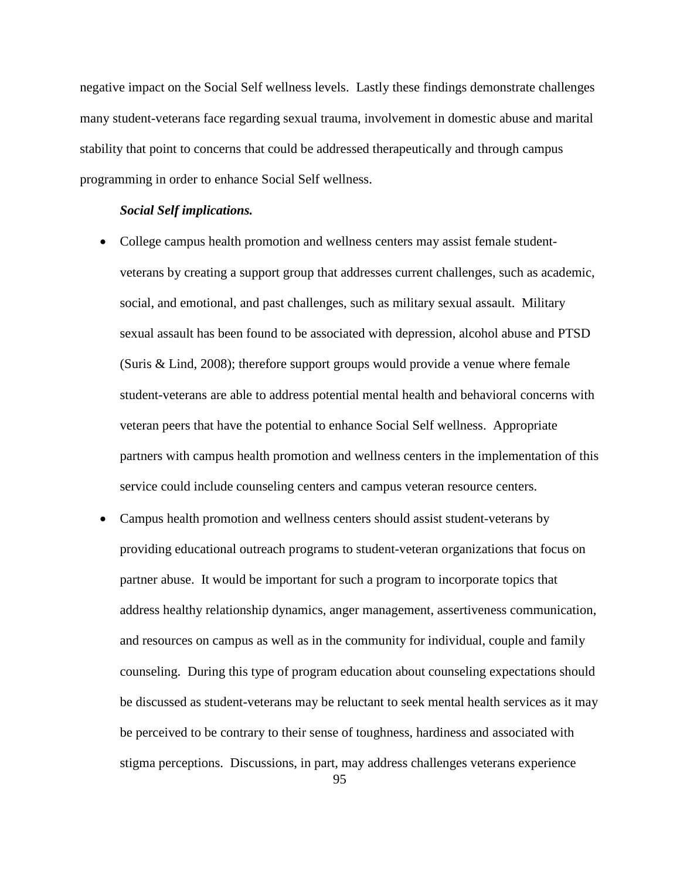negative impact on the Social Self wellness levels. Lastly these findings demonstrate challenges many student-veterans face regarding sexual trauma, involvement in domestic abuse and marital stability that point to concerns that could be addressed therapeutically and through campus programming in order to enhance Social Self wellness.

#### *Social Self implications.*

- College campus health promotion and wellness centers may assist female studentveterans by creating a support group that addresses current challenges, such as academic, social, and emotional, and past challenges, such as military sexual assault. Military sexual assault has been found to be associated with depression, alcohol abuse and PTSD (Suris & Lind, 2008); therefore support groups would provide a venue where female student-veterans are able to address potential mental health and behavioral concerns with veteran peers that have the potential to enhance Social Self wellness. Appropriate partners with campus health promotion and wellness centers in the implementation of this service could include counseling centers and campus veteran resource centers.
- Campus health promotion and wellness centers should assist student-veterans by providing educational outreach programs to student-veteran organizations that focus on partner abuse. It would be important for such a program to incorporate topics that address healthy relationship dynamics, anger management, assertiveness communication, and resources on campus as well as in the community for individual, couple and family counseling. During this type of program education about counseling expectations should be discussed as student-veterans may be reluctant to seek mental health services as it may be perceived to be contrary to their sense of toughness, hardiness and associated with stigma perceptions. Discussions, in part, may address challenges veterans experience

95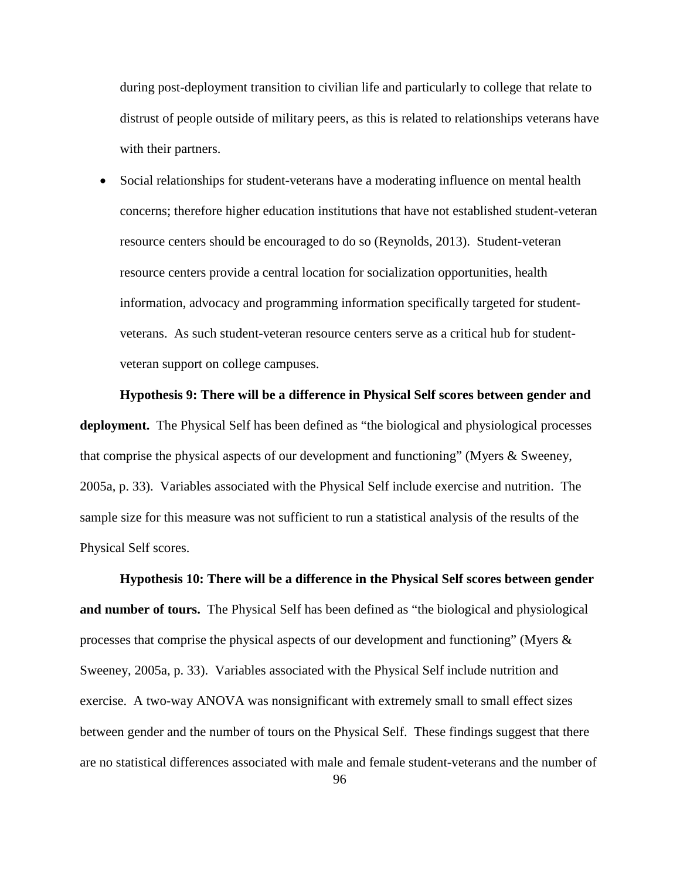during post-deployment transition to civilian life and particularly to college that relate to distrust of people outside of military peers, as this is related to relationships veterans have with their partners.

• Social relationships for student-veterans have a moderating influence on mental health concerns; therefore higher education institutions that have not established student-veteran resource centers should be encouraged to do so (Reynolds, 2013). Student-veteran resource centers provide a central location for socialization opportunities, health information, advocacy and programming information specifically targeted for studentveterans. As such student-veteran resource centers serve as a critical hub for studentveteran support on college campuses.

 **Hypothesis 9: There will be a difference in Physical Self scores between gender and deployment.** The Physical Self has been defined as "the biological and physiological processes that comprise the physical aspects of our development and functioning" (Myers & Sweeney, 2005a, p. 33). Variables associated with the Physical Self include exercise and nutrition. The sample size for this measure was not sufficient to run a statistical analysis of the results of the Physical Self scores.

**Hypothesis 10: There will be a difference in the Physical Self scores between gender and number of tours.** The Physical Self has been defined as "the biological and physiological processes that comprise the physical aspects of our development and functioning" (Myers & Sweeney, 2005a, p. 33). Variables associated with the Physical Self include nutrition and exercise. A two-way ANOVA was nonsignificant with extremely small to small effect sizes between gender and the number of tours on the Physical Self. These findings suggest that there are no statistical differences associated with male and female student-veterans and the number of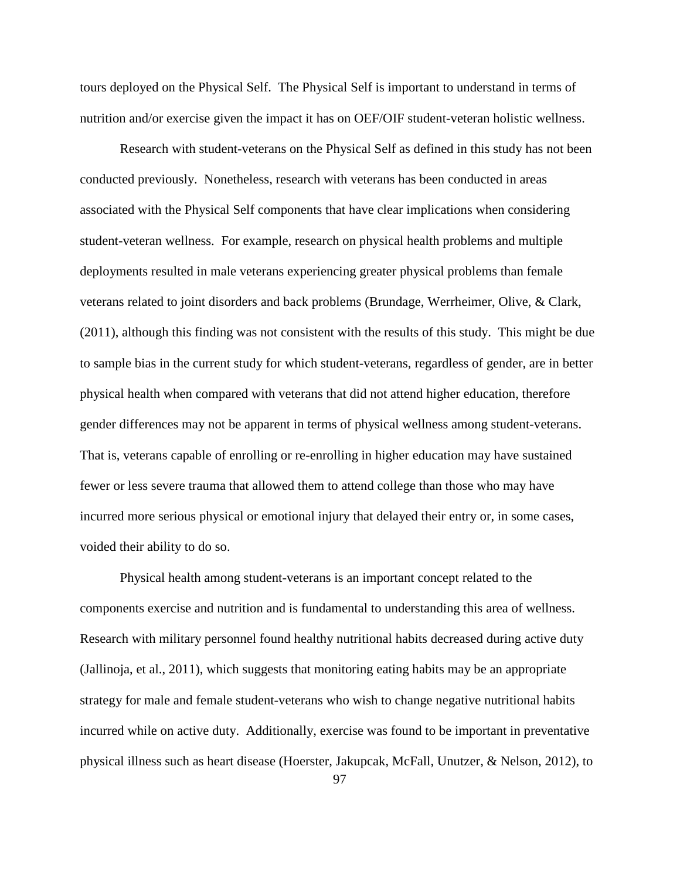tours deployed on the Physical Self. The Physical Self is important to understand in terms of nutrition and/or exercise given the impact it has on OEF/OIF student-veteran holistic wellness.

Research with student-veterans on the Physical Self as defined in this study has not been conducted previously. Nonetheless, research with veterans has been conducted in areas associated with the Physical Self components that have clear implications when considering student-veteran wellness. For example, research on physical health problems and multiple deployments resulted in male veterans experiencing greater physical problems than female veterans related to joint disorders and back problems (Brundage, Werrheimer, Olive, & Clark, (2011), although this finding was not consistent with the results of this study. This might be due to sample bias in the current study for which student-veterans, regardless of gender, are in better physical health when compared with veterans that did not attend higher education, therefore gender differences may not be apparent in terms of physical wellness among student-veterans. That is, veterans capable of enrolling or re-enrolling in higher education may have sustained fewer or less severe trauma that allowed them to attend college than those who may have incurred more serious physical or emotional injury that delayed their entry or, in some cases, voided their ability to do so.

Physical health among student-veterans is an important concept related to the components exercise and nutrition and is fundamental to understanding this area of wellness. Research with military personnel found healthy nutritional habits decreased during active duty (Jallinoja, et al., 2011), which suggests that monitoring eating habits may be an appropriate strategy for male and female student-veterans who wish to change negative nutritional habits incurred while on active duty. Additionally, exercise was found to be important in preventative physical illness such as heart disease (Hoerster, Jakupcak, McFall, Unutzer, & Nelson, 2012), to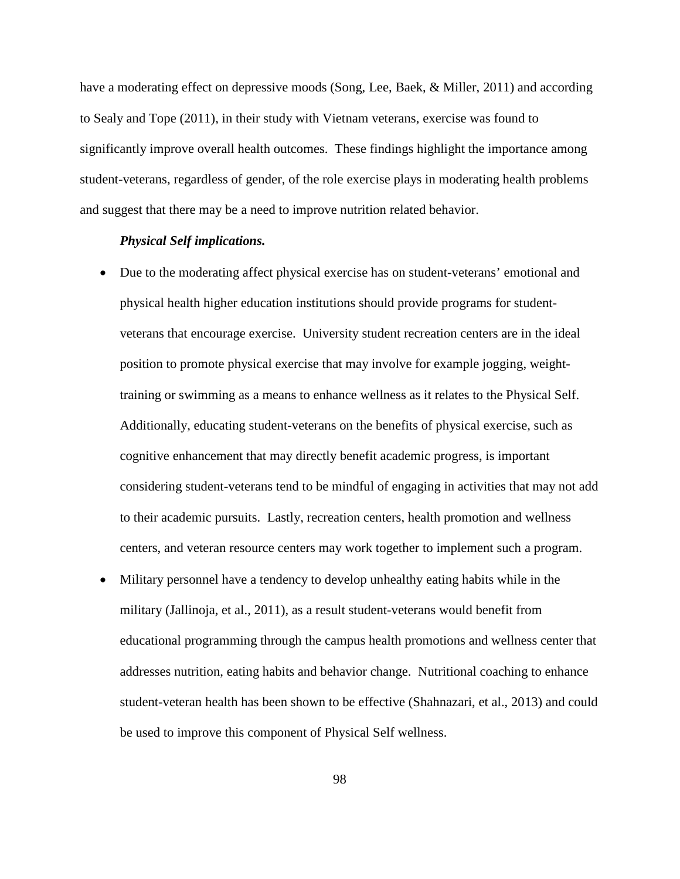have a moderating effect on depressive moods (Song, Lee, Baek, & Miller, 2011) and according to Sealy and Tope (2011), in their study with Vietnam veterans, exercise was found to significantly improve overall health outcomes. These findings highlight the importance among student-veterans, regardless of gender, of the role exercise plays in moderating health problems and suggest that there may be a need to improve nutrition related behavior.

## *Physical Self implications.*

- Due to the moderating affect physical exercise has on student-veterans' emotional and physical health higher education institutions should provide programs for studentveterans that encourage exercise. University student recreation centers are in the ideal position to promote physical exercise that may involve for example jogging, weighttraining or swimming as a means to enhance wellness as it relates to the Physical Self. Additionally, educating student-veterans on the benefits of physical exercise, such as cognitive enhancement that may directly benefit academic progress, is important considering student-veterans tend to be mindful of engaging in activities that may not add to their academic pursuits. Lastly, recreation centers, health promotion and wellness centers, and veteran resource centers may work together to implement such a program.
- Military personnel have a tendency to develop unhealthy eating habits while in the military (Jallinoja, et al., 2011), as a result student-veterans would benefit from educational programming through the campus health promotions and wellness center that addresses nutrition, eating habits and behavior change. Nutritional coaching to enhance student-veteran health has been shown to be effective (Shahnazari, et al., 2013) and could be used to improve this component of Physical Self wellness.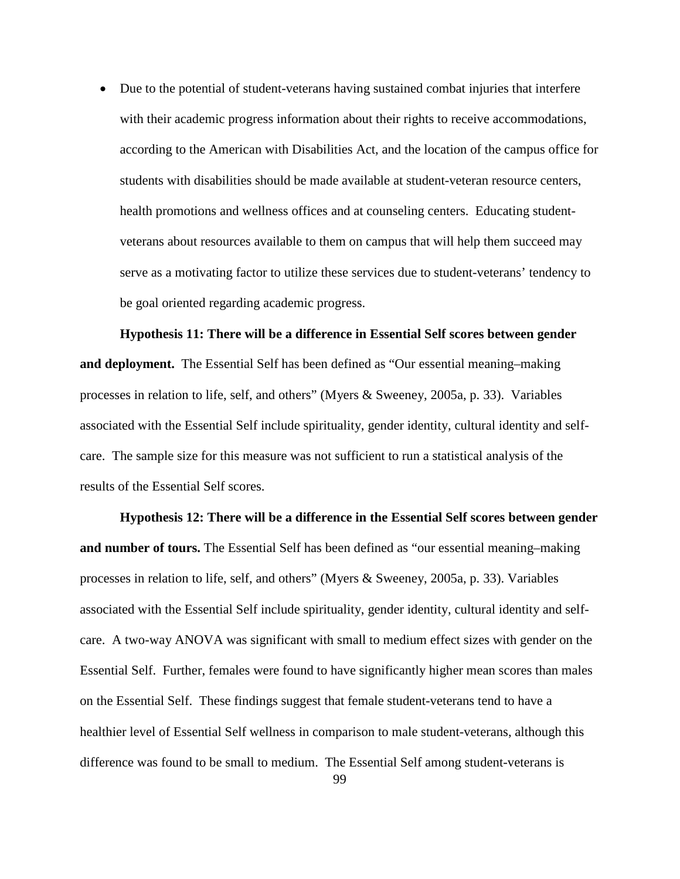• Due to the potential of student-veterans having sustained combat injuries that interfere with their academic progress information about their rights to receive accommodations, according to the American with Disabilities Act, and the location of the campus office for students with disabilities should be made available at student-veteran resource centers, health promotions and wellness offices and at counseling centers. Educating studentveterans about resources available to them on campus that will help them succeed may serve as a motivating factor to utilize these services due to student-veterans' tendency to be goal oriented regarding academic progress.

 **Hypothesis 11: There will be a difference in Essential Self scores between gender and deployment.** The Essential Self has been defined as "Our essential meaning–making processes in relation to life, self, and others" (Myers & Sweeney, 2005a, p. 33). Variables associated with the Essential Self include spirituality, gender identity, cultural identity and selfcare. The sample size for this measure was not sufficient to run a statistical analysis of the results of the Essential Self scores.

**Hypothesis 12: There will be a difference in the Essential Self scores between gender and number of tours.** The Essential Self has been defined as "our essential meaning–making processes in relation to life, self, and others" (Myers & Sweeney, 2005a, p. 33). Variables associated with the Essential Self include spirituality, gender identity, cultural identity and selfcare. A two-way ANOVA was significant with small to medium effect sizes with gender on the Essential Self. Further, females were found to have significantly higher mean scores than males on the Essential Self. These findings suggest that female student-veterans tend to have a healthier level of Essential Self wellness in comparison to male student-veterans, although this difference was found to be small to medium. The Essential Self among student-veterans is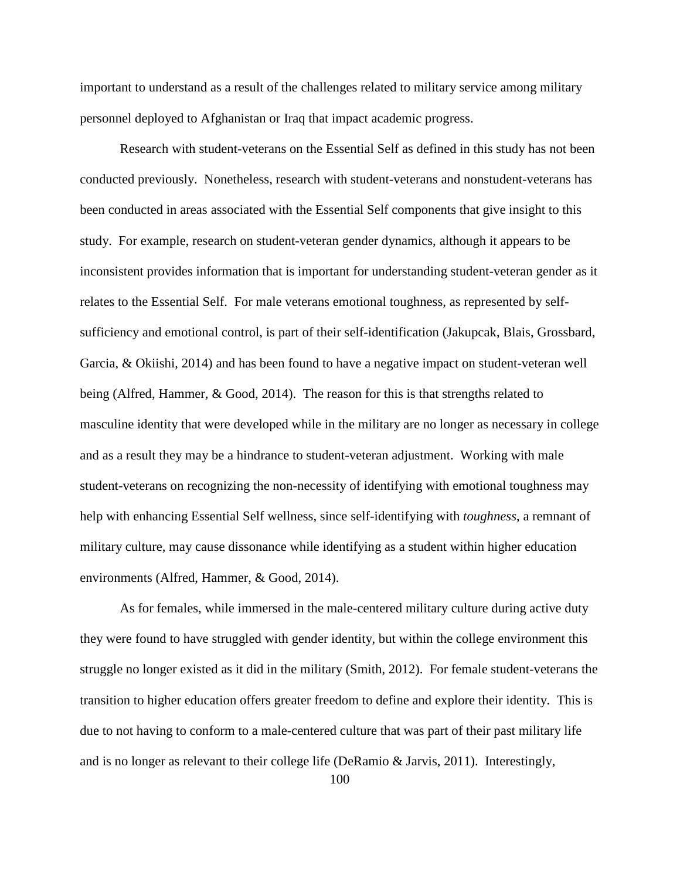important to understand as a result of the challenges related to military service among military personnel deployed to Afghanistan or Iraq that impact academic progress.

Research with student-veterans on the Essential Self as defined in this study has not been conducted previously. Nonetheless, research with student-veterans and nonstudent-veterans has been conducted in areas associated with the Essential Self components that give insight to this study. For example, research on student-veteran gender dynamics, although it appears to be inconsistent provides information that is important for understanding student-veteran gender as it relates to the Essential Self. For male veterans emotional toughness, as represented by selfsufficiency and emotional control, is part of their self-identification (Jakupcak, Blais, Grossbard, Garcia, & Okiishi, 2014) and has been found to have a negative impact on student-veteran well being (Alfred, Hammer, & Good, 2014). The reason for this is that strengths related to masculine identity that were developed while in the military are no longer as necessary in college and as a result they may be a hindrance to student-veteran adjustment. Working with male student-veterans on recognizing the non-necessity of identifying with emotional toughness may help with enhancing Essential Self wellness, since self-identifying with *toughness*, a remnant of military culture, may cause dissonance while identifying as a student within higher education environments (Alfred, Hammer, & Good, 2014).

As for females, while immersed in the male-centered military culture during active duty they were found to have struggled with gender identity, but within the college environment this struggle no longer existed as it did in the military (Smith, 2012). For female student-veterans the transition to higher education offers greater freedom to define and explore their identity. This is due to not having to conform to a male-centered culture that was part of their past military life and is no longer as relevant to their college life (DeRamio & Jarvis, 2011). Interestingly,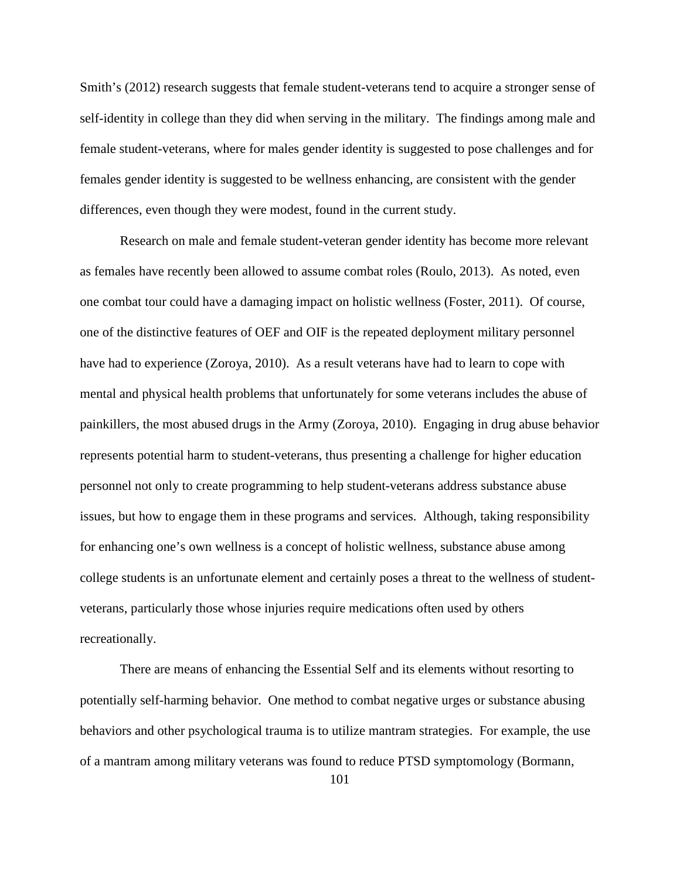Smith's (2012) research suggests that female student-veterans tend to acquire a stronger sense of self-identity in college than they did when serving in the military. The findings among male and female student-veterans, where for males gender identity is suggested to pose challenges and for females gender identity is suggested to be wellness enhancing, are consistent with the gender differences, even though they were modest, found in the current study.

Research on male and female student-veteran gender identity has become more relevant as females have recently been allowed to assume combat roles (Roulo, 2013). As noted, even one combat tour could have a damaging impact on holistic wellness (Foster, 2011). Of course, one of the distinctive features of OEF and OIF is the repeated deployment military personnel have had to experience (Zoroya, 2010). As a result veterans have had to learn to cope with mental and physical health problems that unfortunately for some veterans includes the abuse of painkillers, the most abused drugs in the Army (Zoroya, 2010). Engaging in drug abuse behavior represents potential harm to student-veterans, thus presenting a challenge for higher education personnel not only to create programming to help student-veterans address substance abuse issues, but how to engage them in these programs and services. Although, taking responsibility for enhancing one's own wellness is a concept of holistic wellness, substance abuse among college students is an unfortunate element and certainly poses a threat to the wellness of studentveterans, particularly those whose injuries require medications often used by others recreationally.

There are means of enhancing the Essential Self and its elements without resorting to potentially self-harming behavior. One method to combat negative urges or substance abusing behaviors and other psychological trauma is to utilize mantram strategies. For example, the use of a mantram among military veterans was found to reduce PTSD symptomology (Bormann,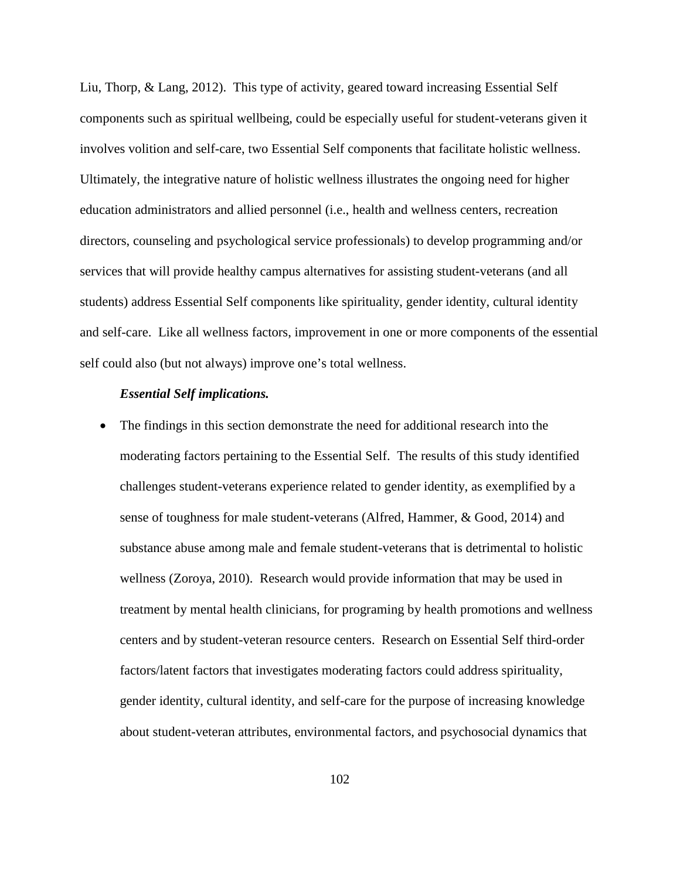Liu, Thorp, & Lang, 2012). This type of activity, geared toward increasing Essential Self components such as spiritual wellbeing, could be especially useful for student-veterans given it involves volition and self-care, two Essential Self components that facilitate holistic wellness. Ultimately, the integrative nature of holistic wellness illustrates the ongoing need for higher education administrators and allied personnel (i.e., health and wellness centers, recreation directors, counseling and psychological service professionals) to develop programming and/or services that will provide healthy campus alternatives for assisting student-veterans (and all students) address Essential Self components like spirituality, gender identity, cultural identity and self-care. Like all wellness factors, improvement in one or more components of the essential self could also (but not always) improve one's total wellness.

## *Essential Self implications.*

• The findings in this section demonstrate the need for additional research into the moderating factors pertaining to the Essential Self. The results of this study identified challenges student-veterans experience related to gender identity, as exemplified by a sense of toughness for male student-veterans (Alfred, Hammer, & Good, 2014) and substance abuse among male and female student-veterans that is detrimental to holistic wellness (Zoroya, 2010). Research would provide information that may be used in treatment by mental health clinicians, for programing by health promotions and wellness centers and by student-veteran resource centers. Research on Essential Self third-order factors/latent factors that investigates moderating factors could address spirituality, gender identity, cultural identity, and self-care for the purpose of increasing knowledge about student-veteran attributes, environmental factors, and psychosocial dynamics that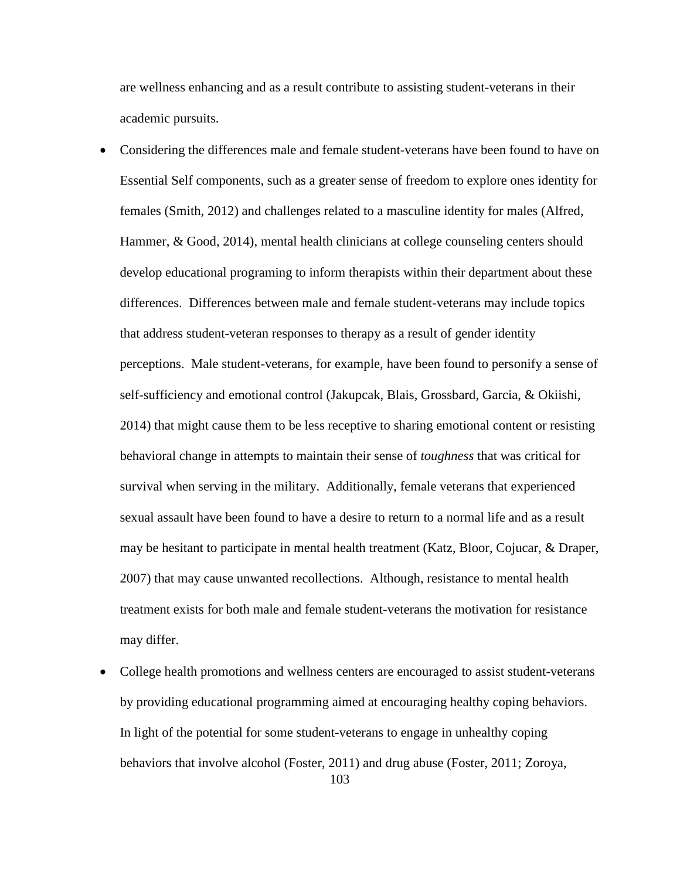are wellness enhancing and as a result contribute to assisting student-veterans in their academic pursuits.

- Considering the differences male and female student-veterans have been found to have on Essential Self components, such as a greater sense of freedom to explore ones identity for females (Smith, 2012) and challenges related to a masculine identity for males (Alfred, Hammer, & Good, 2014), mental health clinicians at college counseling centers should develop educational programing to inform therapists within their department about these differences. Differences between male and female student-veterans may include topics that address student-veteran responses to therapy as a result of gender identity perceptions. Male student-veterans, for example, have been found to personify a sense of self-sufficiency and emotional control (Jakupcak, Blais, Grossbard, Garcia, & Okiishi, 2014) that might cause them to be less receptive to sharing emotional content or resisting behavioral change in attempts to maintain their sense of *toughness* that was critical for survival when serving in the military. Additionally, female veterans that experienced sexual assault have been found to have a desire to return to a normal life and as a result may be hesitant to participate in mental health treatment (Katz, Bloor, Cojucar, & Draper, 2007) that may cause unwanted recollections. Although, resistance to mental health treatment exists for both male and female student-veterans the motivation for resistance may differ.
- 103 • College health promotions and wellness centers are encouraged to assist student-veterans by providing educational programming aimed at encouraging healthy coping behaviors. In light of the potential for some student-veterans to engage in unhealthy coping behaviors that involve alcohol (Foster, 2011) and drug abuse (Foster, 2011; Zoroya,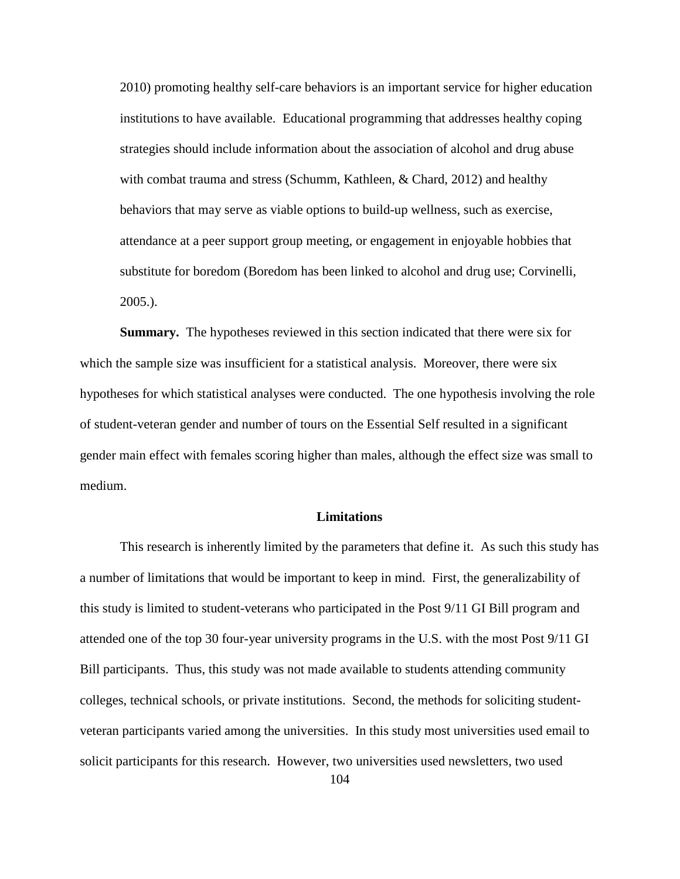2010) promoting healthy self-care behaviors is an important service for higher education institutions to have available. Educational programming that addresses healthy coping strategies should include information about the association of alcohol and drug abuse with combat trauma and stress (Schumm, Kathleen, & Chard, 2012) and healthy behaviors that may serve as viable options to build-up wellness, such as exercise, attendance at a peer support group meeting, or engagement in enjoyable hobbies that substitute for boredom (Boredom has been linked to alcohol and drug use; Corvinelli, 2005.).

 **Summary.** The hypotheses reviewed in this section indicated that there were six for which the sample size was insufficient for a statistical analysis. Moreover, there were six hypotheses for which statistical analyses were conducted. The one hypothesis involving the role of student-veteran gender and number of tours on the Essential Self resulted in a significant gender main effect with females scoring higher than males, although the effect size was small to medium.

### **Limitations**

This research is inherently limited by the parameters that define it. As such this study has a number of limitations that would be important to keep in mind. First, the generalizability of this study is limited to student-veterans who participated in the Post 9/11 GI Bill program and attended one of the top 30 four-year university programs in the U.S. with the most Post 9/11 GI Bill participants. Thus, this study was not made available to students attending community colleges, technical schools, or private institutions. Second, the methods for soliciting studentveteran participants varied among the universities. In this study most universities used email to solicit participants for this research. However, two universities used newsletters, two used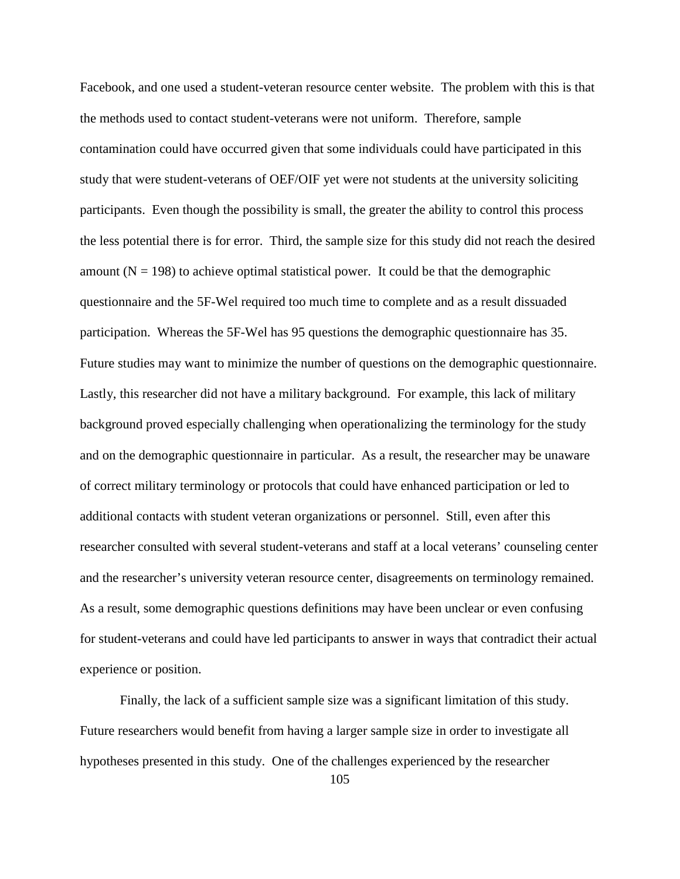Facebook, and one used a student-veteran resource center website. The problem with this is that the methods used to contact student-veterans were not uniform. Therefore, sample contamination could have occurred given that some individuals could have participated in this study that were student-veterans of OEF/OIF yet were not students at the university soliciting participants. Even though the possibility is small, the greater the ability to control this process the less potential there is for error. Third, the sample size for this study did not reach the desired amount ( $N = 198$ ) to achieve optimal statistical power. It could be that the demographic questionnaire and the 5F-Wel required too much time to complete and as a result dissuaded participation. Whereas the 5F-Wel has 95 questions the demographic questionnaire has 35. Future studies may want to minimize the number of questions on the demographic questionnaire. Lastly, this researcher did not have a military background. For example, this lack of military background proved especially challenging when operationalizing the terminology for the study and on the demographic questionnaire in particular. As a result, the researcher may be unaware of correct military terminology or protocols that could have enhanced participation or led to additional contacts with student veteran organizations or personnel. Still, even after this researcher consulted with several student-veterans and staff at a local veterans' counseling center and the researcher's university veteran resource center, disagreements on terminology remained. As a result, some demographic questions definitions may have been unclear or even confusing for student-veterans and could have led participants to answer in ways that contradict their actual experience or position.

Finally, the lack of a sufficient sample size was a significant limitation of this study. Future researchers would benefit from having a larger sample size in order to investigate all hypotheses presented in this study. One of the challenges experienced by the researcher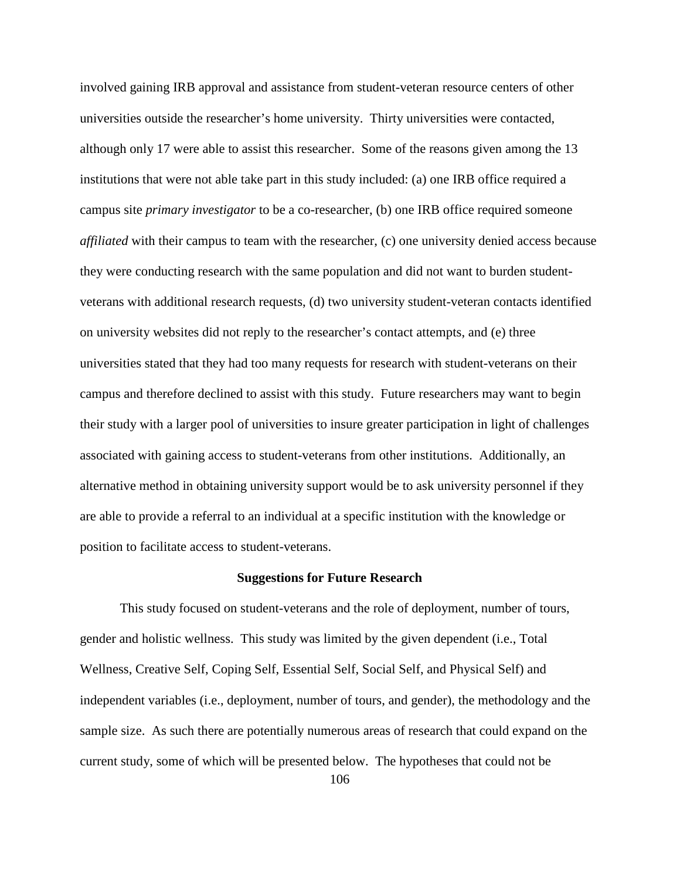involved gaining IRB approval and assistance from student-veteran resource centers of other universities outside the researcher's home university. Thirty universities were contacted, although only 17 were able to assist this researcher. Some of the reasons given among the 13 institutions that were not able take part in this study included: (a) one IRB office required a campus site *primary investigator* to be a co-researcher, (b) one IRB office required someone *affiliated* with their campus to team with the researcher, (c) one university denied access because they were conducting research with the same population and did not want to burden studentveterans with additional research requests, (d) two university student-veteran contacts identified on university websites did not reply to the researcher's contact attempts, and (e) three universities stated that they had too many requests for research with student-veterans on their campus and therefore declined to assist with this study. Future researchers may want to begin their study with a larger pool of universities to insure greater participation in light of challenges associated with gaining access to student-veterans from other institutions. Additionally, an alternative method in obtaining university support would be to ask university personnel if they are able to provide a referral to an individual at a specific institution with the knowledge or position to facilitate access to student-veterans.

## **Suggestions for Future Research**

 This study focused on student-veterans and the role of deployment, number of tours, gender and holistic wellness. This study was limited by the given dependent (i.e., Total Wellness, Creative Self, Coping Self, Essential Self, Social Self, and Physical Self) and independent variables (i.e., deployment, number of tours, and gender), the methodology and the sample size. As such there are potentially numerous areas of research that could expand on the current study, some of which will be presented below. The hypotheses that could not be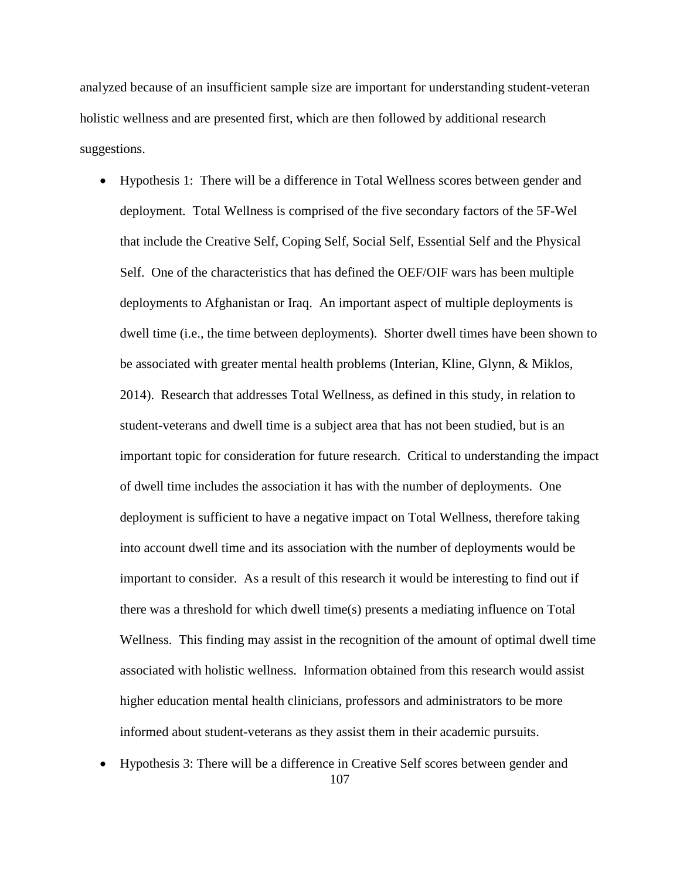analyzed because of an insufficient sample size are important for understanding student-veteran holistic wellness and are presented first, which are then followed by additional research suggestions.

- Hypothesis 1: There will be a difference in Total Wellness scores between gender and deployment*.* Total Wellness is comprised of the five secondary factors of the 5F-Wel that include the Creative Self, Coping Self, Social Self, Essential Self and the Physical Self. One of the characteristics that has defined the OEF/OIF wars has been multiple deployments to Afghanistan or Iraq. An important aspect of multiple deployments is dwell time (i.e., the time between deployments). Shorter dwell times have been shown to be associated with greater mental health problems (Interian, Kline, Glynn, & Miklos, 2014). Research that addresses Total Wellness, as defined in this study, in relation to student-veterans and dwell time is a subject area that has not been studied, but is an important topic for consideration for future research. Critical to understanding the impact of dwell time includes the association it has with the number of deployments. One deployment is sufficient to have a negative impact on Total Wellness, therefore taking into account dwell time and its association with the number of deployments would be important to consider. As a result of this research it would be interesting to find out if there was a threshold for which dwell time(s) presents a mediating influence on Total Wellness. This finding may assist in the recognition of the amount of optimal dwell time associated with holistic wellness. Information obtained from this research would assist higher education mental health clinicians, professors and administrators to be more informed about student-veterans as they assist them in their academic pursuits.
- 107 • Hypothesis 3: There will be a difference in Creative Self scores between gender and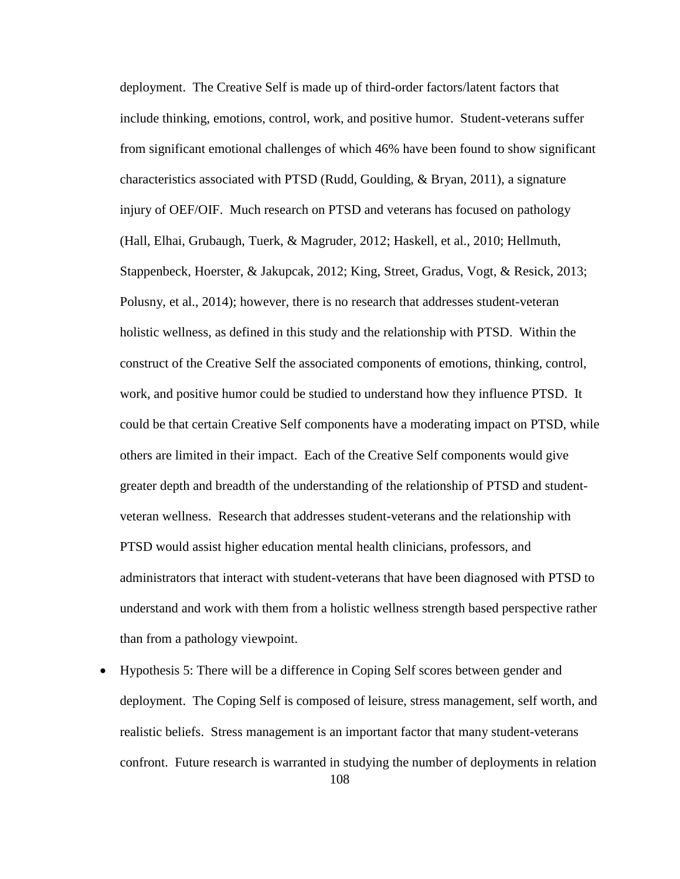deployment. The Creative Self is made up of third-order factors/latent factors that include thinking, emotions, control, work, and positive humor. Student-veterans suffer from significant emotional challenges of which 46% have been found to show significant characteristics associated with PTSD (Rudd, Goulding, & Bryan, 2011), a signature injury of OEF/OIF. Much research on PTSD and veterans has focused on pathology (Hall, Elhai, Grubaugh, Tuerk, & Magruder, 2012; Haskell, et al., 2010; Hellmuth, Stappenbeck, Hoerster, & Jakupcak, 2012; King, Street, Gradus, Vogt, & Resick, 2013; Polusny, et al., 2014); however, there is no research that addresses student-veteran holistic wellness, as defined in this study and the relationship with PTSD. Within the construct of the Creative Self the associated components of emotions, thinking, control, work, and positive humor could be studied to understand how they influence PTSD. It could be that certain Creative Self components have a moderating impact on PTSD, while others are limited in their impact. Each of the Creative Self components would give greater depth and breadth of the understanding of the relationship of PTSD and studentveteran wellness. Research that addresses student-veterans and the relationship with PTSD would assist higher education mental health clinicians, professors, and administrators that interact with student-veterans that have been diagnosed with PTSD to understand and work with them from a holistic wellness strength based perspective rather than from a pathology viewpoint.

108 • Hypothesis 5: There will be a difference in Coping Self scores between gender and deployment. The Coping Self is composed of leisure, stress management, self worth, and realistic beliefs. Stress management is an important factor that many student-veterans confront. Future research is warranted in studying the number of deployments in relation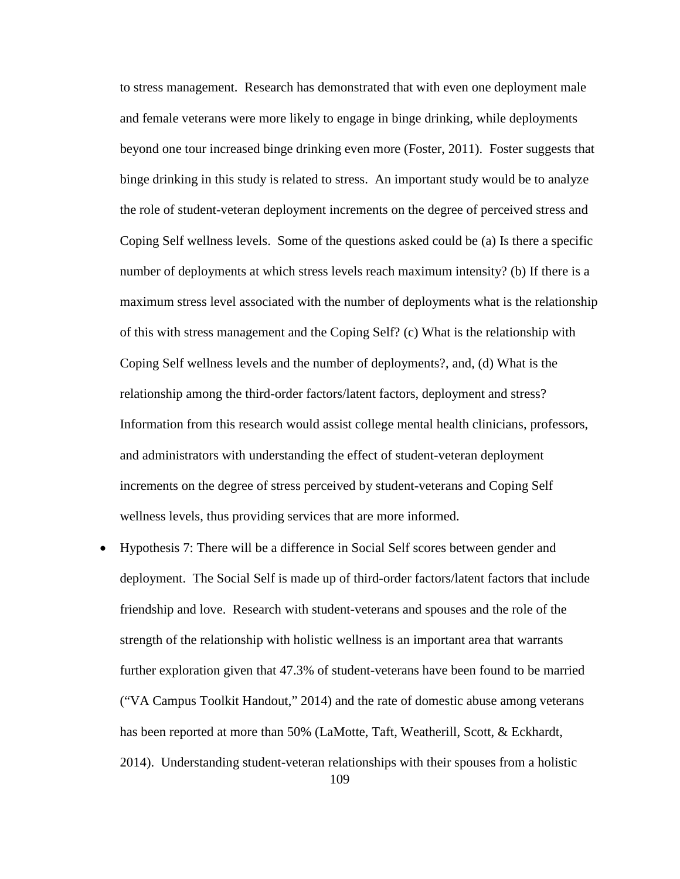to stress management. Research has demonstrated that with even one deployment male and female veterans were more likely to engage in binge drinking, while deployments beyond one tour increased binge drinking even more (Foster, 2011). Foster suggests that binge drinking in this study is related to stress. An important study would be to analyze the role of student-veteran deployment increments on the degree of perceived stress and Coping Self wellness levels. Some of the questions asked could be (a) Is there a specific number of deployments at which stress levels reach maximum intensity? (b) If there is a maximum stress level associated with the number of deployments what is the relationship of this with stress management and the Coping Self? (c) What is the relationship with Coping Self wellness levels and the number of deployments?, and, (d) What is the relationship among the third-order factors/latent factors, deployment and stress? Information from this research would assist college mental health clinicians, professors, and administrators with understanding the effect of student-veteran deployment increments on the degree of stress perceived by student-veterans and Coping Self wellness levels, thus providing services that are more informed.

109 • Hypothesis 7: There will be a difference in Social Self scores between gender and deployment. The Social Self is made up of third-order factors/latent factors that include friendship and love. Research with student-veterans and spouses and the role of the strength of the relationship with holistic wellness is an important area that warrants further exploration given that 47.3% of student-veterans have been found to be married ("VA Campus Toolkit Handout," 2014) and the rate of domestic abuse among veterans has been reported at more than 50% (LaMotte, Taft, Weatherill, Scott, & Eckhardt, 2014). Understanding student-veteran relationships with their spouses from a holistic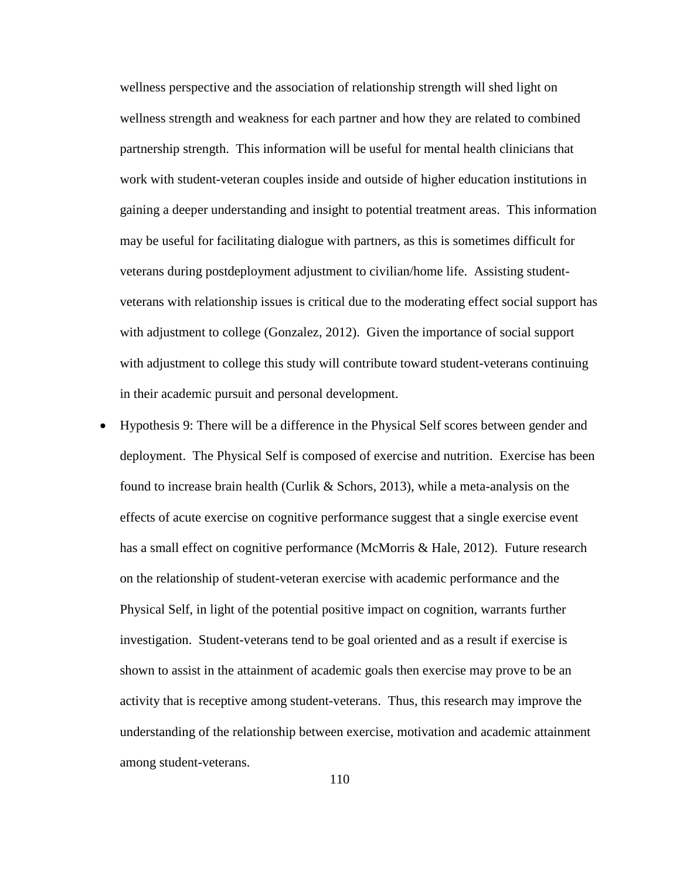wellness perspective and the association of relationship strength will shed light on wellness strength and weakness for each partner and how they are related to combined partnership strength. This information will be useful for mental health clinicians that work with student-veteran couples inside and outside of higher education institutions in gaining a deeper understanding and insight to potential treatment areas. This information may be useful for facilitating dialogue with partners, as this is sometimes difficult for veterans during postdeployment adjustment to civilian/home life. Assisting studentveterans with relationship issues is critical due to the moderating effect social support has with adjustment to college (Gonzalez, 2012). Given the importance of social support with adjustment to college this study will contribute toward student-veterans continuing in their academic pursuit and personal development.

• Hypothesis 9: There will be a difference in the Physical Self scores between gender and deployment. The Physical Self is composed of exercise and nutrition. Exercise has been found to increase brain health (Curlik & Schors, 2013), while a meta-analysis on the effects of acute exercise on cognitive performance suggest that a single exercise event has a small effect on cognitive performance (McMorris & Hale, 2012). Future research on the relationship of student-veteran exercise with academic performance and the Physical Self, in light of the potential positive impact on cognition, warrants further investigation. Student-veterans tend to be goal oriented and as a result if exercise is shown to assist in the attainment of academic goals then exercise may prove to be an activity that is receptive among student-veterans. Thus, this research may improve the understanding of the relationship between exercise, motivation and academic attainment among student-veterans.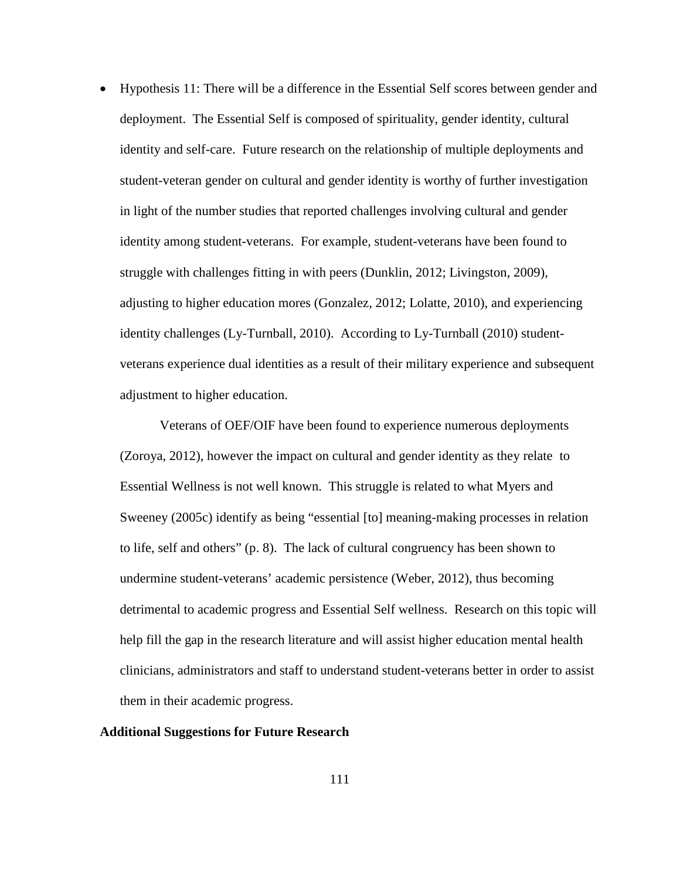• Hypothesis 11: There will be a difference in the Essential Self scores between gender and deployment. The Essential Self is composed of spirituality, gender identity, cultural identity and self-care. Future research on the relationship of multiple deployments and student-veteran gender on cultural and gender identity is worthy of further investigation in light of the number studies that reported challenges involving cultural and gender identity among student-veterans. For example, student-veterans have been found to struggle with challenges fitting in with peers (Dunklin, 2012; Livingston, 2009), adjusting to higher education mores (Gonzalez, 2012; Lolatte, 2010), and experiencing identity challenges (Ly-Turnball, 2010). According to Ly-Turnball (2010) studentveterans experience dual identities as a result of their military experience and subsequent adjustment to higher education.

 Veterans of OEF/OIF have been found to experience numerous deployments (Zoroya, 2012), however the impact on cultural and gender identity as they relate to Essential Wellness is not well known. This struggle is related to what Myers and Sweeney (2005c) identify as being "essential [to] meaning-making processes in relation to life, self and others" (p. 8). The lack of cultural congruency has been shown to undermine student-veterans' academic persistence (Weber, 2012), thus becoming detrimental to academic progress and Essential Self wellness. Research on this topic will help fill the gap in the research literature and will assist higher education mental health clinicians, administrators and staff to understand student-veterans better in order to assist them in their academic progress.

# **Additional Suggestions for Future Research**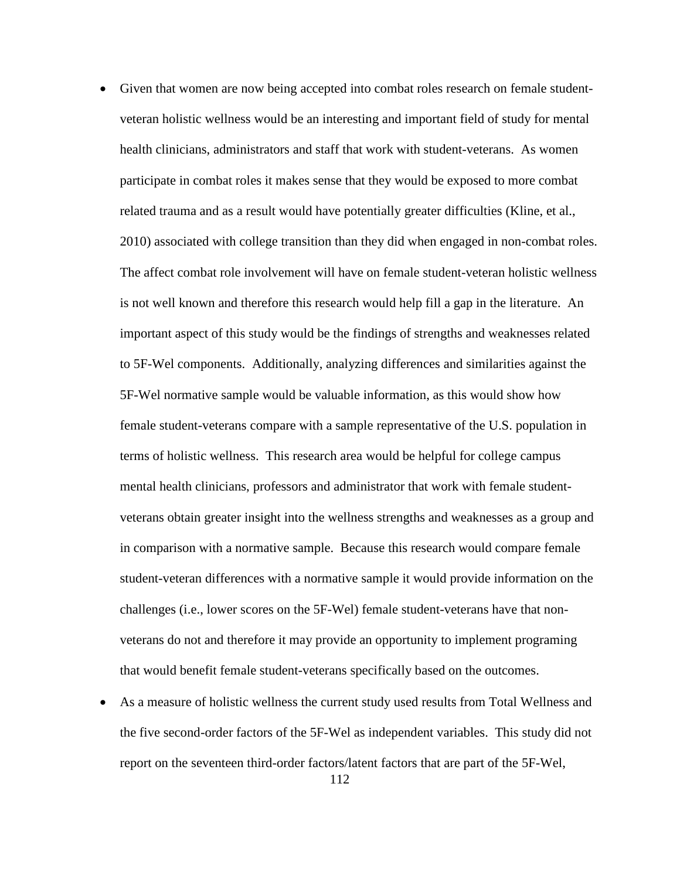- Given that women are now being accepted into combat roles research on female studentveteran holistic wellness would be an interesting and important field of study for mental health clinicians, administrators and staff that work with student-veterans. As women participate in combat roles it makes sense that they would be exposed to more combat related trauma and as a result would have potentially greater difficulties (Kline, et al., 2010) associated with college transition than they did when engaged in non-combat roles. The affect combat role involvement will have on female student-veteran holistic wellness is not well known and therefore this research would help fill a gap in the literature. An important aspect of this study would be the findings of strengths and weaknesses related to 5F-Wel components. Additionally, analyzing differences and similarities against the 5F-Wel normative sample would be valuable information, as this would show how female student-veterans compare with a sample representative of the U.S. population in terms of holistic wellness. This research area would be helpful for college campus mental health clinicians, professors and administrator that work with female studentveterans obtain greater insight into the wellness strengths and weaknesses as a group and in comparison with a normative sample. Because this research would compare female student-veteran differences with a normative sample it would provide information on the challenges (i.e., lower scores on the 5F-Wel) female student-veterans have that nonveterans do not and therefore it may provide an opportunity to implement programing that would benefit female student-veterans specifically based on the outcomes.
- As a measure of holistic wellness the current study used results from Total Wellness and the five second-order factors of the 5F-Wel as independent variables. This study did not report on the seventeen third-order factors/latent factors that are part of the 5F-Wel,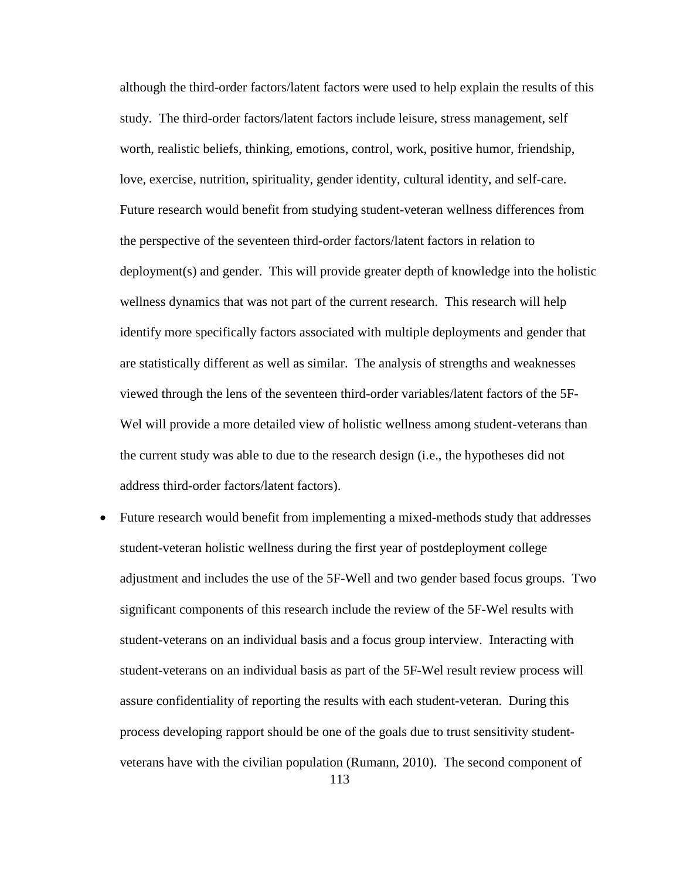although the third-order factors/latent factors were used to help explain the results of this study. The third-order factors/latent factors include leisure, stress management, self worth, realistic beliefs, thinking, emotions, control, work, positive humor, friendship, love, exercise, nutrition, spirituality, gender identity, cultural identity, and self-care. Future research would benefit from studying student-veteran wellness differences from the perspective of the seventeen third-order factors/latent factors in relation to deployment(s) and gender. This will provide greater depth of knowledge into the holistic wellness dynamics that was not part of the current research. This research will help identify more specifically factors associated with multiple deployments and gender that are statistically different as well as similar. The analysis of strengths and weaknesses viewed through the lens of the seventeen third-order variables/latent factors of the 5F-Wel will provide a more detailed view of holistic wellness among student-veterans than the current study was able to due to the research design (i.e., the hypotheses did not address third-order factors/latent factors).

113 • Future research would benefit from implementing a mixed-methods study that addresses student-veteran holistic wellness during the first year of postdeployment college adjustment and includes the use of the 5F-Well and two gender based focus groups. Two significant components of this research include the review of the 5F-Wel results with student-veterans on an individual basis and a focus group interview. Interacting with student-veterans on an individual basis as part of the 5F-Wel result review process will assure confidentiality of reporting the results with each student-veteran. During this process developing rapport should be one of the goals due to trust sensitivity studentveterans have with the civilian population (Rumann, 2010). The second component of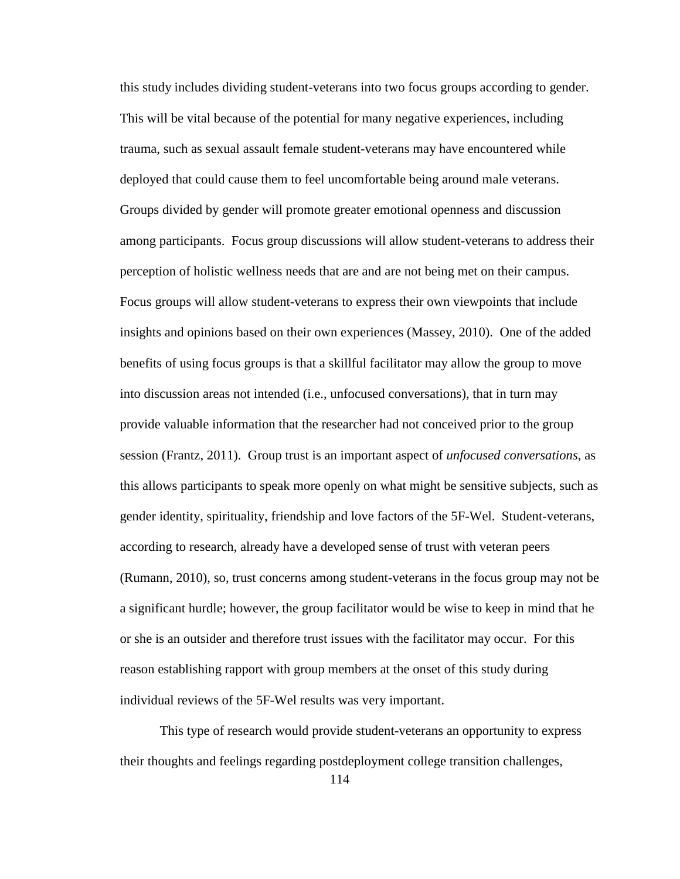this study includes dividing student-veterans into two focus groups according to gender. This will be vital because of the potential for many negative experiences, including trauma, such as sexual assault female student-veterans may have encountered while deployed that could cause them to feel uncomfortable being around male veterans. Groups divided by gender will promote greater emotional openness and discussion among participants. Focus group discussions will allow student-veterans to address their perception of holistic wellness needs that are and are not being met on their campus. Focus groups will allow student-veterans to express their own viewpoints that include insights and opinions based on their own experiences (Massey, 2010). One of the added benefits of using focus groups is that a skillful facilitator may allow the group to move into discussion areas not intended (i.e., unfocused conversations), that in turn may provide valuable information that the researcher had not conceived prior to the group session (Frantz, 2011). Group trust is an important aspect of *unfocused conversations*, as this allows participants to speak more openly on what might be sensitive subjects, such as gender identity, spirituality, friendship and love factors of the 5F-Wel. Student-veterans, according to research, already have a developed sense of trust with veteran peers (Rumann, 2010), so, trust concerns among student-veterans in the focus group may not be a significant hurdle; however, the group facilitator would be wise to keep in mind that he or she is an outsider and therefore trust issues with the facilitator may occur. For this reason establishing rapport with group members at the onset of this study during individual reviews of the 5F-Wel results was very important.

 This type of research would provide student-veterans an opportunity to express their thoughts and feelings regarding postdeployment college transition challenges,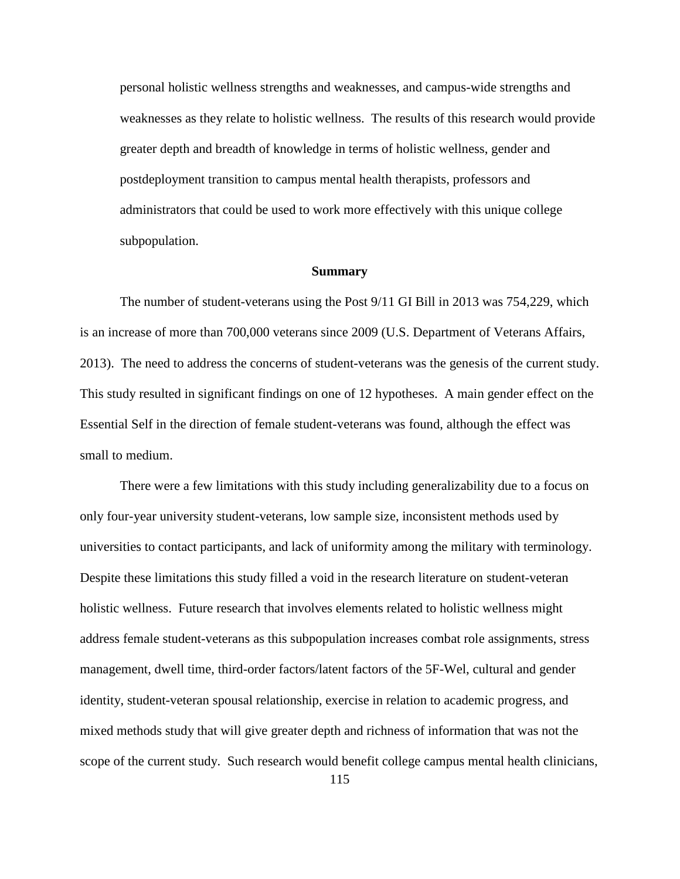personal holistic wellness strengths and weaknesses, and campus-wide strengths and weaknesses as they relate to holistic wellness. The results of this research would provide greater depth and breadth of knowledge in terms of holistic wellness, gender and postdeployment transition to campus mental health therapists, professors and administrators that could be used to work more effectively with this unique college subpopulation.

#### **Summary**

The number of student-veterans using the Post 9/11 GI Bill in 2013 was 754,229, which is an increase of more than 700,000 veterans since 2009 (U.S. Department of Veterans Affairs, 2013). The need to address the concerns of student-veterans was the genesis of the current study. This study resulted in significant findings on one of 12 hypotheses. A main gender effect on the Essential Self in the direction of female student-veterans was found, although the effect was small to medium.

There were a few limitations with this study including generalizability due to a focus on only four-year university student-veterans, low sample size, inconsistent methods used by universities to contact participants, and lack of uniformity among the military with terminology. Despite these limitations this study filled a void in the research literature on student-veteran holistic wellness. Future research that involves elements related to holistic wellness might address female student-veterans as this subpopulation increases combat role assignments, stress management, dwell time, third-order factors/latent factors of the 5F-Wel, cultural and gender identity, student-veteran spousal relationship, exercise in relation to academic progress, and mixed methods study that will give greater depth and richness of information that was not the scope of the current study. Such research would benefit college campus mental health clinicians,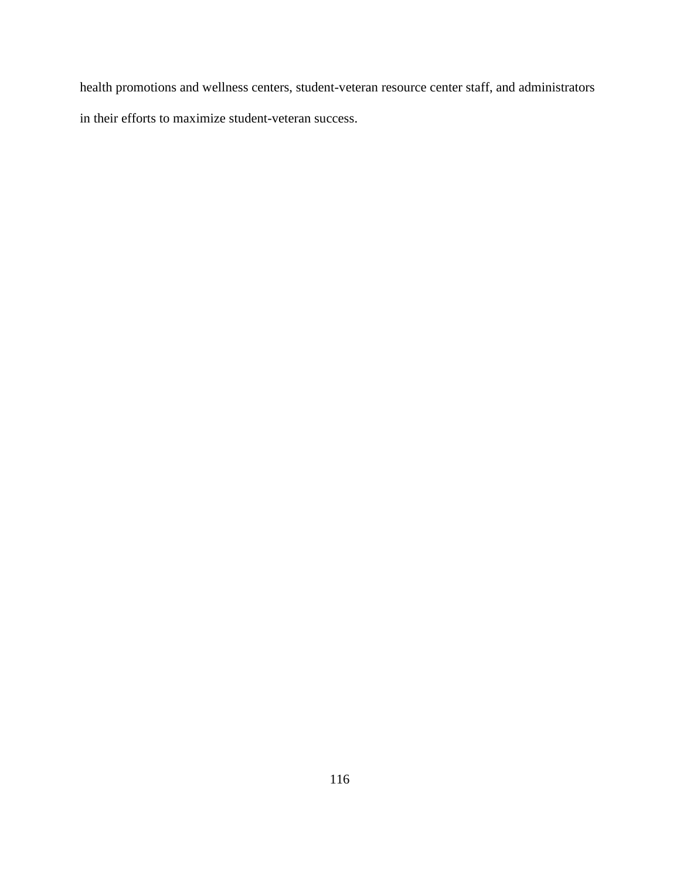health promotions and wellness centers, student-veteran resource center staff, and administrators in their efforts to maximize student-veteran success.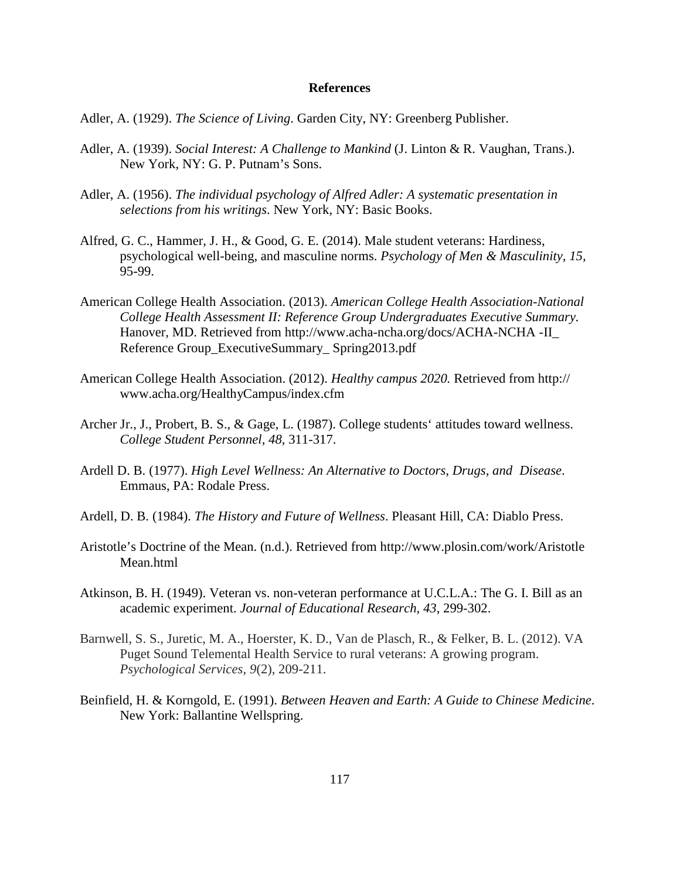## **References**

- Adler, A. (1929). *The Science of Living*. Garden City, NY: Greenberg Publisher.
- Adler, A. (1939). *Social Interest: A Challenge to Mankind* (J. Linton & R. Vaughan, Trans.). New York, NY: G. P. Putnam's Sons.
- Adler, A. (1956). *The individual psychology of Alfred Adler: A systematic presentation in selections from his writings*. New York, NY: Basic Books.
- Alfred, G. C., Hammer, J. H., & Good, G. E. (2014). Male student veterans: Hardiness, psychological well-being, and masculine norms. *Psychology of Men & Masculinity, 15,* 95-99.
- American College Health Association. (2013). *American College Health Association-National College Health Assessment II: Reference Group Undergraduates Executive Summary.* Hanover, MD. Retrieved from http://www.acha-ncha.org/docs/ACHA-NCHA -II\_ Reference Group\_ExecutiveSummary\_ Spring2013.pdf
- American College Health Association. (2012). *Healthy campus 2020.* Retrieved from http:// www.acha.org/HealthyCampus/index.cfm
- Archer Jr., J., Probert, B. S., & Gage, L. (1987). College students' attitudes toward wellness. *College Student Personnel, 48*, 311-317.
- Ardell D. B. (1977). *High Level Wellness: An Alternative to Doctors, Drugs, and Disease*. Emmaus, PA: Rodale Press.
- Ardell, D. B. (1984). *The History and Future of Wellness*. Pleasant Hill, CA: Diablo Press.
- Aristotle's Doctrine of the Mean. (n.d.). Retrieved from http://www.plosin.com/work/Aristotle Mean.html
- Atkinson, B. H. (1949). Veteran vs. non-veteran performance at U.C.L.A.: The G. I. Bill as an academic experiment. *Journal of Educational Research, 43*, 299-302.
- Barnwell, S. S., Juretic, M. A., Hoerster, K. D., Van de Plasch, R., & Felker, B. L. (2012). VA Puget Sound Telemental Health Service to rural veterans: A growing program. *Psychological Services*, *9*(2), 209-211.
- Beinfield, H. & Korngold, E. (1991). *Between Heaven and Earth: A Guide to Chinese Medicine*. New York: Ballantine Wellspring.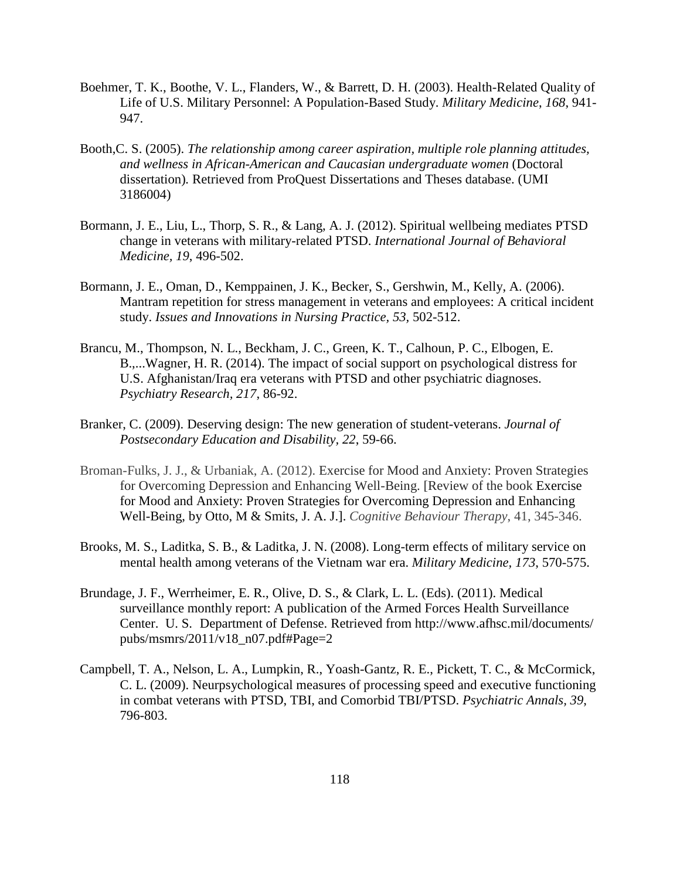- Boehmer, T. K., Boothe, V. L., Flanders, W., & Barrett, D. H. (2003). Health-Related Quality of Life of U.S. Military Personnel: A Population-Based Study. *Military Medicine*, *168*, 941- 947.
- Booth,C. S. (2005). *The relationship among career aspiration, multiple role planning attitudes, and wellness in African-American and Caucasian undergraduate women* (Doctoral dissertation)*.* Retrieved from ProQuest Dissertations and Theses database. (UMI 3186004)
- Bormann, J. E., Liu, L., Thorp, S. R., & Lang, A. J. (2012). Spiritual wellbeing mediates PTSD change in veterans with military-related PTSD. *International Journal of Behavioral Medicine, 19*, 496-502.
- Bormann, J. E., Oman, D., Kemppainen, J. K., Becker, S., Gershwin, M., Kelly, A. (2006). Mantram repetition for stress management in veterans and employees: A critical incident study. *Issues and Innovations in Nursing Practice, 53,* 502-512.
- Brancu, M., Thompson, N. L., Beckham, J. C., Green, K. T., Calhoun, P. C., Elbogen, E. B.,...Wagner, H. R. (2014). The impact of social support on psychological distress for U.S. Afghanistan/Iraq era veterans with PTSD and other psychiatric diagnoses. *Psychiatry Research, 217*, 86-92.
- Branker, C. (2009). Deserving design: The new generation of student-veterans. *Journal of Postsecondary Education and Disability, 22*, 59-66.
- Broman-Fulks, J. J., & Urbaniak, A. (2012). Exercise for Mood and Anxiety: Proven Strategies for Overcoming Depression and Enhancing Well-Being. [Review of the book Exercise for Mood and Anxiety: Proven Strategies for Overcoming Depression and Enhancing Well-Being, by Otto, M & Smits, J. A. J.]. *Cognitive Behaviour Therapy*, 41, 345-346.
- Brooks, M. S., Laditka, S. B., & Laditka, J. N. (2008). Long-term effects of military service on mental health among veterans of the Vietnam war era. *Military Medicine, 173*, 570-575.
- Brundage, J. F., Werrheimer, E. R., Olive, D. S., & Clark, L. L. (Eds). (2011). Medical surveillance monthly report: A publication of the Armed Forces Health Surveillance Center. U. S. Department of Defense. Retrieved from http://www.afhsc.mil/documents/ pubs/msmrs/2011/v18\_n07.pdf#Page=2
- Campbell, T. A., Nelson, L. A., Lumpkin, R., Yoash-Gantz, R. E., Pickett, T. C., & McCormick, C. L. (2009). Neurpsychological measures of processing speed and executive functioning in combat veterans with PTSD, TBI, and Comorbid TBI/PTSD. *Psychiatric Annals, 39*, 796-803.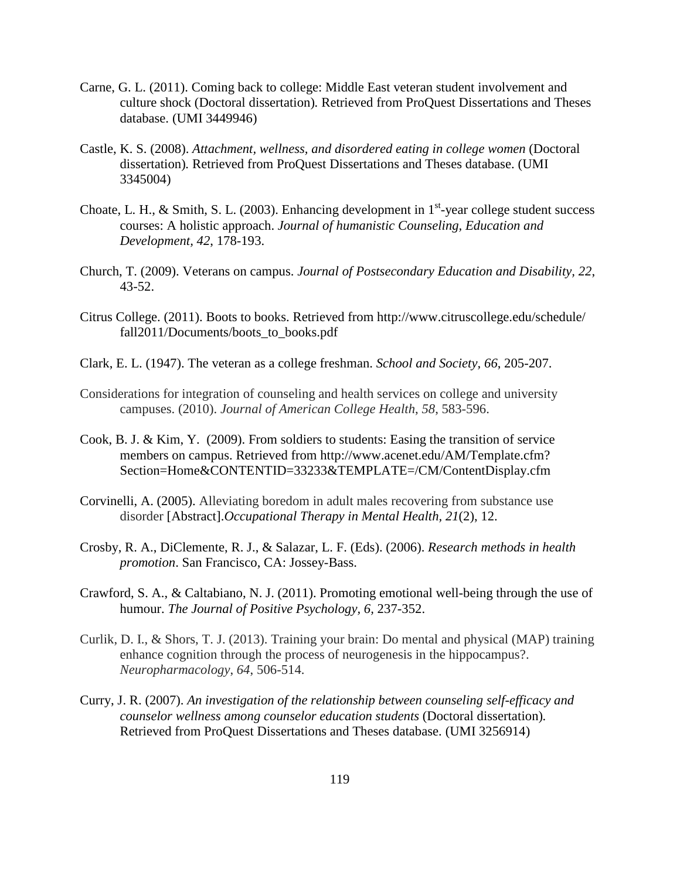- Carne, G. L. (2011). Coming back to college: Middle East veteran student involvement and culture shock (Doctoral dissertation)*.* Retrieved from ProQuest Dissertations and Theses database. (UMI 3449946)
- Castle, K. S. (2008). *Attachment, wellness, and disordered eating in college women* (Doctoral dissertation)*.* Retrieved from ProQuest Dissertations and Theses database. (UMI 3345004)
- Choate, L. H., & Smith, S. L. (2003). Enhancing development in  $1<sup>st</sup>$ -year college student success courses: A holistic approach. *Journal of humanistic Counseling, Education and Development, 42*, 178-193.
- Church, T. (2009). Veterans on campus. *Journal of Postsecondary Education and Disability, 22*, 43-52.
- Citrus College. (2011). Boots to books. Retrieved from http://www.citruscollege.edu/schedule/ fall2011/Documents/boots\_to\_books.pdf
- Clark, E. L. (1947). The veteran as a college freshman. *School and Society, 66*, 205-207.
- Considerations for integration of counseling and health services on college and university campuses. (2010). *Journal of American College Health*, *58*, 583-596.
- Cook, B. J. & Kim, Y. (2009). From soldiers to students: Easing the transition of service members on campus. Retrieved from http://www.acenet.edu/AM/Template.cfm? Section=Home&CONTENTID=33233&TEMPLATE=/CM/ContentDisplay.cfm
- Corvinelli, A. (2005). Alleviating boredom in adult males recovering from substance use disorder [Abstract].*Occupational Therapy in Mental Health, 21*(2), 12.
- Crosby, R. A., DiClemente, R. J., & Salazar, L. F. (Eds). (2006). *Research methods in health promotion*. San Francisco, CA: Jossey-Bass.
- Crawford, S. A., & Caltabiano, N. J. (2011). Promoting emotional well-being through the use of humour. *The Journal of Positive Psychology, 6,* 237-352.
- Curlik, D. I., & Shors, T. J. (2013). Training your brain: Do mental and physical (MAP) training enhance cognition through the process of neurogenesis in the hippocampus?. *Neuropharmacology*, *64*, 506-514.
- Curry, J. R. (2007). *An investigation of the relationship between counseling self-efficacy and counselor wellness among counselor education students* (Doctoral dissertation)*.* Retrieved from ProQuest Dissertations and Theses database. (UMI 3256914)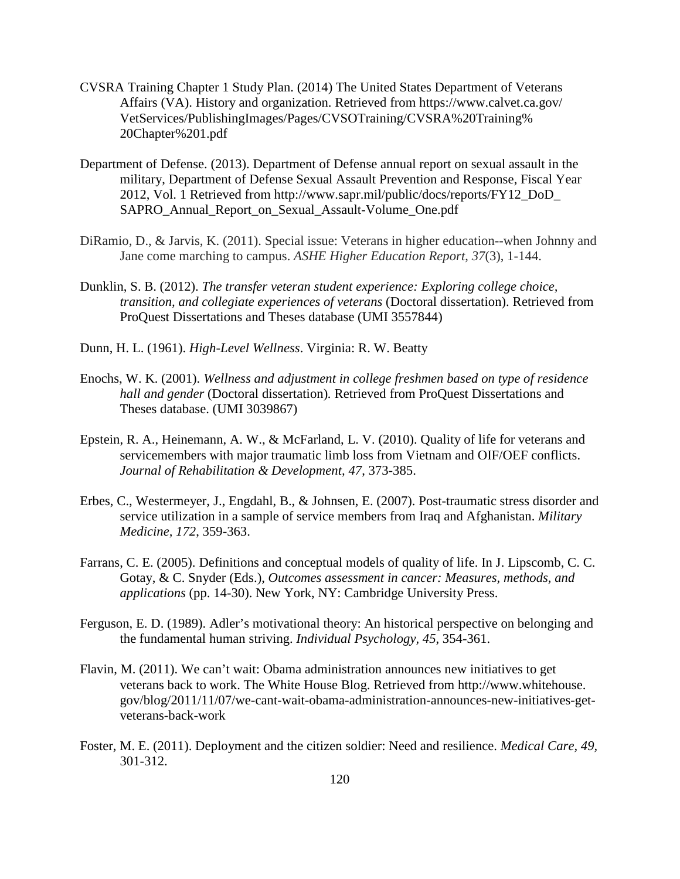- CVSRA Training Chapter 1 Study Plan. (2014) The United States Department of Veterans Affairs (VA). History and organization. Retrieved from https://www.calvet.ca.gov/ VetServices/PublishingImages/Pages/CVSOTraining/CVSRA%20Training% 20Chapter%201.pdf
- Department of Defense. (2013). Department of Defense annual report on sexual assault in the military, Department of Defense Sexual Assault Prevention and Response, Fiscal Year 2012, Vol. 1 Retrieved from http://www.sapr.mil/public/docs/reports/FY12\_DoD\_ SAPRO\_Annual\_Report\_on\_Sexual\_Assault-Volume\_One.pdf
- DiRamio, D., & Jarvis, K. (2011). Special issue: Veterans in higher education--when Johnny and Jane come marching to campus. *ASHE Higher Education Report*, *37*(3), 1-144.
- Dunklin, S. B. (2012). *The transfer veteran student experience: Exploring college choice, transition, and collegiate experiences of veterans* (Doctoral dissertation). Retrieved from ProQuest Dissertations and Theses database (UMI 3557844)
- Dunn, H. L. (1961). *High-Level Wellness*. Virginia: R. W. Beatty
- Enochs, W. K. (2001). *Wellness and adjustment in college freshmen based on type of residence hall and gender* (Doctoral dissertation)*.* Retrieved from ProQuest Dissertations and Theses database. (UMI 3039867)
- Epstein, R. A., Heinemann, A. W., & McFarland, L. V. (2010). Quality of life for veterans and servicemembers with major traumatic limb loss from Vietnam and OIF/OEF conflicts. *Journal of Rehabilitation & Development, 47*, 373-385.
- Erbes, C., Westermeyer, J., Engdahl, B., & Johnsen, E. (2007). Post-traumatic stress disorder and service utilization in a sample of service members from Iraq and Afghanistan. *Military Medicine, 172*, 359-363.
- Farrans, C. E. (2005). Definitions and conceptual models of quality of life. In J. Lipscomb, C. C. Gotay, & C. Snyder (Eds.), *Outcomes assessment in cancer: Measures, methods, and applications* (pp. 14-30). New York, NY: Cambridge University Press.
- Ferguson, E. D. (1989). Adler's motivational theory: An historical perspective on belonging and the fundamental human striving. *Individual Psychology, 45*, 354-361.
- Flavin, M. (2011). We can't wait: Obama administration announces new initiatives to get veterans back to work. The White House Blog. Retrieved from http://www.whitehouse. gov/blog/2011/11/07/we-cant-wait-obama-administration-announces-new-initiatives-getveterans-back-work
- Foster, M. E. (2011). Deployment and the citizen soldier: Need and resilience. *Medical Care, 49,*  301-312.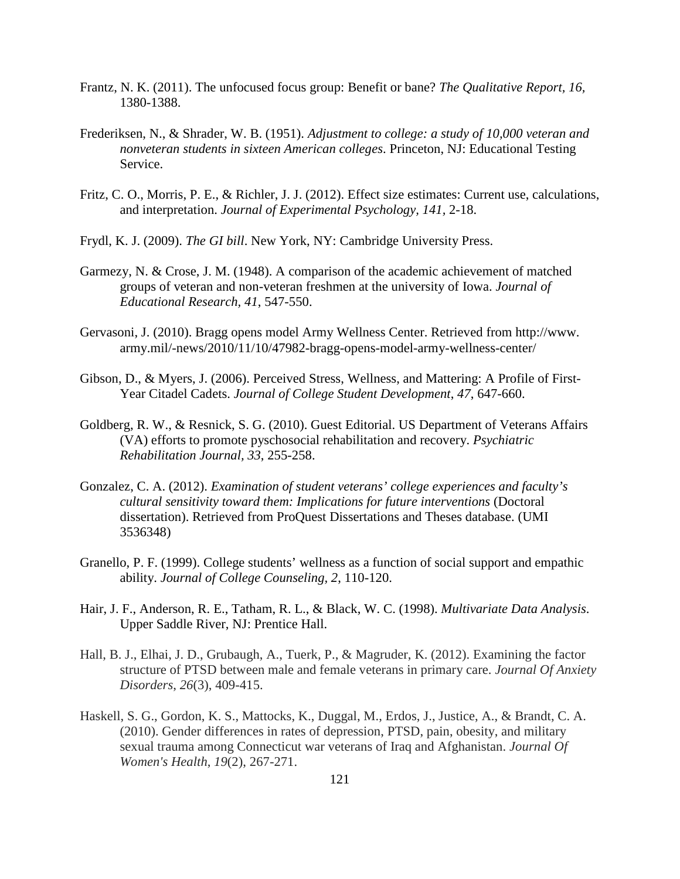- Frantz, N. K. (2011). The unfocused focus group: Benefit or bane? *The Qualitative Report, 16,* 1380-1388.
- Frederiksen, N., & Shrader, W. B. (1951). *Adjustment to college: a study of 10,000 veteran and nonveteran students in sixteen American colleges*. Princeton, NJ: Educational Testing Service.
- Fritz, C. O., Morris, P. E., & Richler, J. J. (2012). Effect size estimates: Current use, calculations, and interpretation. *Journal of Experimental Psychology, 141,* 2-18.
- Frydl, K. J. (2009). *The GI bill*. New York, NY: Cambridge University Press.
- Garmezy, N. & Crose, J. M. (1948). A comparison of the academic achievement of matched groups of veteran and non-veteran freshmen at the university of Iowa. *Journal of Educational Research, 41*, 547-550.
- Gervasoni, J. (2010). Bragg opens model Army Wellness Center. Retrieved from http://www. army.mil/-news/2010/11/10/47982-bragg-opens-model-army-wellness-center/
- Gibson, D., & Myers, J. (2006). Perceived Stress, Wellness, and Mattering: A Profile of First-Year Citadel Cadets. *Journal of College Student Development*, *47*, 647-660.
- Goldberg, R. W., & Resnick, S. G. (2010). Guest Editorial. US Department of Veterans Affairs (VA) efforts to promote pyschosocial rehabilitation and recovery. *Psychiatric Rehabilitation Journal, 33*, 255-258.
- Gonzalez, C. A. (2012). *Examination of student veterans' college experiences and faculty's cultural sensitivity toward them: Implications for future interventions* (Doctoral dissertation). Retrieved from ProQuest Dissertations and Theses database. (UMI 3536348)
- Granello, P. F. (1999). College students' wellness as a function of social support and empathic ability. *Journal of College Counseling, 2*, 110-120.
- Hair, J. F., Anderson, R. E., Tatham, R. L., & Black, W. C. (1998). *Multivariate Data Analysis*. Upper Saddle River, NJ: Prentice Hall.
- Hall, B. J., Elhai, J. D., Grubaugh, A., Tuerk, P., & Magruder, K. (2012). Examining the factor structure of PTSD between male and female veterans in primary care. *Journal Of Anxiety Disorders*, *26*(3), 409-415.
- Haskell, S. G., Gordon, K. S., Mattocks, K., Duggal, M., Erdos, J., Justice, A., & Brandt, C. A. (2010). Gender differences in rates of depression, PTSD, pain, obesity, and military sexual trauma among Connecticut war veterans of Iraq and Afghanistan. *Journal Of Women's Health*, *19*(2), 267-271.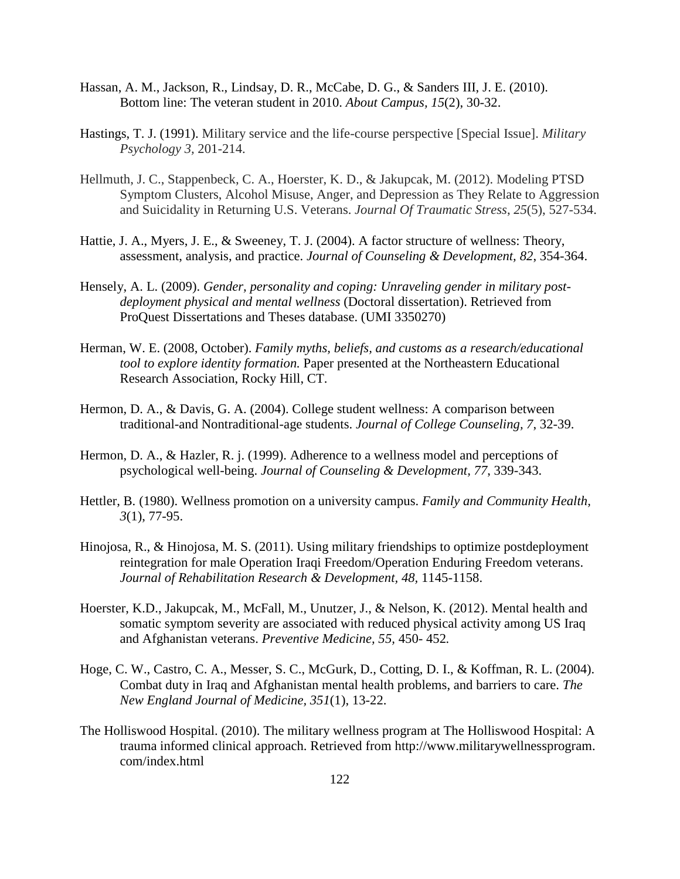- Hassan, A. M., Jackson, R., Lindsay, D. R., McCabe, D. G., & Sanders III, J. E. (2010). Bottom line: The veteran student in 2010. *About Campus, 15*(2), 30-32.
- Hastings, T. J. (1991). Military service and the life-course perspective [Special Issue]. *Military Psychology 3,* 201-214.
- Hellmuth, J. C., Stappenbeck, C. A., Hoerster, K. D., & Jakupcak, M. (2012). Modeling PTSD Symptom Clusters, Alcohol Misuse, Anger, and Depression as They Relate to Aggression and Suicidality in Returning U.S. Veterans. *Journal Of Traumatic Stress*, *25*(5), 527-534.
- Hattie, J. A., Myers, J. E., & Sweeney, T. J. (2004). A factor structure of wellness: Theory, assessment, analysis, and practice. *Journal of Counseling & Development, 82*, 354-364.
- Hensely, A. L. (2009). *Gender, personality and coping: Unraveling gender in military post deployment physical and mental wellness* (Doctoral dissertation). Retrieved from ProQuest Dissertations and Theses database. (UMI 3350270)
- Herman, W. E. (2008, October). *Family myths, beliefs, and customs as a research/educational tool to explore identity formation.* Paper presented at the Northeastern Educational Research Association, Rocky Hill, CT.
- Hermon, D. A., & Davis, G. A. (2004). College student wellness: A comparison between traditional-and Nontraditional-age students. *Journal of College Counseling, 7*, 32-39.
- Hermon, D. A., & Hazler, R. j. (1999). Adherence to a wellness model and perceptions of psychological well-being. *Journal of Counseling & Development, 77*, 339-343.
- Hettler, B. (1980). Wellness promotion on a university campus. *Family and Community Health, 3*(1), 77-95.
- Hinojosa, R., & Hinojosa, M. S. (2011). Using military friendships to optimize postdeployment reintegration for male Operation Iraqi Freedom/Operation Enduring Freedom veterans. Journal of Rehabilitation Research & Development, 48, 1145-1158.
- Hoerster, K.D., Jakupcak, M., McFall, M., Unutzer, J., & Nelson, K. (2012). Mental health and somatic symptom severity are associated with reduced physical activity among US Iraq and Afghanistan veterans. *Preventive Medicine, 55,* 450- 452*.*
- Hoge, C. W., Castro, C. A., Messer, S. C., McGurk, D., Cotting, D. I., & Koffman, R. L. (2004). Combat duty in Iraq and Afghanistan mental health problems, and barriers to care. *The New England Journal of Medicine, 351*(1), 13-22.
- The Holliswood Hospital. (2010). The military wellness program at The Holliswood Hospital: A trauma informed clinical approach. Retrieved from http://www.militarywellnessprogram. com/index.html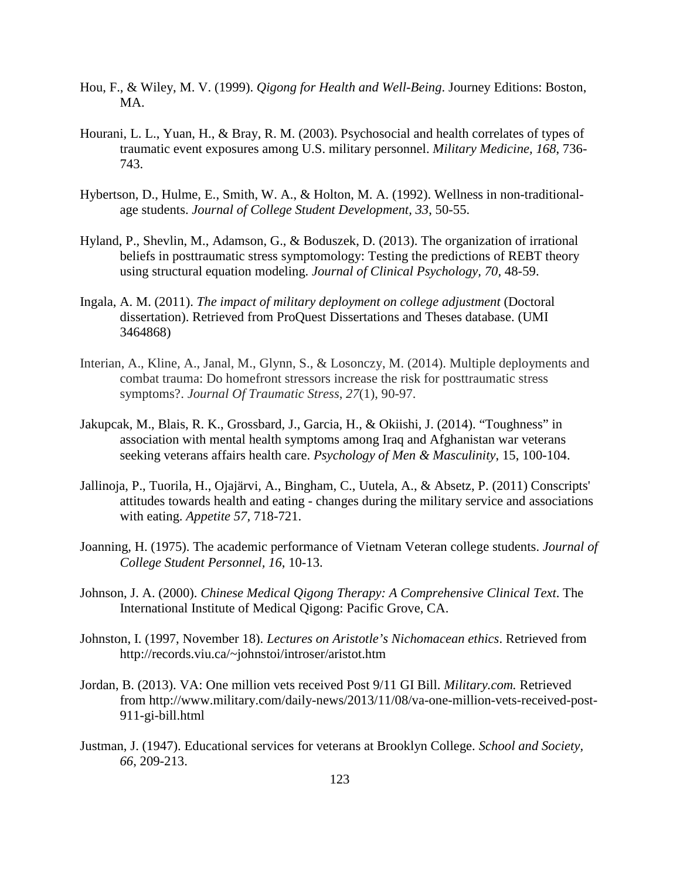- Hou, F., & Wiley, M. V. (1999). *Qigong for Health and Well-Being*. Journey Editions: Boston, MA.
- Hourani, L. L., Yuan, H., & Bray, R. M. (2003). Psychosocial and health correlates of types of traumatic event exposures among U.S. military personnel. *Military Medicine, 168*, 736- 743.
- Hybertson, D., Hulme, E., Smith, W. A., & Holton, M. A. (1992). Wellness in non-traditional age students. *Journal of College Student Development, 33*, 50-55.
- Hyland, P., Shevlin, M., Adamson, G., & Boduszek, D. (2013). The organization of irrational beliefs in posttraumatic stress symptomology: Testing the predictions of REBT theory using structural equation modeling. *Journal of Clinical Psychology, 70,* 48-59.
- Ingala, A. M. (2011). *The impact of military deployment on college adjustment* (Doctoral dissertation). Retrieved from ProQuest Dissertations and Theses database. (UMI 3464868)
- Interian, A., Kline, A., Janal, M., Glynn, S., & Losonczy, M. (2014). Multiple deployments and combat trauma: Do homefront stressors increase the risk for posttraumatic stress symptoms?. *Journal Of Traumatic Stress*, *27*(1), 90-97.
- Jakupcak, M., Blais, R. K., Grossbard, J., Garcia, H., & Okiishi, J. (2014). "Toughness" in association with mental health symptoms among Iraq and Afghanistan war veterans seeking veterans affairs health care. *Psychology of Men & Masculinity*, 15, 100-104.
- Jallinoja, P., Tuorila, H., Ojajärvi, A., Bingham, C., Uutela, A., & Absetz, P. (2011) Conscripts' attitudes towards health and eating - changes during the military service and associations with eating. *Appetite 57,* 718-721.
- Joanning, H. (1975). The academic performance of Vietnam Veteran college students. *Journal of College Student Personnel, 16*, 10-13.
- Johnson, J. A. (2000). *Chinese Medical Qigong Therapy: A Comprehensive Clinical Text*. The International Institute of Medical Qigong: Pacific Grove, CA.
- Johnston, I. (1997, November 18). *Lectures on Aristotle's Nichomacean ethics*. Retrieved from http://records.viu.ca/~johnstoi/introser/aristot.htm
- Jordan, B. (2013). VA: One million vets received Post 9/11 GI Bill. *Military.com.* Retrieved from http://www.military.com/daily-news/2013/11/08/va-one-million-vets-received-post- 911-gi-bill.html
- Justman, J. (1947). Educational services for veterans at Brooklyn College. *School and Society, 66*, 209-213.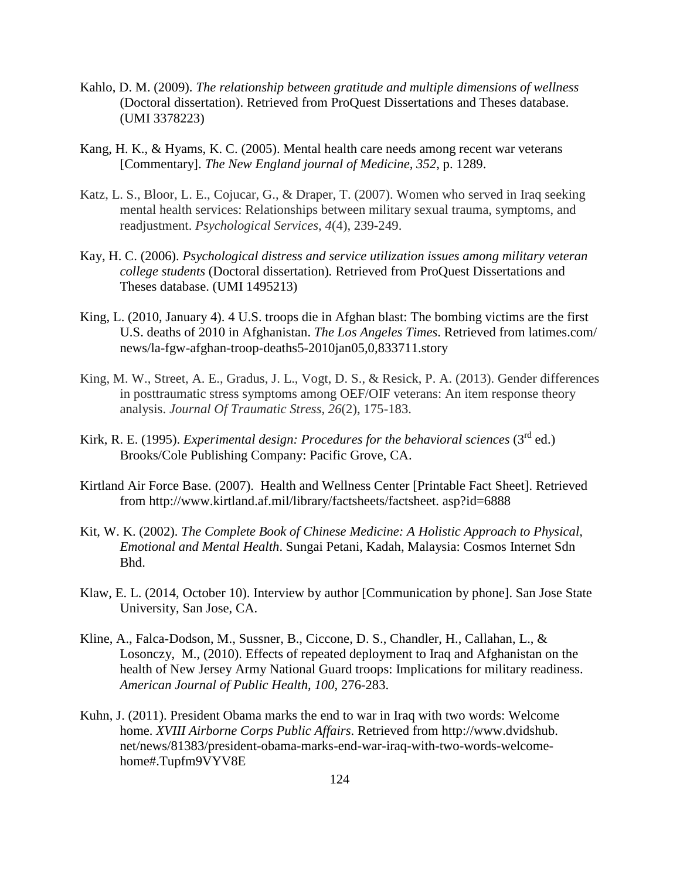- Kahlo, D. M. (2009). *The relationship between gratitude and multiple dimensions of wellness*  (Doctoral dissertation). Retrieved from ProQuest Dissertations and Theses database. (UMI 3378223)
- Kang, H. K., & Hyams, K. C. (2005). Mental health care needs among recent war veterans [Commentary]. *The New England journal of Medicine, 352*, p. 1289.
- Katz, L. S., Bloor, L. E., Cojucar, G., & Draper, T. (2007). Women who served in Iraq seeking mental health services: Relationships between military sexual trauma, symptoms, and readjustment. *Psychological Services*, *4*(4), 239-249.
- Kay, H. C. (2006). *Psychological distress and service utilization issues among military veteran college students* (Doctoral dissertation)*.* Retrieved from ProQuest Dissertations and Theses database. (UMI 1495213)
- King, L. (2010, January 4). 4 U.S. troops die in Afghan blast: The bombing victims are the first U.S. deaths of 2010 in Afghanistan. *The Los Angeles Times*. Retrieved from latimes.com/ news/la-fgw-afghan-troop-deaths5-2010jan05,0,833711.story
- King, M. W., Street, A. E., Gradus, J. L., Vogt, D. S., & Resick, P. A. (2013). Gender differences in posttraumatic stress symptoms among OEF/OIF veterans: An item response theory analysis. *Journal Of Traumatic Stress*, *26*(2), 175-183.
- Kirk, R. E. (1995). *Experimental design: Procedures for the behavioral sciences* (3<sup>rd</sup> ed.) Brooks/Cole Publishing Company: Pacific Grove, CA.
- Kirtland Air Force Base. (2007). Health and Wellness Center [Printable Fact Sheet]. Retrieved from http://www.kirtland.af.mil/library/factsheets/factsheet. asp?id=6888
- Kit, W. K. (2002). *The Complete Book of Chinese Medicine: A Holistic Approach to Physical, Emotional and Mental Health*. Sungai Petani, Kadah, Malaysia: Cosmos Internet Sdn Bhd.
- Klaw, E. L. (2014, October 10). Interview by author [Communication by phone]. San Jose State University, San Jose, CA.
- Kline, A., Falca-Dodson, M., Sussner, B., Ciccone, D. S., Chandler, H., Callahan, L., & Losonczy, M., (2010). Effects of repeated deployment to Iraq and Afghanistan on the health of New Jersey Army National Guard troops: Implications for military readiness. *American Journal of Public Health, 100*, 276-283.
- Kuhn, J. (2011). President Obama marks the end to war in Iraq with two words: Welcome home. *XVIII Airborne Corps Public Affairs*. Retrieved from http://www.dvidshub. net/news/81383/president-obama-marks-end-war-iraq-with-two-words-welcome home#.Tupfm9VYV8E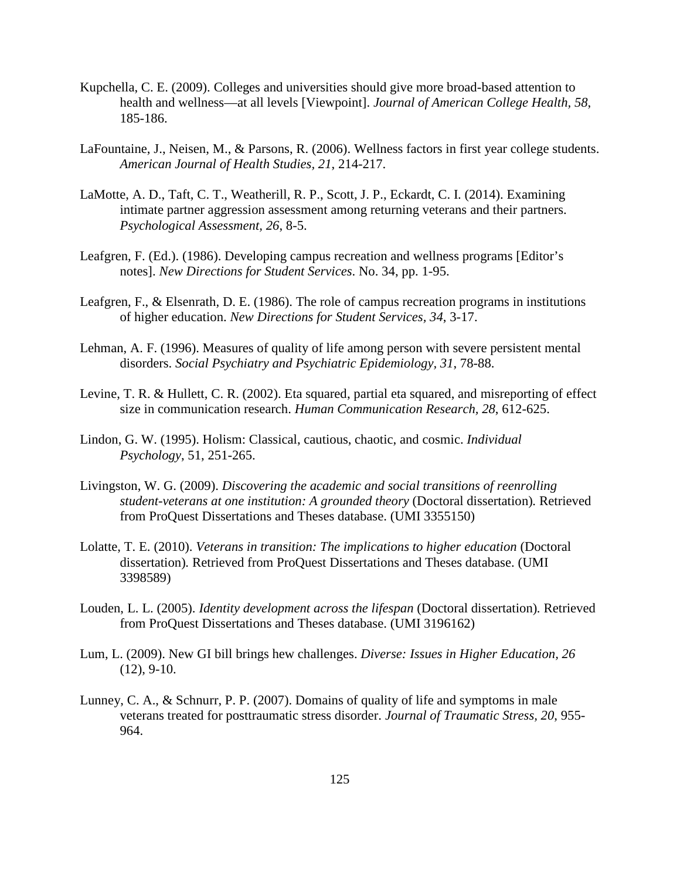- Kupchella, C. E. (2009). Colleges and universities should give more broad-based attention to health and wellness—at all levels [Viewpoint]. *Journal of American College Health, 58*, 185-186.
- LaFountaine, J., Neisen, M., & Parsons, R. (2006). Wellness factors in first year college students. *American Journal of Health Studies, 21*, 214-217.
- LaMotte, A. D., Taft, C. T., Weatherill, R. P., Scott, J. P., Eckardt, C. I. (2014). Examining intimate partner aggression assessment among returning veterans and their partners. *Psychological Assessment, 26*, 8-5.
- Leafgren, F. (Ed.). (1986). Developing campus recreation and wellness programs [Editor's notes]. *New Directions for Student Services*. No. 34, pp. 1-95.
- Leafgren, F., & Elsenrath, D. E. (1986). The role of campus recreation programs in institutions of higher education. *New Directions for Student Services, 34*, 3-17.
- Lehman, A. F. (1996). Measures of quality of life among person with severe persistent mental disorders. *Social Psychiatry and Psychiatric Epidemiology, 31*, 78-88.
- Levine, T. R. & Hullett, C. R. (2002). Eta squared, partial eta squared, and misreporting of effect size in communication research. *Human Communication Research, 28*, 612-625.
- Lindon, G. W. (1995). Holism: Classical, cautious, chaotic, and cosmic. *Individual Psychology*, 51, 251-265.
- Livingston, W. G. (2009). *Discovering the academic and social transitions of reenrolling student-veterans at one institution: A grounded theory* (Doctoral dissertation)*.* Retrieved from ProQuest Dissertations and Theses database. (UMI 3355150)
- Lolatte, T. E. (2010). *Veterans in transition: The implications to higher education* (Doctoral dissertation)*.* Retrieved from ProQuest Dissertations and Theses database. (UMI 3398589)
- Louden, L. L. (2005). *Identity development across the lifespan* (Doctoral dissertation)*.* Retrieved from ProQuest Dissertations and Theses database. (UMI 3196162)
- Lum, L. (2009). New GI bill brings hew challenges. *Diverse: Issues in Higher Education, 26*   $(12)$ , 9-10.
- Lunney, C. A., & Schnurr, P. P. (2007). Domains of quality of life and symptoms in male veterans treated for posttraumatic stress disorder. *Journal of Traumatic Stress, 20*, 955- 964.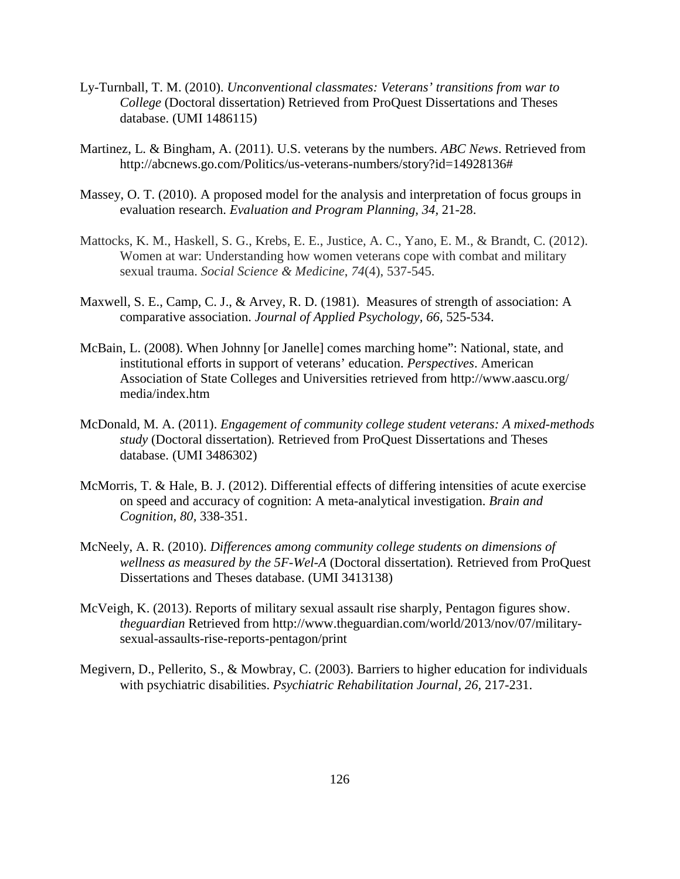- Ly-Turnball, T. M. (2010). *Unconventional classmates: Veterans' transitions from war to College* (Doctoral dissertation) Retrieved from ProQuest Dissertations and Theses database. (UMI 1486115)
- Martinez, L. & Bingham, A. (2011). U.S. veterans by the numbers. *ABC News*. Retrieved from http://abcnews.go.com/Politics/us-veterans-numbers/story?id=14928136#
- Massey, O. T. (2010). A proposed model for the analysis and interpretation of focus groups in evaluation research. *Evaluation and Program Planning, 34,* 21-28.
- Mattocks, K. M., Haskell, S. G., Krebs, E. E., Justice, A. C., Yano, E. M., & Brandt, C. (2012). Women at war: Understanding how women veterans cope with combat and military sexual trauma. *Social Science & Medicine*, *74*(4), 537-545.
- Maxwell, S. E., Camp, C. J., & Arvey, R. D. (1981). Measures of strength of association: A comparative association. *Journal of Applied Psychology, 66,* 525-534.
- McBain, L. (2008). When Johnny [or Janelle] comes marching home": National, state, and institutional efforts in support of veterans' education. *Perspectives*. American Association of State Colleges and Universities retrieved from http://www.aascu.org/ media/index.htm
- McDonald, M. A. (2011). *Engagement of community college student veterans: A mixed-methods study* (Doctoral dissertation)*.* Retrieved from ProQuest Dissertations and Theses database. (UMI 3486302)
- McMorris, T. & Hale, B. J. (2012). Differential effects of differing intensities of acute exercise on speed and accuracy of cognition: A meta-analytical investigation. *Brain and Cognition, 80,* 338-351.
- McNeely, A. R. (2010). *Differences among community college students on dimensions of wellness as measured by the 5F-Wel-A* (Doctoral dissertation)*.* Retrieved from ProQuest Dissertations and Theses database. (UMI 3413138)
- McVeigh, K. (2013). Reports of military sexual assault rise sharply, Pentagon figures show. *theguardian* Retrieved from http://www.theguardian.com/world/2013/nov/07/military sexual-assaults-rise-reports-pentagon/print
- Megivern, D., Pellerito, S., & Mowbray, C. (2003). Barriers to higher education for individuals with psychiatric disabilities. *Psychiatric Rehabilitation Journal, 26,* 217-231.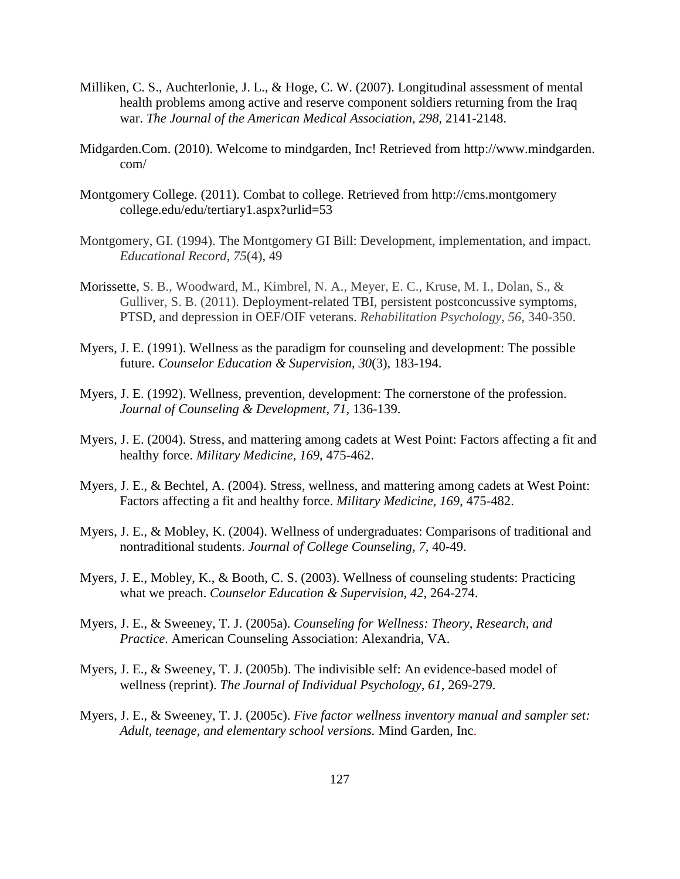- Milliken, C. S., Auchterlonie, J. L., & Hoge, C. W. (2007). Longitudinal assessment of mental health problems among active and reserve component soldiers returning from the Iraq war. *The Journal of the American Medical Association, 298*, 2141-2148.
- Midgarden.Com. (2010). Welcome to mindgarden, Inc! Retrieved from http://www.mindgarden. com/
- Montgomery College. (2011). Combat to college. Retrieved from http://cms.montgomery college.edu/edu/tertiary1.aspx?urlid=53
- Montgomery, GI. (1994). The Montgomery GI Bill: Development, implementation, and impact. *Educational Record*, *75*(4), 49
- Morissette, S. B., Woodward, M., Kimbrel, N. A., Meyer, E. C., Kruse, M. I., Dolan, S., & Gulliver, S. B. (2011). Deployment-related TBI, persistent postconcussive symptoms, PTSD, and depression in OEF/OIF veterans. *Rehabilitation Psychology, 56*, 340-350.
- Myers, J. E. (1991). Wellness as the paradigm for counseling and development: The possible future. *Counselor Education & Supervision, 30*(3), 183-194.
- Myers, J. E. (1992). Wellness, prevention, development: The cornerstone of the profession. *Journal of Counseling & Development, 71*, 136-139.
- Myers, J. E. (2004). Stress, and mattering among cadets at West Point: Factors affecting a fit and healthy force. *Military Medicine, 169*, 475-462.
- Myers, J. E., & Bechtel, A. (2004). Stress, wellness, and mattering among cadets at West Point: Factors affecting a fit and healthy force. *Military Medicine, 169*, 475-482.
- Myers, J. E., & Mobley, K. (2004). Wellness of undergraduates: Comparisons of traditional and nontraditional students. *Journal of College Counseling, 7*, 40-49.
- Myers, J. E., Mobley, K., & Booth, C. S. (2003). Wellness of counseling students: Practicing what we preach. *Counselor Education & Supervision, 42*, 264-274.
- Myers, J. E., & Sweeney, T. J. (2005a). *Counseling for Wellness: Theory, Research, and Practice*. American Counseling Association: Alexandria, VA.
- Myers, J. E., & Sweeney, T. J. (2005b). The indivisible self: An evidence-based model of wellness (reprint). *The Journal of Individual Psychology, 61*, 269-279.
- Myers, J. E., & Sweeney, T. J. (2005c). *Five factor wellness inventory manual and sampler set: Adult, teenage, and elementary school versions.* Mind Garden, Inc.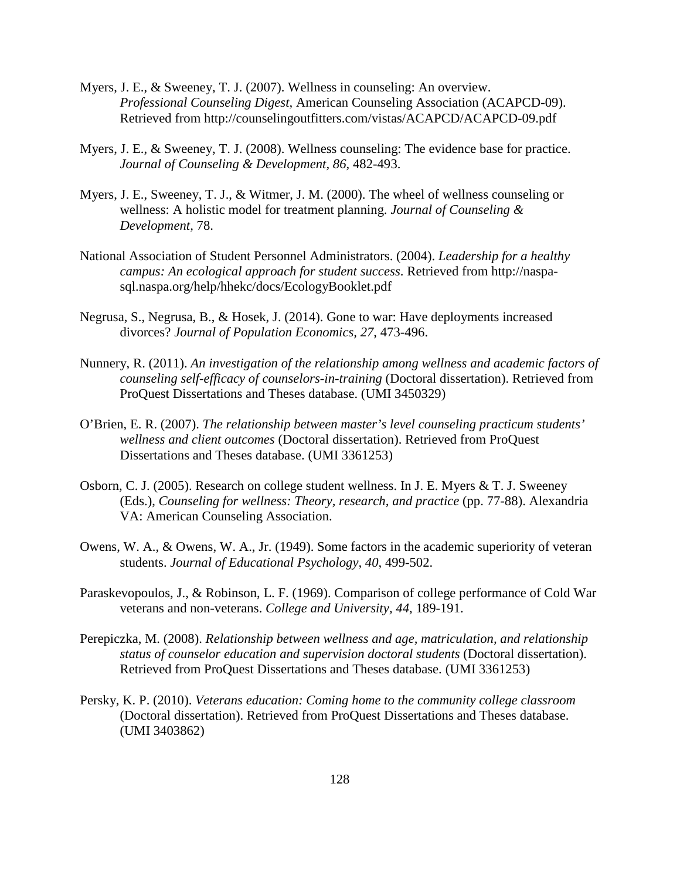- Myers, J. E., & Sweeney, T. J. (2007). Wellness in counseling: An overview.  *Professional Counseling Digest,* American Counseling Association (ACAPCD-09). Retrieved from http://counselingoutfitters.com/vistas/ACAPCD/ACAPCD-09.pdf
- Myers, J. E., & Sweeney, T. J. (2008). Wellness counseling: The evidence base for practice. *Journal of Counseling & Development, 86*, 482-493.
- Myers, J. E., Sweeney, T. J., & Witmer, J. M. (2000). The wheel of wellness counseling or wellness: A holistic model for treatment planning. *Journal of Counseling & Development,* 78.
- National Association of Student Personnel Administrators. (2004). *Leadership for a healthy campus: An ecological approach for student success*. Retrieved from http://naspa sql.naspa.org/help/hhekc/docs/EcologyBooklet.pdf
- Negrusa, S., Negrusa, B., & Hosek, J. (2014). Gone to war: Have deployments increased divorces? *Journal of Population Economics, 27*, 473-496.
- Nunnery, R. (2011). *An investigation of the relationship among wellness and academic factors of counseling self-efficacy of counselors-in-training* (Doctoral dissertation). Retrieved from ProQuest Dissertations and Theses database. (UMI 3450329)
- O'Brien, E. R. (2007). *The relationship between master's level counseling practicum students' wellness and client outcomes* (Doctoral dissertation). Retrieved from ProQuest Dissertations and Theses database. (UMI 3361253)
- Osborn, C. J. (2005). Research on college student wellness. In J. E. Myers & T. J. Sweeney (Eds.), *Counseling for wellness: Theory, research, and practice* (pp. 77-88). Alexandria VA: American Counseling Association.
- Owens, W. A., & Owens, W. A., Jr. (1949). Some factors in the academic superiority of veteran students. *Journal of Educational Psychology, 40*, 499-502.
- Paraskevopoulos, J., & Robinson, L. F. (1969). Comparison of college performance of Cold War veterans and non-veterans. *College and University, 44*, 189-191.
- Perepiczka, M. (2008). *Relationship between wellness and age, matriculation, and relationship status of counselor education and supervision doctoral students* (Doctoral dissertation). Retrieved from ProQuest Dissertations and Theses database. (UMI 3361253)
- Persky, K. P. (2010). *Veterans education: Coming home to the community college classroom* (Doctoral dissertation). Retrieved from ProQuest Dissertations and Theses database. (UMI 3403862)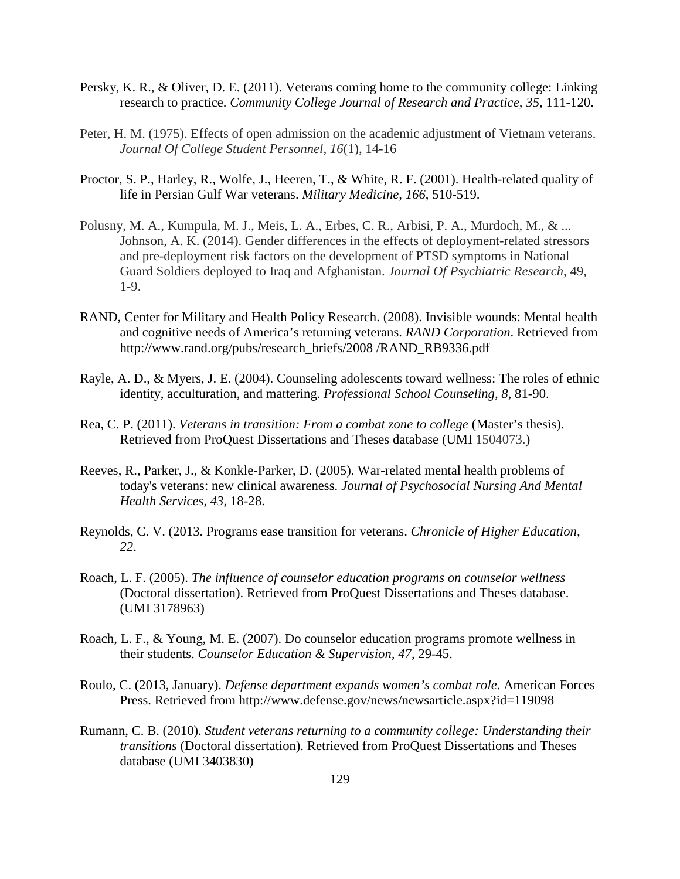- Persky, K. R., & Oliver, D. E. (2011). Veterans coming home to the community college: Linking research to practice. *Community College Journal of Research and Practice, 35*, 111-120.
- Peter, H. M. (1975). Effects of open admission on the academic adjustment of Vietnam veterans. *Journal Of College Student Personnel, 16*(1), 14-16
- Proctor, S. P., Harley, R., Wolfe, J., Heeren, T., & White, R. F. (2001). Health-related quality of life in Persian Gulf War veterans. *Military Medicine, 166*, 510-519.
- Polusny, M. A., Kumpula, M. J., Meis, L. A., Erbes, C. R., Arbisi, P. A., Murdoch, M., & ... Johnson, A. K. (2014). Gender differences in the effects of deployment-related stressors and pre-deployment risk factors on the development of PTSD symptoms in National Guard Soldiers deployed to Iraq and Afghanistan. *Journal Of Psychiatric Research*, 49, 1-9.
- RAND, Center for Military and Health Policy Research. (2008). Invisible wounds: Mental health and cognitive needs of America's returning veterans. *RAND Corporation*. Retrieved from http://www.rand.org/pubs/research\_briefs/2008 /RAND\_RB9336.pdf
- Rayle, A. D., & Myers, J. E. (2004). Counseling adolescents toward wellness: The roles of ethnic identity, acculturation, and mattering. *Professional School Counseling, 8*, 81-90.
- Rea, C. P. (2011). *Veterans in transition: From a combat zone to college* (Master's thesis). Retrieved from ProQuest Dissertations and Theses database (UMI 1504073.)
- Reeves, R., Parker, J., & Konkle-Parker, D. (2005). War-related mental health problems of today's veterans: new clinical awareness. *Journal of Psychosocial Nursing And Mental Health Services*, *43*, 18-28.
- Reynolds, C. V. (2013. Programs ease transition for veterans. *Chronicle of Higher Education, 22*.
- Roach, L. F. (2005). *The influence of counselor education programs on counselor wellness*  (Doctoral dissertation). Retrieved from ProQuest Dissertations and Theses database. (UMI 3178963)
- Roach, L. F., & Young, M. E. (2007). Do counselor education programs promote wellness in their students. *Counselor Education & Supervision, 47*, 29-45.
- Roulo, C. (2013, January). *Defense department expands women's combat role*. American Forces Press. Retrieved from http://www.defense.gov/news/newsarticle.aspx?id=119098
- Rumann, C. B. (2010). *Student veterans returning to a community college: Understanding their transitions* (Doctoral dissertation). Retrieved from ProQuest Dissertations and Theses database (UMI 3403830)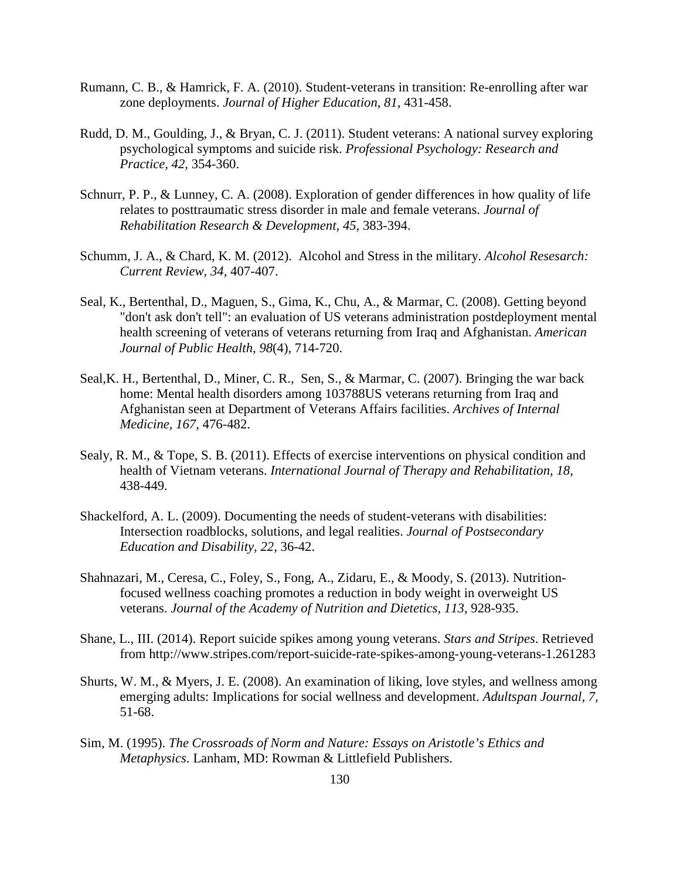- Rumann, C. B., & Hamrick, F. A. (2010). Student-veterans in transition: Re-enrolling after war zone deployments. *Journal of Higher Education*, *81*, 431-458.
- Rudd, D. M., Goulding, J., & Bryan, C. J. (2011). Student veterans: A national survey exploring psychological symptoms and suicide risk. *Professional Psychology: Research and Practice, 42,* 354-360.
- Schnurr, P. P., & Lunney, C. A. (2008). Exploration of gender differences in how quality of life relates to posttraumatic stress disorder in male and female veterans. *Journal of Rehabilitation Research & Development, 45*, 383-394.
- Schumm, J. A., & Chard, K. M. (2012). Alcohol and Stress in the military. *Alcohol Resesarch: Current Review, 34,* 407-407.
- Seal, K., Bertenthal, D., Maguen, S., Gima, K., Chu, A., & Marmar, C. (2008). Getting beyond "don't ask don't tell": an evaluation of US veterans administration postdeployment mental health screening of veterans of veterans returning from Iraq and Afghanistan. *American Journal of Public Health, 98*(4), 714-720.
- Seal,K. H., Bertenthal, D., Miner, C. R., Sen, S., & Marmar, C. (2007). Bringing the war back home: Mental health disorders among 103788US veterans returning from Iraq and Afghanistan seen at Department of Veterans Affairs facilities. *Archives of Internal Medicine, 167,* 476-482.
- Sealy, R. M., & Tope, S. B. (2011). Effects of exercise interventions on physical condition and health of Vietnam veterans. *International Journal of Therapy and Rehabilitation, 18,* 438-449.
- Shackelford, A. L. (2009). Documenting the needs of student-veterans with disabilities: Intersection roadblocks, solutions, and legal realities. *Journal of Postsecondary Education and Disability, 22*, 36-42.
- Shahnazari, M., Ceresa, C., Foley, S., Fong, A., Zidaru, E., & Moody, S. (2013). Nutrition focused wellness coaching promotes a reduction in body weight in overweight US veterans. *Journal of the Academy of Nutrition and Dietetics, 113*, 928-935.
- Shane, L., III. (2014). Report suicide spikes among young veterans. *Stars and Stripes*. Retrieved from http://www.stripes.com/report-suicide-rate-spikes-among-young-veterans-1.261283
- Shurts, W. M., & Myers, J. E. (2008). An examination of liking, love styles, and wellness among emerging adults: Implications for social wellness and development. *Adultspan Journal, 7,* 51-68.
- Sim, M. (1995). *The Crossroads of Norm and Nature: Essays on Aristotle's Ethics and Metaphysics*. Lanham, MD: Rowman & Littlefield Publishers.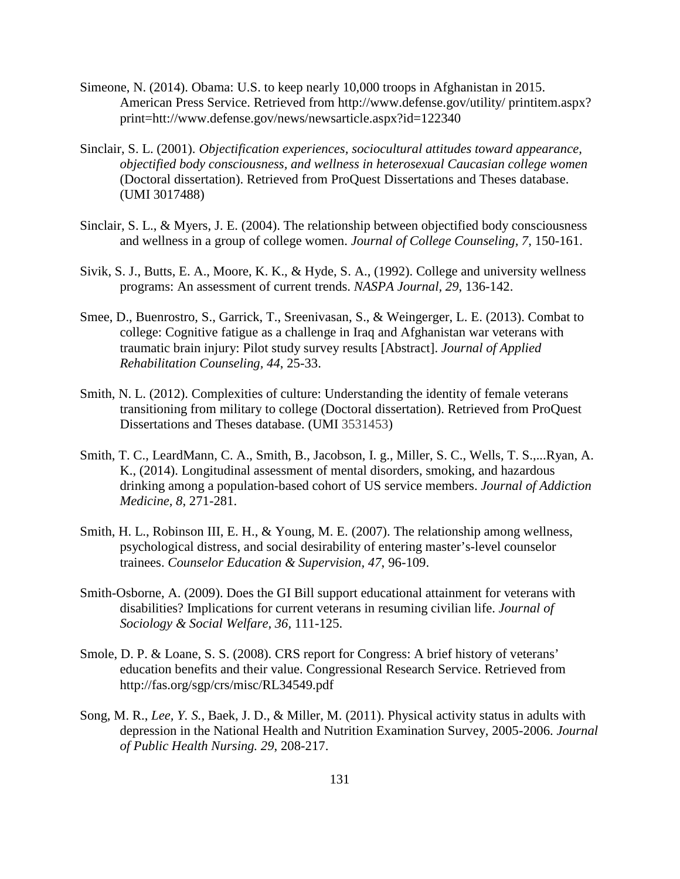- Simeone, N. (2014). Obama: U.S. to keep nearly 10,000 troops in Afghanistan in 2015. American Press Service. Retrieved from http://www.defense.gov/utility/ printitem.aspx? print=htt://www.defense.gov/news/newsarticle.aspx?id=122340
- Sinclair, S. L. (2001). *Objectification experiences, sociocultural attitudes toward appearance, objectified body consciousness, and wellness in heterosexual Caucasian college women* (Doctoral dissertation). Retrieved from ProQuest Dissertations and Theses database. (UMI 3017488)
- Sinclair, S. L., & Myers, J. E. (2004). The relationship between objectified body consciousness and wellness in a group of college women. *Journal of College Counseling, 7*, 150-161.
- Sivik, S. J., Butts, E. A., Moore, K. K., & Hyde, S. A., (1992). College and university wellness programs: An assessment of current trends. *NASPA Journal, 29*, 136-142.
- Smee, D., Buenrostro, S., Garrick, T., Sreenivasan, S., & Weingerger, L. E. (2013). Combat to college: Cognitive fatigue as a challenge in Iraq and Afghanistan war veterans with traumatic brain injury: Pilot study survey results [Abstract]. *Journal of Applied Rehabilitation Counseling, 44*, 25-33.
- Smith, N. L. (2012). Complexities of culture: Understanding the identity of female veterans transitioning from military to college (Doctoral dissertation). Retrieved from ProQuest Dissertations and Theses database. (UMI 3531453)
- Smith, T. C., LeardMann, C. A., Smith, B., Jacobson, I. g., Miller, S. C., Wells, T. S.,...Ryan, A. K., (2014). Longitudinal assessment of mental disorders, smoking, and hazardous drinking among a population-based cohort of US service members. *Journal of Addiction Medicine, 8*, 271-281.
- Smith, H. L., Robinson III, E. H., & Young, M. E. (2007). The relationship among wellness, psychological distress, and social desirability of entering master's-level counselor trainees. *Counselor Education & Supervision, 47*, 96-109.
- Smith-Osborne, A. (2009). Does the GI Bill support educational attainment for veterans with disabilities? Implications for current veterans in resuming civilian life. *Journal of Sociology & Social Welfare, 36,* 111-125.
- Smole, D. P. & Loane, S. S. (2008). CRS report for Congress: A brief history of veterans' education benefits and their value. Congressional Research Service. Retrieved from http://fas.org/sgp/crs/misc/RL34549.pdf
- Song, M. R., *Lee, Y. S.*, Baek, J. D., & Miller, M. (2011). Physical activity status in adults with depression in the National Health and Nutrition Examination Survey, 2005-2006. *Journal of Public Health Nursing. 29*, 208-217.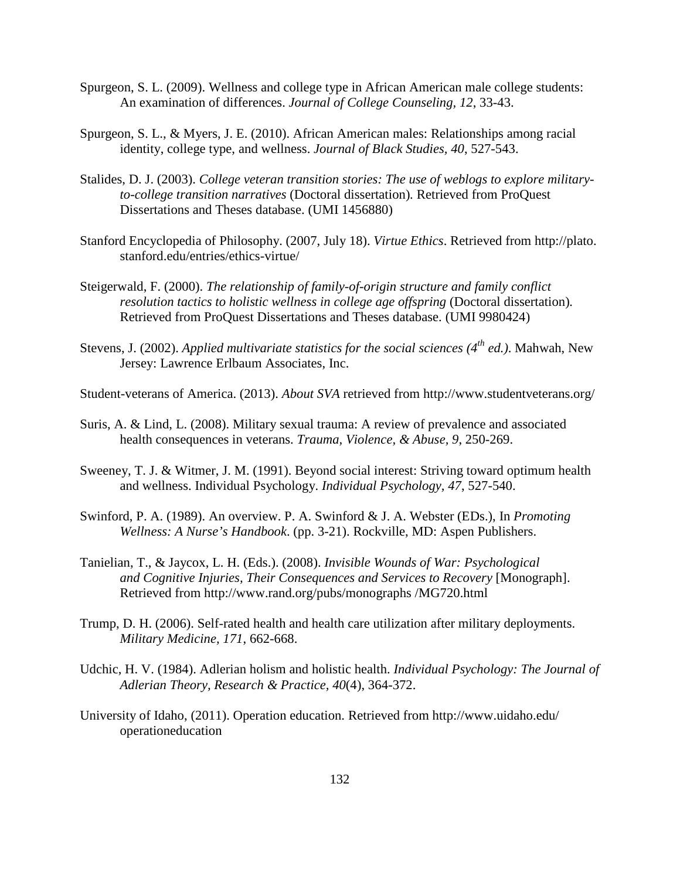- Spurgeon, S. L. (2009). Wellness and college type in African American male college students: An examination of differences. *Journal of College Counseling, 12*, 33-43.
- Spurgeon, S. L., & Myers, J. E. (2010). African American males: Relationships among racial identity, college type, and wellness. *Journal of Black Studies, 40*, 527-543.
- Stalides, D. J. (2003). *College veteran transition stories: The use of weblogs to explore military to-college transition narratives* (Doctoral dissertation)*.* Retrieved from ProQuest Dissertations and Theses database. (UMI 1456880)
- Stanford Encyclopedia of Philosophy. (2007, July 18). *Virtue Ethics*. Retrieved from http://plato. stanford.edu/entries/ethics-virtue/
- Steigerwald, F. (2000). *The relationship of family-of-origin structure and family conflict resolution tactics to holistic wellness in college age offspring* (Doctoral dissertation)*.* Retrieved from ProQuest Dissertations and Theses database. (UMI 9980424)
- Stevens, J. (2002). *Applied multivariate statistics for the social sciences (4th ed.)*. Mahwah, New Jersey: Lawrence Erlbaum Associates, Inc.
- Student-veterans of America. (2013). *About SVA* retrieved from http://www.studentveterans.org/
- Suris, A. & Lind, L. (2008). Military sexual trauma: A review of prevalence and associated health consequences in veterans. *Trauma, Violence, & Abuse, 9*, 250-269.
- Sweeney, T. J. & Witmer, J. M. (1991). Beyond social interest: Striving toward optimum health and wellness. Individual Psychology. *Individual Psychology, 47*, 527-540.
- Swinford, P. A. (1989). An overview. P. A. Swinford & J. A. Webster (EDs.), In *Promoting Wellness: A Nurse's Handbook*. (pp. 3-21). Rockville, MD: Aspen Publishers.
- Tanielian, T., & Jaycox, L. H. (Eds.). (2008). *Invisible Wounds of War: Psychological and Cognitive Injuries, Their Consequences and Services to Recovery* [Monograph]. Retrieved from http://www.rand.org/pubs/monographs /MG720.html
- Trump, D. H. (2006). Self-rated health and health care utilization after military deployments. *Military Medicine, 171*, 662-668.
- Udchic, H. V. (1984). Adlerian holism and holistic health. *Individual Psychology: The Journal of Adlerian Theory, Research & Practice, 40*(4), 364-372.
- University of Idaho, (2011). Operation education. Retrieved from http://www.uidaho.edu/ operationeducation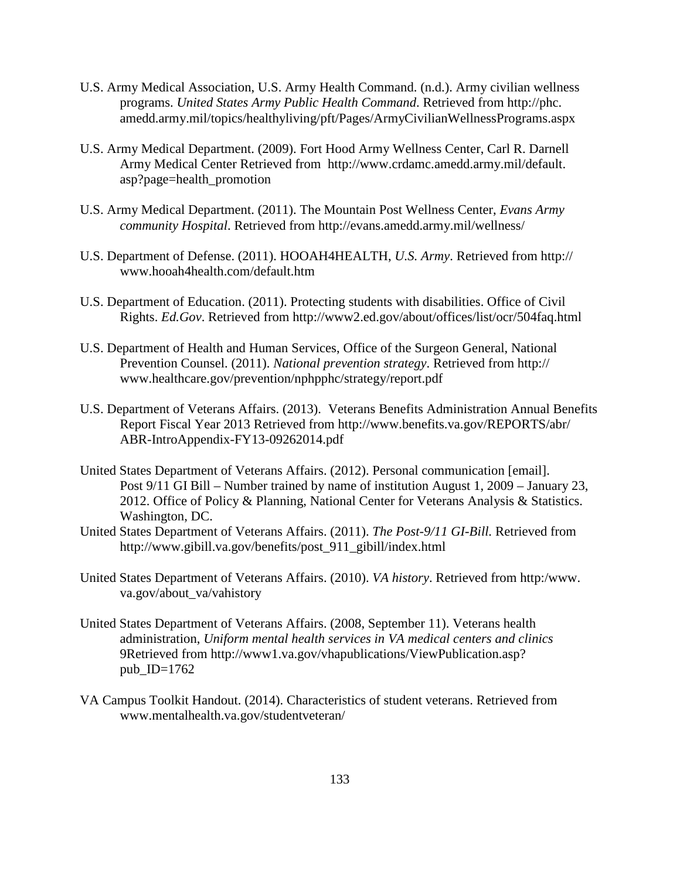- U.S. Army Medical Association, U.S. Army Health Command. (n.d.). Army civilian wellness programs. *United States Army Public Health Command*. Retrieved from http://phc. amedd.army.mil/topics/healthyliving/pft/Pages/ArmyCivilianWellnessPrograms.aspx
- U.S. Army Medical Department. (2009). Fort Hood Army Wellness Center, Carl R. Darnell Army Medical Center Retrieved from http://www.crdamc.amedd.army.mil/default. asp?page=health\_promotion
- U.S. Army Medical Department. (2011). The Mountain Post Wellness Center, *Evans Army community Hospital*. Retrieved from http://evans.amedd.army.mil/wellness/
- U.S. Department of Defense. (2011). HOOAH4HEALTH, *U.S. Army*. Retrieved from http:// www.hooah4health.com/default.htm
- U.S. Department of Education. (2011). Protecting students with disabilities. Office of Civil Rights. *Ed.Gov*. Retrieved from http://www2.ed.gov/about/offices/list/ocr/504faq.html
- U.S. Department of Health and Human Services, Office of the Surgeon General, National Prevention Counsel. (2011). *National prevention strategy*. Retrieved from http:// www.healthcare.gov/prevention/nphpphc/strategy/report.pdf
- U.S. Department of Veterans Affairs. (2013). Veterans Benefits Administration Annual Benefits Report Fiscal Year 2013 Retrieved from http://www.benefits.va.gov/REPORTS/abr/ ABR-IntroAppendix-FY13-09262014.pdf
- United States Department of Veterans Affairs. (2012). Personal communication [email]. Post 9/11 GI Bill – Number trained by name of institution August 1, 2009 – January 23, 2012. Office of Policy & Planning, National Center for Veterans Analysis & Statistics. Washington, DC.
- United States Department of Veterans Affairs. (2011). *The Post-9/11 GI-Bill.* Retrieved from http://www.gibill.va.gov/benefits/post\_911\_gibill/index.html
- United States Department of Veterans Affairs. (2010). *VA history*. Retrieved from http:/www. va.gov/about\_va/vahistory
- United States Department of Veterans Affairs. (2008, September 11). Veterans health administration, *Uniform mental health services in VA medical centers and clinics* 9Retrieved from http://www1.va.gov/vhapublications/ViewPublication.asp? pub\_ID= $1762$
- VA Campus Toolkit Handout. (2014). Characteristics of student veterans. Retrieved from www.mentalhealth.va.gov/studentveteran/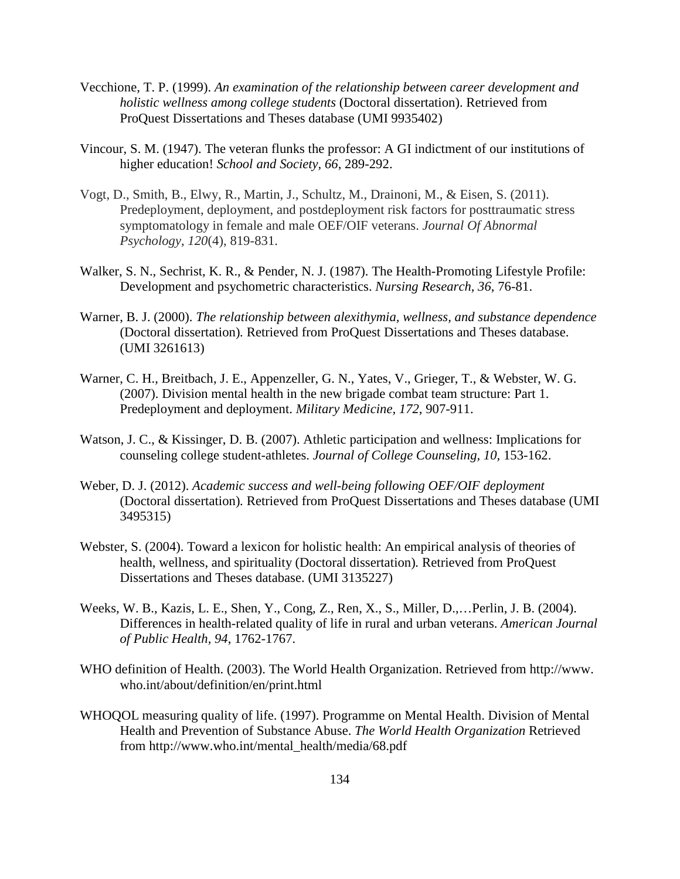- Vecchione, T. P. (1999). *An examination of the relationship between career development and holistic wellness among college students* (Doctoral dissertation). Retrieved from ProQuest Dissertations and Theses database (UMI 9935402)
- Vincour, S. M. (1947). The veteran flunks the professor: A GI indictment of our institutions of higher education! *School and Society, 66*, 289-292.
- Vogt, D., Smith, B., Elwy, R., Martin, J., Schultz, M., Drainoni, M., & Eisen, S. (2011). Predeployment, deployment, and postdeployment risk factors for posttraumatic stress symptomatology in female and male OEF/OIF veterans. *Journal Of Abnormal Psychology*, *120*(4), 819-831.
- Walker, S. N., Sechrist, K. R., & Pender, N. J. (1987). The Health-Promoting Lifestyle Profile: Development and psychometric characteristics. *Nursing Research*, *36*, 76-81.
- Warner, B. J. (2000). *The relationship between alexithymia, wellness, and substance dependence* (Doctoral dissertation)*.* Retrieved from ProQuest Dissertations and Theses database. (UMI 3261613)
- Warner, C. H., Breitbach, J. E., Appenzeller, G. N., Yates, V., Grieger, T., & Webster, W. G. (2007). Division mental health in the new brigade combat team structure: Part 1. Predeployment and deployment. *Military Medicine, 172*, 907-911.
- Watson, J. C., & Kissinger, D. B. (2007). Athletic participation and wellness: Implications for counseling college student-athletes. *Journal of College Counseling, 10,* 153-162.
- Weber, D. J. (2012). *Academic success and well-being following OEF/OIF deployment* (Doctoral dissertation)*.* Retrieved from ProQuest Dissertations and Theses database (UMI 3495315)
- Webster, S. (2004). Toward a lexicon for holistic health: An empirical analysis of theories of health, wellness, and spirituality (Doctoral dissertation)*.* Retrieved from ProQuest Dissertations and Theses database. (UMI 3135227)
- Weeks, W. B., Kazis, L. E., Shen, Y., Cong, Z., Ren, X., S., Miller, D.,…Perlin, J. B. (2004). Differences in health-related quality of life in rural and urban veterans. *American Journal of Public Health, 94*, 1762-1767.
- WHO definition of Health. (2003). The World Health Organization. Retrieved from http://www. who.int/about/definition/en/print.html
- WHOQOL measuring quality of life. (1997). Programme on Mental Health. Division of Mental Health and Prevention of Substance Abuse. *The World Health Organization* Retrieved from http://www.who.int/mental\_health/media/68.pdf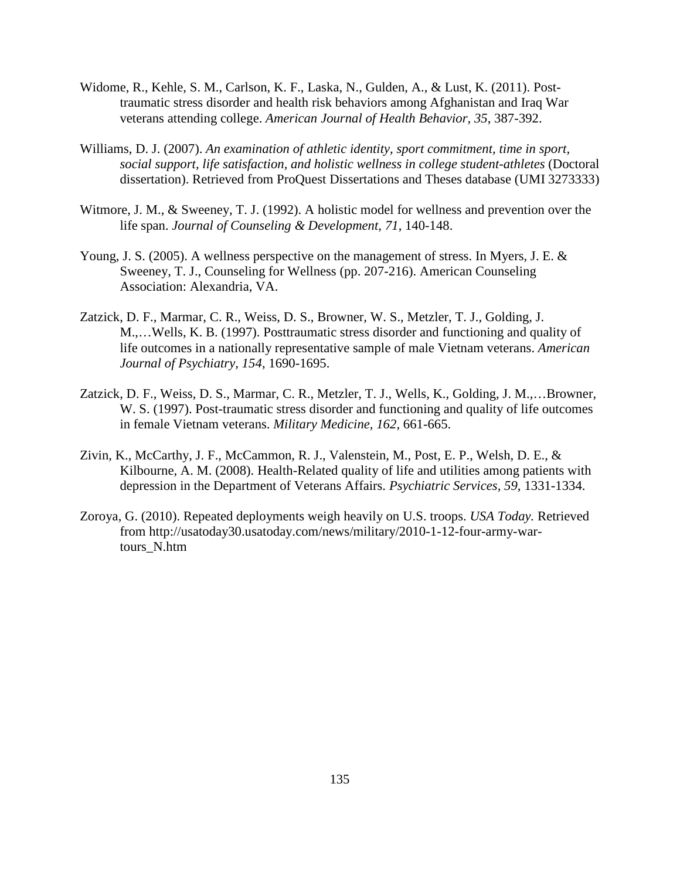- Widome, R., Kehle, S. M., Carlson, K. F., Laska, N., Gulden, A., & Lust, K. (2011). Post traumatic stress disorder and health risk behaviors among Afghanistan and Iraq War veterans attending college. *American Journal of Health Behavior, 35*, 387-392.
- Williams, D. J. (2007). *An examination of athletic identity, sport commitment, time in sport, social support, life satisfaction, and holistic wellness in college student-athletes* (Doctoral dissertation). Retrieved from ProQuest Dissertations and Theses database (UMI 3273333)
- Witmore, J. M., & Sweeney, T. J. (1992). A holistic model for wellness and prevention over the life span. *Journal of Counseling & Development, 71*, 140-148.
- Young, J. S. (2005). A wellness perspective on the management of stress. In Myers, J. E. & Sweeney, T. J., Counseling for Wellness (pp. 207-216). American Counseling Association: Alexandria, VA.
- Zatzick, D. F., Marmar, C. R., Weiss, D. S., Browner, W. S., Metzler, T. J., Golding, J. M.,…Wells, K. B. (1997). Posttraumatic stress disorder and functioning and quality of life outcomes in a nationally representative sample of male Vietnam veterans. *American Journal of Psychiatry, 154*, 1690-1695.
- Zatzick, D. F., Weiss, D. S., Marmar, C. R., Metzler, T. J., Wells, K., Golding, J. M.,…Browner, W. S. (1997). Post-traumatic stress disorder and functioning and quality of life outcomes in female Vietnam veterans. *Military Medicine, 162*, 661-665.
- Zivin, K., McCarthy, J. F., McCammon, R. J., Valenstein, M., Post, E. P., Welsh, D. E., & Kilbourne, A. M. (2008). Health-Related quality of life and utilities among patients with depression in the Department of Veterans Affairs. *Psychiatric Services, 59*, 1331-1334.
- Zoroya, G. (2010). Repeated deployments weigh heavily on U.S. troops. *USA Today.* Retrieved from http://usatoday30.usatoday.com/news/military/2010-1-12-four-army-war tours\_N.htm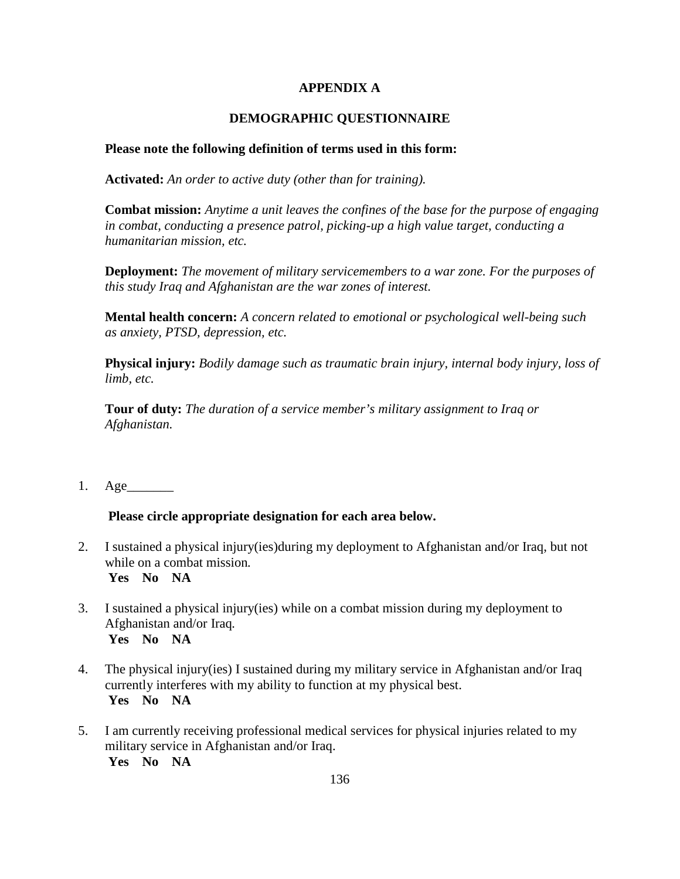# **APPENDIX A**

# **DEMOGRAPHIC QUESTIONNAIRE**

### **Please note the following definition of terms used in this form:**

**Activated:** *An order to active duty (other than for training).*

**Combat mission:** *Anytime a unit leaves the confines of the base for the purpose of engaging in combat, conducting a presence patrol, picking-up a high value target, conducting a humanitarian mission, etc.*

**Deployment:** *The movement of military servicemembers to a war zone. For the purposes of this study Iraq and Afghanistan are the war zones of interest.*

**Mental health concern:** *A concern related to emotional or psychological well-being such as anxiety, PTSD, depression, etc.*

**Physical injury:** *Bodily damage such as traumatic brain injury, internal body injury, loss of limb, etc.*

**Tour of duty:** *The duration of a service member's military assignment to Iraq or Afghanistan.*

1. Age\_\_\_\_\_\_\_

## **Please circle appropriate designation for each area below.**

- 2. I sustained a physical injury(ies)during my deployment to Afghanistan and/or Iraq, but not while on a combat mission*.* **Yes No NA**
- 3. I sustained a physical injury(ies) while on a combat mission during my deployment to Afghanistan and/or Iraq*.*  **Yes No NA**
- 4. The physical injury(ies) I sustained during my military service in Afghanistan and/or Iraq currently interferes with my ability to function at my physical best.  **Yes No NA**
- 5. I am currently receiving professional medical services for physical injuries related to my military service in Afghanistan and/or Iraq.  **Yes No NA**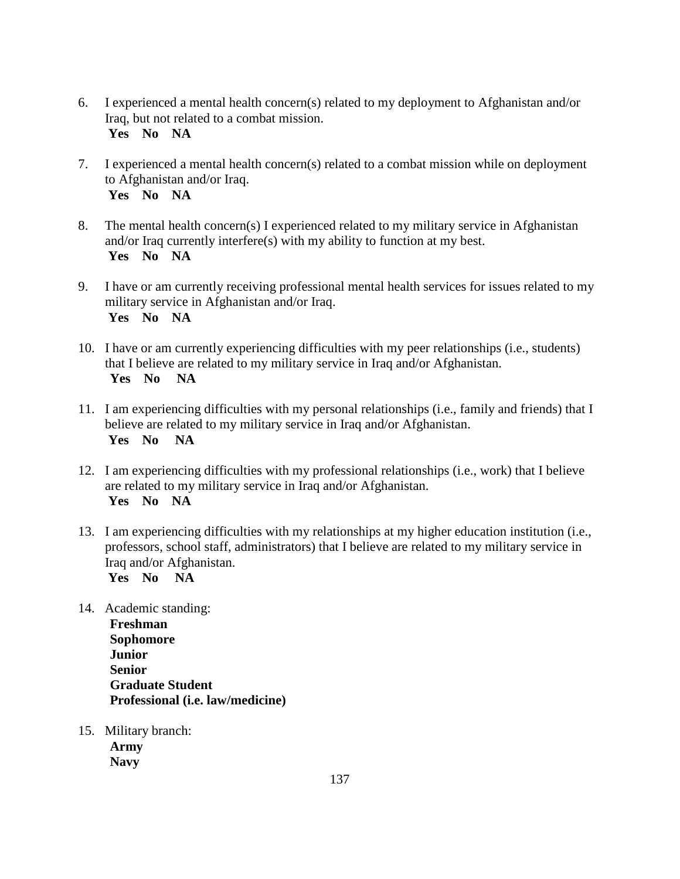- 6. I experienced a mental health concern(s) related to my deployment to Afghanistan and/or Iraq, but not related to a combat mission.  **Yes No NA**
- 7. I experienced a mental health concern(s) related to a combat mission while on deployment to Afghanistan and/or Iraq.  **Yes No NA**
- 8. The mental health concern(s) I experienced related to my military service in Afghanistan and/or Iraq currently interfere(s) with my ability to function at my best.  **Yes No NA**
- 9. I have or am currently receiving professional mental health services for issues related to my military service in Afghanistan and/or Iraq.  **Yes No NA**
- 10. I have or am currently experiencing difficulties with my peer relationships (i.e., students) that I believe are related to my military service in Iraq and/or Afghanistan. **Yes No NA**
- 11. I am experiencing difficulties with my personal relationships (i.e., family and friends) that I believe are related to my military service in Iraq and/or Afghanistan.  **Yes No NA**
- 12. I am experiencing difficulties with my professional relationships (i.e., work) that I believe are related to my military service in Iraq and/or Afghanistan.  **Yes No NA**
- 13. I am experiencing difficulties with my relationships at my higher education institution (i.e., professors, school staff, administrators) that I believe are related to my military service in Iraq and/or Afghanistan. **Yes No NA**
- 14. Academic standing: **Freshman Sophomore Junior Senior Graduate Student Professional (i.e. law/medicine)**
- 15. Military branch: **Army Navy**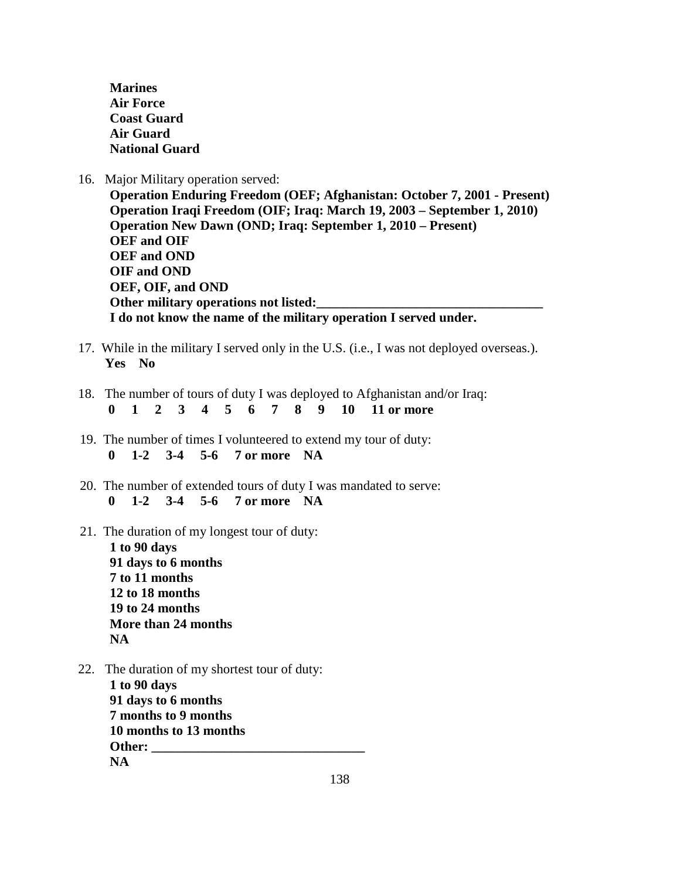**Marines Air Force Coast Guard Air Guard National Guard** 

16. Major Military operation served:

**Operation Enduring Freedom (OEF; Afghanistan: October 7, 2001 - Present) Operation Iraqi Freedom (OIF; Iraq: March 19, 2003 – September 1, 2010) Operation New Dawn (OND; Iraq: September 1, 2010 – Present) OEF and OIF OEF and OND OIF and OND OEF, OIF, and OND** Other military operations not listed: **I do not know the name of the military operation I served under.**

- 17. While in the military I served only in the U.S. (i.e., I was not deployed overseas.). **Yes No**
- 18. The number of tours of duty I was deployed to Afghanistan and/or Iraq:  **0 1 2 3 4 5 6 7 8 9 10 11 or more**
- 19. The number of times I volunteered to extend my tour of duty:  **0 1-2 3-4 5-6 7 or more NA**
- 20. The number of extended tours of duty I was mandated to serve:  **0 1-2 3-4 5-6 7 or more NA**
- 21. The duration of my longest tour of duty:

**1 to 90 days 91 days to 6 months 7 to 11 months 12 to 18 months 19 to 24 months More than 24 months NA**

22. The duration of my shortest tour of duty: **1 to 90 days 91 days to 6 months 7 months to 9 months 10 months to 13 months** Other: **NA**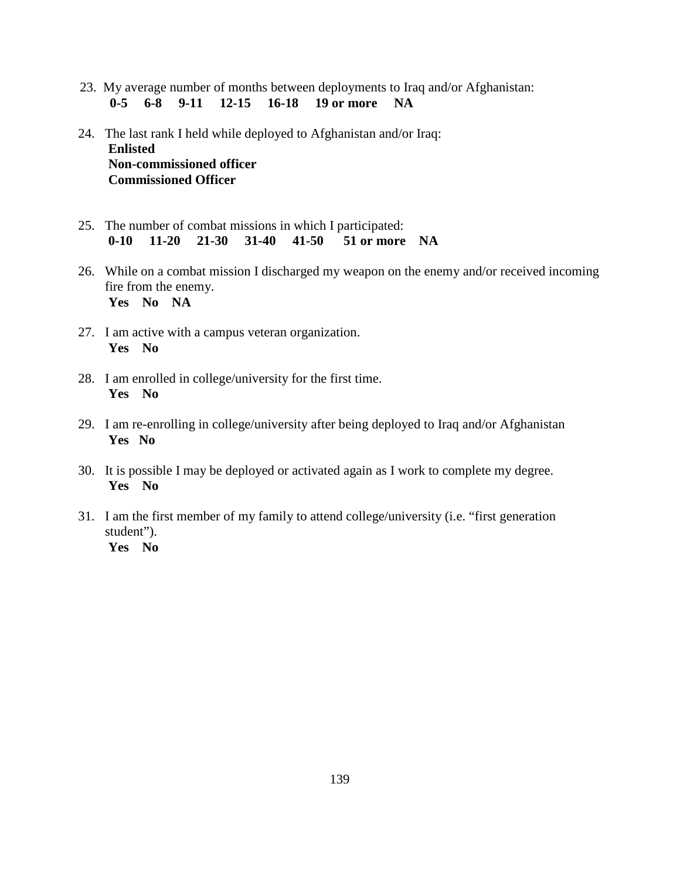- 23. My average number of months between deployments to Iraq and/or Afghanistan: **0-5 6-8 9-11 12-15 16-18 19 or more NA**
- 24. The last rank I held while deployed to Afghanistan and/or Iraq:  **Enlisted Non-commissioned officer Commissioned Officer**
- 25. The number of combat missions in which I participated: **0-10 11-20 21-30 31-40 41-50 51 or more NA**
- 26. While on a combat mission I discharged my weapon on the enemy and/or received incoming fire from the enemy. **Yes No NA**
- 27. I am active with a campus veteran organization. **Yes No**
- 28. I am enrolled in college/university for the first time. **Yes No**
- 29. I am re-enrolling in college/university after being deployed to Iraq and/or Afghanistan **Yes No**
- 30. It is possible I may be deployed or activated again as I work to complete my degree.  **Yes No**
- 31. I am the first member of my family to attend college/university (i.e. "first generation student").  **Yes No**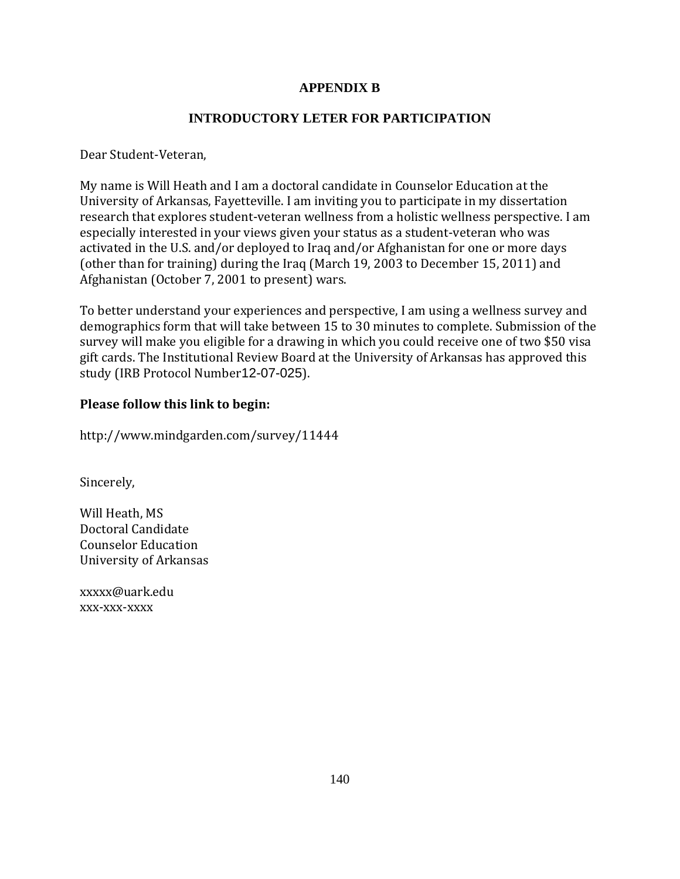# **APPENDIX B**

# **INTRODUCTORY LETER FOR PARTICIPATION**

Dear Student-Veteran,

My name is Will Heath and I am a doctoral candidate in Counselor Education at the University of Arkansas, Fayetteville. I am inviting you to participate in my dissertation research that explores student-veteran wellness from a holistic wellness perspective. I am especially interested in your views given your status as a student-veteran who was activated in the U.S. and/or deployed to Iraq and/or Afghanistan for one or more days (other than for training) during the Iraq (March 19, 2003 to December 15, 2011) and Afghanistan (October 7, 2001 to present) wars.

To better understand your experiences and perspective, I am using a wellness survey and demographics form that will take between 15 to 30 minutes to complete. Submission of the survey will make you eligible for a drawing in which you could receive one of two \$50 visa gift cards. The Institutional Review Board at the University of Arkansas has approved this study (IRB Protocol Number12-07-025).

# **Please follow this link to begin:**

http://www.mindgarden.com/survey/11444

Sincerely,

Will Heath, MS Doctoral Candidate Counselor Education University of Arkansas

xxxxx@uark.edu xxx-xxx-xxxx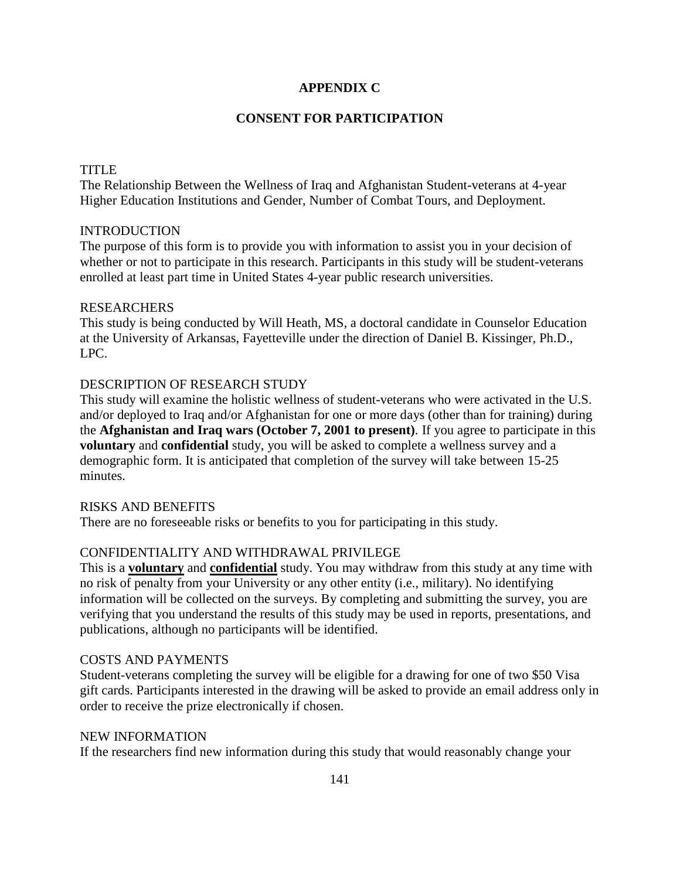## **APPENDIX C**

# **CONSENT FOR PARTICIPATION**

### TITLE

The Relationship Between the Wellness of Iraq and Afghanistan Student-veterans at 4-year Higher Education Institutions and Gender, Number of Combat Tours, and Deployment.

### INTRODUCTION

The purpose of this form is to provide you with information to assist you in your decision of whether or not to participate in this research. Participants in this study will be student-veterans enrolled at least part time in United States 4-year public research universities.

### RESEARCHERS

This study is being conducted by Will Heath, MS, a doctoral candidate in Counselor Education at the University of Arkansas, Fayetteville under the direction of Daniel B. Kissinger, Ph.D., LPC.

# DESCRIPTION OF RESEARCH STUDY

This study will examine the holistic wellness of student-veterans who were activated in the U.S. and/or deployed to Iraq and/or Afghanistan for one or more days (other than for training) during the **Afghanistan and Iraq wars (October 7, 2001 to present)**. If you agree to participate in this **voluntary** and **confidential** study, you will be asked to complete a wellness survey and a demographic form. It is anticipated that completion of the survey will take between 15-25 minutes.

## RISKS AND BENEFITS

There are no foreseeable risks or benefits to you for participating in this study.

# CONFIDENTIALITY AND WITHDRAWAL PRIVILEGE

This is a **voluntary** and **confidential** study. You may withdraw from this study at any time with no risk of penalty from your University or any other entity (i.e., military). No identifying information will be collected on the surveys. By completing and submitting the survey, you are verifying that you understand the results of this study may be used in reports, presentations, and publications, although no participants will be identified.

## COSTS AND PAYMENTS

Student-veterans completing the survey will be eligible for a drawing for one of two \$50 Visa gift cards. Participants interested in the drawing will be asked to provide an email address only in order to receive the prize electronically if chosen.

#### NEW INFORMATION

If the researchers find new information during this study that would reasonably change your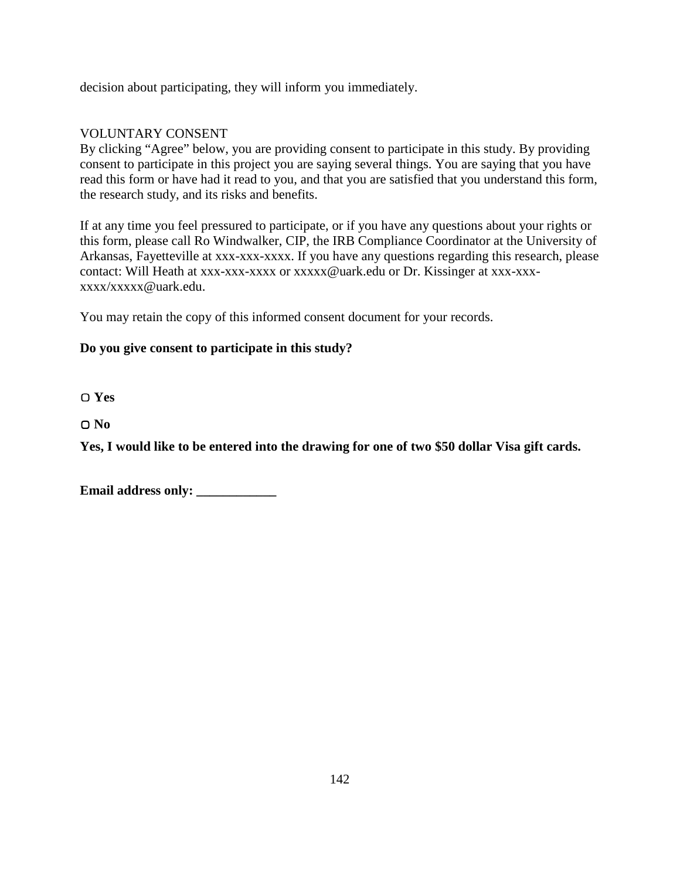decision about participating, they will inform you immediately.

# VOLUNTARY CONSENT

By clicking "Agree" below, you are providing consent to participate in this study. By providing consent to participate in this project you are saying several things. You are saying that you have read this form or have had it read to you, and that you are satisfied that you understand this form, the research study, and its risks and benefits.

If at any time you feel pressured to participate, or if you have any questions about your rights or this form, please call Ro Windwalker, CIP, the IRB Compliance Coordinator at the University of Arkansas, Fayetteville at xxx-xxx-xxxx. If you have any questions regarding this research, please contact: Will Heath at xxx-xxx-xxxx or xxxxx@uark.edu or Dr. Kissinger at xxx-xxxxxxx/xxxxx@uark.edu.

You may retain the copy of this informed consent document for your records.

# **Do you give consent to participate in this study?**

▢ **Yes**

▢ **No**

**Yes, I would like to be entered into the drawing for one of two \$50 dollar Visa gift cards.**

| <b>Email address only:</b> |  |
|----------------------------|--|
|----------------------------|--|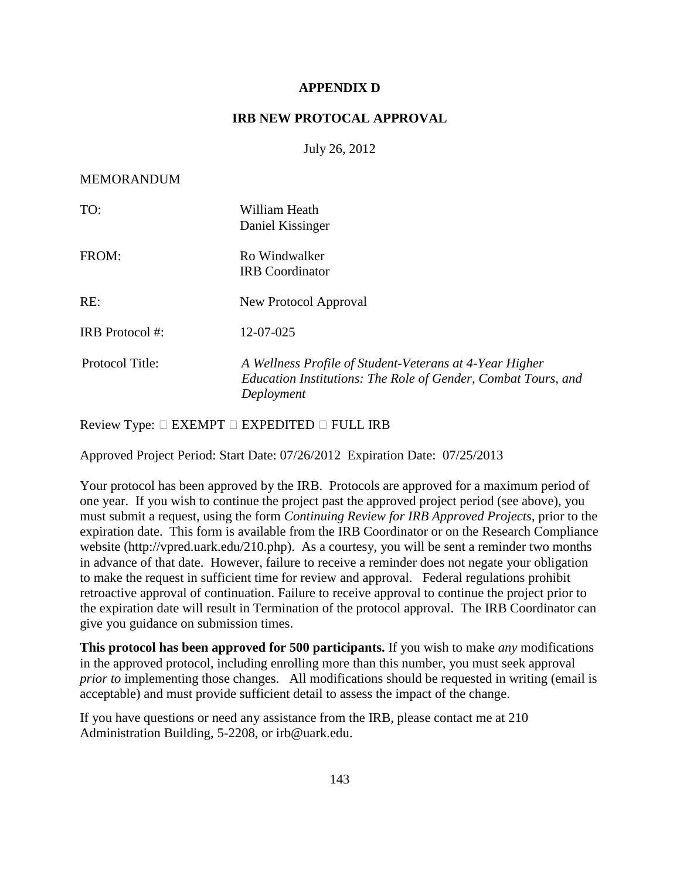## **APPENDIX D**

## **IRB NEW PROTOCAL APPROVAL**

July 26, 2012

### MEMORANDUM

| TO:             | William Heath<br>Daniel Kissinger                                                                                                      |
|-----------------|----------------------------------------------------------------------------------------------------------------------------------------|
| FROM:           | Ro Windwalker<br><b>IRB</b> Coordinator                                                                                                |
| RE:             | New Protocol Approval                                                                                                                  |
| IRB Protocol #: | 12-07-025                                                                                                                              |
| Protocol Title: | A Wellness Profile of Student-Veterans at 4-Year Higher<br>Education Institutions: The Role of Gender, Combat Tours, and<br>Deployment |

Review Type: EXEMPT EXPEDITED FULL IRB

Approved Project Period: Start Date: 07/26/2012 Expiration Date: 07/25/2013

Your protocol has been approved by the IRB. Protocols are approved for a maximum period of one year. If you wish to continue the project past the approved project period (see above), you must submit a request, using the form *Continuing Review for IRB Approved Projects*, prior to the expiration date. This form is available from the IRB Coordinator or on the Research Compliance website (http://vpred.uark.edu/210.php). As a courtesy, you will be sent a reminder two months in advance of that date. However, failure to receive a reminder does not negate your obligation to make the request in sufficient time for review and approval. Federal regulations prohibit retroactive approval of continuation. Failure to receive approval to continue the project prior to the expiration date will result in Termination of the protocol approval. The IRB Coordinator can give you guidance on submission times.

**This protocol has been approved for 500 participants.** If you wish to make *any* modifications in the approved protocol, including enrolling more than this number, you must seek approval *prior to* implementing those changes. All modifications should be requested in writing (email is acceptable) and must provide sufficient detail to assess the impact of the change.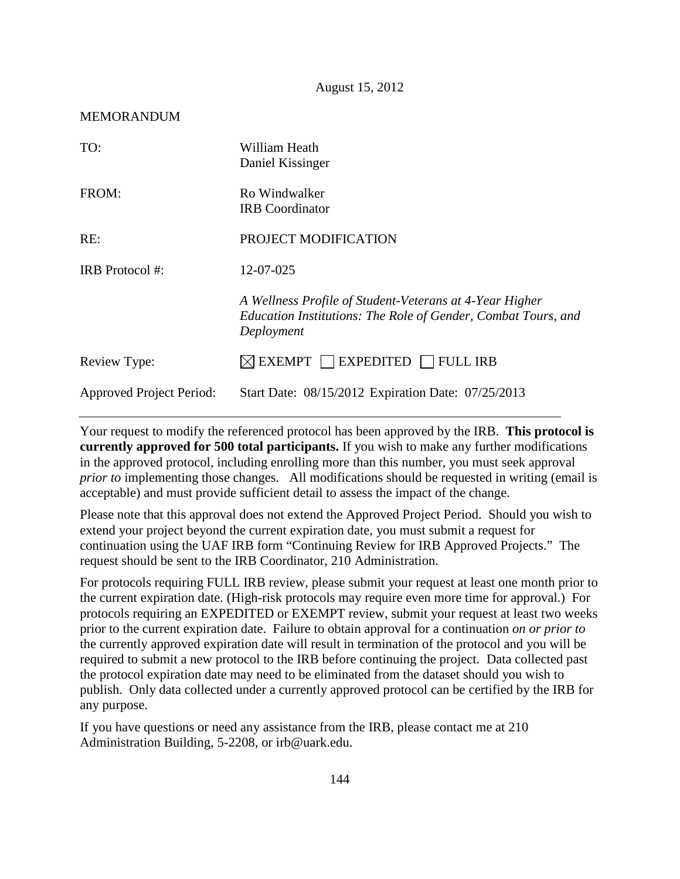August 15, 2012

#### MEMORANDUM

| TO:                             | William Heath<br>Daniel Kissinger                                                                                                      |
|---------------------------------|----------------------------------------------------------------------------------------------------------------------------------------|
| FROM:                           | Ro Windwalker<br><b>IRB</b> Coordinator                                                                                                |
| RE:                             | PROJECT MODIFICATION                                                                                                                   |
| IRB Protocol #:                 | 12-07-025                                                                                                                              |
|                                 | A Wellness Profile of Student-Veterans at 4-Year Higher<br>Education Institutions: The Role of Gender, Combat Tours, and<br>Deployment |
| Review Type:                    | $\boxtimes$ EXEMPT $\Box$ EXPEDITED $\Box$ FULL IRB                                                                                    |
| <b>Approved Project Period:</b> | Start Date: 08/15/2012 Expiration Date: 07/25/2013                                                                                     |

Your request to modify the referenced protocol has been approved by the IRB. **This protocol is currently approved for 500 total participants.** If you wish to make any further modifications in the approved protocol, including enrolling more than this number, you must seek approval *prior to* implementing those changes. All modifications should be requested in writing (email is acceptable) and must provide sufficient detail to assess the impact of the change.

Please note that this approval does not extend the Approved Project Period. Should you wish to extend your project beyond the current expiration date, you must submit a request for continuation using the UAF IRB form "Continuing Review for IRB Approved Projects." The request should be sent to the IRB Coordinator, 210 Administration.

For protocols requiring FULL IRB review, please submit your request at least one month prior to the current expiration date. (High-risk protocols may require even more time for approval.) For protocols requiring an EXPEDITED or EXEMPT review, submit your request at least two weeks prior to the current expiration date. Failure to obtain approval for a continuation *on or prior to* the currently approved expiration date will result in termination of the protocol and you will be required to submit a new protocol to the IRB before continuing the project. Data collected past the protocol expiration date may need to be eliminated from the dataset should you wish to publish. Only data collected under a currently approved protocol can be certified by the IRB for any purpose.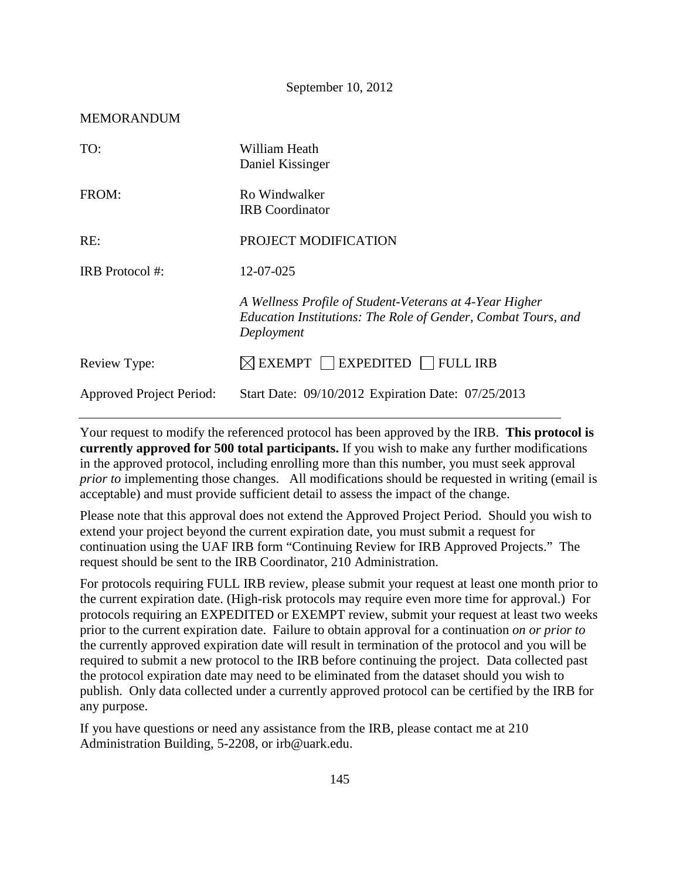September 10, 2012

| TO:                             | William Heath<br>Daniel Kissinger                                                                                                      |
|---------------------------------|----------------------------------------------------------------------------------------------------------------------------------------|
| FROM:                           | Ro Windwalker<br><b>IRB</b> Coordinator                                                                                                |
| RE:                             | PROJECT MODIFICATION                                                                                                                   |
| IRB Protocol #:                 | 12-07-025                                                                                                                              |
|                                 | A Wellness Profile of Student-Veterans at 4-Year Higher<br>Education Institutions: The Role of Gender, Combat Tours, and<br>Deployment |
| Review Type:                    | $\boxtimes$ EXEMPT $\Box$ EXPEDITED $\Box$ FULL IRB                                                                                    |
| <b>Approved Project Period:</b> | Start Date: 09/10/2012 Expiration Date: 07/25/2013                                                                                     |

Your request to modify the referenced protocol has been approved by the IRB. **This protocol is currently approved for 500 total participants.** If you wish to make any further modifications in the approved protocol, including enrolling more than this number, you must seek approval *prior to* implementing those changes. All modifications should be requested in writing (email is acceptable) and must provide sufficient detail to assess the impact of the change.

Please note that this approval does not extend the Approved Project Period. Should you wish to extend your project beyond the current expiration date, you must submit a request for continuation using the UAF IRB form "Continuing Review for IRB Approved Projects." The request should be sent to the IRB Coordinator, 210 Administration.

For protocols requiring FULL IRB review, please submit your request at least one month prior to the current expiration date. (High-risk protocols may require even more time for approval.) For protocols requiring an EXPEDITED or EXEMPT review, submit your request at least two weeks prior to the current expiration date. Failure to obtain approval for a continuation *on or prior to* the currently approved expiration date will result in termination of the protocol and you will be required to submit a new protocol to the IRB before continuing the project. Data collected past the protocol expiration date may need to be eliminated from the dataset should you wish to publish. Only data collected under a currently approved protocol can be certified by the IRB for any purpose.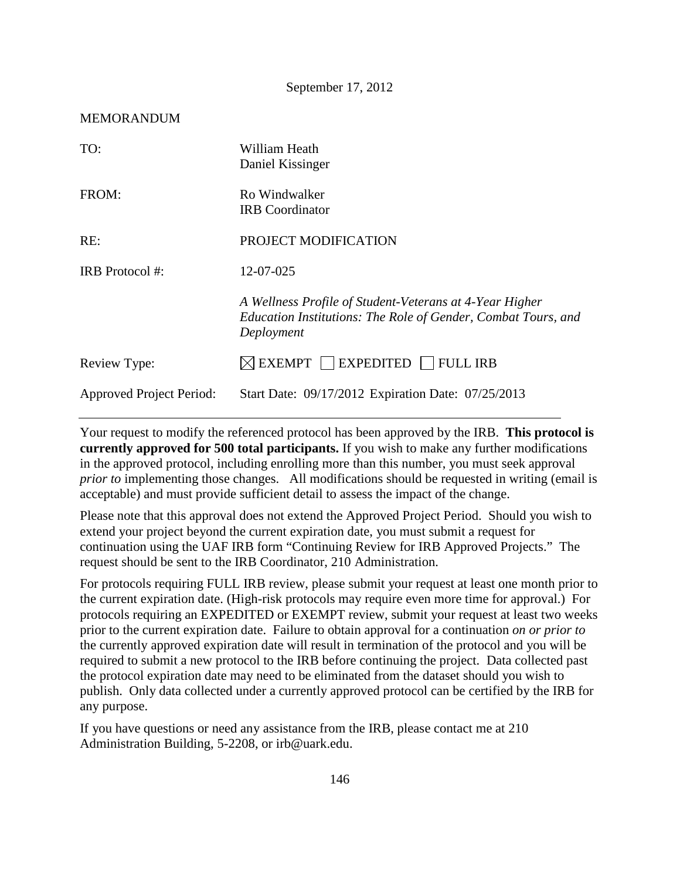### MEMORANDUM

| TO:                             | William Heath<br>Daniel Kissinger                                                                                                      |
|---------------------------------|----------------------------------------------------------------------------------------------------------------------------------------|
| FROM:                           | Ro Windwalker<br><b>IRB</b> Coordinator                                                                                                |
| RE:                             | PROJECT MODIFICATION                                                                                                                   |
| IRB Protocol #:                 | 12-07-025                                                                                                                              |
|                                 | A Wellness Profile of Student-Veterans at 4-Year Higher<br>Education Institutions: The Role of Gender, Combat Tours, and<br>Deployment |
| Review Type:                    | $\boxtimes$ EXEMPT $\Box$ EXPEDITED $\Box$ FULL IRB                                                                                    |
| <b>Approved Project Period:</b> | Start Date: 09/17/2012 Expiration Date: 07/25/2013                                                                                     |

Your request to modify the referenced protocol has been approved by the IRB. **This protocol is currently approved for 500 total participants.** If you wish to make any further modifications in the approved protocol, including enrolling more than this number, you must seek approval *prior to* implementing those changes. All modifications should be requested in writing (email is acceptable) and must provide sufficient detail to assess the impact of the change.

Please note that this approval does not extend the Approved Project Period. Should you wish to extend your project beyond the current expiration date, you must submit a request for continuation using the UAF IRB form "Continuing Review for IRB Approved Projects." The request should be sent to the IRB Coordinator, 210 Administration.

For protocols requiring FULL IRB review, please submit your request at least one month prior to the current expiration date. (High-risk protocols may require even more time for approval.) For protocols requiring an EXPEDITED or EXEMPT review, submit your request at least two weeks prior to the current expiration date. Failure to obtain approval for a continuation *on or prior to* the currently approved expiration date will result in termination of the protocol and you will be required to submit a new protocol to the IRB before continuing the project. Data collected past the protocol expiration date may need to be eliminated from the dataset should you wish to publish. Only data collected under a currently approved protocol can be certified by the IRB for any purpose.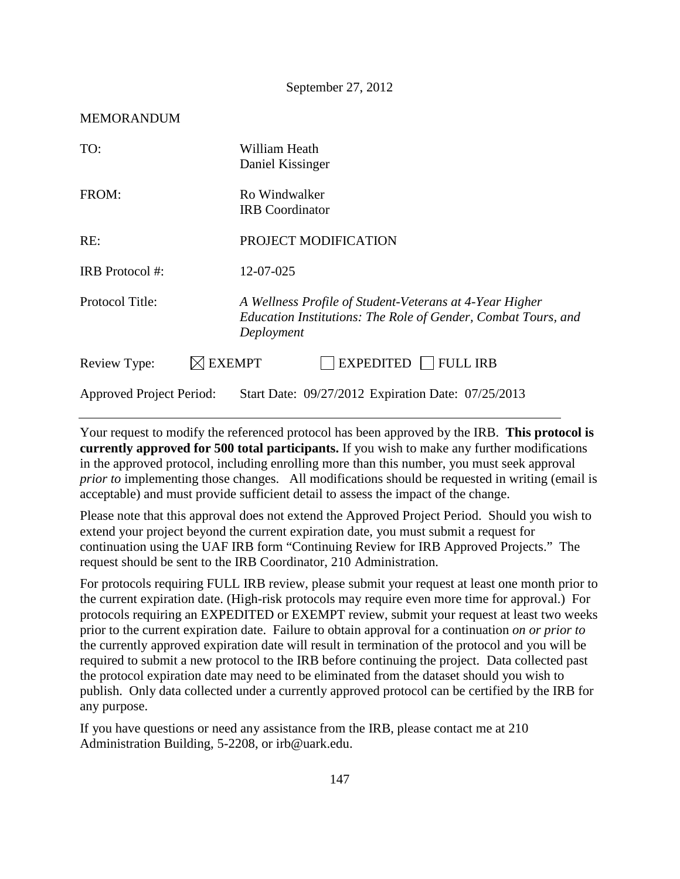#### MEMORANDUM

| TO:                             | William Heath<br>Daniel Kissinger                                                                                                      |
|---------------------------------|----------------------------------------------------------------------------------------------------------------------------------------|
| FROM:                           | Ro Windwalker<br><b>IRB</b> Coordinator                                                                                                |
| RE:                             | PROJECT MODIFICATION                                                                                                                   |
| IRB Protocol #:                 | 12-07-025                                                                                                                              |
| Protocol Title:                 | A Wellness Profile of Student-Veterans at 4-Year Higher<br>Education Institutions: The Role of Gender, Combat Tours, and<br>Deployment |
| Review Type:                    | <b>EXEMPT</b><br><b>EXPEDITED</b><br><b>FULL IRB</b>                                                                                   |
| <b>Approved Project Period:</b> | Start Date: 09/27/2012 Expiration Date: 07/25/2013                                                                                     |

Your request to modify the referenced protocol has been approved by the IRB. **This protocol is currently approved for 500 total participants.** If you wish to make any further modifications in the approved protocol, including enrolling more than this number, you must seek approval *prior to* implementing those changes. All modifications should be requested in writing (email is acceptable) and must provide sufficient detail to assess the impact of the change.

Please note that this approval does not extend the Approved Project Period. Should you wish to extend your project beyond the current expiration date, you must submit a request for continuation using the UAF IRB form "Continuing Review for IRB Approved Projects." The request should be sent to the IRB Coordinator, 210 Administration.

For protocols requiring FULL IRB review, please submit your request at least one month prior to the current expiration date. (High-risk protocols may require even more time for approval.) For protocols requiring an EXPEDITED or EXEMPT review, submit your request at least two weeks prior to the current expiration date. Failure to obtain approval for a continuation *on or prior to* the currently approved expiration date will result in termination of the protocol and you will be required to submit a new protocol to the IRB before continuing the project. Data collected past the protocol expiration date may need to be eliminated from the dataset should you wish to publish. Only data collected under a currently approved protocol can be certified by the IRB for any purpose.